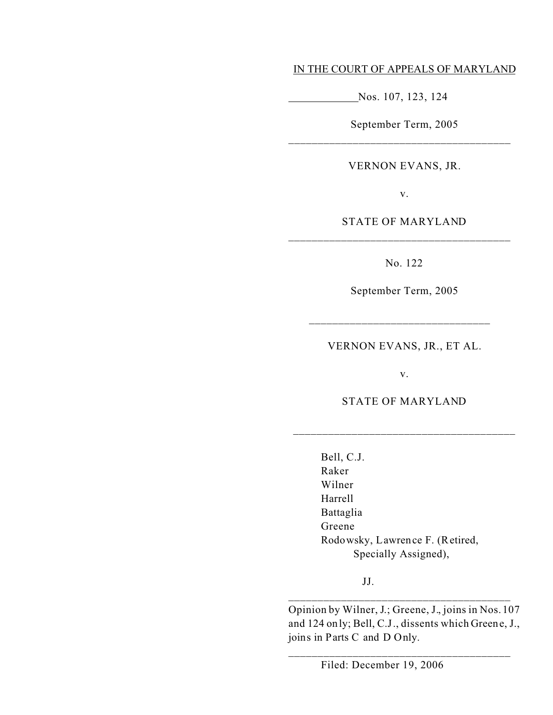## IN THE COURT OF APPEALS OF MARYLAND

Nos. 107, 123, 124

September Term, 2005

# VERNON EVANS, JR.

v.

# STATE OF MARYLAND

\_\_\_\_\_\_\_\_\_\_\_\_\_\_\_\_\_\_\_\_\_\_\_\_\_\_\_\_\_\_\_\_\_\_\_\_\_\_

No. 122

September Term, 2005

VERNON EVANS, JR., ET AL.

\_\_\_\_\_\_\_\_\_\_\_\_\_\_\_\_\_\_\_\_\_\_\_\_\_\_\_\_\_\_\_

v.

STATE OF MARYLAND

\_\_\_\_\_\_\_\_\_\_\_\_\_\_\_\_\_\_\_\_\_\_\_\_\_\_\_\_\_\_\_\_\_\_\_\_\_\_

Bell, C.J. Raker Wilner Harrell Battaglia Greene Rodowsky, Lawrence F. (Retired, Specially Assigned),

JJ.

Opinion by Wilner, J.; Greene, J., joins in Nos. 107 and 124 only; Bell, C.J., dissents which Greene, J., joins in Parts C and D Only.

\_\_\_\_\_\_\_\_\_\_\_\_\_\_\_\_\_\_\_\_\_\_\_\_\_\_\_\_\_\_\_\_\_\_\_\_\_\_

\_\_\_\_\_\_\_\_\_\_\_\_\_\_\_\_\_\_\_\_\_\_\_\_\_\_\_\_\_\_\_\_\_\_\_\_\_\_

Filed: December 19, 2006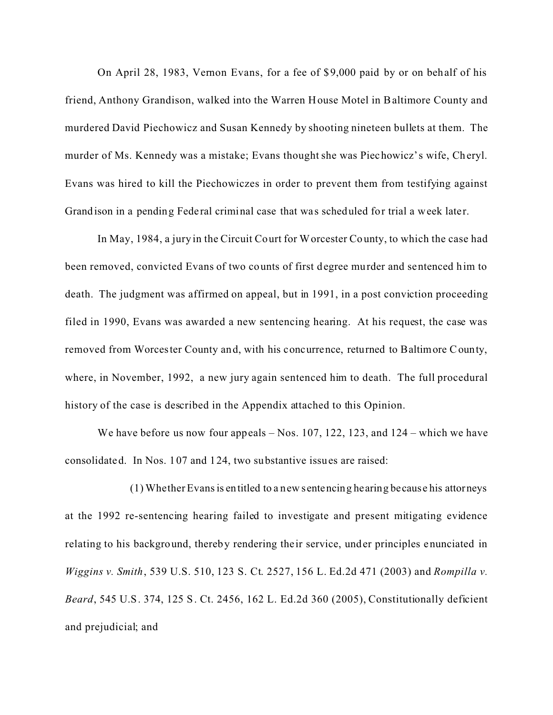On April 28, 1983, Vernon Evans, for a fee of \$9,000 paid by or on behalf of his friend, Anthony Grandison, walked into the Warren House Motel in Baltimore County and murdered David Piechowicz and Susan Kennedy by shooting nineteen bullets at them. The murder of Ms. Kennedy was a mistake; Evans thought she was Piechowicz's wife, Cheryl. Evans was hired to kill the Piechowiczes in order to prevent them from testifying against Grandison in a pending Federal criminal case that was scheduled for trial a week later.

In May, 1984, a jury in the Circuit Court for Worcester County, to which the case had been removed, convicted Evans of two counts of first degree murder and sentenced him to death. The judgment was affirmed on appeal, but in 1991, in a post conviction proceeding filed in 1990, Evans was awarded a new sentencing hearing. At his request, the case was removed from Worcester County and, with his concurrence, returned to Baltimore County, where, in November, 1992, a new jury again sentenced him to death. The full procedural history of the case is described in the Appendix attached to this Opinion.

We have before us now four appeals – Nos. 107, 122, 123, and 124 – which we have consolidated. In Nos. 107 and 124, two substantive issues are raised:

(1) Whether Evans is entitled to a new sentencing hearing becaus e his attorneys at the 1992 re-sentencing hearing failed to investigate and present mitigating evidence relating to his background, thereby rendering their service, under principles enunciated in *Wiggins v. Smith*, 539 U.S. 510, 123 S. Ct. 2527, 156 L. Ed.2d 471 (2003) and *Rompilla v. Beard*, 545 U.S. 374, 125 S. Ct. 2456, 162 L. Ed.2d 360 (2005), Constitutionally deficient and prejudicial; and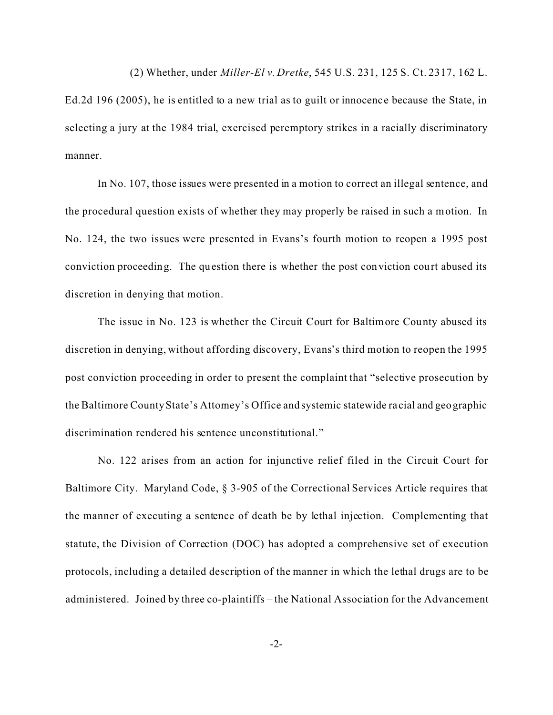(2) Whether, under *Miller-El v. Dretke*, 545 U.S. 231, 125 S. Ct. 2317, 162 L.

Ed.2d 196 (2005), he is entitled to a new trial as to guilt or innocenc e because the State, in selecting a jury at the 1984 trial, exercised peremptory strikes in a racially discriminatory manner.

In No. 107, those issues were presented in a motion to correct an illegal sentence, and the procedural question exists of whether they may properly be raised in such a motion. In No. 124, the two issues were presented in Evans's fourth motion to reopen a 1995 post conviction proceeding. The question there is whether the post conviction court abused its discretion in denying that motion.

The issue in No. 123 is whether the Circuit Court for Baltimore County abused its discretion in denying, without affording discovery, Evans's third motion to reopen the 1995 post conviction proceeding in order to present the complaint that "selective prosecution by the Baltimore County State's Attorney's Office and systemic statewide ra cial and geographic discrimination rendered his sentence unconstitutional."

No. 122 arises from an action for injunctive relief filed in the Circuit Court for Baltimore City. Maryland Code, § 3-905 of the Correctional Services Article requires that the manner of executing a sentence of death be by lethal injection. Complementing that statute, the Division of Correction (DOC) has adopted a comprehensive set of execution protocols, including a detailed description of the manner in which the lethal drugs are to be administered. Joined by three co-plaintiffs – the National Association for the Advancement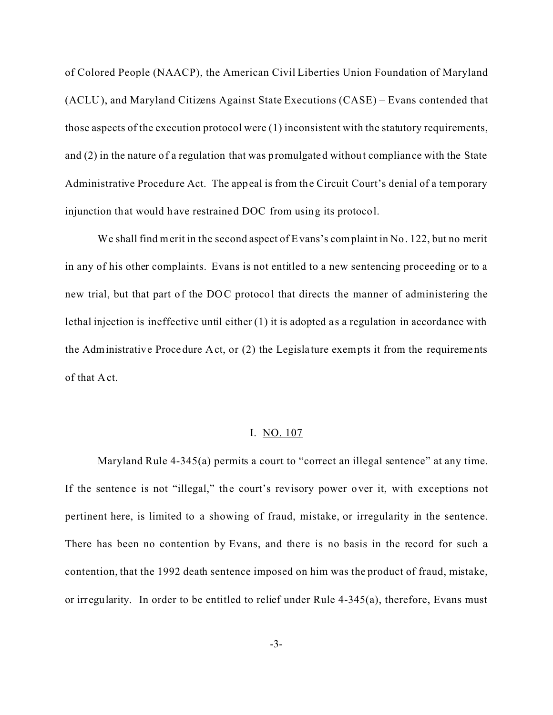of Colored People (NAACP), the American Civil Liberties Union Foundation of Maryland (ACLU), and Maryland Citizens Against State Executions (CASE) – Evans contended that those aspects of the execution protocol were (1) inconsistent with the statutory requirements, and (2) in the nature of a regulation that was promulgated without compliance with the State Administrative Procedure Act. The appeal is from the Circuit Court's denial of a temporary injunction that would have restrained DOC from using its protocol.

We shall find merit in the second aspect of Evans's complaint in No. 122, but no merit in any of his other complaints. Evans is not entitled to a new sentencing proceeding or to a new trial, but that part of the DOC protocol that directs the manner of administering the lethal injection is ineffective until either (1) it is adopted as a regulation in accordance with the Administrative Procedure Act, or (2) the Legislature exempts it from the requirements of that Act.

### I. NO. 107

Maryland Rule 4-345(a) permits a court to "correct an illegal sentence" at any time. If the sentence is not "illegal," the court's revisory power over it, with exceptions not pertinent here, is limited to a showing of fraud, mistake, or irregularity in the sentence. There has been no contention by Evans, and there is no basis in the record for such a contention, that the 1992 death sentence imposed on him was the product of fraud, mistake, or irregularity. In order to be entitled to relief under Rule 4-345(a), therefore, Evans must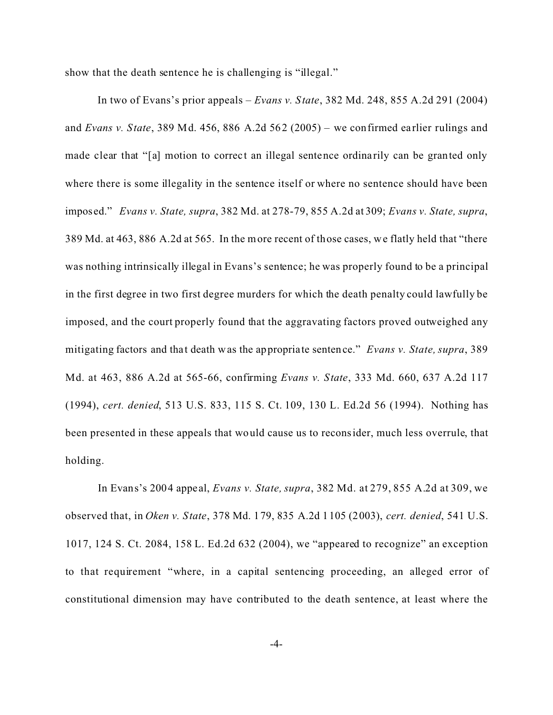show that the death sentence he is challenging is "illegal."

In two of Evans's prior appeals – *Evans v. State*, 382 Md. 248, 855 A.2d 291 (2004) and *Evans v. State*, 389 Md. 456, 886 A.2d 562 (2005) – we confirmed ea rlier rulings and made clear that "[a] motion to correct an illegal sentence ordinarily can be granted only where there is some illegality in the sentence itself or where no sentence should have been imposed." *Evans v. State, supra*, 382 Md. at 278-79, 855 A.2d at 309; *Evans v. State, supra*, 389 Md. at 463, 886 A.2d at 565. In the more recent of those cases, we flatly held that "there was nothing intrinsically illegal in Evans's sentence; he was properly found to be a principal in the first degree in two first degree murders for which the death penalty could lawfully be imposed, and the court properly found that the aggravating factors proved outweighed any mitigating factors and that death was the appropriate sentence." *Evans v. State, supra*, 389 Md. at 463, 886 A.2d at 565-66, confirming *Evans v. State*, 333 Md. 660, 637 A.2d 117 (1994), *cert. denied*, 513 U.S. 833, 115 S. Ct. 109, 130 L. Ed.2d 56 (1994). Nothing has been presented in these appeals that would cause us to reconsider, much less overrule, that holding.

In Evans's 2004 appe al, *Evans v. State, supra*, 382 Md. at 279, 855 A.2d at 309, we observed that, in *Oken v. State*, 378 Md. 179, 835 A.2d 1105 (2003), *cert. denied*, 541 U.S. 1017, 124 S. Ct. 2084, 158 L. Ed.2d 632 (2004), we "appeared to recognize" an exception to that requirement "where, in a capital sentencing proceeding, an alleged error of constitutional dimension may have contributed to the death sentence, at least where the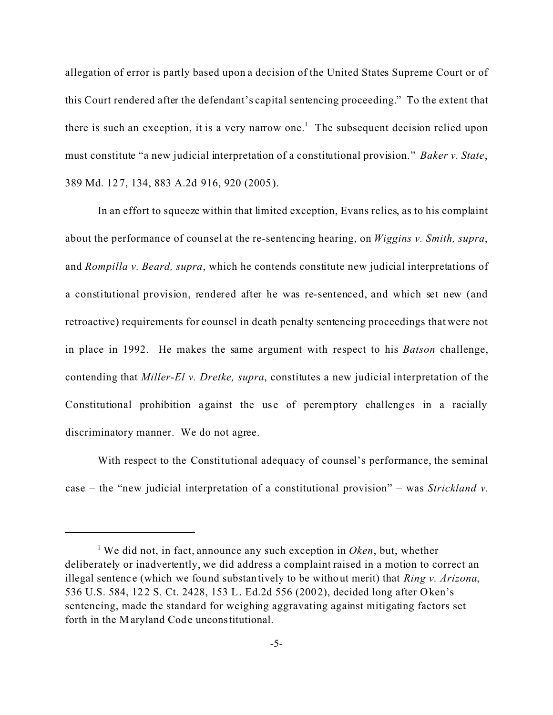allegation of error is partly based upon a decision of the United States Supreme Court or of this Court rendered after the defendant's capital sentencing proceeding." To the extent that there is such an exception, it is a very narrow one.<sup>1</sup> The subsequent decision relied upon must constitute "a new judicial interpretation of a constitutional provision." *Baker v. State*, 389 Md. 127, 134, 883 A.2d 916, 920 (2005).

In an effort to squeeze within that limited exception, Evans relies, as to his complaint about the performance of counsel at the re-sentencing hearing, on *Wiggins v. Smith, supra*, and *Rompilla v. Beard, supra*, which he contends constitute new judicial interpretations of a constitutional provision, rendered after he was re-sentenced, and which set new (and retroactive) requirements for counsel in death penalty sentencing proceedings that were not in place in 1992. He makes the same argument with respect to his *Batson* challenge, contending that *Miller-El v. Dretke, supra*, constitutes a new judicial interpretation of the Constitutional prohibition against the use of peremptory challenges in a racially discriminatory manner. We do not agree.

With respect to the Constitutional adequacy of counsel's performance, the seminal case – the "new judicial interpretation of a constitutional provision" – was *Strickland v.*

<sup>&</sup>lt;sup>1</sup> We did not, in fact, announce any such exception in *Oken*, but, whether deliberately or inadvertently, we did address a complaint raised in a motion to correct an illegal sentence (which we found substantively to be without merit) that *Ring v. Arizona*, 536 U.S. 584, 122 S. Ct. 2428, 153 L. Ed.2d 556 (2002), decided long after Oken's sentencing, made the standard for weighing aggravating against mitigating factors set forth in the Maryland Code unconstitutional.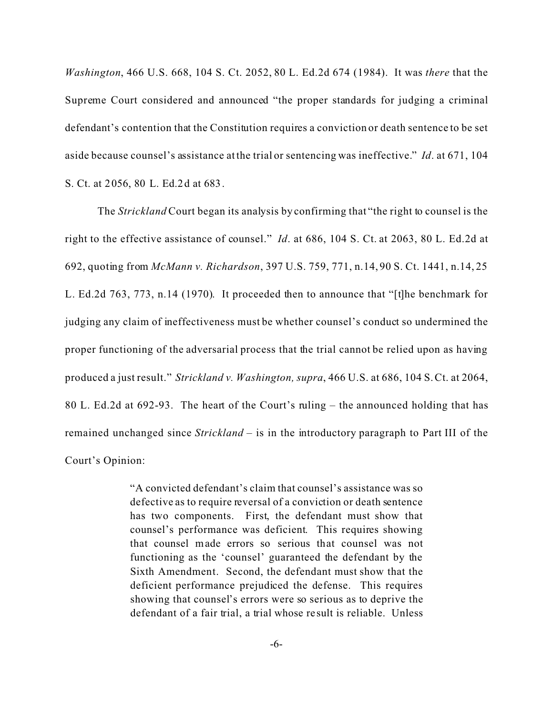*Washington*, 466 U.S. 668, 104 S. Ct. 2052, 80 L. Ed.2d 674 (1984). It was *there* that the Supreme Court considered and announced "the proper standards for judging a criminal defendant's contention that the Constitution requires a conviction or death sentence to be set aside because counsel's assistance at the trial or sentencing was ineffective." *Id*. at 671, 104 S. Ct. at 2056, 80 L. Ed.2d at 683.

The *Strickland* Court began its analysis by confirming that "the right to counsel is the right to the effective assistance of counsel." *Id*. at 686, 104 S. Ct. at 2063, 80 L. Ed.2d at 692, quoting from *McMann v. Richardson*, 397 U.S. 759, 771, n.14, 90 S. Ct. 1441, n.14, 25 L. Ed.2d 763, 773, n.14 (1970). It proceeded then to announce that "[t]he benchmark for judging any claim of ineffectiveness must be whether counsel's conduct so undermined the proper functioning of the adversarial process that the trial cannot be relied upon as having produced a just result." *Strickland v. Washington, supra*, 466 U.S. at 686, 104 S. Ct. at 2064, 80 L. Ed.2d at 692-93. The heart of the Court's ruling – the announced holding that has remained unchanged since *Strickland* – is in the introductory paragraph to Part III of the Court's Opinion:

> "A convicted defendant's claim that counsel's assistance was so defective as to require reversal of a conviction or death sentence has two components. First, the defendant must show that counsel's performance was deficient. This requires showing that counsel made errors so serious that counsel was not functioning as the 'counsel' guaranteed the defendant by the Sixth Amendment. Second, the defendant must show that the deficient performance prejudiced the defense. This requires showing that counsel's errors were so serious as to deprive the defendant of a fair trial, a trial whose re sult is reliable. Unless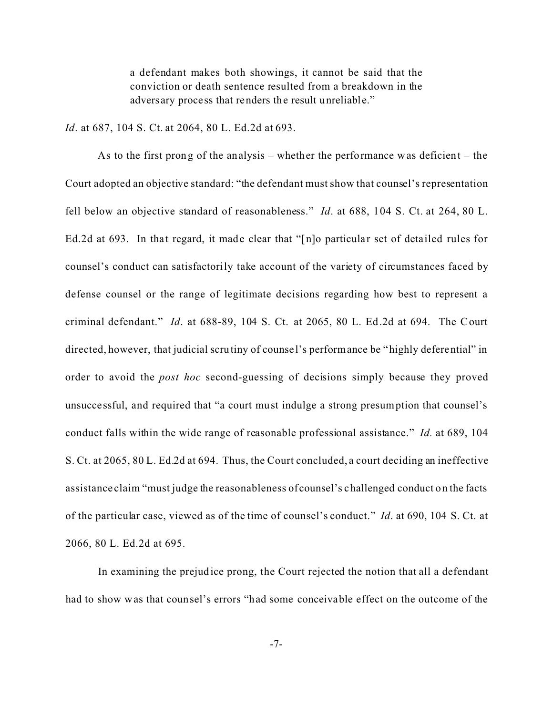a defendant makes both showings, it cannot be said that the conviction or death sentence resulted from a breakdown in the adversary proce ss that renders the result unreliable."

*Id*. at 687, 104 S. Ct. at 2064, 80 L. Ed.2d at 693.

As to the first prong of the analysis – whether the performance was deficient – the Court adopted an objective standard: "the defendant must show that counsel's representation fell below an objective standard of reasonableness." *Id*. at 688, 104 S. Ct. at 264, 80 L. Ed.2d at 693. In that regard, it made clear that " $[n]$  particular set of detailed rules for counsel's conduct can satisfactorily take account of the variety of circumstances faced by defense counsel or the range of legitimate decisions regarding how best to represent a criminal defendant." *Id*. at 688-89, 104 S. Ct. at 2065, 80 L. Ed.2d at 694. The Court directed, however, that judicial scrutiny of counse l's performance be "highly deferential" in order to avoid the *post hoc* second-guessing of decisions simply because they proved unsuccessful, and required that "a court must indulge a strong presumption that counsel's conduct falls within the wide range of reasonable professional assistance." *Id.* at 689, 104 S. Ct. at 2065, 80 L. Ed.2d at 694. Thus, the Court concluded, a court deciding an ineffective assistance claim "must judge the reasonableness of counsel's challenged conduct on the facts of the particular case, viewed as of the time of counsel's conduct." *Id*. at 690, 104 S. Ct. at 2066, 80 L. Ed.2d at 695.

In examining the prejudice prong, the Court rejected the notion that all a defendant had to show was that counsel's errors "had some conceivable effect on the outcome of the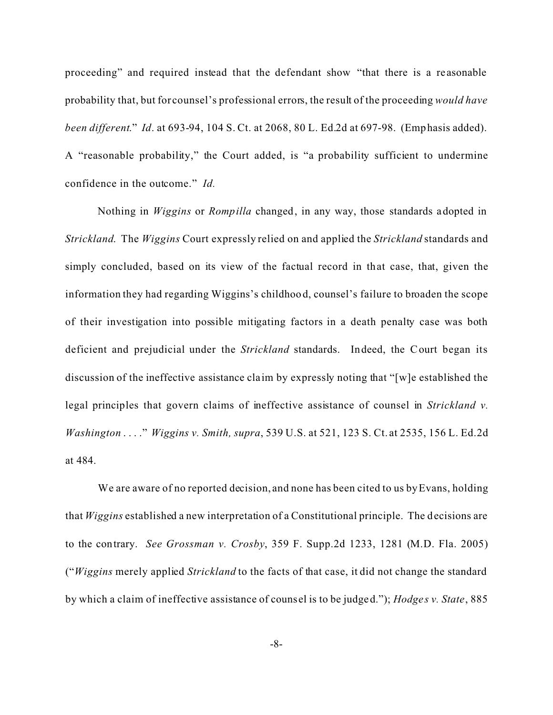proceeding" and required instead that the defendant show "that there is a re asonable probability that, but for counsel's professional errors, the result of the proceeding *would have been different*." *Id*. at 693-94, 104 S. Ct. at 2068, 80 L. Ed.2d at 697-98. (Emphasis added). A "reasonable probability," the Court added, is "a probability sufficient to undermine confidence in the outcome." *Id.*

Nothing in *Wiggins* or *Rompilla* changed, in any way, those standards adopted in *Strickland*. The *Wiggins* Court expressly relied on and applied the *Strickland* standards and simply concluded, based on its view of the factual record in that case, that, given the information they had regarding Wiggins's childhood, counsel's failure to broaden the scope of their investigation into possible mitigating factors in a death penalty case was both deficient and prejudicial under the *Strickland* standards. Indeed, the Court began its discussion of the ineffective assistance cla im by expressly noting that "[w]e established the legal principles that govern claims of ineffective assistance of counsel in *Strickland v. Washington* . . . ." *Wiggins v. Smith, supra*, 539 U.S. at 521, 123 S. Ct. at 2535, 156 L. Ed.2d at 484.

We are aware of no reported decision, and none has been cited to us by Evans, holding that *Wiggins* established a new interpretation of a Constitutional principle. The decisions are to the contrary. *See Grossman v. Crosby*, 359 F. Supp.2d 1233, 1281 (M.D. Fla. 2005) ("*Wiggins* merely applied *Strickland* to the facts of that case, it did not change the standard by which a claim of ineffective assistance of counsel is to be judged."); *Hodges v. State*, 885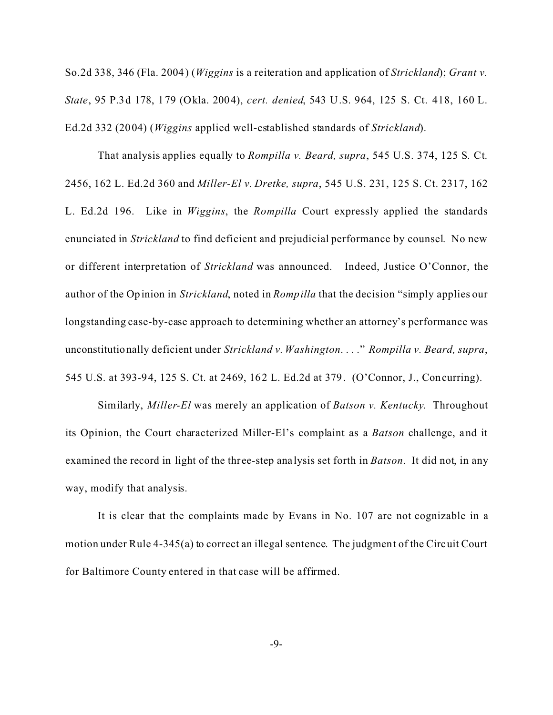So.2d 338, 346 (Fla. 2004) (*Wiggins* is a reiteration and application of *Strickland*); *Grant v. State*, 95 P.3d 178, 179 (Okla. 2004), *cert. denied*, 543 U.S. 964, 125 S. Ct. 418, 160 L. Ed.2d 332 (2004) (*Wiggins* applied well-established standards of *Strickland*).

That analysis applies equally to *Rompilla v. Beard, supra*, 545 U.S. 374, 125 S. Ct. 2456, 162 L. Ed.2d 360 and *Miller-El v. Dretke, supra*, 545 U.S. 231, 125 S. Ct. 2317, 162 L. Ed.2d 196. Like in *Wiggins*, the *Rompilla* Court expressly applied the standards enunciated in *Strickland* to find deficient and prejudicial performance by counsel. No new or different interpretation of *Strickland* was announced. Indeed, Justice O'Connor, the author of the Opinion in *Strickland*, noted in *Rompilla* that the decision "simply applies our longstanding case-by-case approach to determining whether an attorney's performance was unconstitutionally deficient under *Strickland v. Washington*. . . ." *Rompilla v. Beard, supra*, 545 U.S. at 393-94, 125 S. Ct. at 2469, 162 L. Ed.2d at 379. (O'Connor, J., Concurring).

Similarly, *Miller-El* was merely an application of *Batson v. Kentucky*. Throughout its Opinion, the Court characterized Miller-El's complaint as a *Batson* challenge, and it examined the record in light of the three-step ana lysis set forth in *Batson*. It did not, in any way, modify that analysis.

It is clear that the complaints made by Evans in No. 107 are not cognizable in a motion under Rule 4-345(a) to correct an illegal sentence. The judgment of the Circuit Court for Baltimore County entered in that case will be affirmed.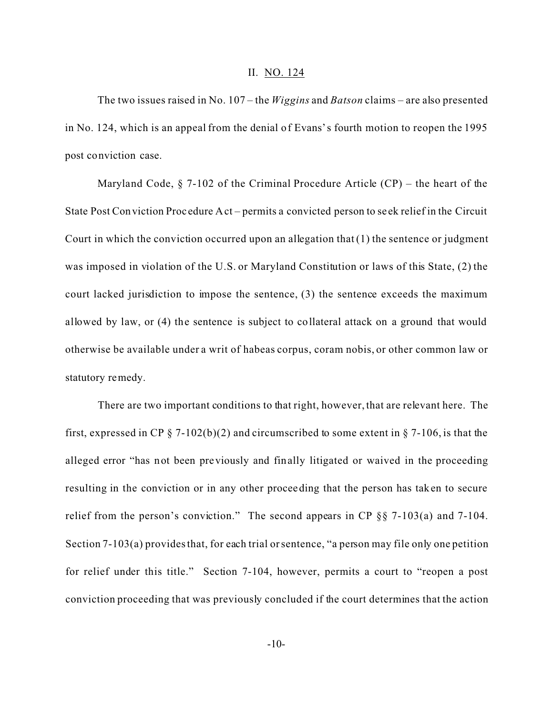#### II. NO. 124

The two issues raised in No. 107 – the *Wiggins* and *Batson* claims – are also presented in No. 124, which is an appeal from the denial of Evans's fourth motion to reopen the 1995 post conviction case.

Maryland Code,  $\S$  7-102 of the Criminal Procedure Article (CP) – the heart of the State Post Conviction Proc edure Act – permits a convicted person to se ek relief in the Circuit Court in which the conviction occurred upon an allegation that  $(1)$  the sentence or judgment was imposed in violation of the U.S. or Maryland Constitution or laws of this State, (2) the court lacked jurisdiction to impose the sentence, (3) the sentence exceeds the maximum allowed by law, or (4) the sentence is subject to collateral attack on a ground that would otherwise be available under a writ of habeas corpus, coram nobis, or other common law or statutory remedy.

There are two important conditions to that right, however, that are relevant here. The first, expressed in CP  $\S$  7-102(b)(2) and circumscribed to some extent in  $\S$  7-106, is that the alleged error "has not been previously and finally litigated or waived in the proceeding resulting in the conviction or in any other proceeding that the person has taken to secure relief from the person's conviction." The second appears in CP §§ 7-103(a) and 7-104. Section 7-103(a) provides that, for each trial or sentence, "a person may file only one petition for relief under this title." Section 7-104, however, permits a court to "reopen a post conviction proceeding that was previously concluded if the court determines that the action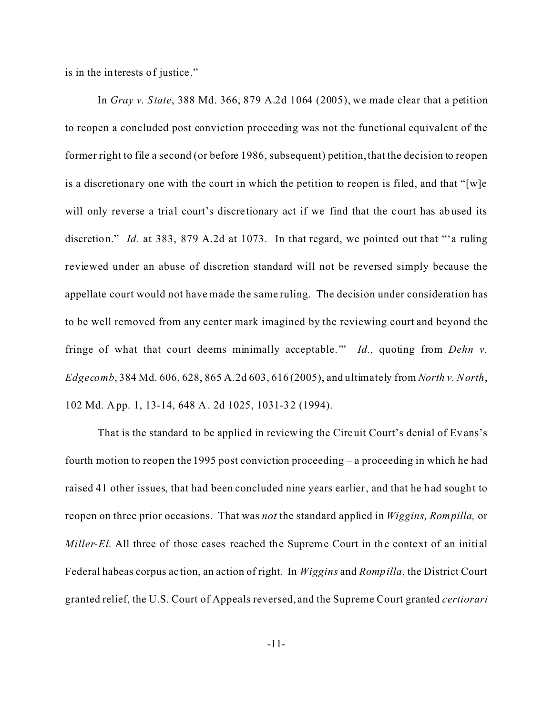is in the interests of justice."

In *Gray v. State*, 388 Md. 366, 879 A.2d 1064 (2005), we made clear that a petition to reopen a concluded post conviction proceeding was not the functional equivalent of the former right to file a second (or before 1986, subsequent) petition, that the decision to reopen is a discretionary one with the court in which the petition to reopen is filed, and that "[w]e will only reverse a trial court's discretionary act if we find that the court has abused its discretion." *Id*. at 383, 879 A.2d at 1073. In that regard, we pointed out that "'a ruling reviewed under an abuse of discretion standard will not be reversed simply because the appellate court would not have made the same ruling. The decision under consideration has to be well removed from any center mark imagined by the reviewing court and beyond the fringe of what that court deems minimally acceptable.'" *Id.*, quoting from *Dehn v. Edgecomb*, 384 Md. 606, 628, 865 A.2d 603, 616 (2005), and ultimately from *North v. North*, 102 Md. App. 1, 13-14, 648 A. 2d 1025, 1031-32 (1994).

That is the standard to be applied in reviewing the Circuit Court's denial of Evans's fourth motion to reopen the 1995 post conviction proceeding – a proceeding in which he had raised 41 other issues, that had been concluded nine years earlier, and that he had sought to reopen on three prior occasions. That was *not* the standard applied in *Wiggins, Rompilla,* or *Miller-El*. All three of those cases reached the Supreme Court in the context of an initial Federal habeas corpus ac tion, an action of right. In *Wiggins* and *Rompilla*, the District Court granted relief, the U.S. Court of Appeals reversed, and the Supreme Court granted *certiorari*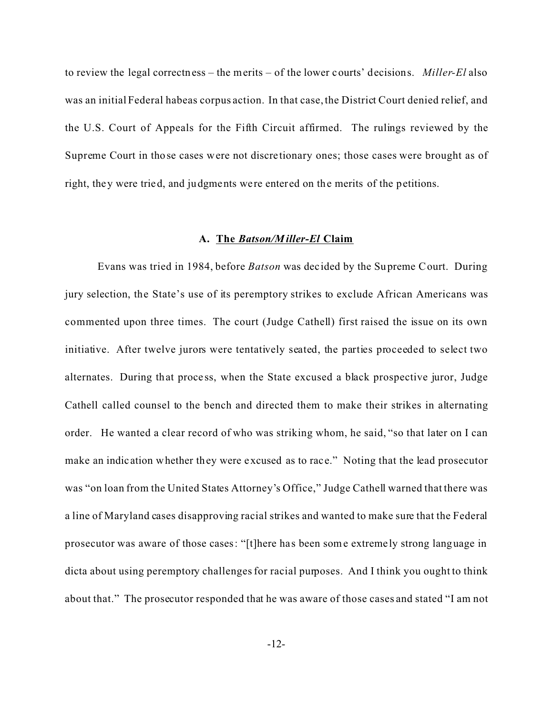to review the legal correctness – the merits – of the lower courts' decisions. *Miller-El* also was an initial Federal habeas corpus action. In that case, the District Court denied relief, and the U.S. Court of Appeals for the Fifth Circuit affirmed. The rulings reviewed by the Supreme Court in those cases were not discre tionary ones; those cases were brought as of right, they were tried, and judgments were entered on the merits of the petitions.

### **A. The** *Batson/Miller-El* **Claim**

Evans was tried in 1984, before *Batson* was dec ided by the Supreme Court. During jury selection, the State's use of its peremptory strikes to exclude African Americans was commented upon three times. The court (Judge Cathell) first raised the issue on its own initiative. After twelve jurors were tentatively seated, the parties proceeded to select two alternates. During that proce ss, when the State excused a black prospective juror, Judge Cathell called counsel to the bench and directed them to make their strikes in alternating order. He wanted a clear record of who was striking whom, he said, "so that later on I can make an indic ation whether they were excused as to race." Noting that the lead prosecutor was "on loan from the United States Attorney's Office," Judge Cathell warned that there was a line of Maryland cases disapproving racial strikes and wanted to make sure that the Federal prosecutor was aware of those cases: "[t]here has been some extremely strong language in dicta about using peremptory challenges for racial purposes. And I think you ought to think about that." The prosecutor responded that he was aware of those cases and stated "I am not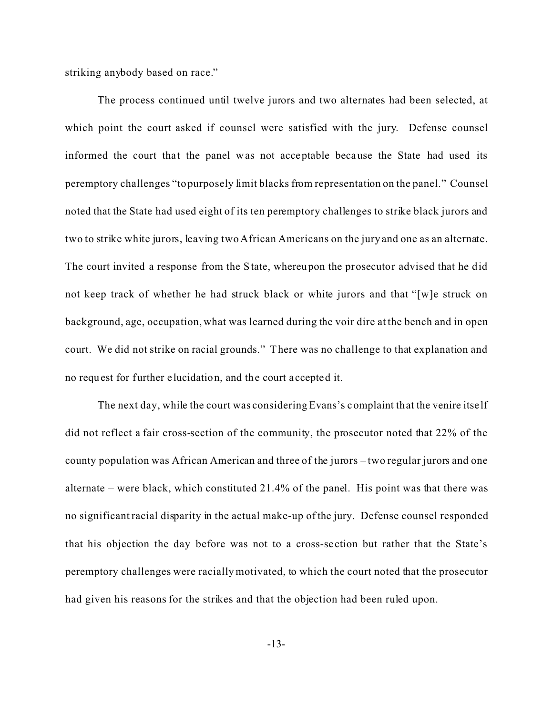striking anybody based on race."

The process continued until twelve jurors and two alternates had been selected, at which point the court asked if counsel were satisfied with the jury. Defense counsel informed the court that the panel was not acceptable because the State had used its peremptory challenges "to purposely limit blacks from representation on the panel." Counsel noted that the State had used eight of its ten peremptory challenges to strike black jurors and two to strike white jurors, leaving two African Americans on the jury and one as an alternate. The court invited a response from the State, whereupon the prosecutor advised that he did not keep track of whether he had struck black or white jurors and that "[w]e struck on background, age, occupation, what was learned during the voir dire at the bench and in open court. We did not strike on racial grounds." There was no challenge to that explanation and no request for further elucidation, and the court a ccepted it.

The next day, while the court was considering Evans's complaint that the venire itse lf did not reflect a fair cross-section of the community, the prosecutor noted that 22% of the county population was African American and three of the jurors – two regular jurors and one alternate – were black, which constituted 21.4% of the panel. His point was that there was no significant racial disparity in the actual make-up of the jury. Defense counsel responded that his objection the day before was not to a cross-se ction but rather that the State's peremptory challenges were racially motivated, to which the court noted that the prosecutor had given his reasons for the strikes and that the objection had been ruled upon.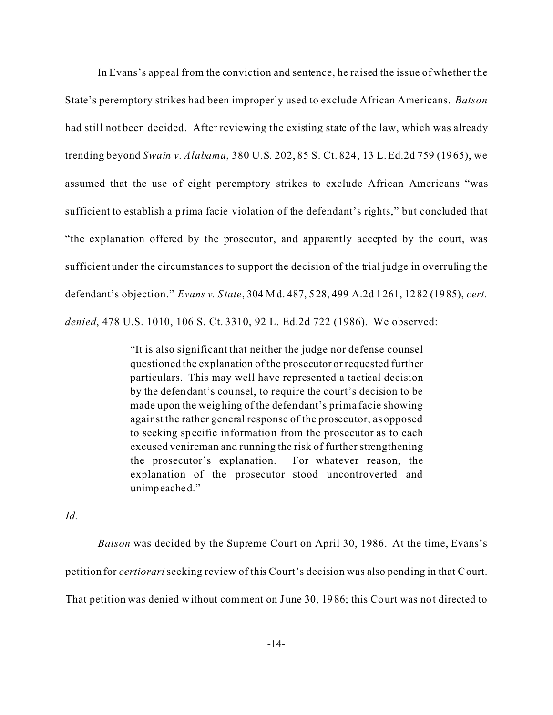In Evans's appeal from the conviction and sentence, he raised the issue of whether the State's peremptory strikes had been improperly used to exclude African Americans. *Batson* had still not been decided. After reviewing the existing state of the law, which was already trending beyond *Swain v. Alabama*, 380 U.S. 202, 85 S. Ct. 824, 13 L. Ed.2d 759 (1965), we assumed that the use of eight peremptory strikes to exclude African Americans "was sufficient to establish a prima facie violation of the defendant's rights," but concluded that "the explanation offered by the prosecutor, and apparently accepted by the court, was sufficient under the circumstances to support the decision of the trial judge in overruling the defendant's objection." *Evans v. State*, 304 Md. 487, 528, 499 A.2d 1261, 1282 (1985), *cert. denied*, 478 U.S. 1010, 106 S. Ct. 3310, 92 L. Ed.2d 722 (1986). We observed:

> "It is also significant that neither the judge nor defense counsel questioned the explanation of the prosecutor or requested further particulars. This may well have represented a tactical decision by the defendant's counsel, to require the court's decision to be made upon the weighing of the defendant's prima facie showing against the rather general response of the prosecutor, as opposed to seeking specific information from the prosecutor as to each excused venireman and running the risk of further strengthening the prosecutor's explanation. For whatever reason, the explanation of the prosecutor stood uncontroverted and unimpeached."

*Id.*

*Batson* was decided by the Supreme Court on April 30, 1986. At the time, Evans's petition for *certiorari* seeking review of this Court's decision was also pending in that Court. That petition was denied without comment on June 30, 1986; this Court was not directed to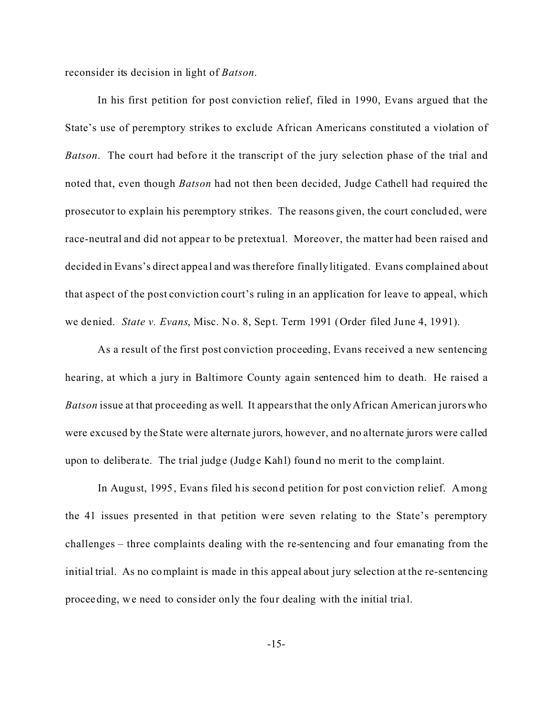reconsider its decision in light of *Batson*.

In his first petition for post conviction relief, filed in 1990, Evans argued that the State's use of peremptory strikes to exclude African Americans constituted a violation of *Batson*. The court had before it the transcript of the jury selection phase of the trial and noted that, even though *Batson* had not then been decided, Judge Cathell had required the prosecutor to explain his peremptory strikes. The reasons given, the court concluded, were race-neutral and did not appear to be pretextua l. Moreover, the matter had been raised and decided in Evans's direct appeal and was therefore finally litigated. Evans complained about that aspect of the post conviction court's ruling in an application for leave to appeal, which we denied. *State v. Evans*, Misc. No. 8, Sept. Term 1991 (Order filed June 4, 1991).

As a result of the first post conviction proceeding, Evans received a new sentencing hearing, at which a jury in Baltimore County again sentenced him to death. He raised a *Batson* issue at that proceeding as well. It appears that the only African American jurors who were excused by the State were alternate jurors, however, and no alternate jurors were called upon to deliberate. The trial judge (Judge Kahl) found no merit to the complaint.

In August, 1995, Evans filed his second petition for post conviction relief. Among the 41 issues presented in that petition were seven relating to the State's peremptory challenges – three complaints dealing with the re-sentencing and four emanating from the initial trial. As no complaint is made in this appeal about jury selection at the re-sentencing proceeding, we need to consider only the four dealing with the initial trial.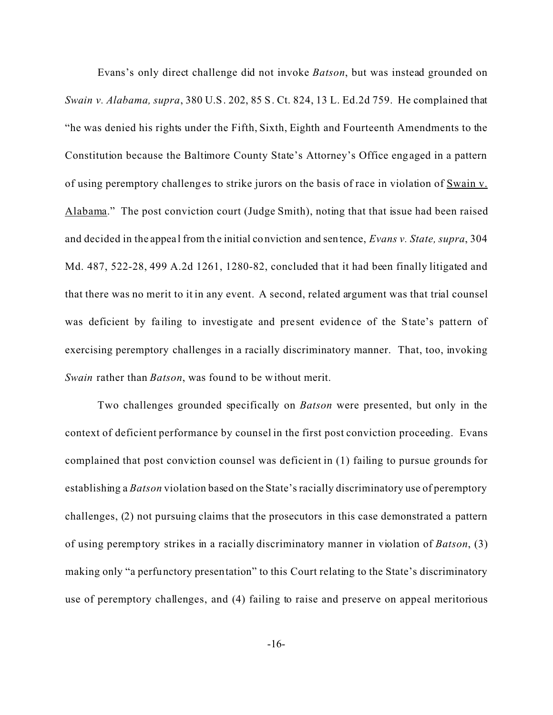Evans's only direct challenge did not invoke *Batson*, but was instead grounded on *Swain v. Alabama, supra*, 380 U.S. 202, 85 S. Ct. 824, 13 L. Ed.2d 759. He complained that "he was denied his rights under the Fifth, Sixth, Eighth and Fourteenth Amendments to the Constitution because the Baltimore County State's Attorney's Office engaged in a pattern of using peremptory challenges to strike jurors on the basis of race in violation of Swain v. Alabama." The post conviction court (Judge Smith), noting that that issue had been raised and decided in the appeal from the initial conviction and sentence, *Evans v. State, supra*, 304 Md. 487, 522-28, 499 A.2d 1261, 1280-82, concluded that it had been finally litigated and that there was no merit to it in any event. A second, related argument was that trial counsel was deficient by failing to investigate and present evidence of the State's pattern of exercising peremptory challenges in a racially discriminatory manner. That, too, invoking *Swain* rather than *Batson*, was found to be without merit.

Two challenges grounded specifically on *Batson* were presented, but only in the context of deficient performance by counsel in the first post conviction proceeding. Evans complained that post conviction counsel was deficient in (1) failing to pursue grounds for establishing a *Batson* violation based on the State's racially discriminatory use of peremptory challenges, (2) not pursuing claims that the prosecutors in this case demonstrated a pattern of using peremptory strikes in a racially discriminatory manner in violation of *Batson*, (3) making only "a perfunctory presentation" to this Court relating to the State's discriminatory use of peremptory challenges, and (4) failing to raise and preserve on appeal meritorious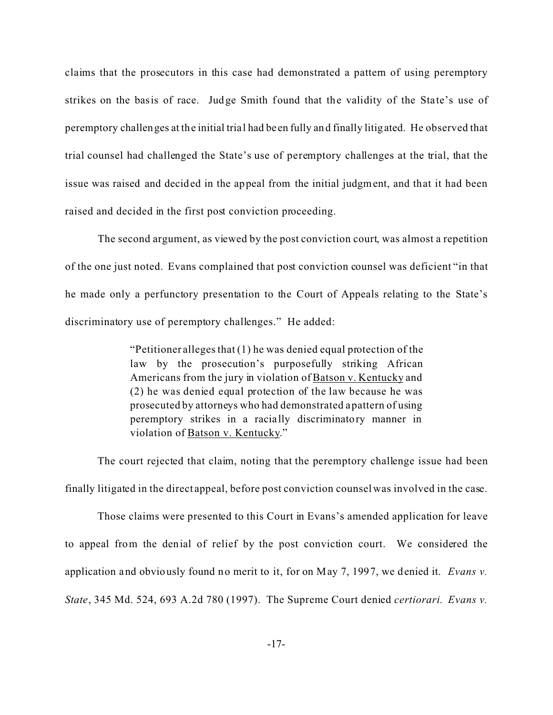claims that the prosecutors in this case had demonstrated a pattern of using peremptory strikes on the basis of race. Judge Smith found that the validity of the State's use of peremptory challenges at the initial trial had be en fully and finally litigated. He observed that trial counsel had challenged the State's use of peremptory challenges at the trial, that the issue was raised and decided in the appeal from the initial judgment, and that it had been raised and decided in the first post conviction proceeding.

The second argument, as viewed by the post conviction court, was almost a repetition of the one just noted. Evans complained that post conviction counsel was deficient "in that he made only a perfunctory presentation to the Court of Appeals relating to the State's discriminatory use of peremptory challenges." He added:

> "Petitioner alleges that (1) he was denied equal protection of the law by the prosecution's purposefully striking African Americans from the jury in violation of Batson v. Kentucky and (2) he was denied equal protection of the law because he was prosecuted by attorneys who had demonstrated a pattern of using peremptory strikes in a racia lly discriminatory manner in violation of Batson v. Kentucky."

The court rejected that claim, noting that the peremptory challenge issue had been finally litigated in the direct appeal, before post conviction counsel was involved in the case.

Those claims were presented to this Court in Evans's amended application for leave to appeal from the denial of relief by the post conviction court. We considered the application and obviously found no merit to it, for on May 7, 1997, we denied it. *Evans v. State*, 345 Md. 524, 693 A.2d 780 (1997). The Supreme Court denied *certiorari*. *Evans v.*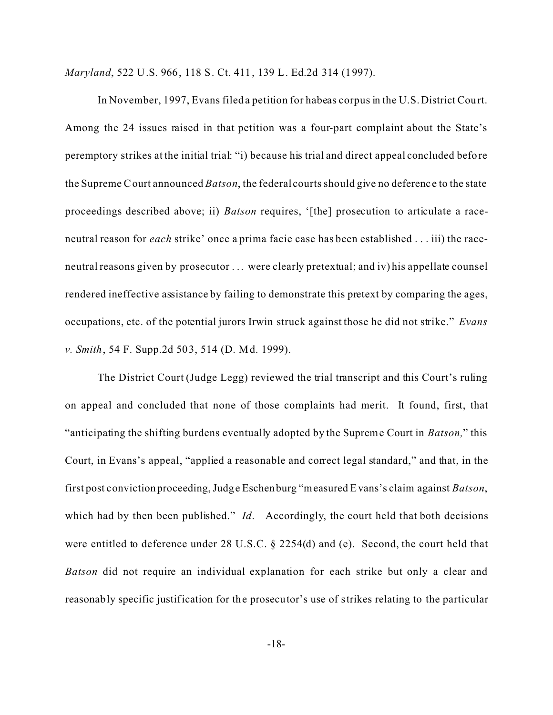*Maryland*, 522 U.S. 966, 118 S. Ct. 411, 139 L. Ed.2d 314 (1997).

In November, 1997, Evans filed a petition for habeas corpus in the U.S. District Court. Among the 24 issues raised in that petition was a four-part complaint about the State's peremptory strikes at the initial trial: "i) because his trial and direct appeal concluded before the Supreme Court announced *Batson*, the federal courts should give no deferenc e to the state proceedings described above; ii) *Batson* requires, '[the] prosecution to articulate a raceneutral reason for *each* strike' once a prima facie case has been established . . . iii) the raceneutral reasons given by prosecutor . . . were clearly pretextual; and iv) his appellate counsel rendered ineffective assistance by failing to demonstrate this pretext by comparing the ages, occupations, etc. of the potential jurors Irwin struck against those he did not strike." *Evans v. Smith*, 54 F. Supp.2d 503, 514 (D. Md. 1999).

The District Court (Judge Legg) reviewed the trial transcript and this Court's ruling on appeal and concluded that none of those complaints had merit. It found, first, that "anticipating the shifting burdens eventually adopted by the Supreme Court in *Batson,*" this Court, in Evans's appeal, "applied a reasonable and correct legal standard," and that, in the first post conviction proceeding, Judge Eschenburg "measured Evans's claim against *Batson*, which had by then been published." *Id*. Accordingly, the court held that both decisions were entitled to deference under 28 U.S.C. § 2254(d) and (e). Second, the court held that *Batson* did not require an individual explanation for each strike but only a clear and reasonably specific justification for the prosecutor's use of strikes relating to the particular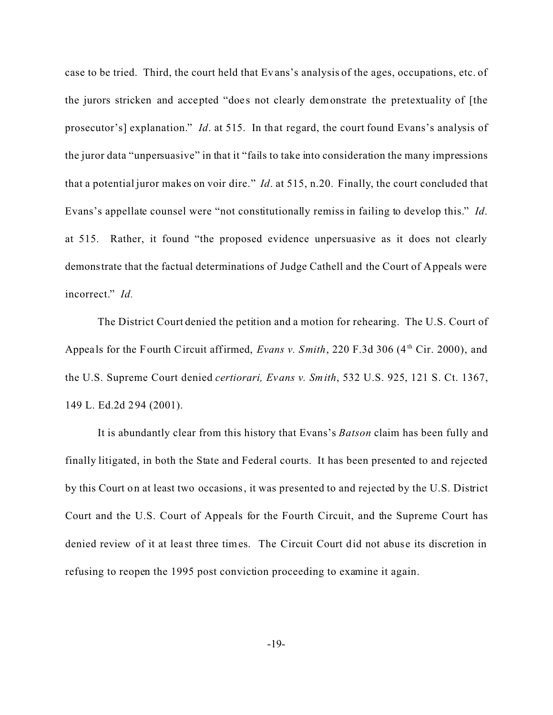case to be tried. Third, the court held that Evans's analysis of the ages, occupations, etc. of the jurors stricken and accepted "does not clearly demonstrate the pretextuality of [the prosecutor's] explanation." *Id*. at 515. In that regard, the court found Evans's analysis of the juror data "unpersuasive" in that it "fails to take into consideration the many impressions that a potential juror makes on voir dire." *Id*. at 515, n.20. Finally, the court concluded that Evans's appellate counsel were "not constitutionally remiss in failing to develop this." *Id*. at 515. Rather, it found "the proposed evidence unpersuasive as it does not clearly demonstrate that the factual determinations of Judge Cathell and the Court of Appeals were incorrect." *Id.*

The District Court denied the petition and a motion for rehearing. The U.S. Court of Appeals for the Fourth Circuit affirmed, *Evans v. Smith*, 220 F.3d 306 (4<sup>th</sup> Cir. 2000), and the U.S. Supreme Court denied *certiorari, Evans v. Smith*, 532 U.S. 925, 121 S. Ct. 1367, 149 L. Ed.2d 294 (2001).

It is abundantly clear from this history that Evans's *Batson* claim has been fully and finally litigated, in both the State and Federal courts. It has been presented to and rejected by this Court on at least two occasions, it was presented to and rejected by the U.S. District Court and the U.S. Court of Appeals for the Fourth Circuit, and the Supreme Court has denied review of it at least three times. The Circuit Court did not abuse its discretion in refusing to reopen the 1995 post conviction proceeding to examine it again.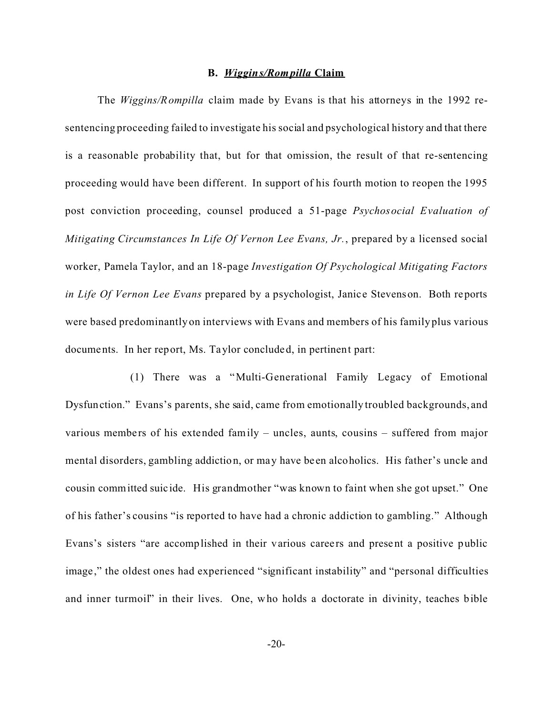### **B.** *Wiggins/Rompilla* **Claim**

The *Wiggins/Rompilla* claim made by Evans is that his attorneys in the 1992 resentencing proceeding failed to investigate his social and psychological history and that there is a reasonable probability that, but for that omission, the result of that re-sentencing proceeding would have been different. In support of his fourth motion to reopen the 1995 post conviction proceeding, counsel produced a 51-page *Psychosocial Evaluation of Mitigating Circumstances In Life Of Vernon Lee Evans, Jr.*, prepared by a licensed social worker, Pamela Taylor, and an 18-page *Investigation Of Psychological Mitigating Factors in Life Of Vernon Lee Evans* prepared by a psychologist, Janice Stevenson. Both reports were based predominantly on interviews with Evans and members of his family plus various documents. In her report, Ms. Taylor concluded, in pertinent part:

(1) There was a "Multi-Generational Family Legacy of Emotional Dysfunction." Evans's parents, she said, came from emotionally troubled backgrounds, and various members of his extended family – uncles, aunts, cousins – suffered from major mental disorders, gambling addiction, or may have be en alcoholics. His father's uncle and cousin committed suic ide. His grandmother "was known to faint when she got upset." One of his father's cousins "is reported to have had a chronic addiction to gambling." Although Evans's sisters "are accomplished in their various careers and present a positive public image," the oldest ones had experienced "significant instability" and "personal difficulties and inner turmoil" in their lives. One, who holds a doctorate in divinity, teaches bible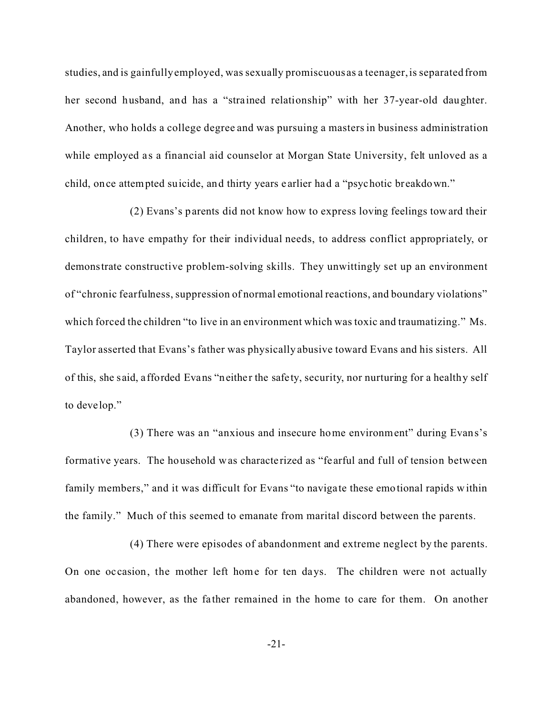studies, and is gainfully employed, was sexually promiscuous as a teenager, is separated from her second husband, and has a "strained relationship" with her 37-year-old daughter. Another, who holds a college degree and was pursuing a masters in business administration while employed as a financial aid counselor at Morgan State University, felt unloved as a child, once attempted suicide, and thirty years e arlier had a "psychotic breakdown."

(2) Evans's parents did not know how to express loving feelings toward their children, to have empathy for their individual needs, to address conflict appropriately, or demonstrate constructive problem-solving skills. They unwittingly set up an environment of "chronic fearfulness, suppression of normal emotional reactions, and boundary violations" which forced the children "to live in an environment which was toxic and traumatizing." Ms. Taylor asserted that Evans's father was physically abusive toward Evans and his sisters. All of this, she said, a fforded Evans "neither the safety, security, nor nurturing for a healthy self to deve lop."

(3) There was an "anxious and insecure home environment" during Evans's formative years. The household was characterized as "fe arful and full of tension between family members," and it was difficult for Evans "to navigate these emotional rapids within the family." Much of this seemed to emanate from marital discord between the parents.

(4) There were episodes of abandonment and extreme neglect by the parents. On one oc casion, the mother left home for ten days. The children were not actually abandoned, however, as the father remained in the home to care for them. On another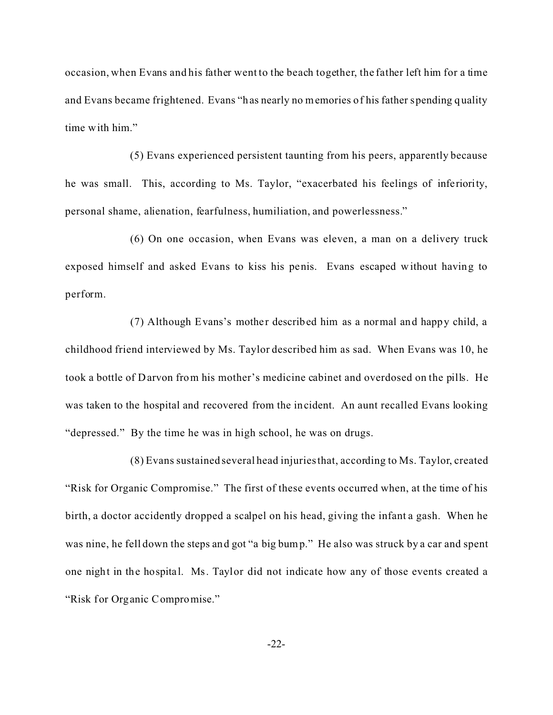occasion, when Evans and his father went to the beach together, the father left him for a time and Evans became frightened. Evans "has nearly no memories of his father spending quality time with him."

(5) Evans experienced persistent taunting from his peers, apparently because he was small. This, according to Ms. Taylor, "exacerbated his feelings of inferiority, personal shame, alienation, fearfulness, humiliation, and powerlessness."

(6) On one occasion, when Evans was eleven, a man on a delivery truck exposed himself and asked Evans to kiss his penis. Evans escaped without having to perform.

(7) Although Evans's mother described him as a normal and happy child, a childhood friend interviewed by Ms. Taylor described him as sad. When Evans was 10, he took a bottle of Darvon from his mother's medicine cabinet and overdosed on the pills. He was taken to the hospital and recovered from the incident. An aunt recalled Evans looking "depressed." By the time he was in high school, he was on drugs.

(8) Evans sustained several head injuries that, according to Ms. Taylor, created "Risk for Organic Compromise." The first of these events occurred when, at the time of his birth, a doctor accidently dropped a scalpel on his head, giving the infant a gash. When he was nine, he fell down the steps and got "a big bump." He also was struck by a car and spent one night in the hospital. Ms. Taylor did not indicate how any of those events created a "Risk for Organic Compromise."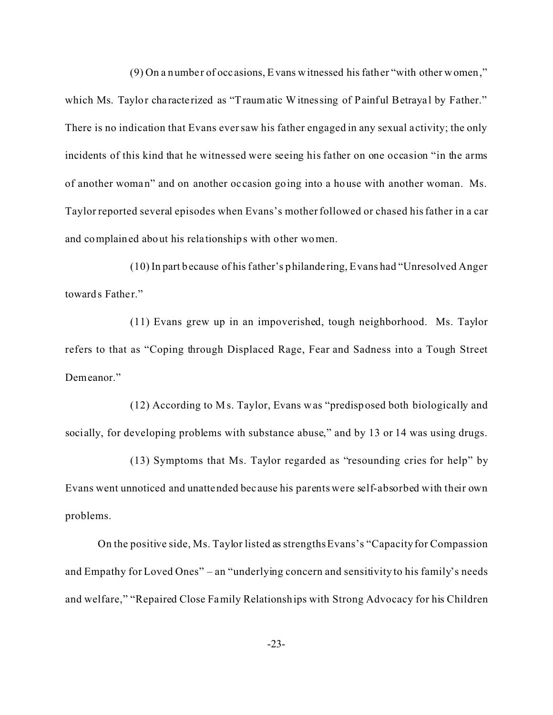(9) On a number of occ asions, Evans witnessed his father "with other women,"

which Ms. Taylor characterized as "Traumatic Witnessing of Painful Betrayal by Father." There is no indication that Evans ever saw his father engaged in any sexual a ctivity; the only incidents of this kind that he witnessed were seeing his father on one occasion "in the arms of another woman" and on another oc casion going into a house with another woman. Ms. Taylor reported several episodes when Evans's mother followed or chased his father in a car and complained about his rela tionships with other women.

(10) In part because of his father's philande ring, Evans had "Unresolved Anger towards Father."

(11) Evans grew up in an impoverished, tough neighborhood. Ms. Taylor refers to that as "Coping through Displaced Rage, Fear and Sadness into a Tough Street Demeanor."

(12) According to Ms. Taylor, Evans was "predisposed both biologically and socially, for developing problems with substance abuse," and by 13 or 14 was using drugs.

(13) Symptoms that Ms. Taylor regarded as "resounding cries for help" by Evans went unnoticed and unattended bec ause his parents were self-absorbed with their own problems.

On the positive side, Ms. Taylor listed as strengths Evans's "Capacity for Compassion and Empathy for Loved Ones" – an "underlying concern and sensitivity to his family's needs and welfare," "Repaired Close Family Relationships with Strong Advocacy for his Children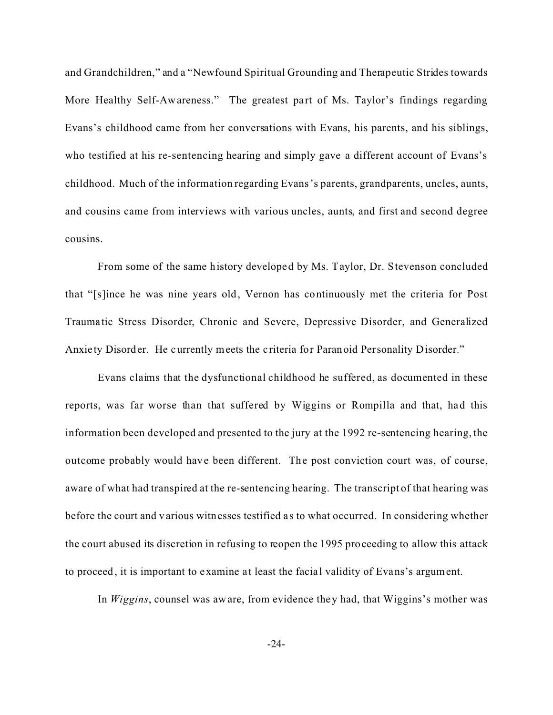and Grandchildren," and a "Newfound Spiritual Grounding and Therapeutic Strides towards More Healthy Self-Awareness." The greatest part of Ms. Taylor's findings regarding Evans's childhood came from her conversations with Evans, his parents, and his siblings, who testified at his re-sentencing hearing and simply gave a different account of Evans's childhood. Much of the information regarding Evans's parents, grandparents, uncles, aunts, and cousins came from interviews with various uncles, aunts, and first and second degree cousins.

From some of the same history developed by Ms. Taylor, Dr. Stevenson concluded that "[s]ince he was nine years old, Vernon has continuously met the criteria for Post Trauma tic Stress Disorder, Chronic and Severe, Depressive Disorder, and Generalized Anxie ty Disorder. He currently meets the criteria for Paranoid Personality Disorder."

Evans claims that the dysfunctional childhood he suffered, as documented in these reports, was far worse than that suffered by Wiggins or Rompilla and that, had this information been developed and presented to the jury at the 1992 re-sentencing hearing, the outcome probably would have been different. The post conviction court was, of course, aware of what had transpired at the re-sentencing hearing. The transcript of that hearing was before the court and various witnesses testified a s to what occurred. In considering whether the court abused its discretion in refusing to reopen the 1995 proceeding to allow this attack to proceed, it is important to examine at least the facial validity of Evans's argument.

In *Wiggins*, counsel was aware, from evidence they had, that Wiggins's mother was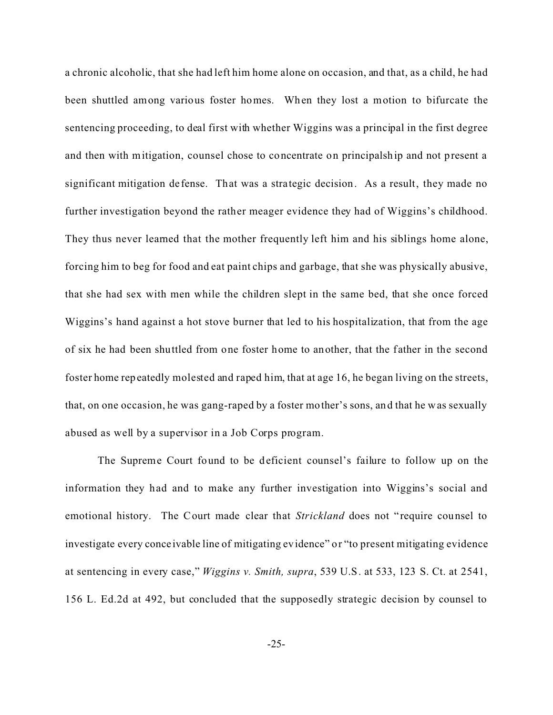a chronic alcoholic, that she had left him home alone on occasion, and that, as a child, he had been shuttled among various foster homes. When they lost a motion to bifurcate the sentencing proceeding, to deal first with whether Wiggins was a principal in the first degree and then with mitigation, counsel chose to concentrate on principalship and not present a significant mitigation de fense. That was a strategic decision. As a result, they made no further investigation beyond the rather meager evidence they had of Wiggins's childhood. They thus never learned that the mother frequently left him and his siblings home alone, forcing him to beg for food and eat paint chips and garbage, that she was physically abusive, that she had sex with men while the children slept in the same bed, that she once forced Wiggins's hand against a hot stove burner that led to his hospitalization, that from the age of six he had been shuttled from one foster home to another, that the father in the second foster home repeatedly molested and raped him, that at age 16, he began living on the streets, that, on one occasion, he was gang-raped by a foster mother's sons, and that he was sexually abused as well by a supervisor in a Job Corps program.

The Supreme Court found to be deficient counsel's failure to follow up on the information they had and to make any further investigation into Wiggins's social and emotional history. The Court made clear that *Strickland* does not "require counsel to investigate every conce ivable line of mitigating evidence" or "to present mitigating evidence at sentencing in every case," *Wiggins v. Smith, supra*, 539 U.S. at 533, 123 S. Ct. at 2541, 156 L. Ed.2d at 492, but concluded that the supposedly strategic decision by counsel to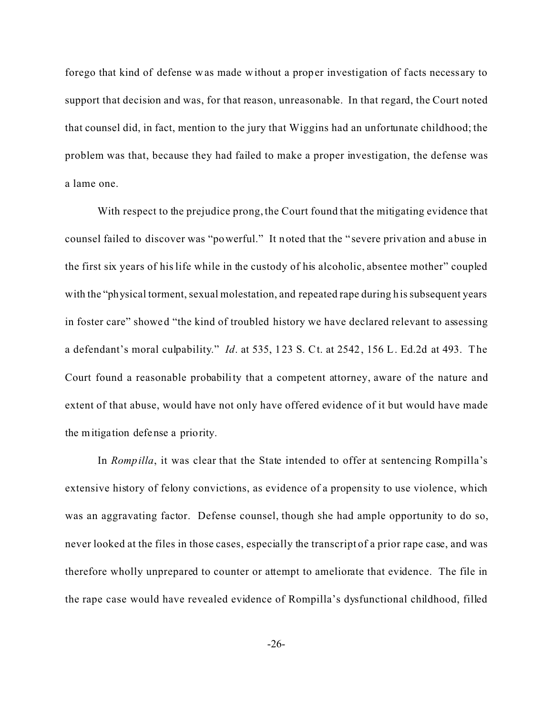forego that kind of defense was made without a proper investigation of facts necessary to support that decision and was, for that reason, unreasonable. In that regard, the Court noted that counsel did, in fact, mention to the jury that Wiggins had an unfortunate childhood; the problem was that, because they had failed to make a proper investigation, the defense was a lame one.

With respect to the prejudice prong, the Court found that the mitigating evidence that counsel failed to discover was "powerful." It noted that the " severe privation and abuse in the first six years of his life while in the custody of his alcoholic, absentee mother" coupled with the "physical torment, sexual molestation, and repeated rape during his subsequent years in foster care" showed "the kind of troubled history we have declared relevant to assessing a defendant's moral culpability." *Id*. at 535, 123 S. Ct. at 2542, 156 L. Ed.2d at 493. The Court found a reasonable probability that a competent attorney, aware of the nature and extent of that abuse, would have not only have offered evidence of it but would have made the mitigation defense a priority.

In *Rompilla*, it was clear that the State intended to offer at sentencing Rompilla's extensive history of felony convictions, as evidence of a propensity to use violence, which was an aggravating factor. Defense counsel, though she had ample opportunity to do so, never looked at the files in those cases, especially the transcript of a prior rape case, and was therefore wholly unprepared to counter or attempt to ameliorate that evidence. The file in the rape case would have revealed evidence of Rompilla's dysfunctional childhood, filled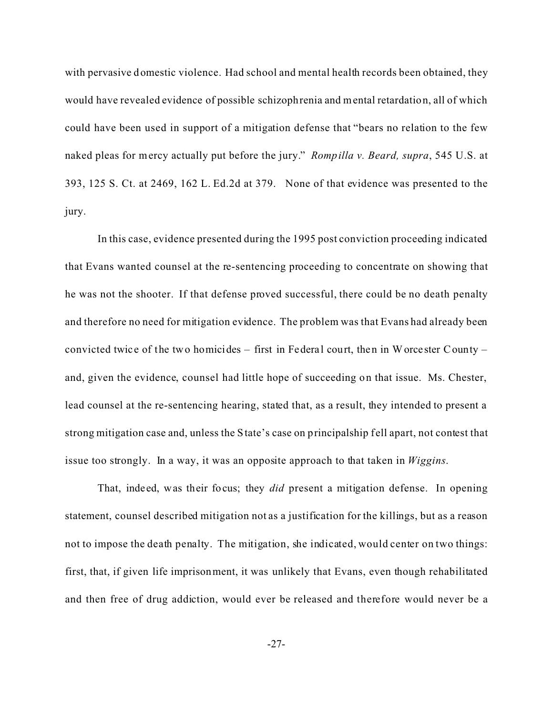with pervasive domestic violence. Had school and mental health records been obtained, they would have revealed evidence of possible schizophrenia and mental retardation, all of which could have been used in support of a mitigation defense that "bears no relation to the few naked pleas for mercy actually put before the jury." *Rompilla v. Beard, supra*, 545 U.S. at 393, 125 S. Ct. at 2469, 162 L. Ed.2d at 379. None of that evidence was presented to the jury.

In this case, evidence presented during the 1995 post conviction proceeding indicated that Evans wanted counsel at the re-sentencing proceeding to concentrate on showing that he was not the shooter. If that defense proved successful, there could be no death penalty and therefore no need for mitigation evidence. The problem was that Evans had already been convicted twice of the two homicides – first in Federal court, then in Worcester County – and, given the evidence, counsel had little hope of succeeding on that issue. Ms. Chester, lead counsel at the re-sentencing hearing, stated that, as a result, they intended to present a strong mitigation case and, unless the State's case on principalship fell apart, not contest that issue too strongly. In a way, it was an opposite approach to that taken in *Wiggins*.

That, indeed, was their focus; they *did* present a mitigation defense. In opening statement, counsel described mitigation not as a justification for the killings, but as a reason not to impose the death penalty. The mitigation, she indicated, would center on two things: first, that, if given life imprisonment, it was unlikely that Evans, even though rehabilitated and then free of drug addiction, would ever be released and therefore would never be a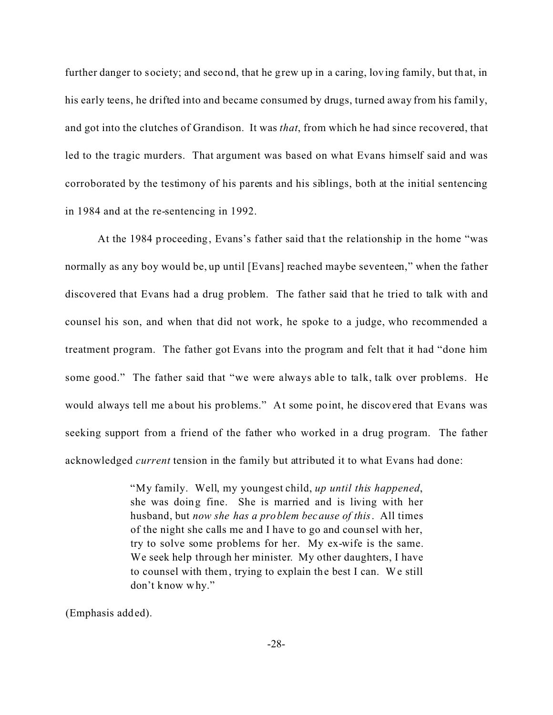further danger to society; and second, that he grew up in a caring, loving family, but that, in his early teens, he drifted into and became consumed by drugs, turned away from his family, and got into the clutches of Grandison. It was *that*, from which he had since recovered, that led to the tragic murders. That argument was based on what Evans himself said and was corroborated by the testimony of his parents and his siblings, both at the initial sentencing in 1984 and at the re-sentencing in 1992.

At the 1984 proceeding, Evans's father said that the relationship in the home "was normally as any boy would be, up until [Evans] reached maybe seventeen," when the father discovered that Evans had a drug problem. The father said that he tried to talk with and counsel his son, and when that did not work, he spoke to a judge, who recommended a treatment program. The father got Evans into the program and felt that it had "done him some good." The father said that "we were always able to talk, talk over problems. He would always tell me about his problems." At some point, he discovered that Evans was seeking support from a friend of the father who worked in a drug program. The father acknowledged *current* tension in the family but attributed it to what Evans had done:

> "My family. Well, my youngest child, *up until this happened*, she was doing fine. She is married and is living with her husband, but *now she has a problem because of this*. All times of the night she calls me and I have to go and counsel with her, try to solve some problems for her. My ex-wife is the same. We seek help through her minister. My other daughters, I have to counsel with them, trying to explain the best I can. We still don't know why."

(Emphasis added).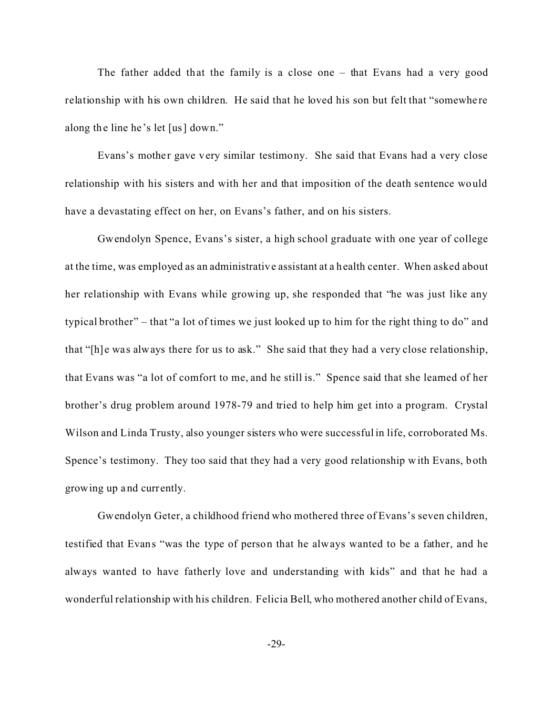The father added that the family is a close one – that Evans had a very good relationship with his own children. He said that he loved his son but felt that "somewhere along the line he 's let [us] down."

Evans's mother gave very similar testimony. She said that Evans had a very close relationship with his sisters and with her and that imposition of the death sentence would have a devastating effect on her, on Evans's father, and on his sisters.

Gwendolyn Spence, Evans's sister, a high school graduate with one year of college at the time, was employed as an administrative assistant at a health center. When asked about her relationship with Evans while growing up, she responded that "he was just like any typical brother" – that "a lot of times we just looked up to him for the right thing to do" and that "[h]e was always there for us to ask." She said that they had a very close relationship, that Evans was "a lot of comfort to me, and he still is." Spence said that she learned of her brother's drug problem around 1978-79 and tried to help him get into a program. Crystal Wilson and Linda Trusty, also younger sisters who were successful in life, corroborated Ms. Spence's testimony. They too said that they had a very good relationship with Evans, both growing up and currently.

Gwendolyn Geter, a childhood friend who mothered three of Evans's seven children, testified that Evans "was the type of person that he always wanted to be a father, and he always wanted to have fatherly love and understanding with kids" and that he had a wonderful relationship with his children. Felicia Bell, who mothered another child of Evans,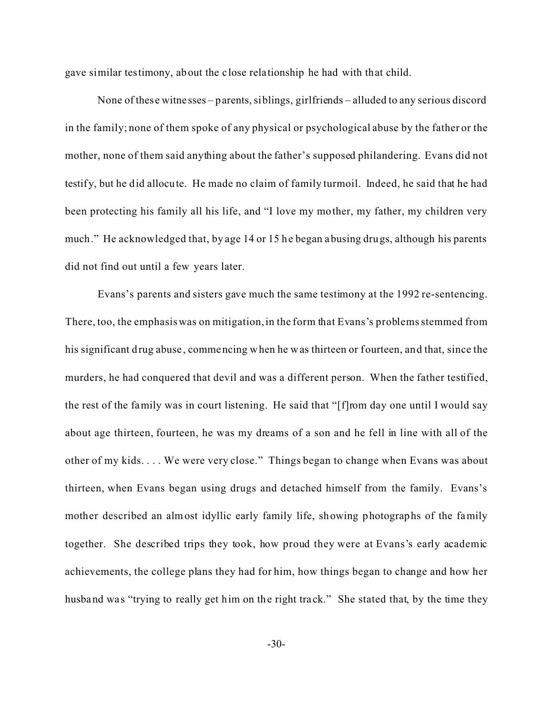gave similar testimony, about the c lose relationship he had with that child.

None of these witne sses – parents, siblings, girlfriends – alluded to any serious discord in the family; none of them spoke of any physical or psychological abuse by the father or the mother, none of them said anything about the father's supposed philandering. Evans did not testify, but he did allocute. He made no claim of family turmoil. Indeed, he said that he had been protecting his family all his life, and "I love my mother, my father, my children very much." He acknowledged that, by age 14 or 15 he began abusing drugs, although his parents did not find out until a few years later.

Evans's parents and sisters gave much the same testimony at the 1992 re-sentencing. There, too, the emphasis was on mitigation, in the form that Evans's problems stemmed from his significant drug abuse , commencing when he was thirteen or fourteen, and that, since the murders, he had conquered that devil and was a different person. When the father testified, the rest of the family was in court listening. He said that "[f]rom day one until I would say about age thirteen, fourteen, he was my dreams of a son and he fell in line with all of the other of my kids. . . . We were very close." Things began to change when Evans was about thirteen, when Evans began using drugs and detached himself from the family. Evans's mother described an almost idyllic early family life, showing photographs of the family together. She described trips they took, how proud they were at Evans's early academic achievements, the college plans they had for him, how things began to change and how her husband was "trying to really get him on the right track." She stated that, by the time they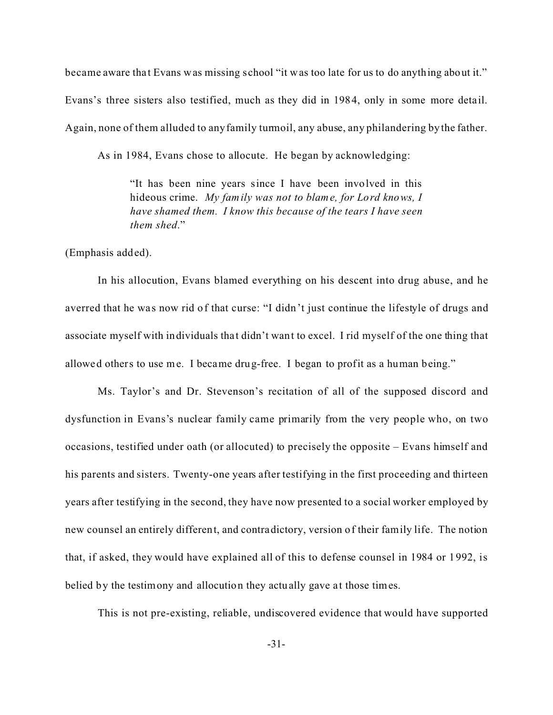became aware that Evans was missing school "it was too late for us to do anything about it." Evans's three sisters also testified, much as they did in 1984, only in some more deta il. Again, none of them alluded to any family turmoil, any abuse, any philandering by the father.

As in 1984, Evans chose to allocute. He began by acknowledging:

"It has been nine years since I have been involved in this hideous crime. *My family was not to blame, for Lord knows, I have shamed them. I know this because of the tears I have seen them shed*."

(Emphasis added).

In his allocution, Evans blamed everything on his descent into drug abuse, and he averred that he was now rid of that curse: "I didn't just continue the lifestyle of drugs and associate myself with individuals that didn't want to excel. I rid myself of the one thing that allowed others to use me. I became drug-free. I began to profit as a human being."

Ms. Taylor's and Dr. Stevenson's recitation of all of the supposed discord and dysfunction in Evans's nuclear family came primarily from the very people who, on two occasions, testified under oath (or allocuted) to precisely the opposite – Evans himself and his parents and sisters. Twenty-one years after testifying in the first proceeding and thirteen years after testifying in the second, they have now presented to a social worker employed by new counsel an entirely different, and contradictory, version of their family life. The notion that, if asked, they would have explained all of this to defense counsel in 1984 or 1992, is belied by the testimony and allocution they actually gave at those times.

This is not pre-existing, reliable, undiscovered evidence that would have supported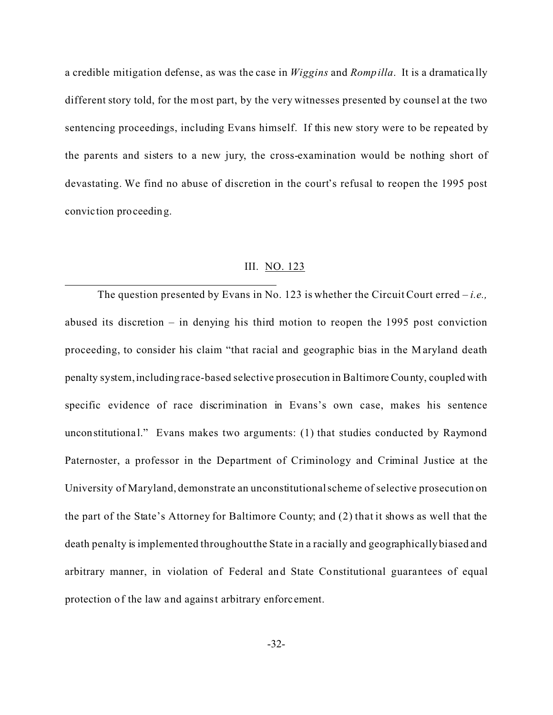a credible mitigation defense, as was the case in *Wiggins* and *Rompilla*. It is a dramatica lly different story told, for the most part, by the very witnesses presented by counsel at the two sentencing proceedings, including Evans himself. If this new story were to be repeated by the parents and sisters to a new jury, the cross-examination would be nothing short of devastating. We find no abuse of discretion in the court's refusal to reopen the 1995 post convic tion proceeding.

## III. NO. 123

The question presented by Evans in No. 123 is whether the Circuit Court erred – *i.e.,* abused its discretion – in denying his third motion to reopen the 1995 post conviction proceeding, to consider his claim "that racial and geographic bias in the Maryland death penalty system,including race-based selective prosecution in Baltimore County, coupled with specific evidence of race discrimination in Evans's own case, makes his sentence unconstitutional." Evans makes two arguments: (1) that studies conducted by Raymond Paternoster, a professor in the Department of Criminology and Criminal Justice at the University of Maryland, demonstrate an unconstitutional scheme of selective prosecution on the part of the State's Attorney for Baltimore County; and (2) that it shows as well that the death penalty is implemented throughout the State in a racially and geographically biased and arbitrary manner, in violation of Federal and State Constitutional guarantees of equal protection of the law and against arbitrary enforcement.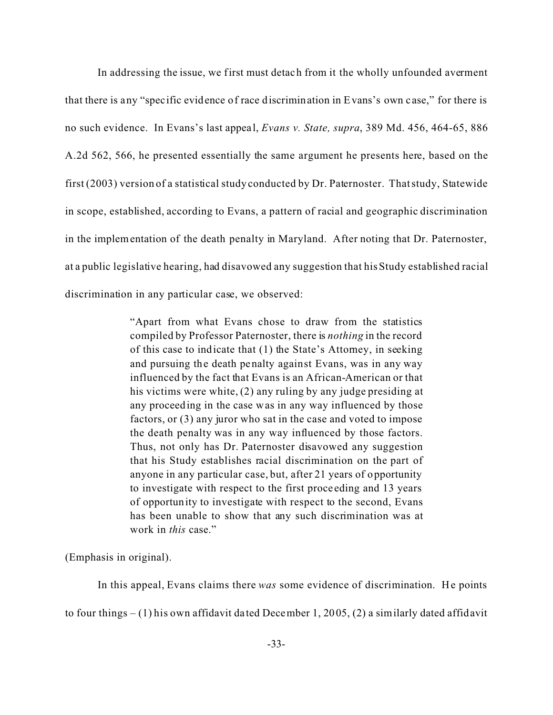In addressing the issue, we first must detach from it the wholly unfounded averment that there is any "specific evidence of race discrimination in Evans's own c ase," for there is no such evidence. In Evans's last appeal, *Evans v. State, supra*, 389 Md. 456, 464-65, 886 A.2d 562, 566, he presented essentially the same argument he presents here, based on the first (2003) version of a statistical study conducted by Dr. Paternoster. That study, Statewide in scope, established, according to Evans, a pattern of racial and geographic discrimination in the implementation of the death penalty in Maryland. After noting that Dr. Paternoster, at a public legislative hearing, had disavowed any suggestion that his Study established racial discrimination in any particular case, we observed:

> "Apart from what Evans chose to draw from the statistics compiled by Professor Paternoster, there is *nothing* in the record of this case to indicate that (1) the State's Attorney, in seeking and pursuing the death penalty against Evans, was in any way influenced by the fact that Evans is an African-American or that his victims were white, (2) any ruling by any judge presiding at any proceeding in the case was in any way influenced by those factors, or (3) any juror who sat in the case and voted to impose the death penalty was in any way influenced by those factors. Thus, not only has Dr. Paternoster disavowed any suggestion that his Study establishes racial discrimination on the part of anyone in any particular case, but, after 21 years of opportunity to investigate with respect to the first proce eding and 13 years of opportunity to investigate with respect to the second, Evans has been unable to show that any such discrimination was at work in *this* case."

(Emphasis in original).

In this appeal, Evans claims there *was* some evidence of discrimination. He points

to four things  $- (1)$  his own affidavit dated December 1, 2005, (2) a similarly dated affidavit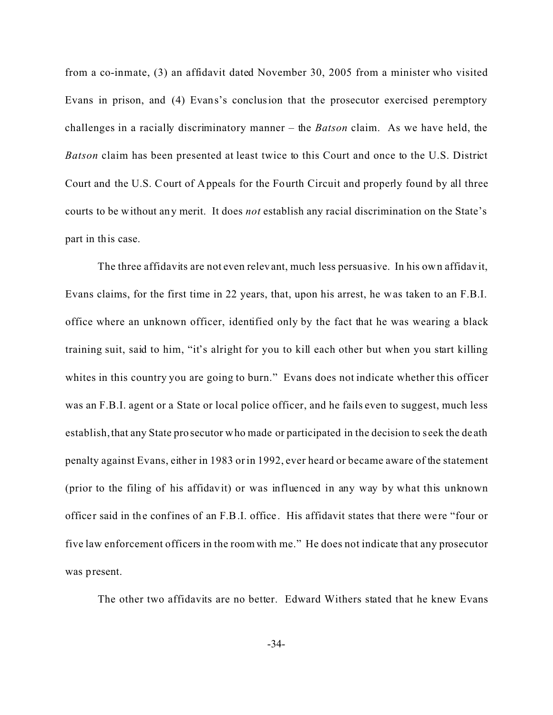from a co-inmate, (3) an affidavit dated November 30, 2005 from a minister who visited Evans in prison, and (4) Evans's conclusion that the prosecutor exercised peremptory challenges in a racially discriminatory manner – the *Batson* claim. As we have held, the *Batson* claim has been presented at least twice to this Court and once to the U.S. District Court and the U.S. Court of Appeals for the Fourth Circuit and properly found by all three courts to be without any merit. It does *not* establish any racial discrimination on the State's part in this case.

The three affidavits are not even relevant, much less persuasive. In his own affidavit, Evans claims, for the first time in 22 years, that, upon his arrest, he was taken to an F.B.I. office where an unknown officer, identified only by the fact that he was wearing a black training suit, said to him, "it's alright for you to kill each other but when you start killing whites in this country you are going to burn." Evans does not indicate whether this officer was an F.B.I. agent or a State or local police officer, and he fails even to suggest, much less establish, that any State prosecutor who made or participated in the decision to seek the de ath penalty against Evans, either in 1983 or in 1992, ever heard or became aware of the statement (prior to the filing of his affidavit) or was influenced in any way by what this unknown officer said in the confines of an F.B.I. office . His affidavit states that there we re "four or five law enforcement officers in the room with me." He does not indicate that any prosecutor was present.

The other two affidavits are no better. Edward Withers stated that he knew Evans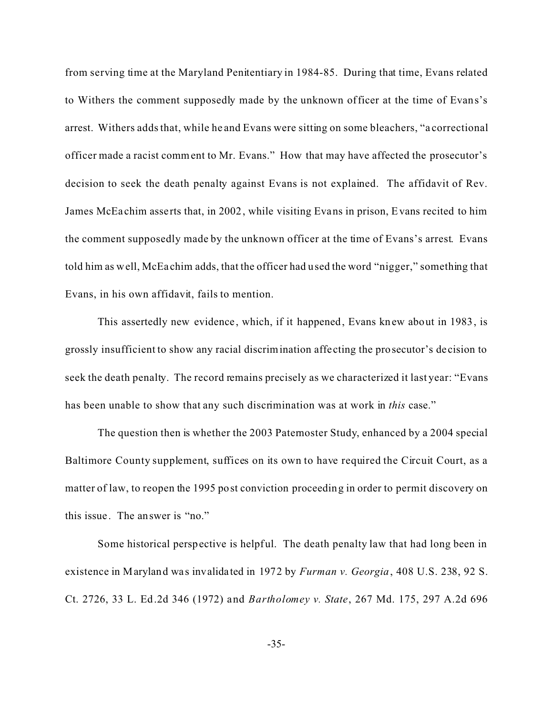from serving time at the Maryland Penitentiary in 1984-85. During that time, Evans related to Withers the comment supposedly made by the unknown officer at the time of Evans's arrest. Withers adds that, while he and Evans were sitting on some bleachers, "a correctional officer made a racist comment to Mr. Evans." How that may have affected the prosecutor's decision to seek the death penalty against Evans is not explained. The affidavit of Rev. James McEa chim asserts that, in 2002, while visiting Evans in prison, Evans recited to him the comment supposedly made by the unknown officer at the time of Evans's arrest. Evans told him as well, McEa chim adds, that the officer had used the word "nigger," something that Evans, in his own affidavit, fails to mention.

This assertedly new evidence, which, if it happened, Evans knew about in 1983, is grossly insufficient to show any racial discrimination affe cting the prosecutor's de cision to seek the death penalty. The record remains precisely as we characterized it last year: "Evans has been unable to show that any such discrimination was at work in *this* case."

The question then is whether the 2003 Paternoster Study, enhanced by a 2004 special Baltimore County supplement, suffices on its own to have required the Circuit Court, as a matter of law, to reopen the 1995 post conviction proceeding in order to permit discovery on this issue . The answer is "no."

Some historical perspective is helpful. The death penalty law that had long been in existence in Maryland was invalidated in 1972 by *Furman v. Georgia*, 408 U.S. 238, 92 S. Ct. 2726, 33 L. Ed.2d 346 (1972) and *Bartholomey v. State*, 267 Md. 175, 297 A.2d 696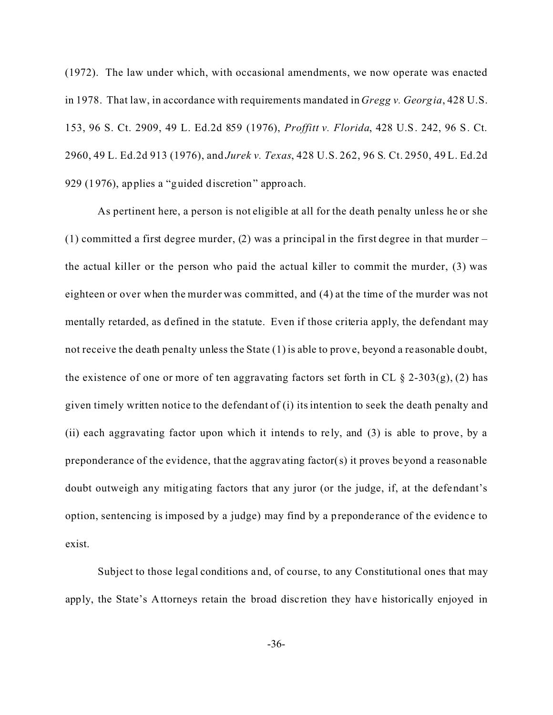(1972). The law under which, with occasional amendments, we now operate was enacted in 1978. That law, in accordance with requirements mandated in *Gregg v. Georgia*, 428 U.S. 153, 96 S. Ct. 2909, 49 L. Ed.2d 859 (1976), *Proffitt v. Florida*, 428 U.S. 242, 96 S. Ct. 2960, 49 L. Ed.2d 913 (1976), and *Jurek v. Texas*, 428 U.S. 262, 96 S. Ct. 2950, 49 L. Ed.2d 929 (1976), applies a "guided discretion" approach.

As pertinent here, a person is not eligible at all for the death penalty unless he or she (1) committed a first degree murder, (2) was a principal in the first degree in that murder  $$ the actual killer or the person who paid the actual killer to commit the murder, (3) was eighteen or over when the murder was committed, and (4) at the time of the murder was not mentally retarded, as defined in the statute. Even if those criteria apply, the defendant may not receive the death penalty unless the State (1) is able to prove, beyond a re asonable doubt, the existence of one or more of ten aggravating factors set forth in CL  $\S$  2-303(g), (2) has given timely written notice to the defendant of (i) its intention to seek the death penalty and (ii) each aggravating factor upon which it intends to re ly, and (3) is able to prove, by a preponderance of the evidence, that the aggravating factor(s) it proves beyond a reasonable doubt outweigh any mitigating factors that any juror (or the judge, if, at the defendant's option, sentencing is imposed by a judge) may find by a preponderance of the evidenc e to exist.

Subject to those legal conditions and, of course, to any Constitutional ones that may apply, the State's Attorneys retain the broad disc retion they have historically enjoyed in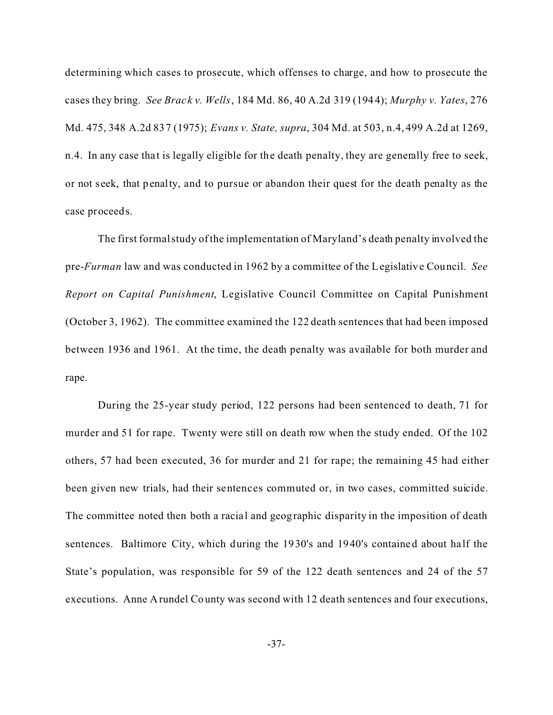determining which cases to prosecute, which offenses to charge, and how to prosecute the cases they bring. *See Brac k v. Wells*, 184 Md. 86, 40 A.2d 319 (1944); *Murphy v. Yates*, 276 Md. 475, 348 A.2d 837 (1975); *Evans v. State, supra*, 304 Md. at 503, n.4, 499 A.2d at 1269, n.4. In any case that is legally eligible for the death penalty, they are generally free to seek, or not seek, that penalty, and to pursue or abandon their quest for the death penalty as the case proceeds.

The first formal study of the implementation of Maryland's death penalty involved the pre-*Furman* law and was conducted in 1962 by a committee of the Legislative Council. *See Report on Capital Punishment*, Legislative Council Committee on Capital Punishment (October 3, 1962). The committee examined the 122 death sentences that had been imposed between 1936 and 1961. At the time, the death penalty was available for both murder and rape.

During the 25-year study period, 122 persons had been sentenced to death, 71 for murder and 51 for rape. Twenty were still on death row when the study ended. Of the 102 others, 57 had been executed, 36 for murder and 21 for rape; the remaining 45 had either been given new trials, had their sentences commuted or, in two cases, committed suicide. The committee noted then both a racial and geographic disparity in the imposition of death sentences. Baltimore City, which during the 1930's and 1940's contained about ha lf the State's population, was responsible for 59 of the 122 death sentences and 24 of the 57 executions. Anne Arundel County was second with 12 death sentences and four executions,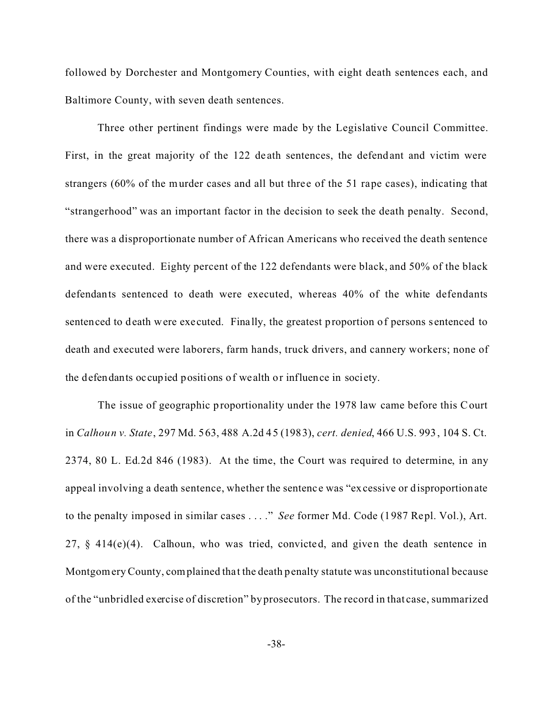followed by Dorchester and Montgomery Counties, with eight death sentences each, and Baltimore County, with seven death sentences.

Three other pertinent findings were made by the Legislative Council Committee. First, in the great majority of the 122 de ath sentences, the defendant and victim were strangers (60% of the murder cases and all but three of the 51 rape cases), indicating that "strangerhood" was an important factor in the decision to seek the death penalty. Second, there was a disproportionate number of African Americans who received the death sentence and were executed. Eighty percent of the 122 defendants were black, and 50% of the black defendants sentenced to death were executed, whereas 40% of the white defendants sentenced to death were executed. Finally, the greatest proportion of persons sentenced to death and executed were laborers, farm hands, truck drivers, and cannery workers; none of the defendants occupied positions of wealth or influence in society.

The issue of geographic proportionality under the 1978 law came before this Court in *Calhoun v. State*, 297 Md. 563, 488 A.2d 45 (1983), *cert. denied*, 466 U.S. 993, 104 S. Ct. 2374, 80 L. Ed.2d 846 (1983). At the time, the Court was required to determine, in any appeal involving a death sentence, whether the sentence was "excessive or disproportionate" to the penalty imposed in similar cases . . . ." *See* former Md. Code (1987 Repl. Vol.), Art.  $27, \, \S$  414(e)(4). Calhoun, who was tried, convicted, and given the death sentence in Montgomery County, complained that the death penalty statute was unconstitutional because of the "unbridled exercise of discretion" by prosecutors. The record in that case, summarized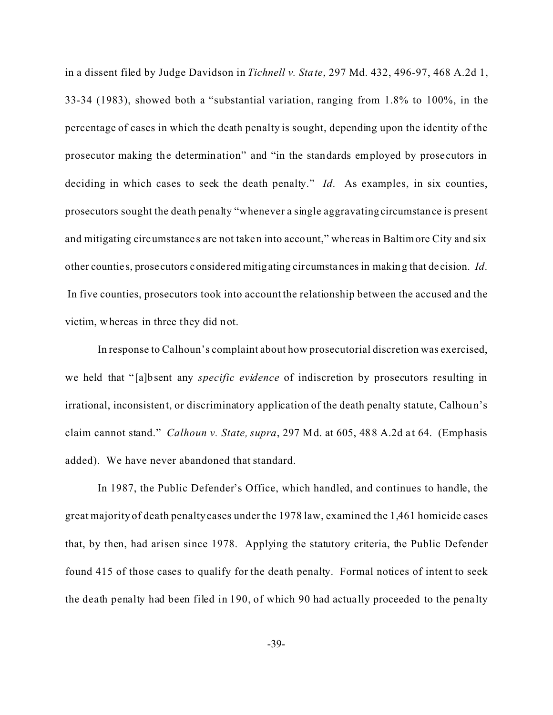in a dissent filed by Judge Davidson in *Tichnell v. State*, 297 Md. 432, 496-97, 468 A.2d 1, 33-34 (1983), showed both a "substantial variation, ranging from 1.8% to 100%, in the percentage of cases in which the death penalty is sought, depending upon the identity of the prosecutor making the determination" and "in the standards employed by prose cutors in deciding in which cases to seek the death penalty." *Id*. As examples, in six counties, prosecutors sought the death penalty "whenever a single aggravating circumstance is present and mitigating circumstance s are not taken into account," whe reas in Baltimore City and six other countie s, prosecutors considered mitigating circumstances in making that de cision. *Id*. In five counties, prosecutors took into account the relationship between the accused and the victim, whereas in three they did not.

In response to Calhoun's complaint about how prosecutorial discretion was exercised, we held that " [a]bsent any *specific evidence* of indiscretion by prosecutors resulting in irrational, inconsistent, or discriminatory application of the death penalty statute, Calhoun's claim cannot stand." *Calhoun v. State, supra*, 297 Md. at 605, 488 A.2d at 64. (Emphasis added). We have never abandoned that standard.

In 1987, the Public Defender's Office, which handled, and continues to handle, the great majority of death penalty cases under the 1978 law, examined the 1,461 homicide cases that, by then, had arisen since 1978. Applying the statutory criteria, the Public Defender found 415 of those cases to qualify for the death penalty. Formal notices of intent to seek the death penalty had been filed in 190, of which 90 had actually proceeded to the pena lty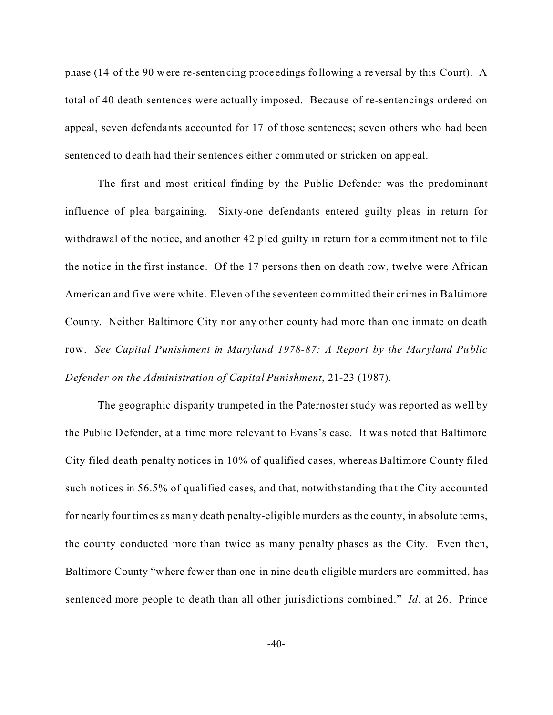phase (14 of the 90 were re-sentencing proce edings following a reversal by this Court). A total of 40 death sentences were actually imposed. Because of re-sentencings ordered on appeal, seven defendants accounted for 17 of those sentences; seven others who had been sentenced to death had their sentences either commuted or stricken on appeal.

The first and most critical finding by the Public Defender was the predominant influence of plea bargaining. Sixty-one defendants entered guilty pleas in return for withdrawal of the notice, and another 42 pled guilty in return for a commitment not to file the notice in the first instance. Of the 17 persons then on death row, twelve were African American and five were white. Eleven of the seventeen committed their crimes in Ba ltimore County. Neither Baltimore City nor any other county had more than one inmate on death row. *See Capital Punishment in Maryland 1978-87: A Report by the Maryland Public Defender on the Administration of Capital Punishment*, 21-23 (1987).

The geographic disparity trumpeted in the Paternoster study was reported as well by the Public Defender, at a time more relevant to Evans's case. It was noted that Baltimore City filed death penalty notices in 10% of qualified cases, whereas Baltimore County filed such notices in 56.5% of qualified cases, and that, notwithstanding that the City accounted for nearly four times as many death penalty-eligible murders as the county, in absolute terms, the county conducted more than twice as many penalty phases as the City. Even then, Baltimore County "where fewer than one in nine dea th eligible murders are committed, has sentenced more people to de ath than all other jurisdictions combined." *Id*. at 26. Prince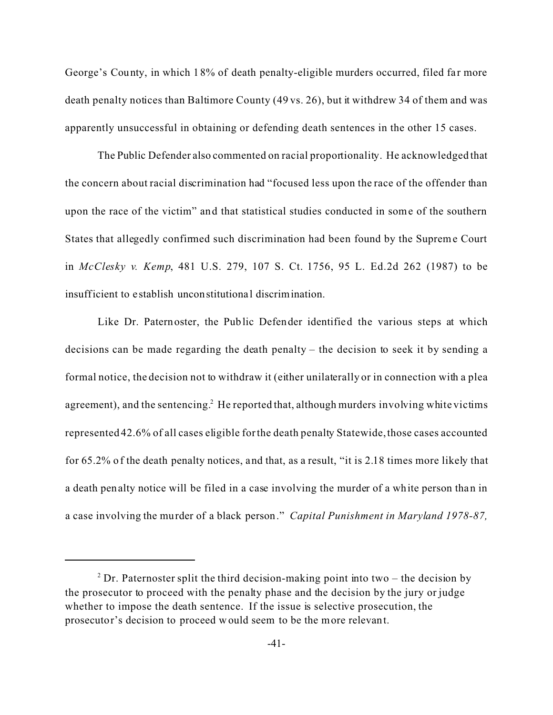George's County, in which 18% of death penalty-eligible murders occurred, filed far more death penalty notices than Baltimore County (49 vs. 26), but it withdrew 34 of them and was apparently unsuccessful in obtaining or defending death sentences in the other 15 cases.

The Public Defender also commented on racial proportionality. He acknowledged that the concern about racial discrimination had "focused less upon the race of the offender than upon the race of the victim" and that statistical studies conducted in some of the southern States that allegedly confirmed such discrimination had been found by the Supreme Court in *McClesky v. Kemp*, 481 U.S. 279, 107 S. Ct. 1756, 95 L. Ed.2d 262 (1987) to be insufficient to establish unconstitutional discrimination.

Like Dr. Paternoster, the Public Defender identified the various steps at which decisions can be made regarding the death penalty – the decision to seek it by sending a formal notice, the decision not to withdraw it (either unilaterally or in connection with a plea agreement), and the sentencing.<sup>2</sup> He reported that, although murders involving white victims represented 42.6% of all cases eligible for the death penalty Statewide, those cases accounted for 65.2% of the death penalty notices, and that, as a result, "it is 2.18 times more likely that a death penalty notice will be filed in a case involving the murder of a white person than in a case involving the murder of a black person." *Capital Punishment in Maryland 1978-87,*

<sup>&</sup>lt;sup>2</sup> Dr. Paternoster split the third decision-making point into two – the decision by the prosecutor to proceed with the penalty phase and the decision by the jury or judge whether to impose the death sentence. If the issue is selective prosecution, the prosecutor's decision to proceed would seem to be the more relevant.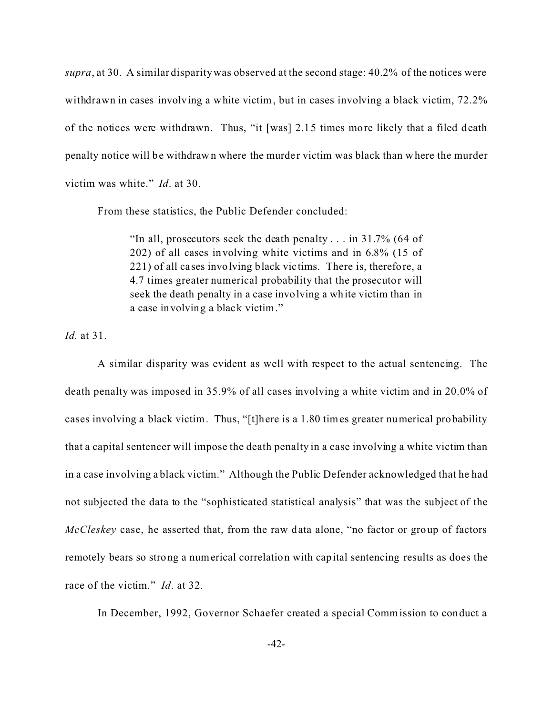*supra*, at 30. A similar disparity was observed at the second stage: 40.2% of the notices were withdrawn in cases involving a white victim, but in cases involving a black victim, 72.2% of the notices were withdrawn. Thus, "it [was] 2.15 times more likely that a filed death penalty notice will be withdrawn where the murder victim was black than where the murder victim was white." *Id*. at 30.

From these statistics, the Public Defender concluded:

"In all, prosecutors seek the death penalty . . . in 31.7% (64 of 202) of all cases involving white victims and in 6.8% (15 of 221) of all cases involving black vic tims. There is, therefore, a 4.7 times greater numerical probability that the prosecutor will seek the death penalty in a case involving a white victim than in a case involving a black victim."

*Id.* at 31.

A similar disparity was evident as well with respect to the actual sentencing. The death penalty was imposed in 35.9% of all cases involving a white victim and in 20.0% of cases involving a black victim. Thus, "[t]here is a 1.80 times greater numerical probability that a capital sentencer will impose the death penalty in a case involving a white victim than in a case involving a black victim." Although the Public Defender acknowledged that he had not subjected the data to the "sophisticated statistical analysis" that was the subject of the *McCleskey* case, he asserted that, from the raw data alone, "no factor or group of factors remotely bears so strong a numerical correlation with capital sentencing results as does the race of the victim." *Id*. at 32.

In December, 1992, Governor Schaefer created a special Commission to conduct a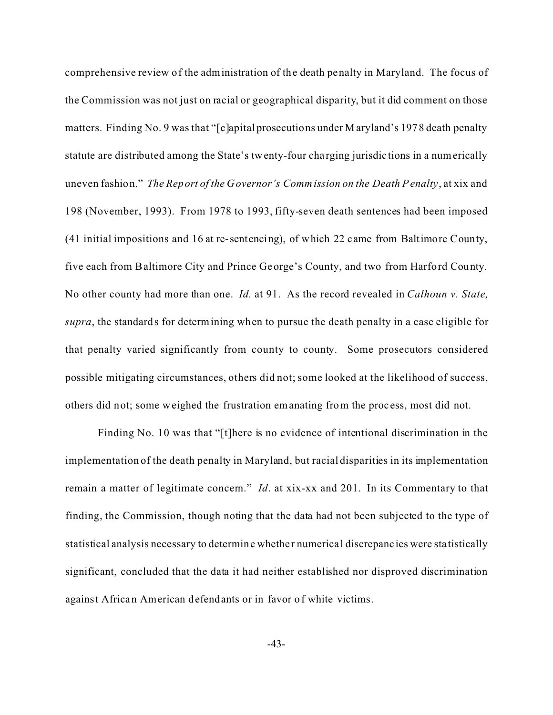comprehensive review of the administration of the death penalty in Maryland. The focus of the Commission was not just on racial or geographical disparity, but it did comment on those matters. Finding No. 9 was that "[c]apital prosecutions under M aryland's 1978 death penalty statute are distributed among the State's twenty-four cha rging jurisdictions in a numerically uneven fashion." *The Report of the Governor's Commission on the Death Penalty*, at xix and 198 (November, 1993). From 1978 to 1993, fifty-seven death sentences had been imposed (41 initial impositions and 16 at re-sentencing), of which 22 came from Baltimore County, five each from Baltimore City and Prince George's County, and two from Harford County. No other county had more than one. *Id.* at 91. As the record revealed in *Calhoun v. State, supra*, the standards for determining when to pursue the death penalty in a case eligible for that penalty varied significantly from county to county. Some prosecutors considered possible mitigating circumstances, others did not; some looked at the likelihood of success, others did not; some weighed the frustration emanating from the proc ess, most did not.

Finding No. 10 was that "[t]here is no evidence of intentional discrimination in the implementation of the death penalty in Maryland, but racial disparities in its implementation remain a matter of legitimate concern." *Id*. at xix-xx and 201. In its Commentary to that finding, the Commission, though noting that the data had not been subjected to the type of statistical analysis necessary to determine whethe r numerica l discrepanc ies were statistically significant, concluded that the data it had neither established nor disproved discrimination against African American defendants or in favor of white victims.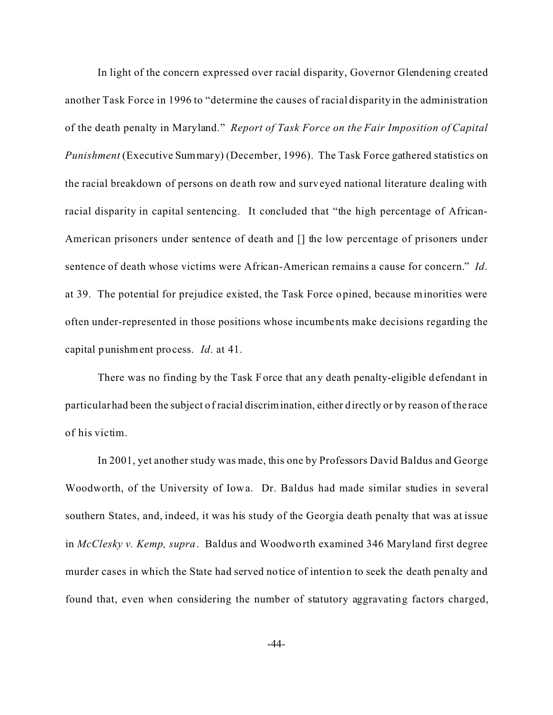In light of the concern expressed over racial disparity, Governor Glendening created another Task Force in 1996 to "determine the causes of racial disparity in the administration of the death penalty in Maryland." *Report of Task Force on the Fair Imposition of Capital Punishment* (Executive Summary) (December, 1996). The Task Force gathered statistics on the racial breakdown of persons on de ath row and surveyed national literature dealing with racial disparity in capital sentencing. It concluded that "the high percentage of African-American prisoners under sentence of death and [] the low percentage of prisoners under sentence of death whose victims were African-American remains a cause for concern." *Id*. at 39. The potential for prejudice existed, the Task Force opined, because minorities were often under-represented in those positions whose incumbents make decisions regarding the capital punishment process. *Id*. at 41.

There was no finding by the Task Force that any death penalty-eligible defendant in particular had been the subject of racial discrimination, either directly or by reason of the race of his victim.

In 2001, yet another study was made, this one by Professors David Baldus and George Woodworth, of the University of Iowa. Dr. Baldus had made similar studies in several southern States, and, indeed, it was his study of the Georgia death penalty that was at issue in *McClesky v. Kemp, supra*. Baldus and Woodworth examined 346 Maryland first degree murder cases in which the State had served notice of intention to seek the death penalty and found that, even when considering the number of statutory aggravating factors charged,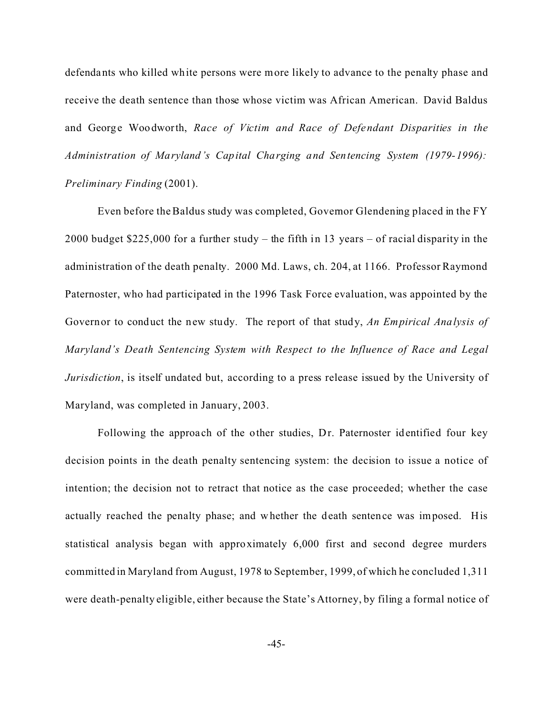defendants who killed white persons were more likely to advance to the penalty phase and receive the death sentence than those whose victim was African American. David Baldus and George Woodworth, *Race of Victim and Race of Defendant Disparities in the Administration of Maryland's Capital Charging and Sentencing System (1979-1996): Preliminary Finding* (2001).

Even before the Baldus study was completed, Governor Glendening placed in the FY 2000 budget \$225,000 for a further study – the fifth in 13 years – of racial disparity in the administration of the death penalty. 2000 Md. Laws, ch. 204, at 1166. Professor Raymond Paternoster, who had participated in the 1996 Task Force evaluation, was appointed by the Governor to conduct the new study. The report of that study, *An Empirical Analysis of Maryland's Death Sentencing System with Respect to the Influence of Race and Legal Jurisdiction*, is itself undated but, according to a press release issued by the University of Maryland, was completed in January, 2003.

Following the approach of the other studies, Dr. Paternoster identified four key decision points in the death penalty sentencing system: the decision to issue a notice of intention; the decision not to retract that notice as the case proceeded; whether the case actually reached the penalty phase; and whether the death sentence was imposed. His statistical analysis began with approximately 6,000 first and second degree murders committed in Maryland from August, 1978 to September, 1999, of which he concluded 1,311 were death-penalty eligible, either because the State's Attorney, by filing a formal notice of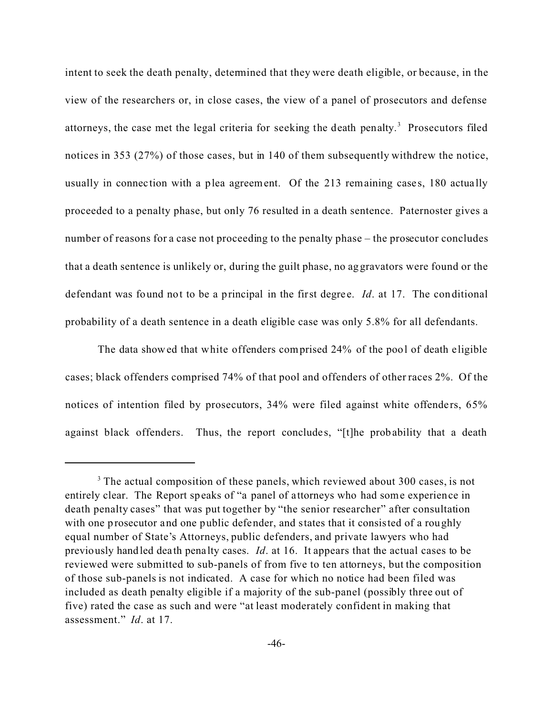intent to seek the death penalty, determined that they were death eligible, or because, in the view of the researchers or, in close cases, the view of a panel of prosecutors and defense attorneys, the case met the legal criteria for seeking the death penalty.<sup>3</sup> Prosecutors filed notices in 353 (27%) of those cases, but in 140 of them subsequently withdrew the notice, usually in connection with a plea agreement. Of the 213 remaining cases, 180 actually proceeded to a penalty phase, but only 76 resulted in a death sentence. Paternoster gives a number of reasons for a case not proceeding to the penalty phase – the prosecutor concludes that a death sentence is unlikely or, during the guilt phase, no aggravators were found or the defendant was found not to be a principal in the first degree. *Id*. at 17. The conditional probability of a death sentence in a death eligible case was only 5.8% for all defendants.

The data showed that white offenders comprised 24% of the pool of death eligible cases; black offenders comprised 74% of that pool and offenders of other races 2%. Of the notices of intention filed by prosecutors,  $34\%$  were filed against white offenders,  $65\%$ against black offenders. Thus, the report concludes, "[t]he probability that a death

<sup>&</sup>lt;sup>3</sup> The actual composition of these panels, which reviewed about 300 cases, is not entirely clear. The Report speaks of "a panel of a ttorneys who had some experience in death penalty cases" that was put together by "the senior researcher" after consultation with one prosecutor and one public defender, and states that it consisted of a roughly equal number of State's Attorneys, public defenders, and private lawyers who had previously handled death pena lty cases. *Id*. at 16. It appears that the actual cases to be reviewed were submitted to sub-panels of from five to ten attorneys, but the composition of those sub-panels is not indicated. A case for which no notice had been filed was included as death penalty eligible if a majority of the sub-panel (possibly three out of five) rated the case as such and were "at least moderately confident in making that assessment." *Id*. at 17.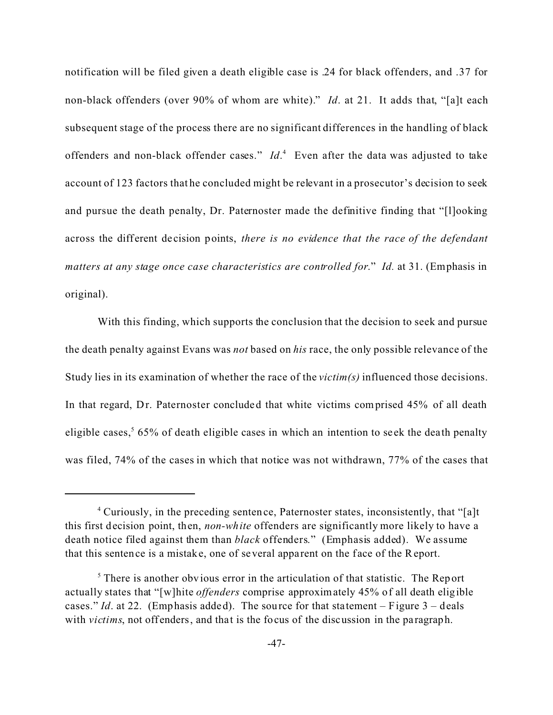notification will be filed given a death eligible case is .24 for black offenders, and .37 for non-black offenders (over 90% of whom are white)." *Id*. at 21. It adds that, "[a]t each subsequent stage of the process there are no significant differences in the handling of black offenders and non-black offender cases." *Id*. 4 Even after the data was adjusted to take account of 123 factors that he concluded might be relevant in a prosecutor's decision to seek and pursue the death penalty, Dr. Paternoster made the definitive finding that "[l]ooking across the different decision points, *there is no evidence that the race of the defendant matters at any stage once case characteristics are controlled for*." *Id.* at 31. (Emphasis in original).

With this finding, which supports the conclusion that the decision to seek and pursue the death penalty against Evans was *not* based on *his* race, the only possible relevance of the Study lies in its examination of whether the race of the *victim(s)* influenced those decisions. In that regard, Dr. Paternoster concluded that white victims comprised 45% of all death eligible cases,<sup>5</sup> 65% of death eligible cases in which an intention to seek the death penalty was filed, 74% of the cases in which that notice was not withdrawn, 77% of the cases that

<sup>&</sup>lt;sup>4</sup> Curiously, in the preceding sentence, Paternoster states, inconsistently, that "[a]t this first decision point, then, *non-white* offenders are significantly more likely to have a death notice filed against them than *black* offenders." (Emphasis added). We assume that this sentence is a mistake, one of several apparent on the face of the Report.

 $<sup>5</sup>$  There is another obvious error in the articulation of that statistic. The Report</sup> actually states that "[w]hite *offenders* comprise approximately 45% of all death eligible cases." *Id.* at 22. (Emphasis added). The source for that statement – Figure  $3$  – deals with *victims*, not offenders, and that is the focus of the discussion in the paragraph.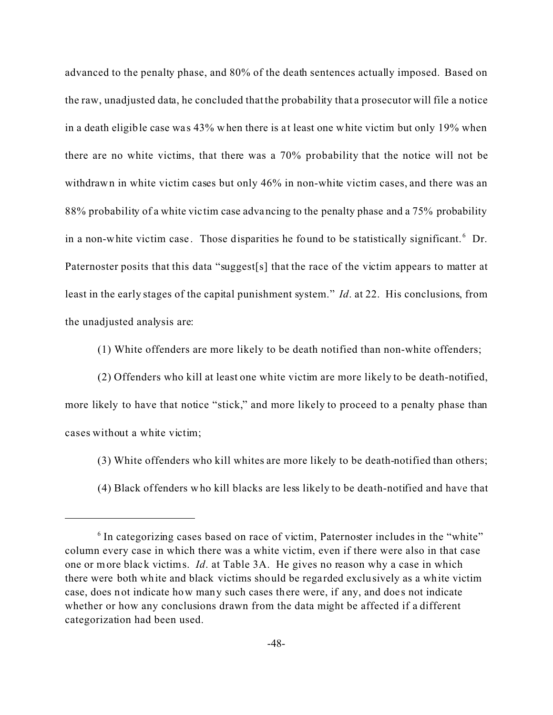advanced to the penalty phase, and 80% of the death sentences actually imposed. Based on the raw, unadjusted data, he concluded that the probability that a prosecutor will file a notice in a death eligible case was 43% when there is at least one white victim but only 19% when there are no white victims, that there was a 70% probability that the notice will not be withdrawn in white victim cases but only 46% in non-white victim cases, and there was an 88% probability of a white vic tim case advancing to the penalty phase and a 75% probability in a non-white victim case. Those disparities he found to be statistically significant.  $6$  Dr. Paternoster posits that this data "suggest[s] that the race of the victim appears to matter at least in the early stages of the capital punishment system." *Id*. at 22. His conclusions, from the unadjusted analysis are:

(1) White offenders are more likely to be death notified than non-white offenders;

(2) Offenders who kill at least one white victim are more likely to be death-notified, more likely to have that notice "stick," and more likely to proceed to a penalty phase than cases without a white victim;

(3) White offenders who kill whites are more likely to be death-notified than others;

(4) Black offenders who kill blacks are less likely to be death-notified and have that

<sup>&</sup>lt;sup>6</sup> In categorizing cases based on race of victim, Paternoster includes in the "white" column every case in which there was a white victim, even if there were also in that case one or more black victims. *Id*. at Table 3A. He gives no reason why a case in which there were both white and black victims should be rega rded exclusively as a white victim case, does not indicate how many such cases there were, if any, and does not indicate whether or how any conclusions drawn from the data might be affected if a different categorization had been used.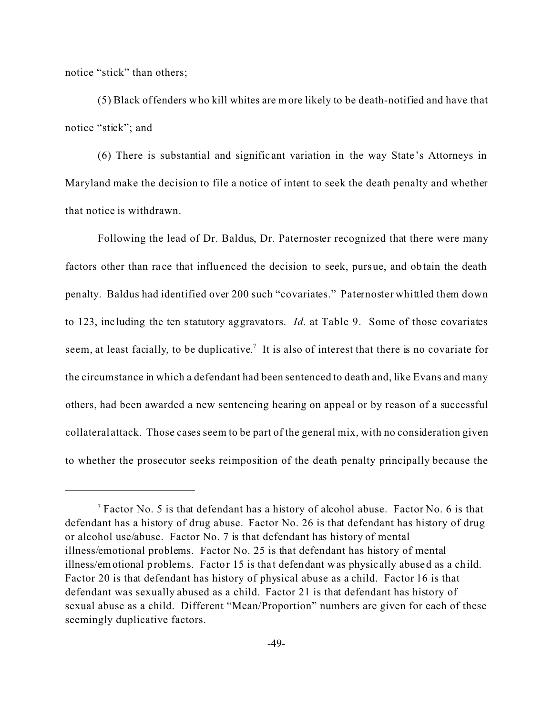notice "stick" than others;

(5) Black offenders who kill whites are more likely to be death-notified and have that notice "stick"; and

(6) There is substantial and signific ant variation in the way State 's Attorneys in Maryland make the decision to file a notice of intent to seek the death penalty and whether that notice is withdrawn.

Following the lead of Dr. Baldus, Dr. Paternoster recognized that there were many factors other than race that influenced the decision to seek, pursue, and obtain the death penalty. Baldus had identified over 200 such "covariates." Paternoster whittled them down to 123, inc luding the ten statutory aggravators. *Id.* at Table 9. Some of those covariates seem, at least facially, to be duplicative.<sup>7</sup> It is also of interest that there is no covariate for the circumstance in which a defendant had been sentenced to death and, like Evans and many others, had been awarded a new sentencing hearing on appeal or by reason of a successful collateral attack. Those cases seem to be part of the general mix, with no consideration given to whether the prosecutor seeks reimposition of the death penalty principally because the

 $7$  Factor No. 5 is that defendant has a history of alcohol abuse. Factor No. 6 is that defendant has a history of drug abuse. Factor No. 26 is that defendant has history of drug or alcohol use/abuse. Factor No. 7 is that defendant has history of mental illness/emotional problems. Factor No. 25 is that defendant has history of mental illness/emotional problems. Factor 15 is that defendant was physically abused as a child. Factor 20 is that defendant has history of physical abuse as a child. Factor 16 is that defendant was sexually abused as a child. Factor 21 is that defendant has history of sexual abuse as a child. Different "Mean/Proportion" numbers are given for each of these seemingly duplicative factors.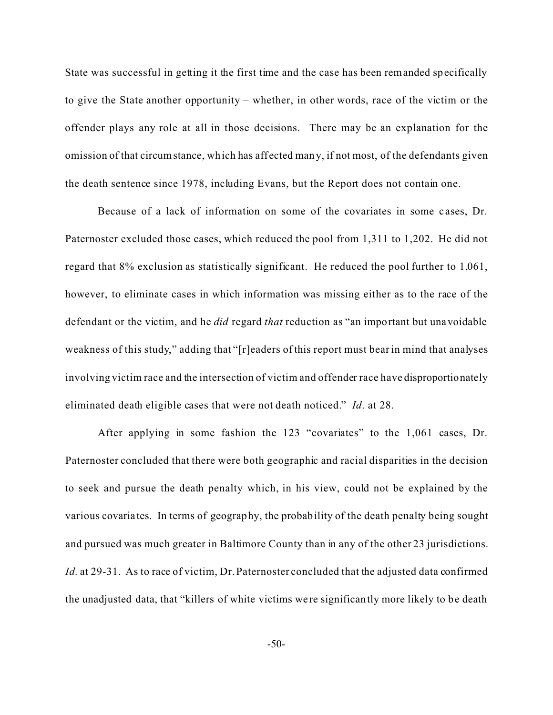State was successful in getting it the first time and the case has been remanded specifically to give the State another opportunity – whether, in other words, race of the victim or the offender plays any role at all in those decisions. There may be an explanation for the omission of that circumstance, which has aff ected many, if not most, of the defendants given the death sentence since 1978, including Evans, but the Report does not contain one.

Because of a lack of information on some of the covariates in some cases, Dr. Paternoster excluded those cases, which reduced the pool from 1,311 to 1,202. He did not regard that 8% exclusion as statistically significant. He reduced the pool further to 1,061, however, to eliminate cases in which information was missing either as to the race of the defendant or the victim, and he *did* regard *that* reduction as "an important but unavoidable weakness of this study," adding that "[r]eaders of this report must bear in mind that analyses involving victim race and the intersection of victim and offender race have disproportionately eliminated death eligible cases that were not death noticed." *Id*. at 28.

After applying in some fashion the 123 "covariates" to the 1,061 cases, Dr. Paternoster concluded that there were both geographic and racial disparities in the decision to seek and pursue the death penalty which, in his view, could not be explained by the various covaria tes. In terms of geography, the probability of the death penalty being sought and pursued was much greater in Baltimore County than in any of the other 23 jurisdictions. *Id.* at 29-31. As to race of victim, Dr. Paternoster concluded that the adjusted data confirmed the unadjusted data, that "killers of white victims we re significantly more likely to be death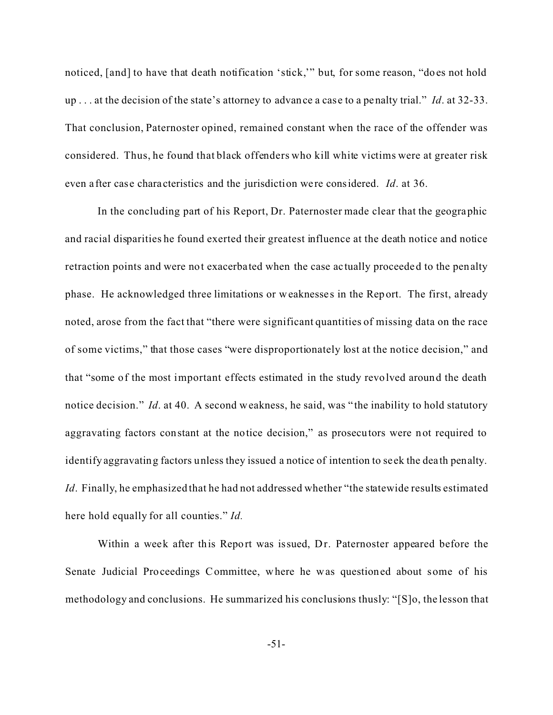noticed, [and] to have that death notification 'stick,'" but, for some reason, "does not hold up . . . at the decision of the state's attorney to advance a cas e to a penalty trial." *Id*. at 32-33. That conclusion, Paternoster opined, remained constant when the race of the offender was considered. Thus, he found that black offenders who kill white victims were at greater risk even after case characteristics and the jurisdiction were considered. *Id.* at 36.

In the concluding part of his Report, Dr. Paternoster made clear that the geographic and racial disparities he found exerted their greatest influence at the death notice and notice retraction points and were not exacerbated when the case actually proceeded to the penalty phase. He acknowledged three limitations or weaknesse s in the Report. The first, already noted, arose from the fact that "there were significant quantities of missing data on the race of some victims," that those cases "were disproportionately lost at the notice decision," and that "some of the most important effects estimated in the study revolved around the death notice decision." *Id.* at 40. A second weakness, he said, was "the inability to hold statutory aggravating factors constant at the notice decision," as prosecutors were not required to identify aggravating factors unless they issued a notice of intention to se ek the dea th penalty. *Id.* Finally, he emphasized that he had not addressed whether "the statewide results estimated here hold equally for all counties." *Id.*

Within a week after this Report was issued, Dr. Paternoster appeared before the Senate Judicial Proceedings Committee, where he was questioned about some of his methodology and conclusions. He summarized his conclusions thusly: "[S]o, the lesson that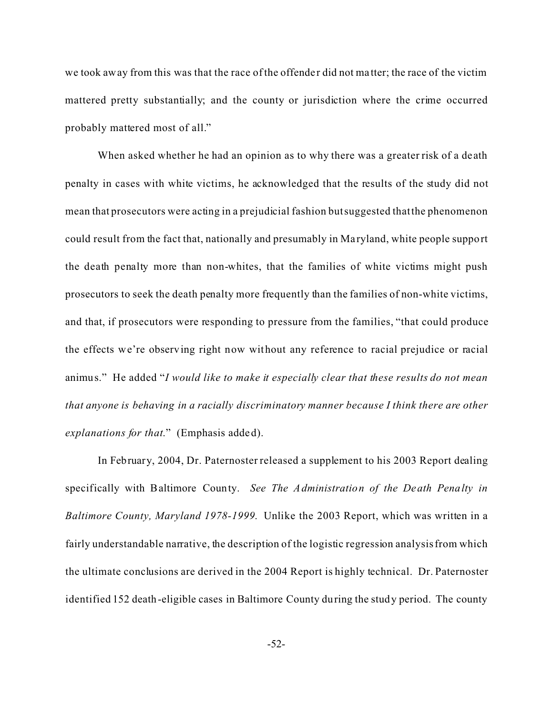we took away from this was that the race of the offender did not matter; the race of the victim mattered pretty substantially; and the county or jurisdiction where the crime occurred probably mattered most of all."

When asked whether he had an opinion as to why there was a greater risk of a death penalty in cases with white victims, he acknowledged that the results of the study did not mean that prosecutors were acting in a prejudicial fashion but suggested that the phenomenon could result from the fact that, nationally and presumably in Ma ryland, white people support the death penalty more than non-whites, that the families of white victims might push prosecutors to seek the death penalty more frequently than the families of non-white victims, and that, if prosecutors were responding to pressure from the families, "that could produce the effects we're observing right now without any reference to racial prejudice or racial animus." He added "*I would like to make it especially clear that these results do not mean that anyone is behaving in a racially discriminatory manner because I think there are other explanations for that*." (Emphasis added).

In February, 2004, Dr. Paternoster released a supplement to his 2003 Report dealing specifically with Baltimore County. *See The Administration of the Death Penalty in Baltimore County, Maryland 1978-1999*. Unlike the 2003 Report, which was written in a fairly understandable narrative, the description of the logistic regression analysis from which the ultimate conclusions are derived in the 2004 Report is highly technical. Dr. Paternoster identified 152 death-eligible cases in Baltimore County during the study period. The county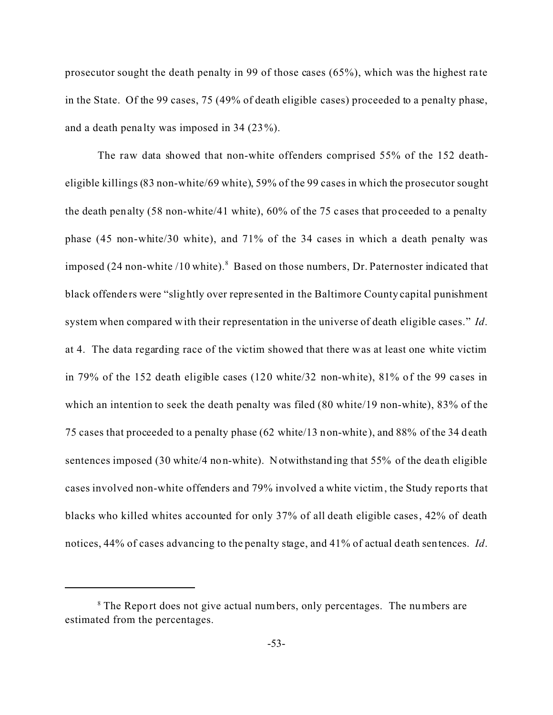prosecutor sought the death penalty in 99 of those cases (65%), which was the highest ra te in the State. Of the 99 cases, 75 (49% of death eligible cases) proceeded to a penalty phase, and a death pena lty was imposed in 34 (23%).

The raw data showed that non-white offenders comprised 55% of the 152 deatheligible killings (83 non-white/69 white), 59% of the 99 cases in which the prosecutor sought the death penalty (58 non-white/41 white), 60% of the 75 cases that proceeded to a penalty phase (45 non-white/30 white), and 71% of the 34 cases in which a death penalty was imposed (24 non-white /10 white).<sup>8</sup> Based on those numbers, Dr. Paternoster indicated that black offenders were "slightly over represented in the Baltimore County capital punishment system when compared with their representation in the universe of death eligible cases." *Id*. at 4. The data regarding race of the victim showed that there was at least one white victim in 79% of the 152 death eligible cases (120 white/32 non-white), 81% of the 99 ca ses in which an intention to seek the death penalty was filed (80 white/19 non-white), 83% of the 75 cases that proceeded to a penalty phase (62 white/13 non-white), and 88% of the 34 death sentences imposed (30 white/4 non-white). Notwithstanding that 55% of the dea th eligible cases involved non-white offenders and 79% involved a white victim, the Study reports that blacks who killed whites accounted for only 37% of all death eligible cases, 42% of death notices, 44% of cases advancing to the penalty stage, and 41% of actual death sentences. *Id*.

<sup>&</sup>lt;sup>8</sup> The Report does not give actual numbers, only percentages. The numbers are estimated from the percentages.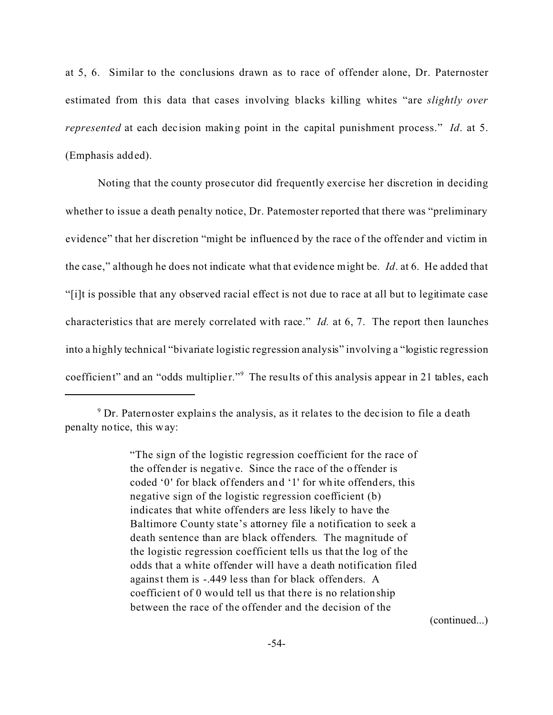at 5, 6. Similar to the conclusions drawn as to race of offender alone, Dr. Paternoster estimated from this data that cases involving blacks killing whites "are *slightly over represented* at each decision making point in the capital punishment process." *Id.* at 5. (Emphasis added).

Noting that the county prose cutor did frequently exercise her discretion in deciding whether to issue a death penalty notice, Dr. Paternoster reported that there was "preliminary evidence" that her discretion "might be influenced by the race of the offender and victim in the case," although he does not indicate what that evidence might be. *Id*. at 6. He added that "[i]t is possible that any observed racial effect is not due to race at all but to legitimate case characteristics that are merely correlated with race." *Id.* at 6, 7. The report then launches into a highly technical "bivariate logistic regression analysis" involving a "logistic regression coefficient" and an "odds multiplier."<sup>9</sup> The results of this analysis appear in 21 tables, each

"The sign of the logistic regression coefficient for the race of the offender is negative. Since the race of the offender is coded '0' for black offenders and '1' for white offenders, this negative sign of the logistic regression coefficient (b) indicates that white offenders are less likely to have the Baltimore County state's attorney file a notification to seek a death sentence than are black offenders. The magnitude of the logistic regression coefficient tells us that the log of the odds that a white offender will have a death notification filed against them is -.449 less than for black offenders. A coefficient of 0 would tell us that there is no relationship between the race of the offender and the decision of the

(continued...)

<sup>&</sup>lt;sup>9</sup> Dr. Paternoster explains the analysis, as it relates to the decision to file a death penalty notice, this way: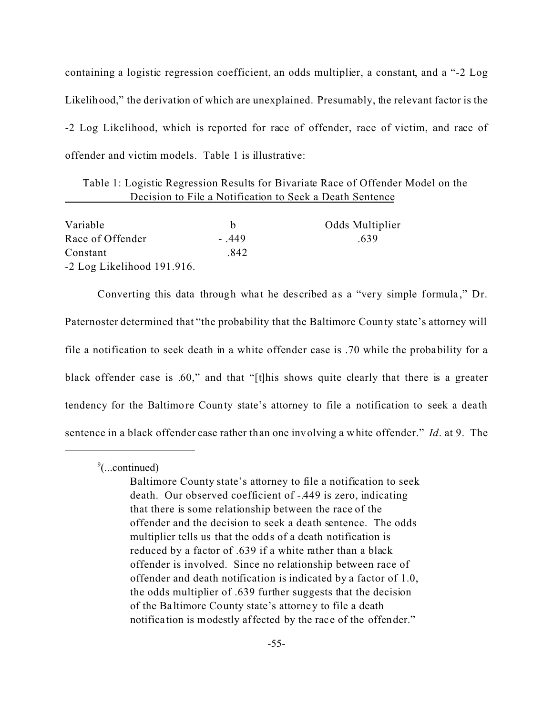containing a logistic regression coefficient, an odds multiplier, a constant, and a "-2 Log Likelihood," the derivation of which are unexplained. Presumably, the relevant factor is the -2 Log Likelihood, which is reported for race of offender, race of victim, and race of offender and victim models. Table 1 is illustrative:

Table 1: Logistic Regression Results for Bivariate Race of Offender Model on the Decision to File a Notification to Seek a Death Sentence

| Variable                     |          | Odds Multiplier |
|------------------------------|----------|-----------------|
| Race of Offender             | $-0.449$ | -639            |
| Constant                     | .842     |                 |
| $-2$ Log Likelihood 191.916. |          |                 |

Converting this data through what he described as a "very simple formula," Dr. Paternoster determined that "the probability that the Baltimore County state's attorney will file a notification to seek death in a white offender case is .70 while the probability for a black offender case is .60," and that "[t]his shows quite clearly that there is a greater tendency for the Baltimore County state's attorney to file a notification to seek a dea th sentence in a black offender case rather than one involving a white offender." *Id*. at 9. The

9 (...continued)

Baltimore County state's attorney to file a notification to seek death. Our observed coefficient of -.449 is zero, indicating that there is some relationship between the race of the offender and the decision to seek a death sentence. The odds multiplier tells us that the odds of a death notification is reduced by a factor of .639 if a white rather than a black offender is involved. Since no relationship between race of offender and death notification is indicated by a factor of 1.0, the odds multiplier of .639 further suggests that the decision of the Ba ltimore County state's attorney to file a death notifica tion is modestly affected by the race of the offender."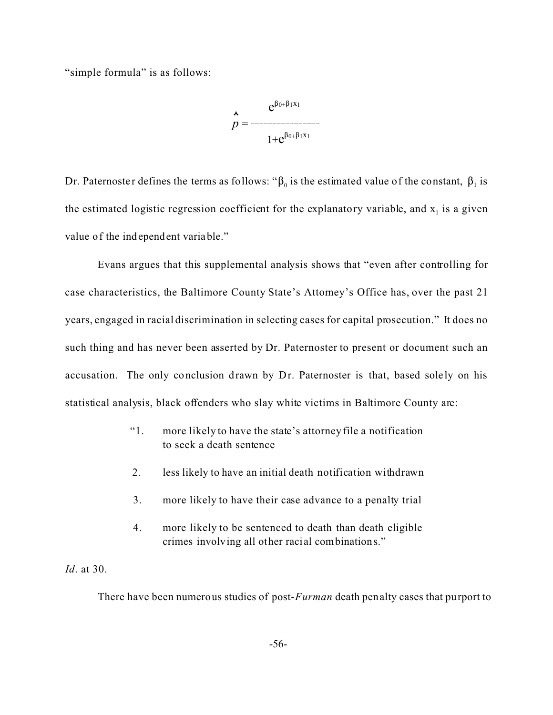"simple formula" is as follows:

$$
p = \frac{e^{\beta_{0+}\beta_1x_1}}{1+e^{\beta_{0+}\beta_1x_1}}
$$

Dr. Paternoster defines the terms as follows: " $\beta_0$  is the estimated value of the constant,  $\beta_1$  is the estimated logistic regression coefficient for the explanatory variable, and  $x_1$  is a given value of the independent variable."

Evans argues that this supplemental analysis shows that "even after controlling for case characteristics, the Baltimore County State's Attorney's Office has, over the past 21 years, engaged in racial discrimination in selecting cases for capital prosecution." It does no such thing and has never been asserted by Dr. Paternoster to present or document such an accusation. The only conclusion drawn by Dr. Paternoster is that, based solely on his statistical analysis, black offenders who slay white victims in Baltimore County are:

- "1. more likely to have the state's attorney file a notification to seek a death sentence
- 2. less likely to have an initial death notification withdrawn
- 3. more likely to have their case advance to a penalty trial
- 4. more likely to be sentenced to death than death eligible crimes involving all other racial combinations."

## *Id*. at 30.

There have been numerous studies of post-*Furman* death penalty cases that purport to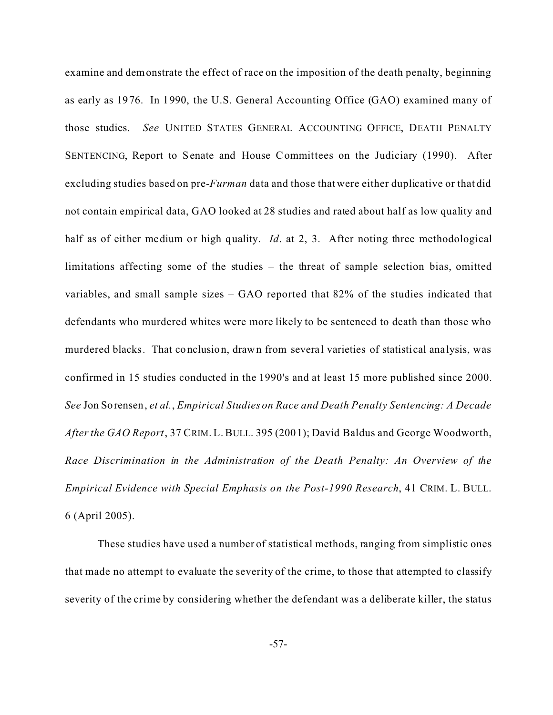examine and demonstrate the effect of race on the imposition of the death penalty, beginning as early as 1976. In 1990, the U.S. General Accounting Office (GAO) examined many of those studies. *See* UNITED STATES GENERAL ACCOUNTING OFFICE, DEATH PENALTY SENTENCING, Report to Senate and House Committees on the Judiciary (1990). After excluding studies based on pre-*Furman* data and those that were either duplicative or that did not contain empirical data, GAO looked at 28 studies and rated about half as low quality and half as of either medium or high quality. *Id.* at 2, 3. After noting three methodological limitations affecting some of the studies – the threat of sample selection bias, omitted variables, and small sample sizes – GAO reported that 82% of the studies indicated that defendants who murdered whites were more likely to be sentenced to death than those who murdered blacks. That conclusion, drawn from several varieties of statistical analysis, was confirmed in 15 studies conducted in the 1990's and at least 15 more published since 2000. *See* Jon Sorensen, *et al.*, *Empirical Studies on Race and Death Penalty Sentencing: A Decade After the GAO Report*, 37 CRIM. L. BULL. 395 (2001); David Baldus and George Woodworth, *Race Discrimination in the Administration of the Death Penalty: An Overview of the Empirical Evidence with Special Emphasis on the Post-1990 Research*, 41 CRIM. L. BULL. 6 (April 2005).

These studies have used a number of statistical methods, ranging from simplistic ones that made no attempt to evaluate the severity of the crime, to those that attempted to classify severity of the crime by considering whether the defendant was a deliberate killer, the status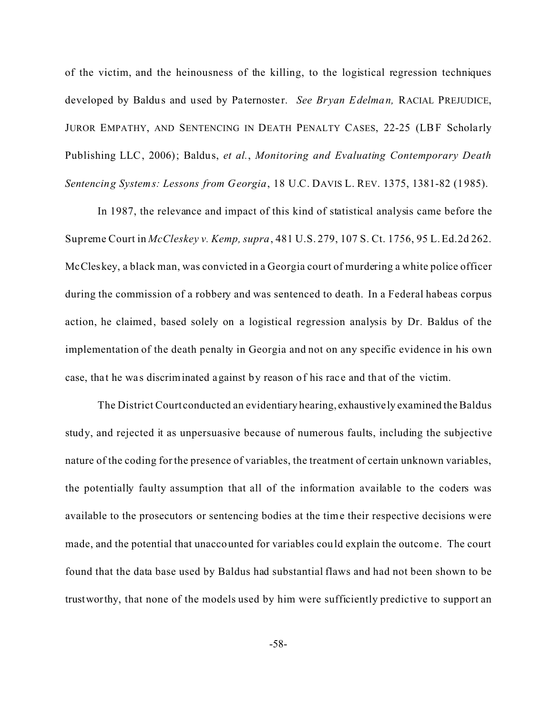of the victim, and the heinousness of the killing, to the logistical regression techniques developed by Baldus and used by Paternoster. *See Bryan Edelman*, RACIAL PREJUDICE, JUROR EMPATHY, AND SENTENCING IN DEATH PENALTY CASES, 22-25 (LBF Scholarly Publishing LLC, 2006); Baldus, *et al.*, *Monitoring and Evaluating Contemporary Death Sentencing Systems: Lessons from Georgia*, 18 U.C. DAVIS L. REV. 1375, 1381-82 (1985).

In 1987, the relevance and impact of this kind of statistical analysis came before the Supreme Court in *McCleskey v. Kemp, supra*, 481 U.S. 279, 107 S. Ct. 1756, 95 L. Ed.2d 262. McCleskey, a black man, was convicted in a Georgia court of murdering a white police officer during the commission of a robbery and was sentenced to death. In a Federal habeas corpus action, he claimed, based solely on a logistical regression analysis by Dr. Baldus of the implementation of the death penalty in Georgia and not on any specific evidence in his own case, that he was discriminated against by reason of his race and that of the victim.

The District Court conducted an evidentiary hearing, exhaustively examined the Baldus study, and rejected it as unpersuasive because of numerous faults, including the subjective nature of the coding for the presence of variables, the treatment of certain unknown variables, the potentially faulty assumption that all of the information available to the coders was available to the prosecutors or sentencing bodies at the time their respective decisions were made, and the potential that unaccounted for variables could explain the outcome. The court found that the data base used by Baldus had substantial flaws and had not been shown to be trustworthy, that none of the models used by him were sufficiently predictive to support an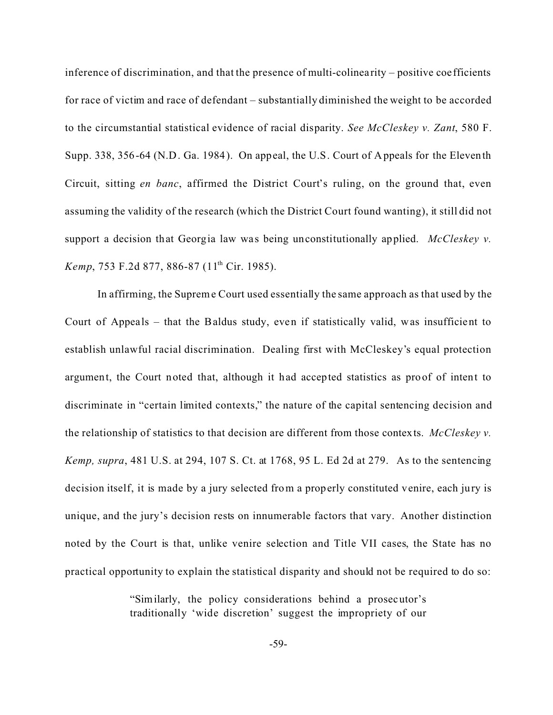inference of discrimination, and that the presence of multi-colinea rity – positive coefficients for race of victim and race of defendant – substantially diminished the weight to be accorded to the circumstantial statistical evidence of racial disparity. *See McCleskey v. Zant*, 580 F. Supp. 338, 356-64 (N.D. Ga. 1984). On appeal, the U.S. Court of Appeals for the Eleventh Circuit, sitting *en banc*, affirmed the District Court's ruling, on the ground that, even assuming the validity of the research (which the District Court found wanting), it still did not support a decision that Georgia law was being unconstitutionally applied. *McCleskey v. Kemp*, 753 F.2d 877, 886-87 (11<sup>th</sup> Cir. 1985).

In affirming, the Supreme Court used essentially the same approach as that used by the Court of Appeals – that the Baldus study, even if statistically valid, was insufficient to establish unlawful racial discrimination. Dealing first with McCleskey's equal protection argument, the Court noted that, although it had accepted statistics as proof of intent to discriminate in "certain limited contexts," the nature of the capital sentencing decision and the relationship of statistics to that decision are different from those contexts. *McCleskey v. Kemp, supra*, 481 U.S. at 294, 107 S. Ct. at 1768, 95 L. Ed 2d at 279.As to the sentencing decision itself, it is made by a jury selected from a properly constituted venire, each jury is unique, and the jury's decision rests on innumerable factors that vary. Another distinction noted by the Court is that, unlike venire selection and Title VII cases, the State has no practical opportunity to explain the statistical disparity and should not be required to do so:

> "Similarly, the policy considerations behind a prosecutor's traditionally 'wide discretion' suggest the impropriety of our

> > -59-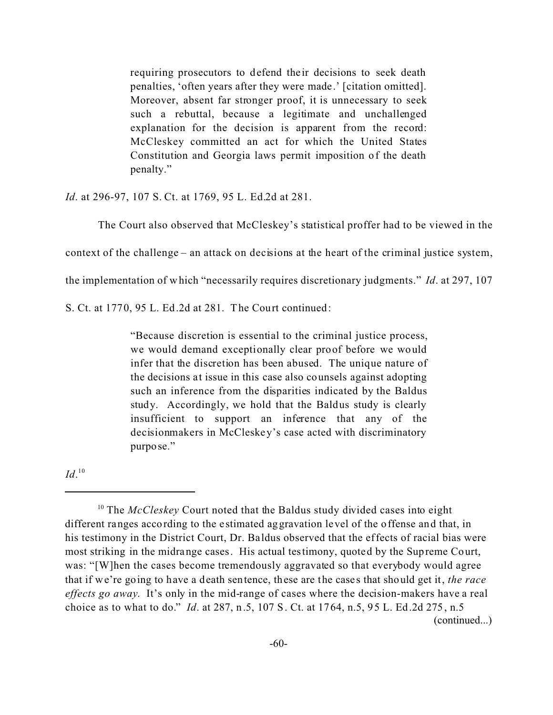requiring prosecutors to defend their decisions to seek death penalties, 'often years after they were made.' [citation omitted]. Moreover, absent far stronger proof, it is unnecessary to seek such a rebuttal, because a legitimate and unchallenged explanation for the decision is apparent from the record: McCleskey committed an act for which the United States Constitution and Georgia laws permit imposition of the death penalty."

*Id*. at 296-97, 107 S. Ct. at 1769, 95 L. Ed.2d at 281.

The Court also observed that McCleskey's statistical proffer had to be viewed in the

context of the challenge – an attack on decisions at the heart of the criminal justice system,

the implementation of which "necessarily requires discretionary judgments." *Id*. at 297, 107

S. Ct. at 1770, 95 L. Ed.2d at 281. The Court continued:

"Because discretion is essential to the criminal justice process, we would demand exceptionally clear proof before we would infer that the discretion has been abused. The unique nature of the decisions at issue in this case also counsels against adopting such an inference from the disparities indicated by the Baldus study. Accordingly, we hold that the Baldus study is clearly insufficient to support an inference that any of the decisionmakers in McCleskey's case acted with discriminatory purpose."

 $Id.$ <sup>10</sup>

<sup>&</sup>lt;sup>10</sup> The *McCleskey* Court noted that the Baldus study divided cases into eight different ranges according to the e stimated aggravation level of the offense and that, in his testimony in the District Court, Dr. Ba ldus observed that the effects of racial bias were most striking in the midrange cases. His actual testimony, quoted by the Supreme Court, was: "[W]hen the cases become tremendously aggravated so that everybody would agree that if we're going to have a death sentence, these are the case s that should get it, *the race effects go away*. It's only in the mid-range of cases where the decision-makers have a real choice as to what to do." *Id*. at 287, n.5, 107 S. Ct. at 1764, n.5, 95 L. Ed.2d 275, n.5 (continued...)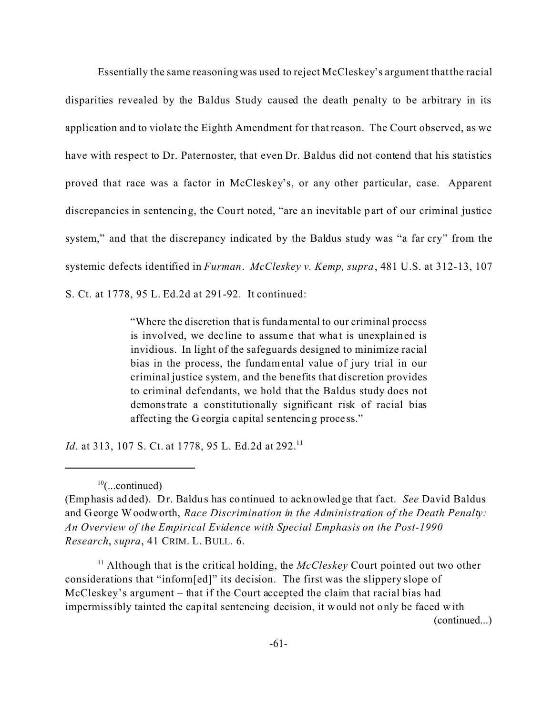Essentially the same reasoning was used to reject McCleskey's argument that the racial disparities revealed by the Baldus Study caused the death penalty to be arbitrary in its application and to viola te the Eighth Amendment for that reason. The Court observed, as we have with respect to Dr. Paternoster, that even Dr. Baldus did not contend that his statistics proved that race was a factor in McCleskey's, or any other particular, case. Apparent discrepancies in sentencing, the Court noted, "are an inevitable part of our criminal justice system," and that the discrepancy indicated by the Baldus study was "a far cry" from the systemic defects identified in *Furman*. *McCleskey v. Kemp, supra*, 481 U.S. at 312-13, 107

S. Ct. at 1778, 95 L. Ed.2d at 291-92. It continued:

"Where the discretion that is fundamental to our criminal process is involved, we decline to assume that what is unexplained is invidious. In light of the safeguards designed to minimize racial bias in the process, the fundamental value of jury trial in our criminal justice system, and the benefits that discretion provides to criminal defendants, we hold that the Baldus study does not demonstrate a constitutionally significant risk of racial bias affecting the Georgia c apital sentencing proce ss."

*Id.* at 313, 107 S. Ct. at 1778, 95 L. Ed.2d at 292.<sup>11</sup>

<sup>11</sup> Although that is the critical holding, the  $McCleskey$  Court pointed out two other considerations that "inform[ed]" its decision. The first was the slippery slope of McCleskey's argument – that if the Court accepted the claim that racial bias had impermissibly tainted the capital sentencing decision, it would not only be faced with (continued...)

 $10$ (...continued)

<sup>(</sup>Emphasis added). Dr. Baldus has continued to acknowledge that fact. *See* David Baldus and George Woodworth, *Race Discrimination in the Administration of the Death Penalty: An Overview of the Empirical Evidence with Special Emphasis on the Post-1990 Research*, *supra*, 41 CRIM. L. BULL. 6.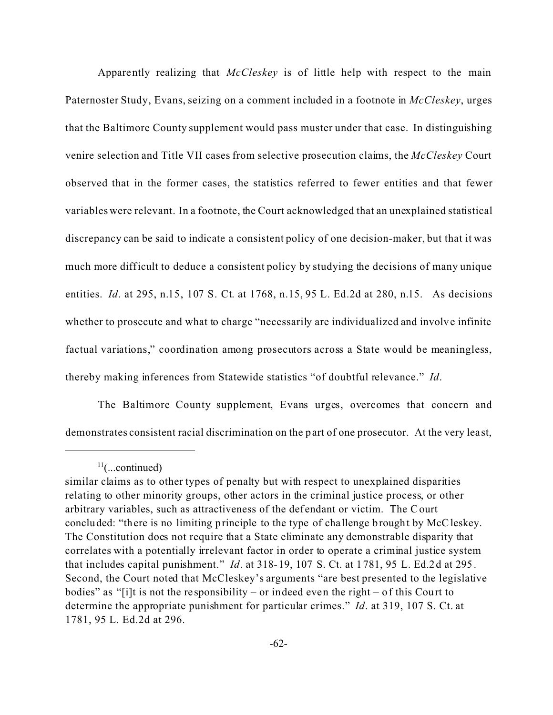Apparently realizing that *McCleskey* is of little help with respect to the main Paternoster Study, Evans, seizing on a comment included in a footnote in *McCleskey*, urges that the Baltimore County supplement would pass muster under that case. In distinguishing venire selection and Title VII cases from selective prosecution claims, the *McCleskey* Court observed that in the former cases, the statistics referred to fewer entities and that fewer variables were relevant. In a footnote, the Court acknowledged that an unexplained statistical discrepancy can be said to indicate a consistent policy of one decision-maker, but that it was much more difficult to deduce a consistent policy by studying the decisions of many unique entities. *Id*. at 295, n.15, 107 S. Ct. at 1768, n.15, 95 L. Ed.2d at 280, n.15. As decisions whether to prosecute and what to charge "necessarily are individualized and involve infinite factual variations," coordination among prosecutors across a State would be meaningless, thereby making inferences from Statewide statistics "of doubtful relevance." *Id*.

The Baltimore County supplement, Evans urges, overcomes that concern and demonstrates consistent racial discrimination on the part of one prosecutor. At the very least,

 $11$ (...continued)

similar claims as to other types of penalty but with respect to unexplained disparities relating to other minority groups, other actors in the criminal justice process, or other arbitrary variables, such as attractiveness of the def endant or victim. The Court concluded: "there is no limiting principle to the type of challenge brought by McCleskey. The Constitution does not require that a State eliminate any demonstrable disparity that correlates with a potentially irrelevant factor in order to operate a criminal justice system that includes capital punishment." *Id*. at 318-19, 107 S. Ct. at 1781, 95 L. Ed.2d at 295. Second, the Court noted that McCleskey's arguments "are best presented to the legislative bodies" as "[i]t is not the responsibility – or indeed even the right – of this Court to determine the appropriate punishment for particular crimes." *Id*. at 319, 107 S. Ct. at 1781, 95 L. Ed.2d at 296.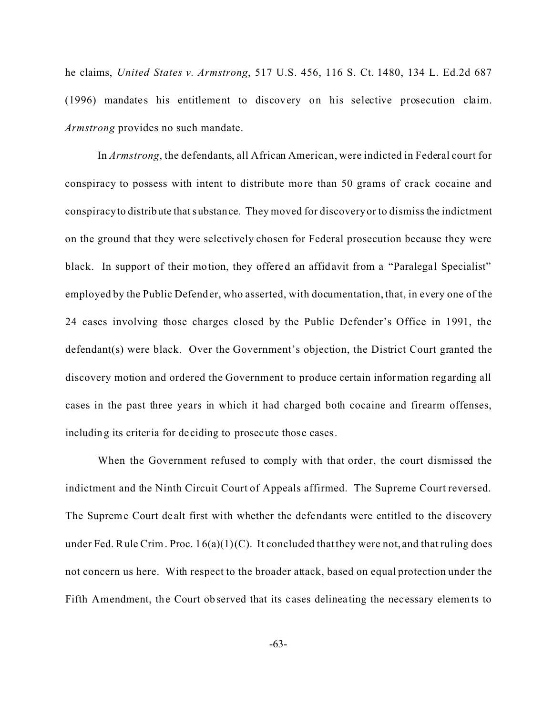he claims, *United States v. Armstrong*, 517 U.S. 456, 116 S. Ct. 1480, 134 L. Ed.2d 687 (1996) mandates his entitlement to discovery on his selective prosecution claim. *Armstrong* provides no such mandate.

In *Armstrong*, the defendants, all African American, were indicted in Federal court for conspiracy to possess with intent to distribute more than 50 grams of crack cocaine and conspiracy to distribute that substance. They moved for discovery or to dismiss the indictment on the ground that they were selectively chosen for Federal prosecution because they were black. In support of their motion, they offered an affidavit from a "Paralegal Specialist" employed by the Public Defender, who asserted, with documentation, that, in every one of the 24 cases involving those charges closed by the Public Defender's Office in 1991, the defendant(s) were black. Over the Government's objection, the District Court granted the discovery motion and ordered the Government to produce certain information regarding all cases in the past three years in which it had charged both cocaine and firearm offenses, including its criteria for de ciding to prosecute those cases.

When the Government refused to comply with that order, the court dismissed the indictment and the Ninth Circuit Court of Appeals affirmed. The Supreme Court reversed. The Supreme Court de alt first with whether the defendants were entitled to the discovery under Fed. Rule Crim. Proc.  $16(a)(1)(C)$ . It concluded that they were not, and that ruling does not concern us here. With respect to the broader attack, based on equal protection under the Fifth Amendment, the Court observed that its cases delineating the necessary elements to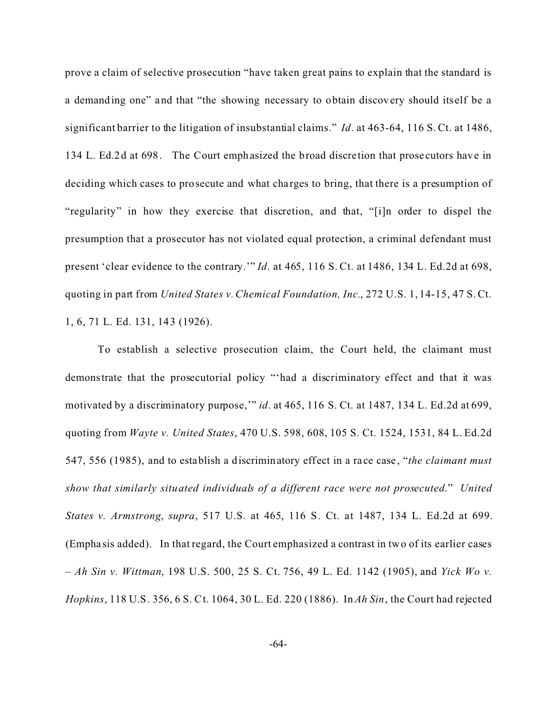prove a claim of selective prosecution "have taken great pains to explain that the standard is a demanding one" and that "the showing necessary to obtain discovery should itself be a significant barrier to the litigation of insubstantial claims." *Id*. at 463-64, 116 S. Ct. at 1486, 134 L. Ed.2d at 698. The Court emphasized the broad discretion that prose cutors have in deciding which cases to prosecute and what charges to bring, that there is a presumption of "regularity" in how they exercise that discretion, and that, "[i]n order to dispel the presumption that a prosecutor has not violated equal protection, a criminal defendant must present 'clear evidence to the contrary.'" *Id*. at 465, 116 S. Ct. at 1486, 134 L. Ed.2d at 698, quoting in part from *United States v. Chemical Foundation, Inc.*, 272 U.S. 1, 14-15, 47 S. Ct. 1, 6, 71 L. Ed. 131, 143 (1926).

To establish a selective prosecution claim, the Court held, the claimant must demonstrate that the prosecutorial policy "'had a discriminatory effect and that it was motivated by a discriminatory purpose,'" *id*. at 465, 116 S. Ct. at 1487, 134 L. Ed.2d at 699, quoting from *Wayte v. United States*, 470 U.S. 598, 608, 105 S. Ct. 1524, 1531, 84 L. Ed.2d 547, 556 (1985), and to establish a discriminatory effect in a ra ce case , "*the claimant must show that similarly situated individuals of a different race were not prosecuted*." *United States v. Armstrong*, *supra*, 517 U.S. at 465, 116 S. Ct. at 1487, 134 L. Ed.2d at 699. (Empha sis added). In that regard, the Court emphasized a contrast in two of its earlier cases – *Ah Sin v. Wittman*, 198 U.S. 500, 25 S. Ct. 756, 49 L. Ed. 1142 (1905), and *Yick Wo v. Hopkins*, 118 U.S. 356, 6 S. Ct. 1064, 30 L. Ed. 220 (1886). In *Ah Sin*, the Court had rejected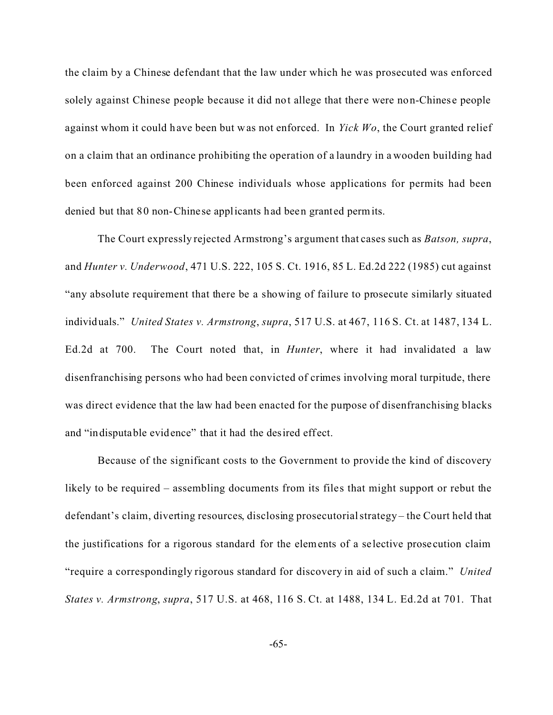the claim by a Chinese defendant that the law under which he was prosecuted was enforced solely against Chinese people because it did not allege that there were non-Chinese people against whom it could have been but was not enforced. In *Yick Wo*, the Court granted relief on a claim that an ordinance prohibiting the operation of a laundry in a wooden building had been enforced against 200 Chinese individuals whose applications for permits had been denied but that 80 non-Chinese applicants had been granted permits.

The Court expressly rejected Armstrong's argument that cases such as *Batson, supra*, and *Hunter v. Underwood*, 471 U.S. 222, 105 S. Ct. 1916, 85 L. Ed.2d 222 (1985) cut against "any absolute requirement that there be a showing of failure to prosecute similarly situated individuals." *United States v. Armstrong*, *supra*, 517 U.S. at 467, 116 S. Ct. at 1487, 134 L. Ed.2d at 700. The Court noted that, in *Hunter*, where it had invalidated a law disenfranchising persons who had been convicted of crimes involving moral turpitude, there was direct evidence that the law had been enacted for the purpose of disenfranchising blacks and "indisputable evidence" that it had the desired effect.

Because of the significant costs to the Government to provide the kind of discovery likely to be required – assembling documents from its files that might support or rebut the defendant's claim, diverting resources, disclosing prosecutorial strategy – the Court held that the justifications for a rigorous standard for the elements of a selective prose cution claim "require a correspondingly rigorous standard for discovery in aid of such a claim." *United States v. Armstrong*, *supra*, 517 U.S. at 468, 116 S. Ct. at 1488, 134 L. Ed.2d at 701. That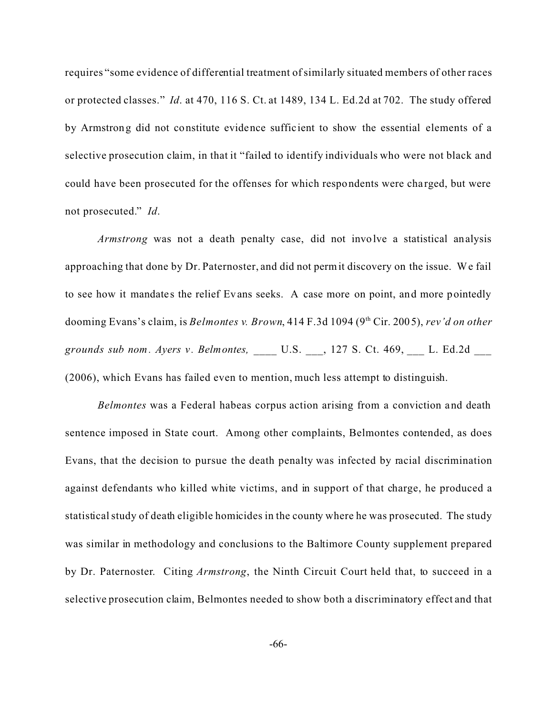requires "some evidence of differential treatment of similarly situated members of other races or protected classes." *Id*. at 470, 116 S. Ct. at 1489, 134 L. Ed.2d at 702. The study offered by Armstrong did not constitute evidence suffic ient to show the essential elements of a selective prosecution claim, in that it "failed to identify individuals who were not black and could have been prosecuted for the offenses for which respondents were cha rged, but were not prosecuted." *Id*.

*Armstrong* was not a death penalty case, did not involve a statistical analysis approaching that done by Dr. Paternoster, and did not permit discovery on the issue. We fail to see how it mandates the relief Evans seeks. A case more on point, and more pointedly dooming Evans's claim, is *Belmontes v. Brown*, 414 F.3d 1094 (9<sup>th</sup> Cir. 2005), *rev'd on other grounds sub nom. Ayers v . Belmontes,* \_\_\_\_ U.S. \_\_\_, 127 S. Ct. 469, \_\_\_ L. Ed.2d \_\_\_ (2006), which Evans has failed even to mention, much less attempt to distinguish.

*Belmontes* was a Federal habeas corpus action arising from a conviction and death sentence imposed in State court. Among other complaints, Belmontes contended, as does Evans, that the decision to pursue the death penalty was infected by racial discrimination against defendants who killed white victims, and in support of that charge, he produced a statistical study of death eligible homicides in the county where he was prosecuted. The study was similar in methodology and conclusions to the Baltimore County supplement prepared by Dr. Paternoster. Citing *Armstrong*, the Ninth Circuit Court held that, to succeed in a selective prosecution claim, Belmontes needed to show both a discriminatory effect and that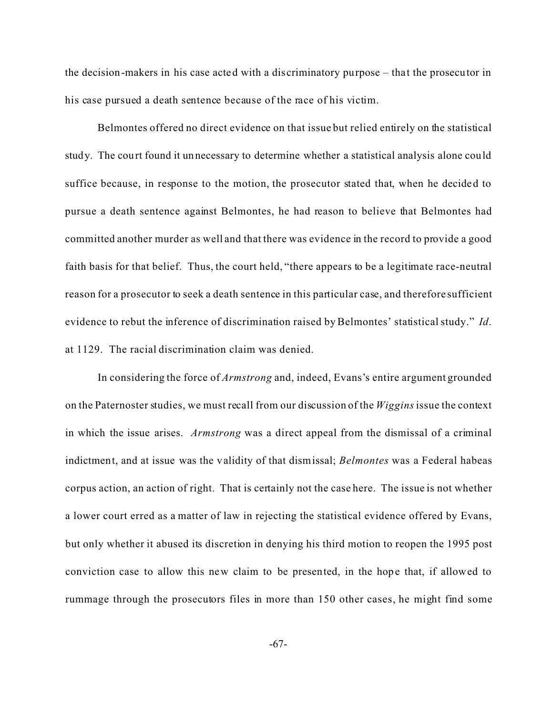the decision-makers in his case acted with a discriminatory purpose – that the prosecutor in his case pursued a death sentence because of the race of his victim.

Belmontes offered no direct evidence on that issue but relied entirely on the statistical study. The court found it unnecessary to determine whether a statistical analysis alone could suffice because, in response to the motion, the prosecutor stated that, when he decided to pursue a death sentence against Belmontes, he had reason to believe that Belmontes had committed another murder as well and that there was evidence in the record to provide a good faith basis for that belief. Thus, the court held, "there appears to be a legitimate race-neutral reason for a prosecutor to seek a death sentence in this particular case, and therefore sufficient evidence to rebut the inference of discrimination raised by Belmontes' statistical study." *Id*. at 1129. The racial discrimination claim was denied.

In considering the force of *Armstrong* and, indeed, Evans's entire argument grounded on the Paternoster studies, we must recall from our discussion of the *Wiggins* issue the context in which the issue arises. *Armstrong* was a direct appeal from the dismissal of a criminal indictment, and at issue was the validity of that dismissal; *Belmontes* was a Federal habeas corpus action, an action of right. That is certainly not the case here. The issue is not whether a lower court erred as a matter of law in rejecting the statistical evidence offered by Evans, but only whether it abused its discretion in denying his third motion to reopen the 1995 post conviction case to allow this new claim to be presented, in the hope that, if allowed to rummage through the prosecutors files in more than 150 other cases, he might find some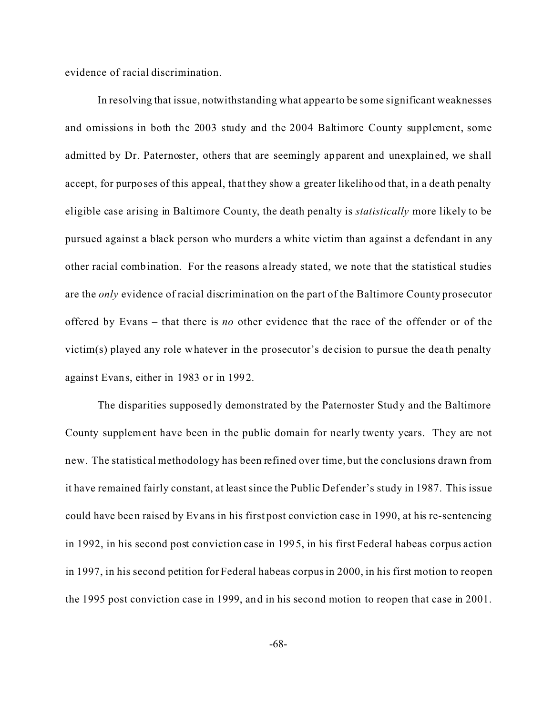evidence of racial discrimination.

In resolving that issue, notwithstanding what appear to be some significant weaknesses and omissions in both the 2003 study and the 2004 Baltimore County supplement, some admitted by Dr. Paternoster, others that are seemingly apparent and unexplained, we shall accept, for purposes of this appeal, that they show a greater likelihood that, in a de ath penalty eligible case arising in Baltimore County, the death penalty is *statistically* more likely to be pursued against a black person who murders a white victim than against a defendant in any other racial combination. For the reasons a lready stated, we note that the statistical studies are the *only* evidence of racial discrimination on the part of the Baltimore County prosecutor offered by Evans – that there is *no* other evidence that the race of the offender or of the victim(s) played any role whatever in the prosecutor's decision to pursue the dea th penalty against Evans, either in 1983 or in 1992.

The disparities supposedly demonstrated by the Paternoster Study and the Baltimore County supplement have been in the public domain for nearly twenty years. They are not new. The statistical methodology has been refined over time, but the conclusions drawn from it have remained fairly constant, at least since the Public Def ender's study in 1987. This issue could have been raised by Evans in his first post conviction case in 1990, at his re-sentencing in 1992, in his second post conviction case in 1995, in his first Federal habeas corpus action in 1997, in his second petition for Federal habeas corpus in 2000, in his first motion to reopen the 1995 post conviction case in 1999, and in his second motion to reopen that case in 2001.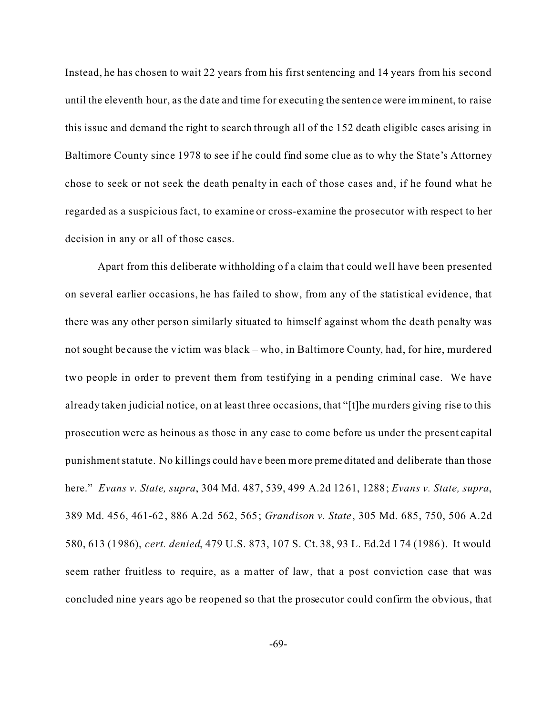Instead, he has chosen to wait 22 years from his first sentencing and 14 years from his second until the eleventh hour, as the date and time for executing the sentence were imminent, to raise this issue and demand the right to search through all of the 152 death eligible cases arising in Baltimore County since 1978 to see if he could find some clue as to why the State's Attorney chose to seek or not seek the death penalty in each of those cases and, if he found what he regarded as a suspicious fact, to examine or cross-examine the prosecutor with respect to her decision in any or all of those cases.

Apart from this deliberate withholding of a claim tha t could we ll have been presented on several earlier occasions, he has failed to show, from any of the statistical evidence, that there was any other person similarly situated to himself against whom the death penalty was not sought be cause the victim was black – who, in Baltimore County, had, for hire, murdered two people in order to prevent them from testifying in a pending criminal case. We have already taken judicial notice, on at least three occasions, that "[t]he murders giving rise to this prosecution were as heinous as those in any case to come before us under the present capital punishment statute. No killings could have been more premeditated and deliberate than those here." *Evans v. State, supra*, 304 Md. 487, 539, 499 A.2d 1261, 1288; *Evans v. State, supra*, 389 Md. 456, 461-62, 886 A.2d 562, 565; *Grandison v. State*, 305 Md. 685, 750, 506 A.2d 580, 613 (1986), *cert. denied*, 479 U.S. 873, 107 S. Ct. 38, 93 L. Ed.2d 174 (1986). It would seem rather fruitless to require, as a matter of law, that a post conviction case that was concluded nine years ago be reopened so that the prosecutor could confirm the obvious, that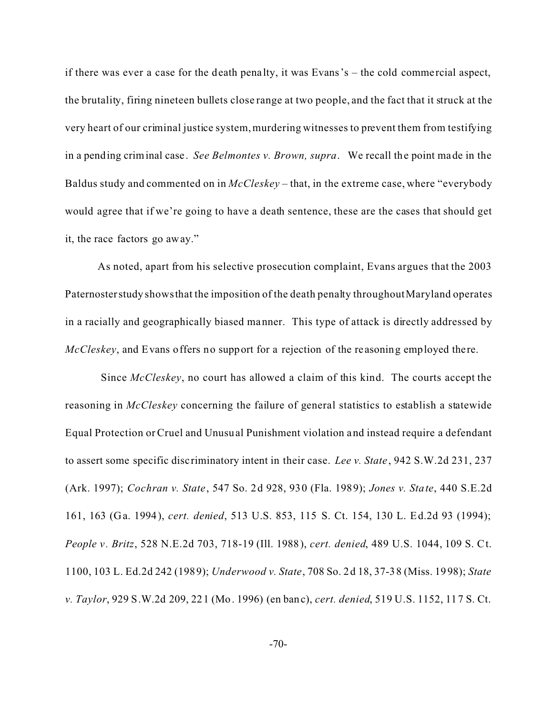if there was ever a case for the death penalty, it was Evans's  $-$  the cold commercial aspect, the brutality, firing nineteen bullets close range at two people, and the fact that it struck at the very heart of our criminal justice system, murdering witnesses to prevent them from testifying in a pending criminal case . *See Belmontes v. Brown, supra*. We recall the point made in the Baldus study and commented on in *McCleskey* – that, in the extreme case, where "everybody would agree that if we're going to have a death sentence, these are the cases that should get it, the race factors go away."

As noted, apart from his selective prosecution complaint, Evans argues that the 2003 Paternosterstudy showsthat the imposition of the death penalty throughout Maryland operates in a racially and geographically biased manner. This type of attack is directly addressed by *McCleskey*, and Evans offers no support for a rejection of the re asoning employed there.

 Since *McCleskey*, no court has allowed a claim of this kind. The courts accept the reasoning in *McCleskey* concerning the failure of general statistics to establish a statewide Equal Protection or Cruel and Unusual Punishment violation and instead require a defendant to assert some specific disc riminatory intent in their case. *Lee v. State*, 942 S.W.2d 231, 237 (Ark. 1997); *Cochran v. State*, 547 So. 2d 928, 930 (Fla. 1989); *Jones v. State*, 440 S.E.2d 161, 163 (Ga. 1994), *cert. denied*, 513 U.S. 853, 115 S. Ct. 154, 130 L. Ed.2d 93 (1994); *People v. Britz*, 528 N.E.2d 703, 718-19 (Ill. 1988), *cert. denied*, 489 U.S. 1044, 109 S. Ct. 1100, 103 L. Ed.2d 242 (1989); *Underwood v. State*, 708 So. 2d 18, 37-38 (Miss. 1998); *State v. Taylor*, 929 S.W.2d 209, 221 (Mo. 1996) (en banc), *cert. denied*, 519 U.S. 1152, 117 S. Ct.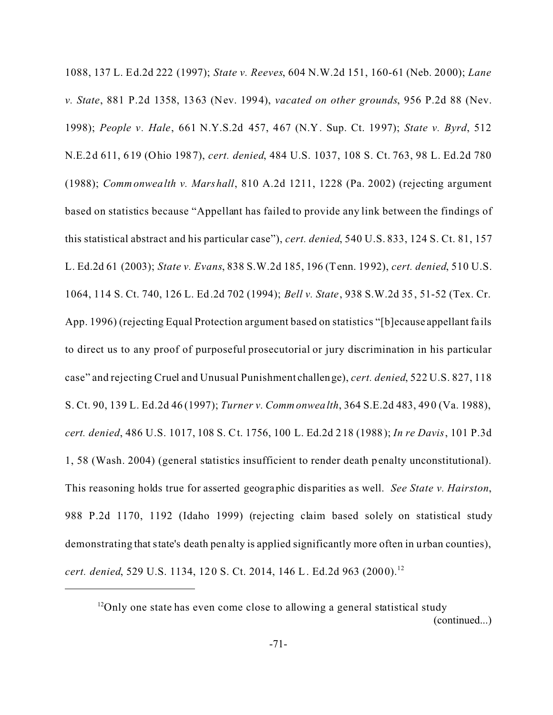1088, 137 L. Ed.2d 222 (1997); *State v. Reeves*, 604 N.W.2d 151, 160-61 (Neb. 2000); *Lane v. State*, 881 P.2d 1358, 1363 (Nev. 1994), *vacated on other grounds*, 956 P.2d 88 (Nev. 1998); *People v. Hale*, 661 N.Y.S.2d 457, 467 (N.Y. Sup. Ct. 1997); *State v. Byrd*, 512 N.E.2d 611, 619 (Ohio 1987), *cert. denied*, 484 U.S. 1037, 108 S. Ct. 763, 98 L. Ed.2d 780 (1988); *Commonwealth v. Marshall*, 810 A.2d 1211, 1228 (Pa. 2002) (rejecting argument based on statistics because "Appellant has failed to provide any link between the findings of this statistical abstract and his particular case"), *cert. denied*, 540 U.S. 833, 124 S. Ct. 81, 157 L. Ed.2d 61 (2003); *State v. Evans*, 838 S.W.2d 185, 196 (Tenn. 1992), *cert. denied*, 510 U.S. 1064, 114 S. Ct. 740, 126 L. Ed.2d 702 (1994); *Bell v. State*, 938 S.W.2d 35, 51-52 (Tex. Cr. App. 1996) (rejecting Equal Protection argument based on statistics "[b]ecause appellant fa ils to direct us to any proof of purposeful prosecutorial or jury discrimination in his particular case" and rejecting Cruel and Unusual Punishment challenge), *cert. denied*, 522 U.S. 827, 118 S. Ct. 90, 139 L. Ed.2d 46 (1997); *Turner v. Commonwealth*, 364 S.E.2d 483, 490 (Va. 1988), *cert. denied*, 486 U.S. 1017, 108 S. Ct. 1756, 100 L. Ed.2d 218 (1988); *In re Davis*, 101 P.3d 1, 58 (Wash. 2004) (general statistics insufficient to render death penalty unconstitutional). This reasoning holds true for asserted geographic disparities as well. *See State v. Hairston*, 988 P.2d 1170, 1192 (Idaho 1999) (rejecting claim based solely on statistical study demonstrating that state's death penalty is applied significantly more often in urban counties), *cert. denied*, 529 U.S. 1134, 120 S. Ct. 2014, 146 L. Ed.2d 963 (2000).<sup>12</sup>

 $12$ Only one state has even come close to allowing a general statistical study (continued...)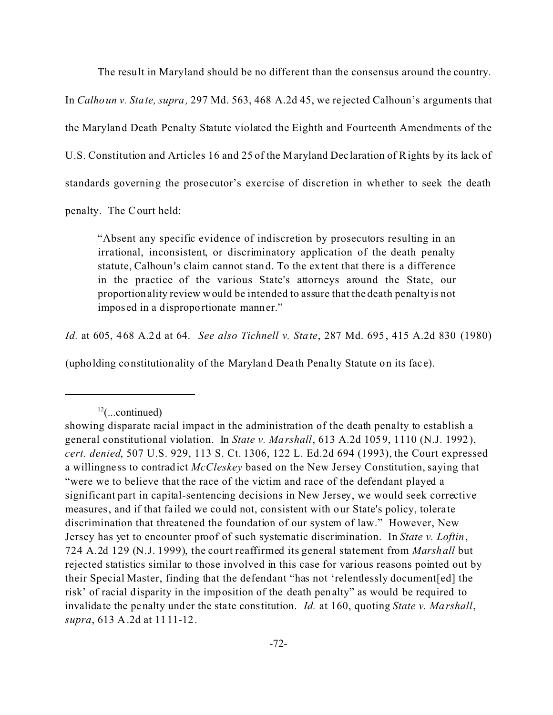The result in Maryland should be no different than the consensus around the country.

In *Calhoun v. State, supra,* 297 Md. 563, 468 A.2d 45, we re jected Calhoun's arguments that the Maryland Death Penalty Statute violated the Eighth and Fourteenth Amendments of the U.S. Constitution and Articles 16 and 25 of the Maryland Dec laration of Rights by its lack of standards governing the prose cutor's exercise of discretion in whether to seek the death

penalty. The Court held:

"Absent any specific evidence of indiscretion by prosecutors resulting in an irrational, inconsistent, or discriminatory application of the death penalty statute, Calhoun's claim cannot stand. To the extent that there is a difference in the practice of the various State's attorneys around the State, our proportionality review would be intended to assure that the death penalty is not imposed in a disproportionate manner."

*Id.* at 605, 468 A.2d at 64. *See also Tichnell v. State*, 287 Md. 695, 415 A.2d 830 (1980)

(upholding constitutionality of the Maryland Death Pena lty Statute on its face).

 $12$ (...continued)

showing disparate racial impact in the administration of the death penalty to establish a general constitutional violation. In *State v. Marshall*, 613 A.2d 1059, 1110 (N.J. 1992), *cert. denied*, 507 U.S. 929, 113 S. Ct. 1306, 122 L. Ed.2d 694 (1993), the Court expressed a willingne ss to contradict *McCleskey* based on the New Jersey Constitution, saying that "were we to believe that the race of the victim and race of the defendant played a significant part in capital-sentencing decisions in New Jersey, we would seek corrective measures, and if that fa iled we could not, consistent with our State's policy, tolera te discrimination that threatened the foundation of our system of law." However, New Jersey has yet to encounter proof of such systematic discrimination. In *State v. Loftin*, 724 A.2d 129 (N.J. 1999), the court reaffirmed its general statement from *Marshall* but rejected statistics similar to those involved in this case for various reasons pointed out by their Special Master, finding that the defendant "has not 'relentlessly document[ed] the risk' of racial disparity in the imposition of the death penalty" as would be required to invalida te the penalty under the state constitution. *Id.* at 160, quoting *State v. Marshall*, *supra*, 613 A.2d at 1111-12.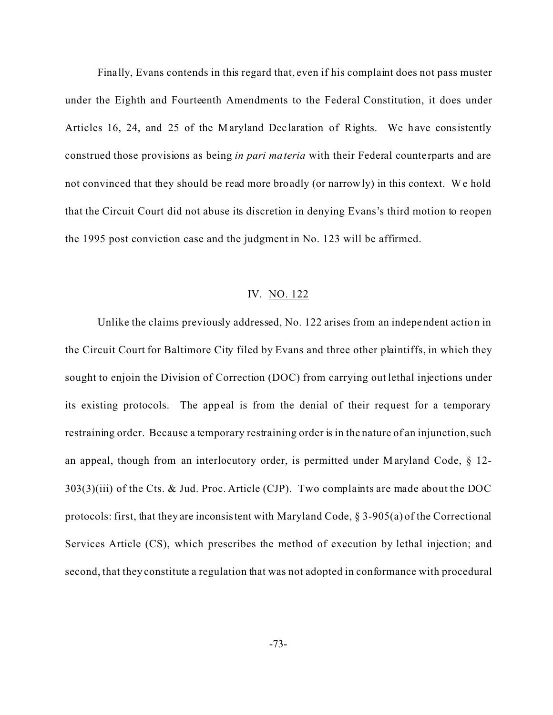Fina lly, Evans contends in this regard that, even if his complaint does not pass muster under the Eighth and Fourteenth Amendments to the Federal Constitution, it does under Articles 16, 24, and 25 of the M aryland Dec laration of Rights. We have consistently construed those provisions as being *in pari materia* with their Federal counterparts and are not convinced that they should be read more broadly (or narrowly) in this context. We hold that the Circuit Court did not abuse its discretion in denying Evans's third motion to reopen the 1995 post conviction case and the judgment in No. 123 will be affirmed.

## IV. NO. 122

Unlike the claims previously addressed, No. 122 arises from an independent action in the Circuit Court for Baltimore City filed by Evans and three other plaintiffs, in which they sought to enjoin the Division of Correction (DOC) from carrying out lethal injections under its existing protocols. The appeal is from the denial of their request for a temporary restraining order. Because a temporary restraining order is in the nature of an injunction, such an appeal, though from an interlocutory order, is permitted under Maryland Code, § 12- 303(3)(iii) of the Cts. & Jud. Proc. Article (CJP). Two complaints are made about the DOC protocols: first, that they are inconsistent with Maryland Code, § 3-905(a) of the Correctional Services Article (CS), which prescribes the method of execution by lethal injection; and second, that they constitute a regulation that was not adopted in conformance with procedural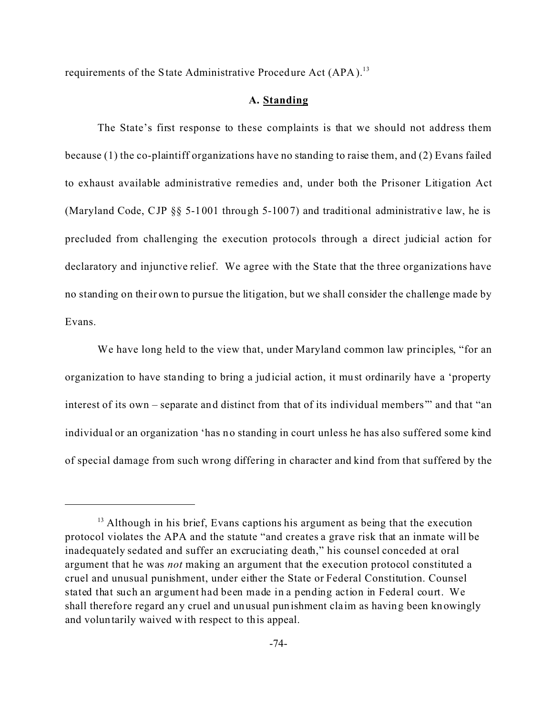requirements of the State Administrative Procedure Act (APA).<sup>13</sup>

#### **A. Standing**

The State's first response to these complaints is that we should not address them because (1) the co-plaintiff organizations have no standing to raise them, and (2) Evans failed to exhaust available administrative remedies and, under both the Prisoner Litigation Act (Maryland Code, CJP §§ 5-1001 through 5-1007) and traditional administrative law, he is precluded from challenging the execution protocols through a direct judicial action for declaratory and injunctive relief. We agree with the State that the three organizations have no standing on their own to pursue the litigation, but we shall consider the challenge made by Evans.

We have long held to the view that, under Maryland common law principles, "for an organization to have standing to bring a judicial action, it must ordinarily have a 'property interest of its own – separate and distinct from that of its individual members'" and that "an individual or an organization 'has no standing in court unless he has also suffered some kind of special damage from such wrong differing in character and kind from that suffered by the

<sup>&</sup>lt;sup>13</sup> Although in his brief, Evans captions his argument as being that the execution protocol violates the APA and the statute "and creates a grave risk that an inmate will be inadequately sedated and suffer an excruciating death," his counsel conceded at oral argument that he was *not* making an argument that the execution protocol constituted a cruel and unusual punishment, under either the State or Federal Constitution. Counsel stated that such an argument had been made in a pending action in Federal court. We shall therefore regard any cruel and unusual punishment cla im as having been knowingly and voluntarily waived with respect to this appeal.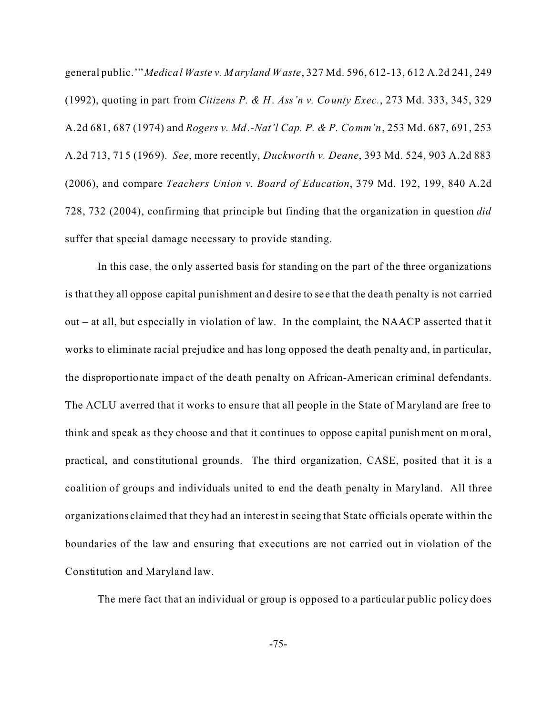general public.'" *Medical Waste v. Maryland Waste*, 327 Md. 596, 612-13, 612 A.2d 241, 249 (1992), quoting in part from *Citizens P. & H. Ass'n v. County Exec.*, 273 Md. 333, 345, 329 A.2d 681, 687 (1974) and *Rogers v. Md.-Nat'l Cap. P. & P. Comm'n*, 253 Md. 687, 691, 253 A.2d 713, 715 (1969). *See*, more recently, *Duckworth v. Deane*, 393 Md. 524, 903 A.2d 883 (2006), and compare *Teachers Union v. Board of Education*, 379 Md. 192, 199, 840 A.2d 728, 732 (2004), confirming that principle but finding that the organization in question *did* suffer that special damage necessary to provide standing.

In this case, the only asserted basis for standing on the part of the three organizations is that they all oppose capital punishment and desire to see that the death penalty is not carried out – at all, but e specially in violation of law. In the complaint, the NAACP asserted that it works to eliminate racial prejudice and has long opposed the death penalty and, in particular, the disproportionate impact of the death penalty on African-American criminal defendants. The ACLU averred that it works to ensure that all people in the State of Maryland are free to think and speak as they choose and that it continues to oppose c apital punishment on moral, practical, and constitutional grounds. The third organization, CASE, posited that it is a coalition of groups and individuals united to end the death penalty in Maryland. All three organizations claimed that they had an interest in seeing that State officials operate within the boundaries of the law and ensuring that executions are not carried out in violation of the Constitution and Maryland law.

The mere fact that an individual or group is opposed to a particular public policy does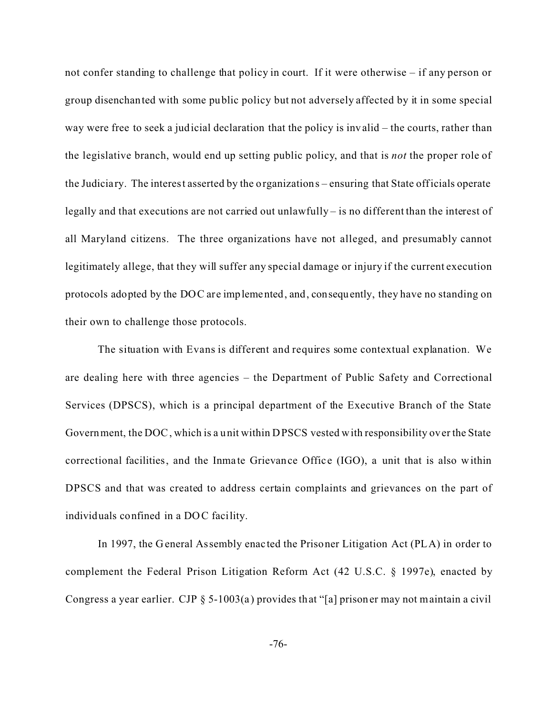not confer standing to challenge that policy in court. If it were otherwise – if any person or group disenchanted with some public policy but not adversely affected by it in some special way were free to seek a judicial declaration that the policy is invalid – the courts, rather than the legislative branch, would end up setting public policy, and that is *not* the proper role of the Judiciary. The interest asserted by the organizations – ensuring that State officials operate legally and that executions are not carried out unlawfully – is no different than the interest of all Maryland citizens. The three organizations have not alleged, and presumably cannot legitimately allege, that they will suffer any special damage or injury if the current execution protocols adopted by the DOC are implemented, and, consequently, they have no standing on their own to challenge those protocols.

The situation with Evans is different and requires some contextual explanation. We are dealing here with three agencies – the Department of Public Safety and Correctional Services (DPSCS), which is a principal department of the Executive Branch of the State Government, the DOC, which is a unit within DPSCS vested with responsibility over the State correctional facilities, and the Inmate Grievance Office (IGO), a unit that is also within DPSCS and that was created to address certain complaints and grievances on the part of individuals confined in a DOC facility.

In 1997, the General Assembly enac ted the Prisoner Litigation Act (PLA) in order to complement the Federal Prison Litigation Reform Act (42 U.S.C. § 1997e), enacted by Congress a year earlier. CJP  $\S$  5-1003(a) provides that "[a] prisoner may not maintain a civil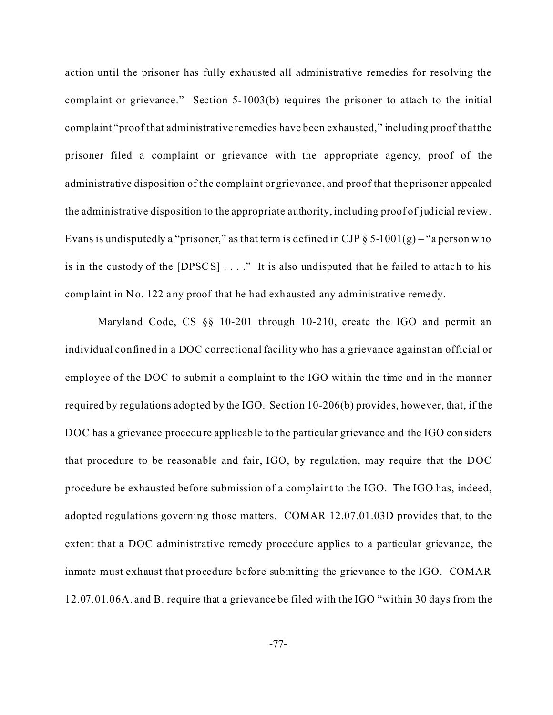action until the prisoner has fully exhausted all administrative remedies for resolving the complaint or grievance." Section 5-1003(b) requires the prisoner to attach to the initial complaint "proof that administrative remedies have been exhausted," including proof that the prisoner filed a complaint or grievance with the appropriate agency, proof of the administrative disposition of the complaint or grievance, and proof that the prisoner appealed the administrative disposition to the appropriate authority, including proof of judicial review. Evans is undisputedly a "prisoner," as that term is defined in CJP  $\S$  5-1001(g) – "a person who is in the custody of the  $[DPSCS] \ldots$ ." It is also undisputed that he failed to attach to his complaint in No. 122 any proof that he had exhausted any administrative remedy.

Maryland Code, CS §§ 10-201 through 10-210, create the IGO and permit an individual confined in a DOC correctional facility who has a grievance against an official or employee of the DOC to submit a complaint to the IGO within the time and in the manner required by regulations adopted by the IGO. Section 10-206(b) provides, however, that, if the DOC has a grievance procedure applicable to the particular grievance and the IGO considers that procedure to be reasonable and fair, IGO, by regulation, may require that the DOC procedure be exhausted before submission of a complaint to the IGO. The IGO has, indeed, adopted regulations governing those matters. COMAR 12.07.01.03D provides that, to the extent that a DOC administrative remedy procedure applies to a particular grievance, the inmate must exhaust that procedure before submitting the grievance to the IGO. COMAR 12.07.01.06A. and B. require that a grievance be filed with the IGO "within 30 days from the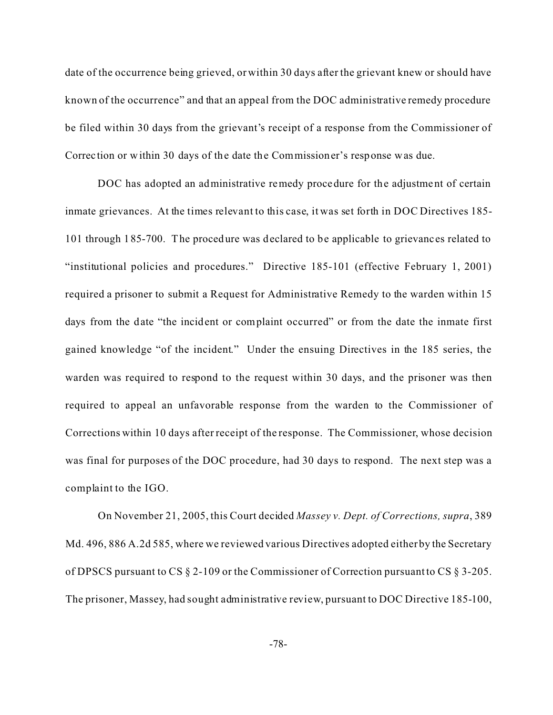date of the occurrence being grieved, or within 30 days after the grievant knew or should have known of the occurrence" and that an appeal from the DOC administrative remedy procedure be filed within 30 days from the grievant's receipt of a response from the Commissioner of Correc tion or within 30 days of the date the Commissioner's response was due.

DOC has adopted an administrative remedy procedure for the adjustment of certain inmate grievances. At the times relevant to this case, it was set forth in DOC Directives 185- 101 through 185-700. The procedure was declared to be applicable to grievanc es related to "institutional policies and procedures." Directive 185-101 (effective February 1, 2001) required a prisoner to submit a Request for Administrative Remedy to the warden within 15 days from the date "the incident or complaint occurred" or from the date the inmate first gained knowledge "of the incident." Under the ensuing Directives in the 185 series, the warden was required to respond to the request within 30 days, and the prisoner was then required to appeal an unfavorable response from the warden to the Commissioner of Corrections within 10 days after receipt of the response. The Commissioner, whose decision was final for purposes of the DOC procedure, had 30 days to respond. The next step was a complaint to the IGO.

On November 21, 2005, this Court decided *Massey v. Dept. of Corrections, supra*, 389 Md. 496, 886 A.2d 585, where we reviewed various Directives adopted either by the Secretary of DPSCS pursuant to CS § 2-109 or the Commissioner of Correction pursuant to CS § 3-205. The prisoner, Massey, had sought administrative review, pursuant to DOC Directive 185-100,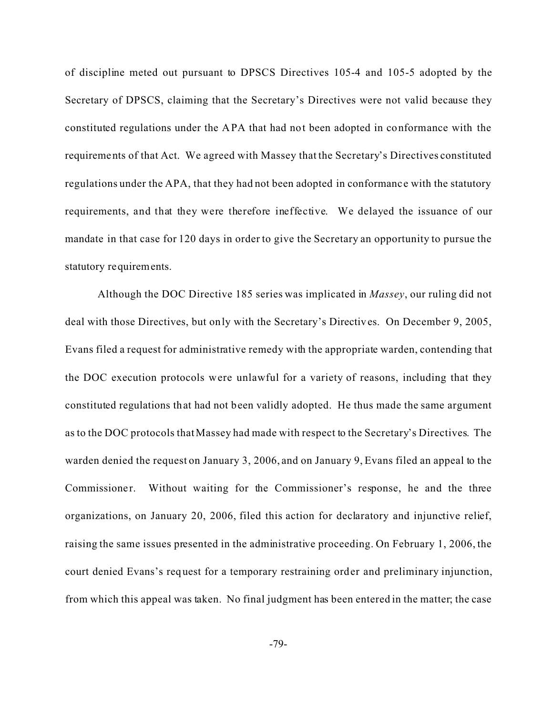of discipline meted out pursuant to DPSCS Directives 105-4 and 105-5 adopted by the Secretary of DPSCS, claiming that the Secretary's Directives were not valid because they constituted regulations under the APA that had not been adopted in conformance with the requirements of that Act. We agreed with Massey that the Secretary's Directives constituted regulations under the APA, that they had not been adopted in conformance with the statutory requirements, and that they were therefore ineffective. We delayed the issuance of our mandate in that case for 120 days in order to give the Secretary an opportunity to pursue the statutory requirements.

Although the DOC Directive 185 series was implicated in *Massey*, our ruling did not deal with those Directives, but only with the Secretary's Directives. On December 9, 2005, Evans filed a request for administrative remedy with the appropriate warden, contending that the DOC execution protocols were unlawful for a variety of reasons, including that they constituted regulations that had not been validly adopted. He thus made the same argument as to the DOC protocols that Massey had made with respect to the Secretary's Directives. The warden denied the request on January 3, 2006, and on January 9, Evans filed an appeal to the Commissioner. Without waiting for the Commissioner's response, he and the three organizations, on January 20, 2006, filed this action for declaratory and injunctive relief, raising the same issues presented in the administrative proceeding. On February 1, 2006, the court denied Evans's request for a temporary restraining order and preliminary injunction, from which this appeal was taken. No final judgment has been entered in the matter; the case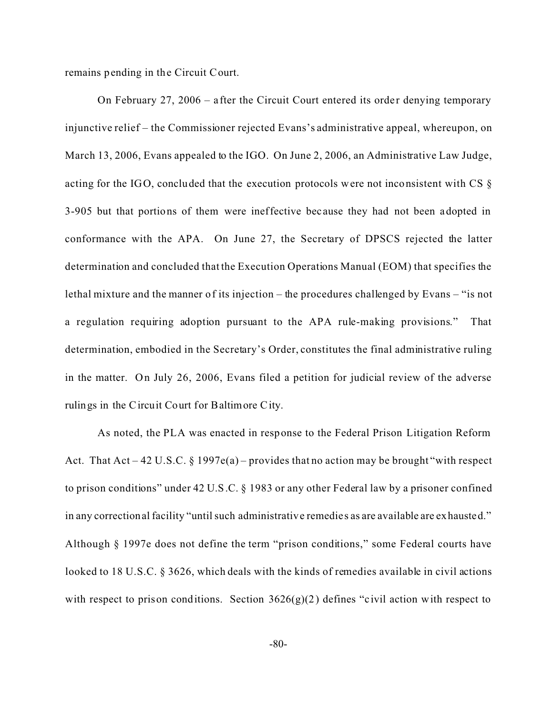remains pending in the Circuit Court.

On February 27, 2006 – after the Circuit Court entered its order denying temporary injunctive relief – the Commissioner rejected Evans's administrative appeal, whereupon, on March 13, 2006, Evans appealed to the IGO. On June 2, 2006, an Administrative Law Judge, acting for the IGO, concluded that the execution protocols were not inconsistent with CS § 3-905 but that portions of them were ineffective bec ause they had not been adopted in conformance with the APA. On June 27, the Secretary of DPSCS rejected the latter determination and concluded that the Execution Operations Manual (EOM) that specifies the lethal mixture and the manner of its injection – the procedures challenged by Evans – "is not a regulation requiring adoption pursuant to the APA rule-making provisions." That determination, embodied in the Secretary's Order, constitutes the final administrative ruling in the matter. On July 26, 2006, Evans filed a petition for judicial review of the adverse rulings in the Circuit Court for Baltimore City.

As noted, the PLA was enacted in response to the Federal Prison Litigation Reform Act. That Act – 42 U.S.C. § 1997e(a) – provides that no action may be brought "with respect" to prison conditions" under 42 U.S.C. § 1983 or any other Federal law by a prisoner confined in any correctional facility "until such administrative remedies as are available are exhausted." Although § 1997e does not define the term "prison conditions," some Federal courts have looked to 18 U.S.C. § 3626, which deals with the kinds of remedies available in civil actions with respect to prison conditions. Section  $3626(g)(2)$  defines "civil action with respect to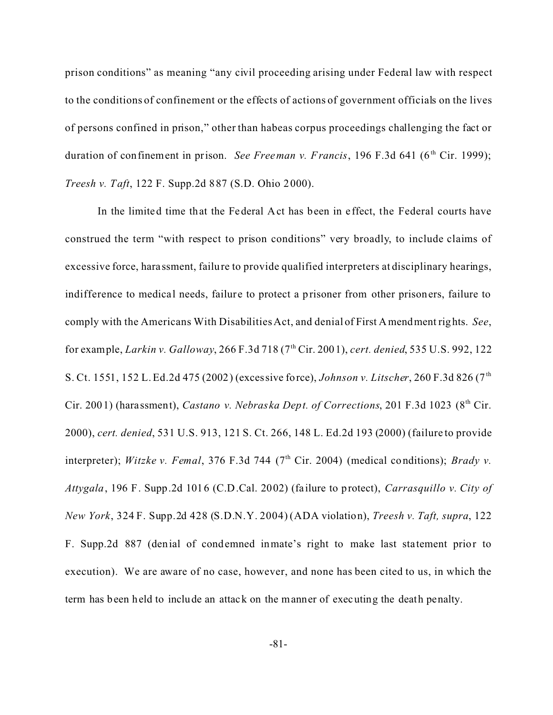prison conditions" as meaning "any civil proceeding arising under Federal law with respect to the conditions of confinement or the effects of actions of government officials on the lives of persons confined in prison," other than habeas corpus proceedings challenging the fact or duration of confinement in prison. *See Freeman v. Francis*, 196 F.3d 641 ( $6<sup>th</sup> Cir.$  1999); *Treesh v. Taft*, 122 F. Supp.2d 887 (S.D. Ohio 2000).

In the limited time that the Federal Act has been in effect, the Federal courts have construed the term "with respect to prison conditions" very broadly, to include claims of excessive force, harassment, failure to provide qualified interpreters at disciplinary hearings, indifference to medical needs, failure to protect a prisoner from other prisoners, failure to comply with the Americans With Disabilities Act, and denial of First Amendment rights. *See*, for example, *Larkin v. Galloway*, 266 F.3d 718 (7th Cir. 2001), *cert. denied*, 535 U.S. 992, 122 S. Ct. 1551, 152 L. Ed.2d 475 (2002) (excessive force), *Johnson v. Litscher*, 260 F.3d 826 (7<sup>th</sup>) Cir. 2001) (harassment), *Castano v. Nebraska Dept. of Corrections*, 201 F.3d 1023 (8<sup>th</sup> Cir. 2000), *cert. denied*, 531 U.S. 913, 121 S. Ct. 266, 148 L. Ed.2d 193 (2000) (failure to provide interpreter); *Witzke v. Femal*, 376 F.3d 744 (7<sup>th</sup> Cir. 2004) (medical conditions); *Brady v. Attygala*, 196 F. Supp.2d 1016 (C.D.Cal. 2002) (failure to protect), *Carrasquillo v. City of New York*, 324 F. Supp.2d 428 (S.D.N.Y. 2004) (ADA violation), *Treesh v. Taft, supra*, 122 F. Supp.2d 887 (denial of condemned inmate's right to make last sta tement prior to execution). We are aware of no case, however, and none has been cited to us, in which the term has been held to include an attack on the manner of executing the death penalty.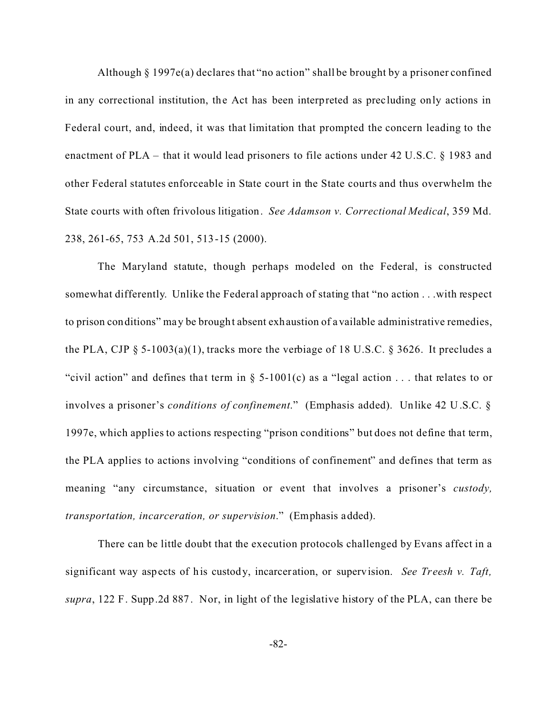Although § 1997e(a) declares that "no action" shall be brought by a prisoner confined in any correctional institution, the Act has been interpreted as prec luding only actions in Federal court, and, indeed, it was that limitation that prompted the concern leading to the enactment of PLA – that it would lead prisoners to file actions under 42 U.S.C. § 1983 and other Federal statutes enforceable in State court in the State courts and thus overwhelm the State courts with often frivolous litigation. *See Adamson v. Correctional Medical*, 359 Md. 238, 261-65, 753 A.2d 501, 513-15 (2000).

The Maryland statute, though perhaps modeled on the Federal, is constructed somewhat differently. Unlike the Federal approach of stating that "no action . . .with respect to prison conditions" may be brought absent exhaustion of available administrative remedies, the PLA, CJP  $\S$  5-1003(a)(1), tracks more the verbiage of 18 U.S.C.  $\S$  3626. It precludes a "civil action" and defines that term in  $\S$  5-1001(c) as a "legal action ... that relates to or involves a prisoner's *conditions of confinement*." (Emphasis added). Unlike 42 U.S.C. § 1997e, which applies to actions respecting "prison conditions" but does not define that term, the PLA applies to actions involving "conditions of confinement" and defines that term as meaning "any circumstance, situation or event that involves a prisoner's *custody, transportation, incarceration, or supervision*." (Emphasis added).

There can be little doubt that the execution protocols challenged by Evans affect in a significant way aspects of his custody, incarceration, or supervision. *See Treesh v. Taft, supra*, 122 F. Supp.2d 887. Nor, in light of the legislative history of the PLA, can there be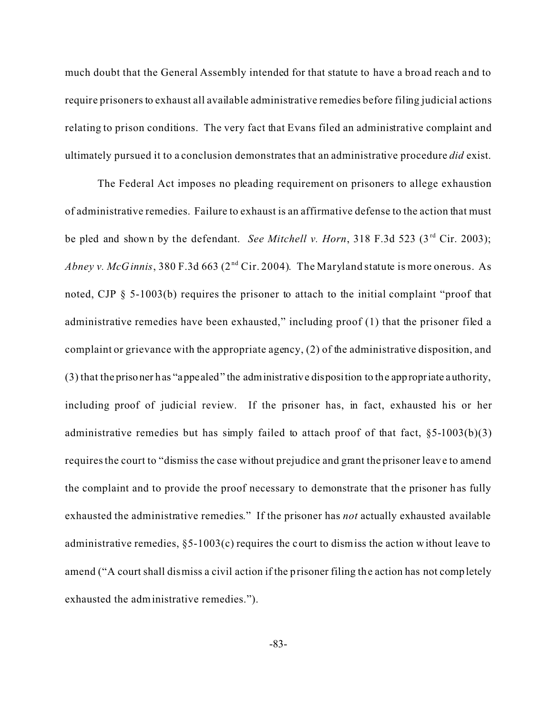much doubt that the General Assembly intended for that statute to have a broad reach and to require prisoners to exhaust all available administrative remedies before filing judicial actions relating to prison conditions. The very fact that Evans filed an administrative complaint and ultimately pursued it to a conclusion demonstrates that an administrative procedure *did* exist.

The Federal Act imposes no pleading requirement on prisoners to allege exhaustion of administrative remedies. Failure to exhaust is an affirmative defense to the action that must be pled and shown by the defendant. *See Mitchell v. Horn*, 318 F.3d 523 (3<sup>rd</sup> Cir. 2003); *Abney v. McGinnis*, 380 F.3d 663 ( $2<sup>nd</sup> Cir. 2004$ ). The Maryland statute is more onerous. As noted, CJP § 5-1003(b) requires the prisoner to attach to the initial complaint "proof that administrative remedies have been exhausted," including proof (1) that the prisoner filed a complaint or grievance with the appropriate agency, (2) of the administrative disposition, and (3) that the prisoner has "appealed" the administrative disposition to the appropriate authority, including proof of judicial review. If the prisoner has, in fact, exhausted his or her administrative remedies but has simply failed to attach proof of that fact,  $§5-1003(b)(3)$ requires the court to "dismiss the case without prejudice and grant the prisoner leave to amend the complaint and to provide the proof necessary to demonstrate that the prisoner has fully exhausted the administrative remedies." If the prisoner has *not* actually exhausted available administrative remedies,  $\S$ 5-1003(c) requires the court to dismiss the action without leave to amend ("A court shall dismiss a civil action if the prisoner filing the action has not completely exhausted the administrative remedies.").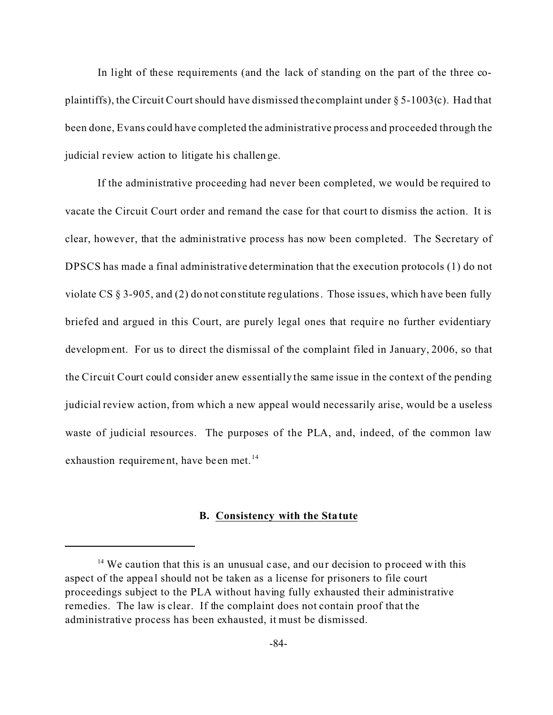In light of these requirements (and the lack of standing on the part of the three coplaintiffs), the Circuit Court should have dismissed the complaint under  $\S$  5-1003(c). Had that been done, Evans could have completed the administrative process and proceeded through the judicial review action to litigate his challenge.

If the administrative proceeding had never been completed, we would be required to vacate the Circuit Court order and remand the case for that court to dismiss the action. It is clear, however, that the administrative process has now been completed. The Secretary of DPSCS has made a final administrative determination that the execution protocols (1) do not violate CS § 3-905, and (2) do not constitute regulations. Those issues, which have been fully briefed and argued in this Court, are purely legal ones that require no further evidentiary development. For us to direct the dismissal of the complaint filed in January, 2006, so that the Circuit Court could consider anew essentially the same issue in the context of the pending judicial review action, from which a new appeal would necessarily arise, would be a useless waste of judicial resources. The purposes of the PLA, and, indeed, of the common law exhaustion requirement, have been met.<sup>14</sup>

### **B. Consistency with the Statute**

 $14$  We caution that this is an unusual case, and our decision to proceed with this aspect of the appeal should not be taken as a license for prisoners to file court proceedings subject to the PLA without having fully exhausted their administrative remedies. The law is clear. If the complaint does not contain proof that the administrative process has been exhausted, it must be dismissed.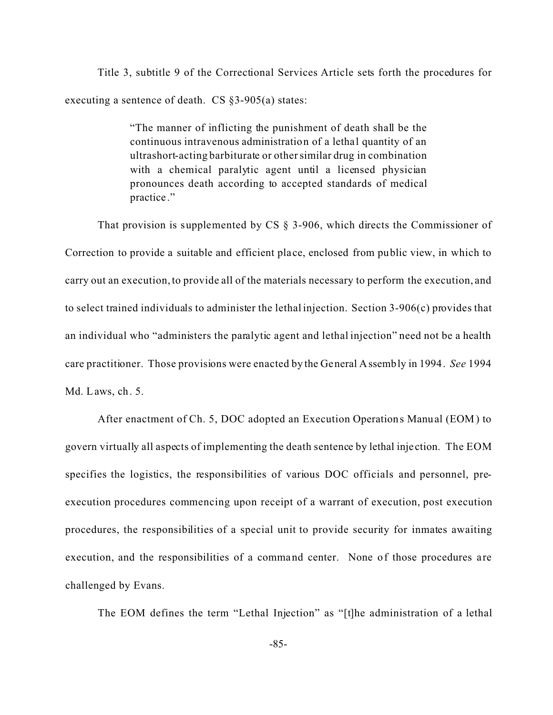Title 3, subtitle 9 of the Correctional Services Article sets forth the procedures for executing a sentence of death. CS §3-905(a) states:

> "The manner of inflicting the punishment of death shall be the continuous intravenous administration of a lethal quantity of an ultrashort-acting barbiturate or other similar drug in combination with a chemical paralytic agent until a licensed physician pronounces death according to accepted standards of medical practice ."

That provision is supplemented by CS § 3-906, which directs the Commissioner of Correction to provide a suitable and efficient place, enclosed from public view, in which to carry out an execution, to provide all of the materials necessary to perform the execution, and to select trained individuals to administer the lethal injection. Section 3-906(c) provides that an individual who "administers the paralytic agent and lethal injection" need not be a health care practitioner. Those provisions were enacted by the General Assembly in 1994. *See* 1994 Md. Laws, ch. 5.

After enactment of Ch. 5, DOC adopted an Execution Operations Manual (EOM) to govern virtually all aspects of implementing the death sentence by lethal inje ction. The EOM specifies the logistics, the responsibilities of various DOC officials and personnel, preexecution procedures commencing upon receipt of a warrant of execution, post execution procedures, the responsibilities of a special unit to provide security for inmates awaiting execution, and the responsibilities of a command center. None of those procedures are challenged by Evans.

The EOM defines the term "Lethal Injection" as "[t]he administration of a lethal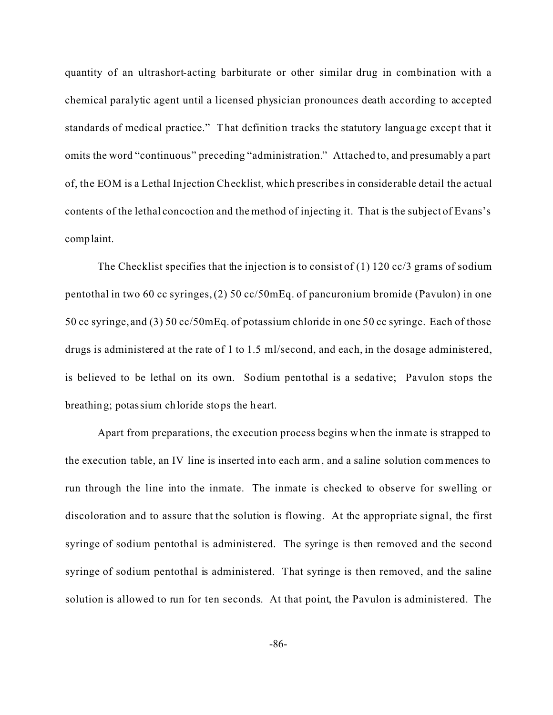quantity of an ultrashort-acting barbiturate or other similar drug in combination with a chemical paralytic agent until a licensed physician pronounces death according to accepted standards of medic al practice." That definition tracks the statutory language except that it omits the word "continuous" preceding "administration." Attached to, and presumably a part of, the EOM is a Lethal Injection Checklist, which prescribes in conside rable detail the actual contents of the lethal concoction and the method of injecting it. That is the subject of Evans's complaint.

The Checklist specifies that the injection is to consist of  $(1)$  120 cc/3 grams of sodium pentothal in two 60 cc syringes, (2) 50 cc/50mEq. of pancuronium bromide (Pavulon) in one 50 cc syringe, and (3) 50 cc/50mEq. of potassium chloride in one 50 cc syringe. Each of those drugs is administered at the rate of 1 to 1.5 ml/second, and each, in the dosage administered, is believed to be lethal on its own. Sodium pentothal is a seda tive; Pavulon stops the breathing; potassium chloride stops the heart.

Apart from preparations, the execution process begins when the inmate is strapped to the execution table, an IV line is inserted into each arm, and a saline solution commences to run through the line into the inmate. The inmate is checked to observe for swelling or discoloration and to assure that the solution is flowing. At the appropriate signal, the first syringe of sodium pentothal is administered. The syringe is then removed and the second syringe of sodium pentothal is administered. That syringe is then removed, and the saline solution is allowed to run for ten seconds. At that point, the Pavulon is administered. The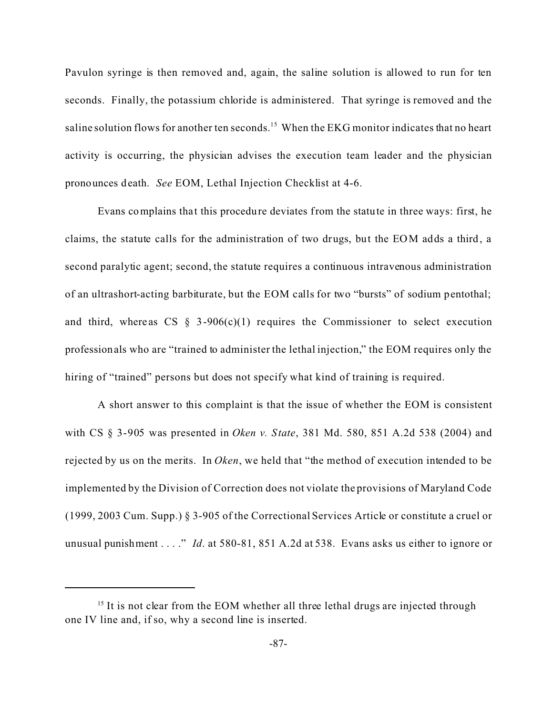Pavulon syringe is then removed and, again, the saline solution is allowed to run for ten seconds. Finally, the potassium chloride is administered. That syringe is removed and the saline solution flows for another ten seconds.<sup>15</sup> When the EKG monitor indicates that no heart activity is occurring, the physician advises the execution team leader and the physician pronounces death. *See* EOM, Lethal Injection Checklist at 4-6.

Evans complains that this procedure deviates from the statute in three ways: first, he claims, the statute calls for the administration of two drugs, but the EOM adds a third, a second paralytic agent; second, the statute requires a continuous intravenous administration of an ultrashort-acting barbiturate, but the EOM calls for two "bursts" of sodium pentothal; and third, whereas CS  $\S$  3-906(c)(1) requires the Commissioner to select execution professionals who are "trained to administer the lethal injection," the EOM requires only the hiring of "trained" persons but does not specify what kind of training is required.

A short answer to this complaint is that the issue of whether the EOM is consistent with CS § 3-905 was presented in *Oken v. State*, 381 Md. 580, 851 A.2d 538 (2004) and rejected by us on the merits. In *Oken*, we held that "the method of execution intended to be implemented by the Division of Correction does not violate the provisions of Maryland Code (1999, 2003 Cum. Supp.) § 3-905 of the Correctional Services Article or constitute a cruel or unusual punishment . . . ." *Id*. at 580-81, 851 A.2d at 538. Evans asks us either to ignore or

 $<sup>15</sup>$  It is not clear from the EOM whether all three lethal drugs are injected through</sup> one IV line and, if so, why a second line is inserted.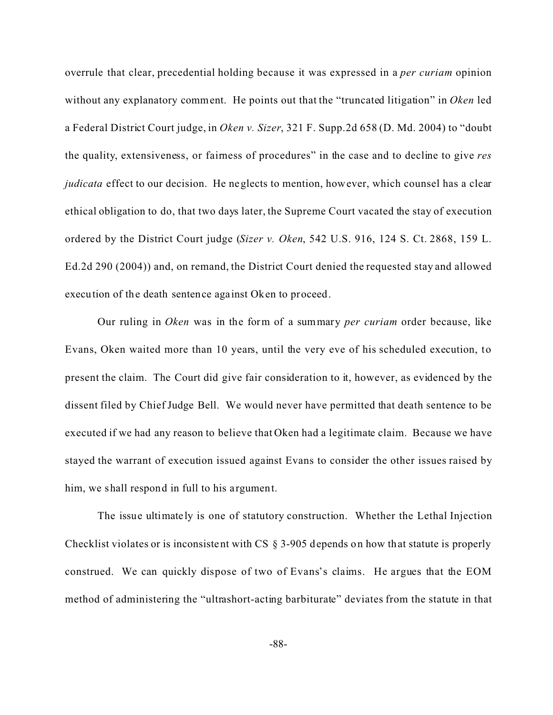overrule that clear, precedential holding because it was expressed in a *per curiam* opinion without any explanatory comment. He points out that the "truncated litigation" in *Oken* led a Federal District Court judge, in *Oken v. Sizer*, 321 F. Supp.2d 658 (D. Md. 2004) to "doubt the quality, extensiveness, or fairness of procedures" in the case and to decline to give *res judicata* effect to our decision. He neglects to mention, however, which counsel has a clear ethical obligation to do, that two days later, the Supreme Court vacated the stay of execution ordered by the District Court judge (*Sizer v. Oken*, 542 U.S. 916, 124 S. Ct. 2868, 159 L. Ed.2d 290 (2004)) and, on remand, the District Court denied the requested stay and allowed execution of the death sentence against Oken to proceed.

Our ruling in *Oken* was in the form of a summary *per curiam* order because, like Evans, Oken waited more than 10 years, until the very eve of his scheduled execution, to present the claim. The Court did give fair consideration to it, however, as evidenced by the dissent filed by Chief Judge Bell. We would never have permitted that death sentence to be executed if we had any reason to believe that Oken had a legitimate claim. Because we have stayed the warrant of execution issued against Evans to consider the other issues raised by him, we shall respond in full to his argument.

The issue ultimate ly is one of statutory construction. Whether the Lethal Injection Checklist violates or is inconsistent with CS § 3-905 depends on how that statute is properly construed. We can quickly dispose of two of Evans's claims. He argues that the EOM method of administering the "ultrashort-acting barbiturate" deviates from the statute in that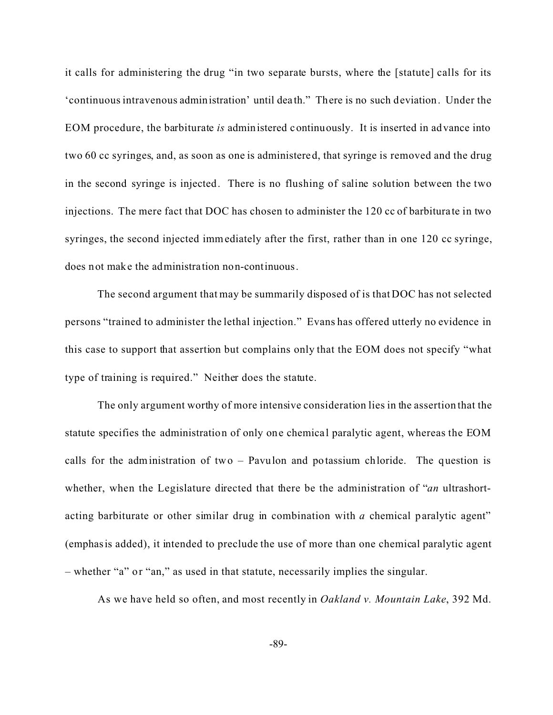it calls for administering the drug "in two separate bursts, where the [statute] calls for its 'continuous intravenous administration' until dea th." There is no such deviation. Under the EOM procedure, the barbiturate *is* administered continuously. It is inserted in advance into two 60 cc syringes, and, as soon as one is administered, that syringe is removed and the drug in the second syringe is injected. There is no flushing of saline solution between the two injections. The mere fact that DOC has chosen to administer the 120 cc of barbitura te in two syringes, the second injected immediately after the first, rather than in one 120 cc syringe, does not make the administra tion non-continuous.

The second argument that may be summarily disposed of is that DOC has not selected persons "trained to administer the lethal injection." Evans has offered utterly no evidence in this case to support that assertion but complains only that the EOM does not specify "what type of training is required." Neither does the statute.

The only argument worthy of more intensive consideration lies in the assertion that the statute specifies the administration of only one chemical paralytic agent, whereas the EOM calls for the administration of two – Pavulon and potassium chloride. The question is whether, when the Legislature directed that there be the administration of "*an* ultrashortacting barbiturate or other similar drug in combination with *a* chemical paralytic agent" (emphasis added), it intended to preclude the use of more than one chemical paralytic agent – whether "a" or "an," as used in that statute, necessarily implies the singular.

As we have held so often, and most recently in *Oakland v. Mountain Lake*, 392 Md.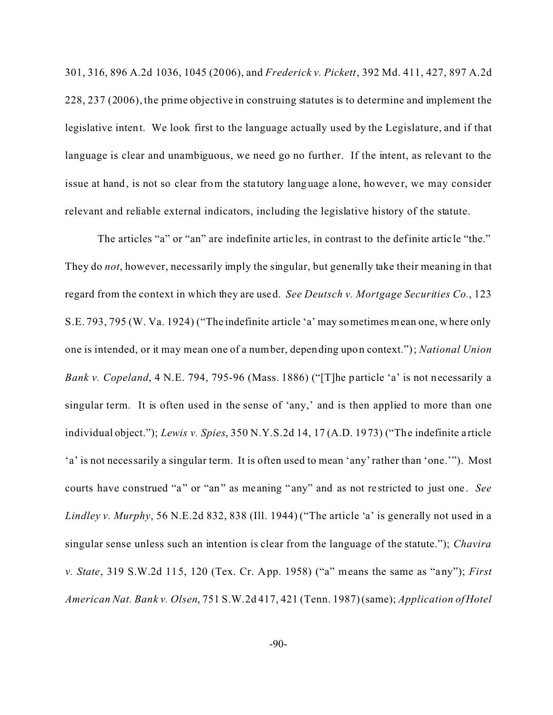301, 316, 896 A.2d 1036, 1045 (2006), and *Frederick v. Pickett*, 392 Md. 411, 427, 897 A.2d 228, 237 (2006), the prime objective in construing statutes is to determine and implement the legislative intent. We look first to the language actually used by the Legislature, and if that language is clear and unambiguous, we need go no further. If the intent, as relevant to the issue at hand, is not so clear from the sta tutory language alone, however, we may consider relevant and reliable external indicators, including the legislative history of the statute.

The articles "a" or "an" are indefinite articles, in contrast to the definite article "the." They do *not*, however, necessarily imply the singular, but generally take their meaning in that regard from the context in which they are used. *See Deutsch v. Mortgage Securities Co.*, 123 S.E. 793, 795 (W. Va. 1924) ("The indefinite article 'a' may sometimes mean one, where only one is intended, or it may mean one of a number, depending upon context."); *National Union Bank v. Copeland*, 4 N.E. 794, 795-96 (Mass. 1886) ("[T]he particle 'a' is not necessarily a singular term. It is often used in the sense of 'any,' and is then applied to more than one individual object."); *Lewis v. Spies*, 350 N.Y.S.2d 14, 17 (A.D. 1973) ("The indefinite a rticle 'a' is not necessarily a singular term. It is often used to mean 'any' rather than 'one.'"). Most courts have construed "a" or "an" as meaning "any" and as not restricted to just one. See *Lindley v. Murphy*, 56 N.E.2d 832, 838 (Ill. 1944) ("The article 'a' is generally not used in a singular sense unless such an intention is clear from the language of the statute."); *Chavira v. State*, 319 S.W.2d 115, 120 (Tex. Cr. App. 1958) ("a" means the same as "any"); *First American Nat. Bank v. Olsen*, 751 S.W.2d 417, 421 (Tenn. 1987) (same); *Application of Hotel*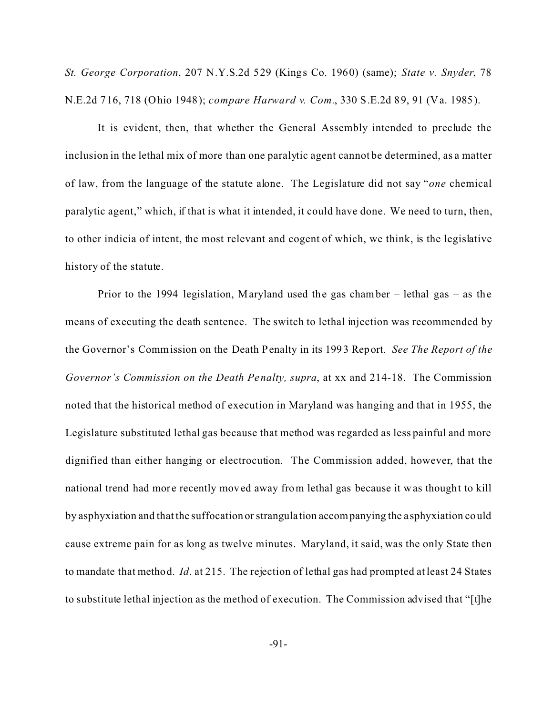*St. George Corporation*, 207 N.Y.S.2d 529 (Kings Co. 1960) (same); *State v. Snyder*, 78 N.E.2d 716, 718 (Ohio 1948); *compare Harward v. Com.*, 330 S.E.2d 89, 91 (Va. 1985).

It is evident, then, that whether the General Assembly intended to preclude the inclusion in the lethal mix of more than one paralytic agent cannot be determined, as a matter of law, from the language of the statute alone. The Legislature did not say "*one* chemical paralytic agent," which, if that is what it intended, it could have done. We need to turn, then, to other indicia of intent, the most relevant and cogent of which, we think, is the legislative history of the statute.

Prior to the 1994 legislation, Maryland used the gas chamber – lethal gas – as the means of executing the death sentence. The switch to lethal injection was recommended by the Governor's Commission on the Death Penalty in its 1993 Report. *See The Report of the Governor's Commission on the Death Penalty, supra*, at xx and 214-18. The Commission noted that the historical method of execution in Maryland was hanging and that in 1955, the Legislature substituted lethal gas because that method was regarded as less painful and more dignified than either hanging or electrocution. The Commission added, however, that the national trend had more recently moved away from lethal gas because it was thought to kill by asphyxiation and that the suffocation or strangula tion accompanying the a sphyxiation could cause extreme pain for as long as twelve minutes. Maryland, it said, was the only State then to mandate that method. *Id*. at 215. The rejection of lethal gas had prompted at least 24 States to substitute lethal injection as the method of execution. The Commission advised that "[t]he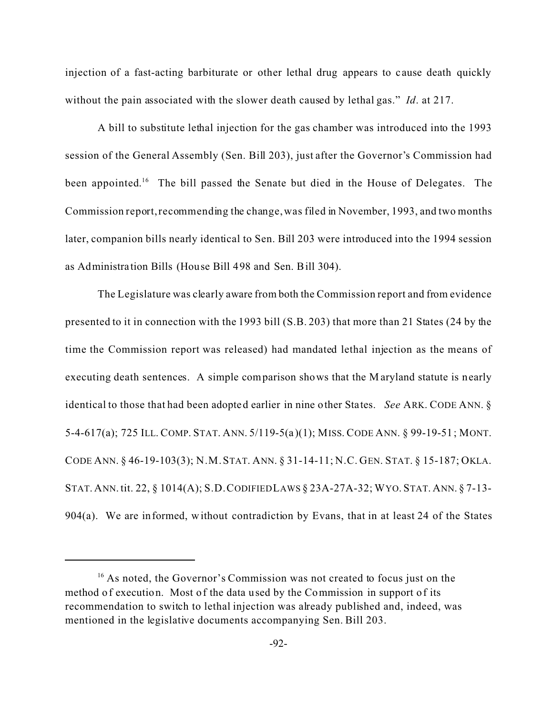injection of a fast-acting barbiturate or other lethal drug appears to c ause death quickly without the pain associated with the slower death caused by lethal gas." *Id*. at 217.

A bill to substitute lethal injection for the gas chamber was introduced into the 1993 session of the General Assembly (Sen. Bill 203), just after the Governor's Commission had been appointed.<sup>16</sup> The bill passed the Senate but died in the House of Delegates. The Commission report, recommending the change, was filed in November, 1993, and two months later, companion bills nearly identical to Sen. Bill 203 were introduced into the 1994 session as Administra tion Bills (House Bill 498 and Sen. Bill 304).

The Legislature was clearly aware from both the Commission report and from evidence presented to it in connection with the 1993 bill (S.B. 203) that more than 21 States (24 by the time the Commission report was released) had mandated lethal injection as the means of executing death sentences. A simple comparison shows that the M aryland statute is nearly identical to those that had been adopted earlier in nine other States. *See* ARK. CODE ANN. § 5-4-617(a); 725 ILL. COMP. STAT. ANN. 5/119-5(a )(1); MISS. CODE ANN. § 99-19-51; MONT. CODE ANN. § 46-19-103(3); N.M.STAT. ANN. § 31-14-11; N.C. GEN. STAT. § 15-187; OKLA. STAT. ANN. tit. 22, § 1014(A); S.D.CODIFIED LAWS § 23A-27A-32; WYO. STAT. ANN. § 7-13- 904(a). We are informed, without contradiction by Evans, that in at least 24 of the States

<sup>&</sup>lt;sup>16</sup> As noted, the Governor's Commission was not created to focus just on the method of execution. Most of the data used by the Commission in support of its recommendation to switch to lethal injection was already published and, indeed, was mentioned in the legislative documents accompanying Sen. Bill 203.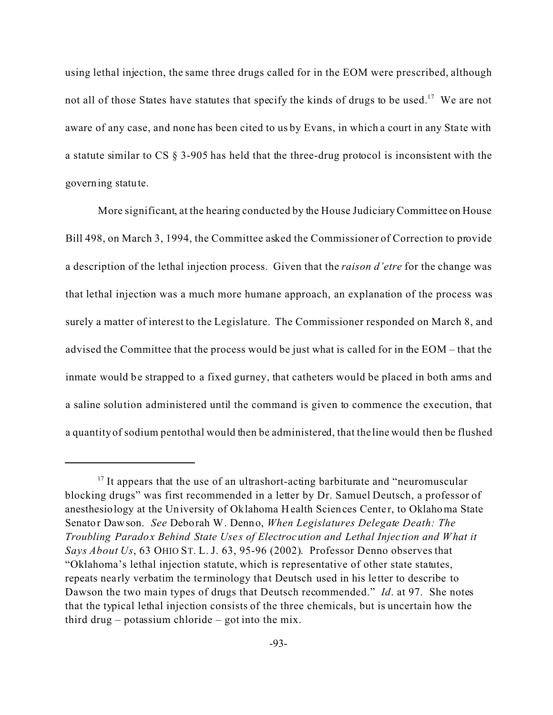using lethal injection, the same three drugs called for in the EOM were prescribed, although not all of those States have statutes that specify the kinds of drugs to be used.<sup>17</sup> We are not aware of any case, and none has been cited to us by Evans, in which a court in any Sta te with a statute similar to CS § 3-905 has held that the three-drug protocol is inconsistent with the governing statute.

More significant, at the hearing conducted by the House JudiciaryCommittee on House Bill 498, on March 3, 1994, the Committee asked the Commissioner of Correction to provide a description of the lethal injection process. Given that the *raison d'etre* for the change was that lethal injection was a much more humane approach, an explanation of the process was surely a matter of interest to the Legislature. The Commissioner responded on March 8, and advised the Committee that the process would be just what is called for in the EOM – that the inmate would be strapped to a fixed gurney, that catheters would be placed in both arms and a saline solution administered until the command is given to commence the execution, that a quantity of sodium pentothal would then be administered, that the line would then be flushed

 $17$  It appears that the use of an ultrashort-acting barbiturate and "neuromuscular blocking drugs" was first recommended in a letter by Dr. Samuel Deutsch, a professor of anesthesiology at the University of Oklahoma Health Sciences Cente r, to Oklahoma State Senator Dawson. *See* Deborah W. Denno, *When Legislatures Delegate Death: The Troubling Paradox Behind State Uses of Electrocution and Lethal Injec tion and What it Says About Us*, 63 OHIO ST. L. J. 63, 95-96 (2002). Professor Denno observes that "Oklahoma's lethal injection statute, which is representative of other state statutes, repeats nea rly verbatim the te rminology tha t Deutsch used in his letter to describe to Dawson the two main types of drugs that Deutsch recommended." *Id*. at 97. She notes that the typical lethal injection consists of the three chemicals, but is uncertain how the third drug – potassium chloride – got into the mix.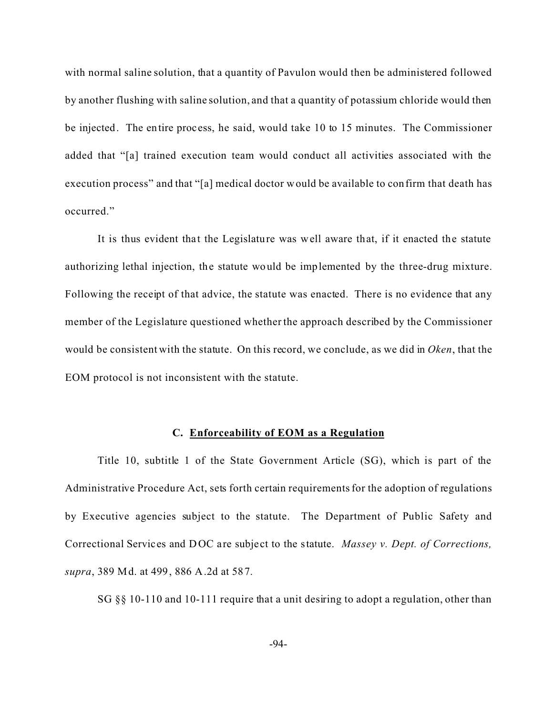with normal saline solution, that a quantity of Pavulon would then be administered followed by another flushing with saline solution, and that a quantity of potassium chloride would then be injected. The entire process, he said, would take 10 to 15 minutes. The Commissioner added that "[a] trained execution team would conduct all activities associated with the execution process" and that "[a] medical doctor would be available to confirm that death has occurred."

It is thus evident that the Legislature was well aware that, if it enacted the statute authorizing lethal injection, the statute would be implemented by the three-drug mixture. Following the receipt of that advice, the statute was enacted. There is no evidence that any member of the Legislature questioned whether the approach described by the Commissioner would be consistent with the statute. On this record, we conclude, as we did in *Oken*, that the EOM protocol is not inconsistent with the statute.

#### **C. Enforceability of EOM as a Regulation**

Title 10, subtitle 1 of the State Government Article (SG), which is part of the Administrative Procedure Act, sets forth certain requirements for the adoption of regulations by Executive agencies subject to the statute. The Department of Public Safety and Correctional Services and DOC are subje ct to the statute. *Massey v. Dept. of Corrections, supra*, 389 Md. at 499, 886 A.2d at 587.

SG §§ 10-110 and 10-111 require that a unit desiring to adopt a regulation, other than

-94-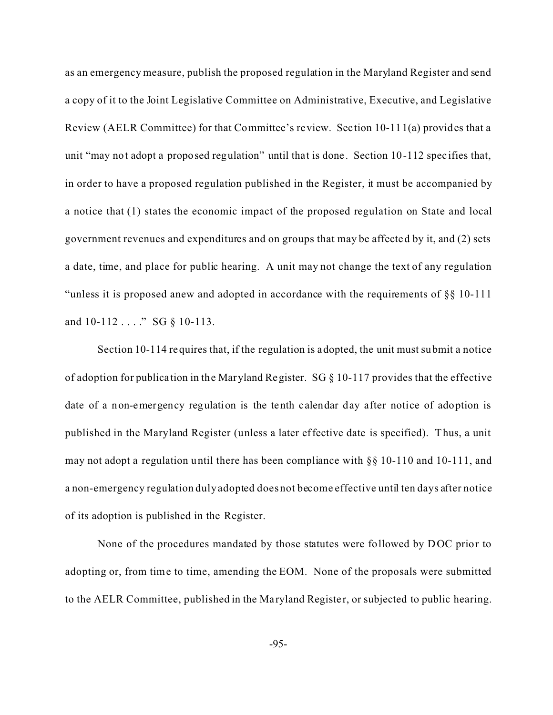as an emergency measure, publish the proposed regulation in the Maryland Register and send a copy of it to the Joint Legislative Committee on Administrative, Executive, and Legislative Review (AELR Committee) for that Committee's review. Sec tion 10-111(a) provides that a unit "may not adopt a proposed regulation" until that is done. Section 10-112 specifies that, in order to have a proposed regulation published in the Register, it must be accompanied by a notice that (1) states the economic impact of the proposed regulation on State and local government revenues and expenditures and on groups that may be affected by it, and (2) sets a date, time, and place for public hearing. A unit may not change the text of any regulation "unless it is proposed anew and adopted in accordance with the requirements of §§ 10-111 and 10-112 . . . ." SG § 10-113.

Section 10-114 requires that, if the regulation is adopted, the unit must submit a notice of adoption for publica tion in the Maryland Register. SG § 10-117 provides that the effective date of a non-emergency regulation is the tenth calendar day after notice of adoption is published in the Maryland Register (unless a later effective date is specified). Thus, a unit may not adopt a regulation until there has been compliance with §§ 10-110 and 10-111, and a non-emergency regulation duly adopted does not become effective until ten days after notice of its adoption is published in the Register.

None of the procedures mandated by those statutes were followed by DOC prior to adopting or, from time to time, amending the EOM. None of the proposals were submitted to the AELR Committee, published in the Ma ryland Registe r, or subjected to public hearing.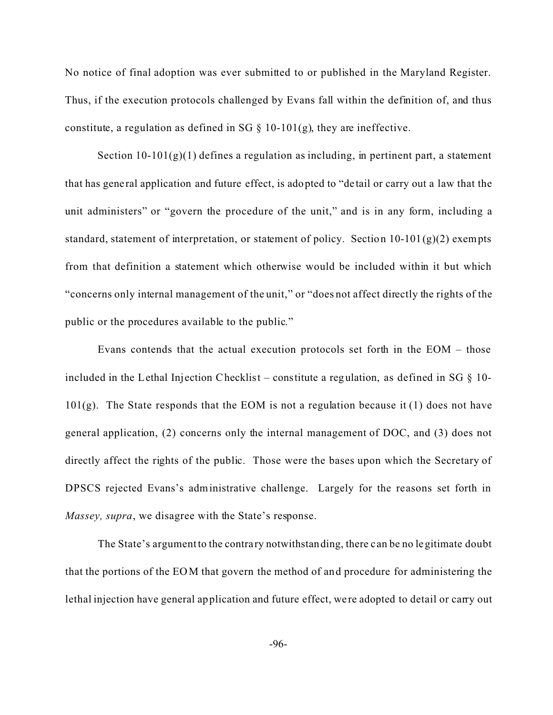No notice of final adoption was ever submitted to or published in the Maryland Register. Thus, if the execution protocols challenged by Evans fall within the definition of, and thus constitute, a regulation as defined in SG  $\S$  10-101(g), they are ineffective.

Section  $10-101(g)(1)$  defines a regulation as including, in pertinent part, a statement that has general application and future effect, is adopted to "de tail or carry out a law that the unit administers" or "govern the procedure of the unit," and is in any form, including a standard, statement of interpretation, or statement of policy. Section  $10-101(g)(2)$  exempts from that definition a statement which otherwise would be included within it but which "concerns only internal management of the unit," or "does not affect directly the rights of the public or the procedures available to the public."

Evans contends that the actual execution protocols set forth in the EOM – those included in the Lethal Injection Checklist – constitute a regulation, as defined in SG  $\S$  10- $101(g)$ . The State responds that the EOM is not a regulation because it (1) does not have general application, (2) concerns only the internal management of DOC, and (3) does not directly affect the rights of the public. Those were the bases upon which the Secretary of DPSCS rejected Evans's administrative challenge. Largely for the reasons set forth in *Massey, supra*, we disagree with the State's response.

The State's argument to the contra ry notwithstanding, there can be no legitimate doubt that the portions of the EOM that govern the method of and procedure for administering the lethal injection have general application and future effect, we re adopted to detail or carry out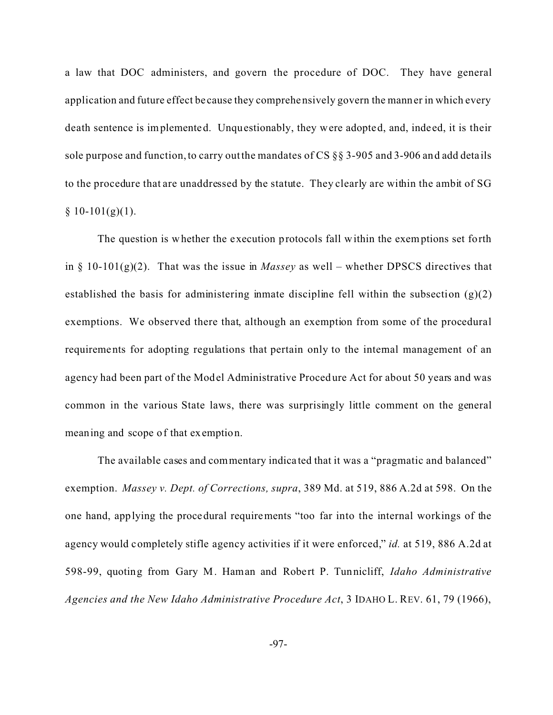a law that DOC administers, and govern the procedure of DOC. They have general application and future effect be cause they comprehensively govern the manner in which every death sentence is implemented. Unquestionably, they were adopted, and, indeed, it is their sole purpose and function, to carry out the mandates of CS §§ 3-905 and 3-906 and add deta ils to the procedure that are unaddressed by the statute. They clearly are within the ambit of SG  $§ 10-101(g)(1).$ 

The question is whether the execution protocols fall within the exemptions set forth in § 10-101(g)(2). That was the issue in *Massey* as well – whether DPSCS directives that established the basis for administering inmate discipline fell within the subsection  $(g)(2)$ exemptions. We observed there that, although an exemption from some of the procedural requirements for adopting regulations that pertain only to the internal management of an agency had been part of the Model Administrative Procedure Act for about 50 years and was common in the various State laws, there was surprisingly little comment on the general meaning and scope of that exemption.

The available cases and commentary indica ted that it was a "pragmatic and balanced" exemption. *Massey v. Dept. of Corrections, supra*, 389 Md. at 519, 886 A.2d at 598. On the one hand, applying the procedural requirements "too far into the internal workings of the agency would completely stifle agency activities if it were enforced," *id.* at 519, 886 A.2d at 598-99, quoting from Gary M. Haman and Robert P. Tunnicliff, *Idaho Administrative Agencies and the New Idaho Administrative Procedure Act*, 3 IDAHO L. REV. 61, 79 (1966),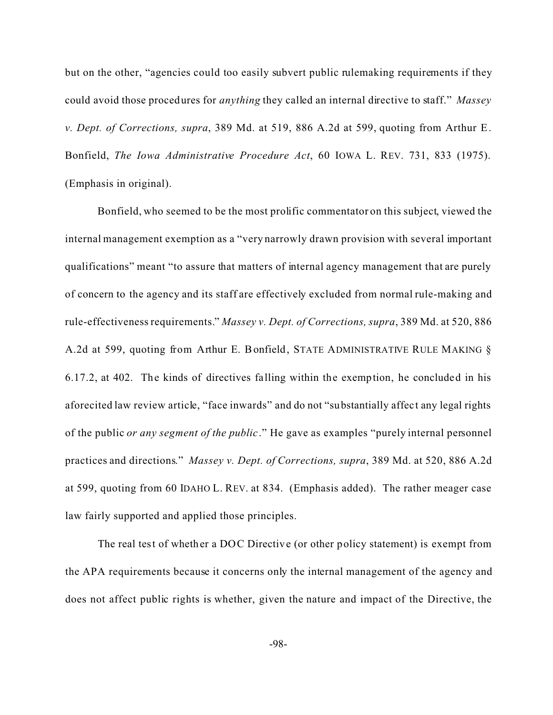but on the other, "agencies could too easily subvert public rulemaking requirements if they could avoid those procedures for *anything* they called an internal directive to staff." *Massey v. Dept. of Corrections, supra*, 389 Md. at 519, 886 A.2d at 599, quoting from Arthur E. Bonfield, *The Iowa Administrative Procedure Act*, 60 IOWA L. REV. 731, 833 (1975). (Emphasis in original).

Bonfield, who seemed to be the most prolific commentator on this subject, viewed the internal management exemption as a "very narrowly drawn provision with several important qualifications" meant "to assure that matters of internal agency management that are purely of concern to the agency and its staff are effectively excluded from normal rule-making and rule-effectiveness requirements." *Massey v. Dept. of Corrections, supra*, 389 Md. at 520, 886 A.2d at 599, quoting from Arthur E. Bonfield, STATE ADMINISTRATIVE RULE MAKING § 6.17.2, at 402. The kinds of directives falling within the exemption, he concluded in his aforecited law review article, "face inwards" and do not "substantially affect any legal rights of the public *or any segment of the public*." He gave as examples "purely internal personnel practices and directions." *Massey v. Dept. of Corrections, supra*, 389 Md. at 520, 886 A.2d at 599, quoting from 60 IDAHO L. REV. at 834. (Emphasis added). The rather meager case law fairly supported and applied those principles.

The real test of whether a DOC Directive (or other policy statement) is exempt from the APA requirements because it concerns only the internal management of the agency and does not affect public rights is whether, given the nature and impact of the Directive, the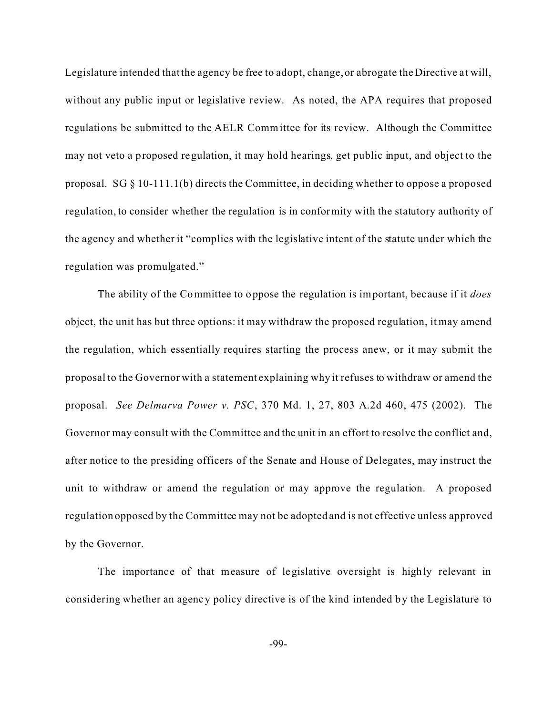Legislature intended that the agency be free to adopt, change, or abrogate the Directive at will, without any public input or legislative review. As noted, the APA requires that proposed regulations be submitted to the AELR Committee for its review. Although the Committee may not veto a proposed regulation, it may hold hearings, get public input, and object to the proposal. SG § 10-111.1(b) directs the Committee, in deciding whether to oppose a proposed regulation, to consider whether the regulation is in conformity with the statutory authority of the agency and whether it "complies with the legislative intent of the statute under which the regulation was promulgated."

The ability of the Committee to oppose the regulation is important, because if it *does* object, the unit has but three options: it may withdraw the proposed regulation, it may amend the regulation, which essentially requires starting the process anew, or it may submit the proposal to the Governor with a statement explaining why it refuses to withdraw or amend the proposal. *See Delmarva Power v. PSC*, 370 Md. 1, 27, 803 A.2d 460, 475 (2002). The Governor may consult with the Committee and the unit in an effort to resolve the conflict and, after notice to the presiding officers of the Senate and House of Delegates, may instruct the unit to withdraw or amend the regulation or may approve the regulation. A proposed regulation opposed by the Committee may not be adopted and is not effective unless approved by the Governor.

The importance of that measure of legislative oversight is highly relevant in considering whether an agency policy directive is of the kind intended by the Legislature to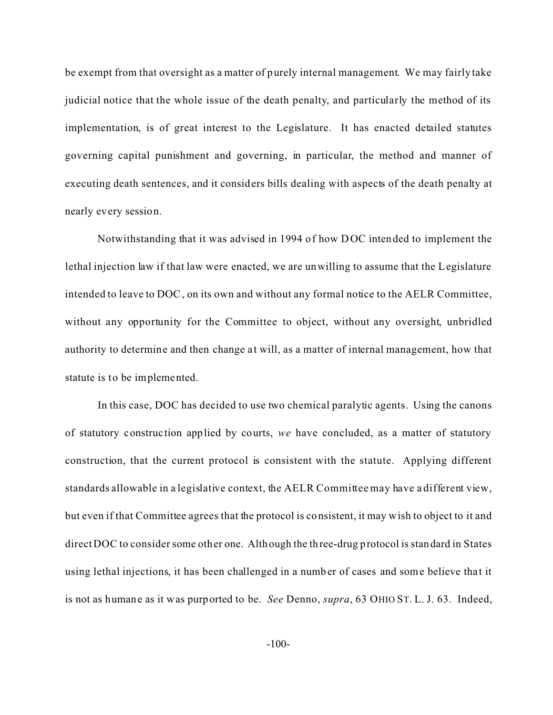be exempt from that oversight as a matter of purely internal management. We may fairly take judicial notice that the whole issue of the death penalty, and particularly the method of its implementation, is of great interest to the Legislature. It has enacted detailed statutes governing capital punishment and governing, in particular, the method and manner of executing death sentences, and it considers bills dealing with aspects of the death penalty at nearly every session.

Notwithstanding that it was advised in 1994 of how DOC intended to implement the lethal injection law if that law were enacted, we are unwilling to assume that the Legislature intended to leave to DOC, on its own and without any formal notice to the AELR Committee, without any opportunity for the Committee to object, without any oversight, unbridled authority to determine and then change at will, as a matter of internal management, how that statute is to be implemented.

In this case, DOC has decided to use two chemical paralytic agents. Using the canons of statutory construc tion applied by courts, *we* have concluded, as a matter of statutory construction, that the current protocol is consistent with the statute. Applying different standards allowable in a legislative context, the AELR Committee may have a different view, but even if that Committee agrees that the protocol is consistent, it may wish to object to it and direct DOC to consider some other one. Although the three-drug protocol is standard in States using lethal injections, it has been challenged in a number of cases and some believe that it is not as humane as it was purported to be. *See* Denno, *supra*, 63 OHIO ST. L. J. 63. Indeed,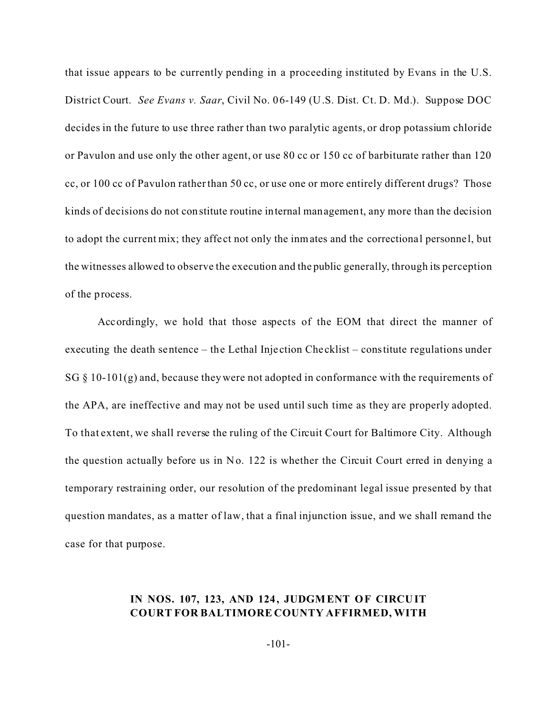that issue appears to be currently pending in a proceeding instituted by Evans in the U.S. District Court. *See Evans v. Saar*, Civil No. 06-149 (U.S. Dist. Ct. D. Md.). Suppose DOC decides in the future to use three rather than two paralytic agents, or drop potassium chloride or Pavulon and use only the other agent, or use 80 cc or 150 cc of barbiturate rather than 120 cc, or 100 cc of Pavulon rather than 50 cc, or use one or more entirely different drugs? Those kinds of decisions do not constitute routine internal management, any more than the decision to adopt the current mix; they affe ct not only the inmates and the correctiona l personne l, but the witnesses allowed to observe the execution and the public generally, through its perception of the process.

Accordingly, we hold that those aspects of the EOM that direct the manner of executing the death sentence – the Lethal Injection Checklist – constitute regulations under SG  $\S$  10-101(g) and, because they were not adopted in conformance with the requirements of the APA, are ineffective and may not be used until such time as they are properly adopted. To that extent, we shall reverse the ruling of the Circuit Court for Baltimore City. Although the question actually before us in No. 122 is whether the Circuit Court erred in denying a temporary restraining order, our resolution of the predominant legal issue presented by that question mandates, as a matter of law, that a final injunction issue, and we shall remand the case for that purpose.

# **IN NOS. 107, 123, AND 124, JUDGMENT OF CIRCUIT COURT FOR BALTIMORE COUNTY AFFIRMED, WITH**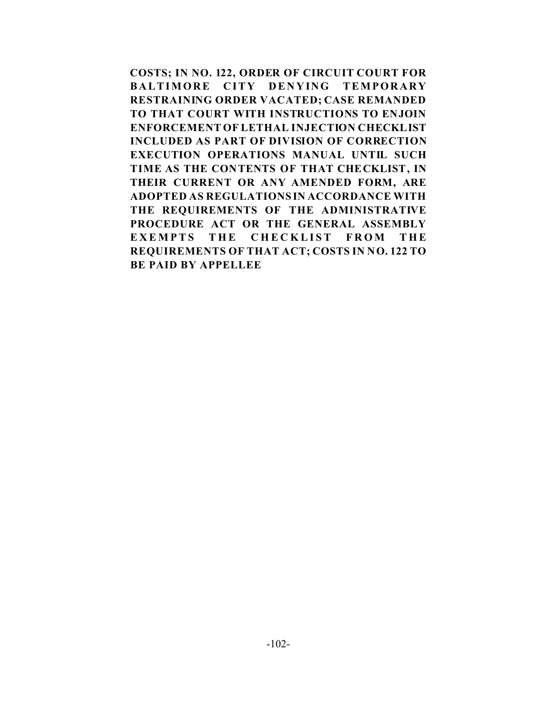**COSTS; IN NO. 122, ORDER OF CIRCUIT COURT FOR BALTIMORE CITY DENYING TEMPORARY RESTRAINING ORDER VACATED; CASE REMANDED TO THAT COURT WITH INSTRUCTIONS TO ENJOIN ENFORCEMENT OF LETHAL INJECTION CHECKLIST INCLUDED AS PART OF DIVISION OF CORRECTION EXECUTION OPERATIONS MANUAL UNTIL SUCH TIME AS THE CONTENTS OF THAT CHECKLIST, IN THEIR CURRENT OR ANY AMENDED FORM, ARE ADOPTED AS REGULATIONS IN ACCORDANCE WITH THE REQUIREMENTS OF THE ADMINISTRATIVE PROCEDURE ACT OR THE GENERAL ASSEMBLY EXEMPTS THE CHECKLIST FROM THE REQUIREMENTS OF THAT ACT; COSTS IN NO. 122 TO BE PAID BY APPELLEE**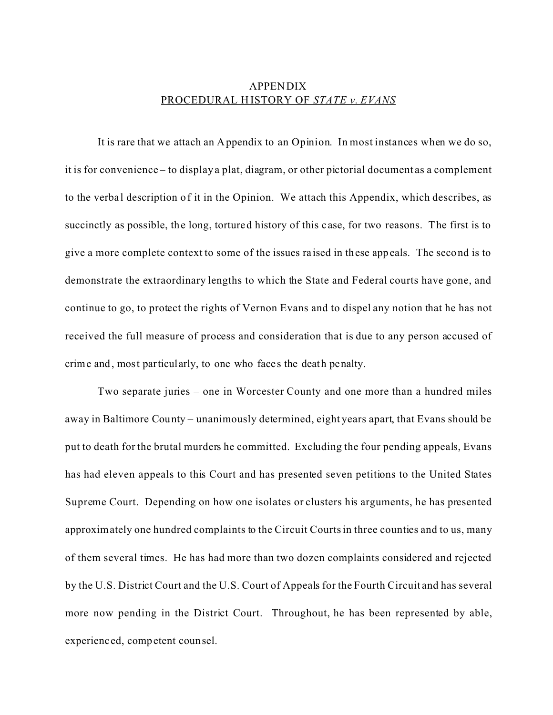## APPENDIX PROCEDURAL HISTORY OF *STATE v. EVANS*

It is rare that we attach an Appendix to an Opinion. In most instances when we do so, it is for convenience – to display a plat, diagram, or other pictorial document as a complement to the verbal description of it in the Opinion. We attach this Appendix, which describes, as succinctly as possible, the long, tortured history of this case, for two reasons. The first is to give a more complete context to some of the issues ra ised in these appeals. The second is to demonstrate the extraordinary lengths to which the State and Federal courts have gone, and continue to go, to protect the rights of Vernon Evans and to dispel any notion that he has not received the full measure of process and consideration that is due to any person accused of crime and, most particularly, to one who face s the death penalty.

Two separate juries – one in Worcester County and one more than a hundred miles away in Baltimore County – unanimously determined, eight years apart, that Evans should be put to death for the brutal murders he committed. Excluding the four pending appeals, Evans has had eleven appeals to this Court and has presented seven petitions to the United States Supreme Court. Depending on how one isolates or clusters his arguments, he has presented approximately one hundred complaints to the Circuit Courts in three counties and to us, many of them several times. He has had more than two dozen complaints considered and rejected by the U.S. District Court and the U.S. Court of Appeals for the Fourth Circuit and has several more now pending in the District Court. Throughout, he has been represented by able, experienc ed, competent counsel.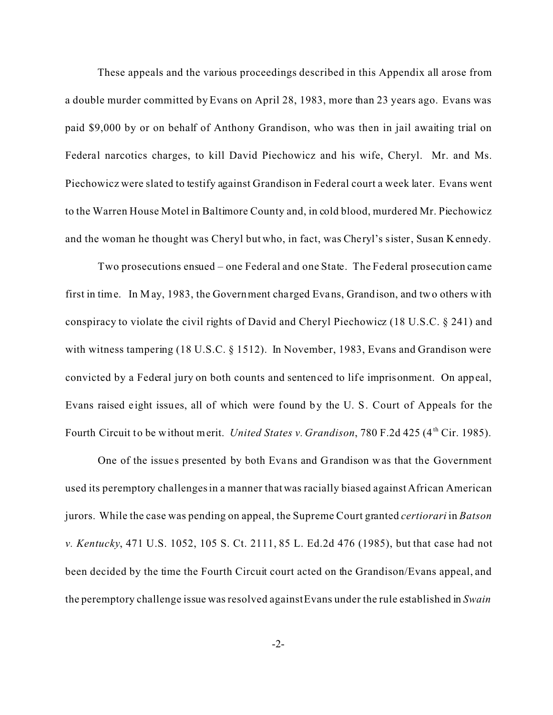These appeals and the various proceedings described in this Appendix all arose from a double murder committed by Evans on April 28, 1983, more than 23 years ago. Evans was paid \$9,000 by or on behalf of Anthony Grandison, who was then in jail awaiting trial on Federal narcotics charges, to kill David Piechowicz and his wife, Cheryl. Mr. and Ms. Piechowicz were slated to testify against Grandison in Federal court a week later. Evans went to the Warren House Motel in Baltimore County and, in cold blood, murdered Mr. Piechowicz and the woman he thought was Cheryl but who, in fact, was Cheryl's sister, Susan Kennedy.

Two prosecutions ensued – one Federal and one State. The Federal prosecution came first in time. In M ay, 1983, the Government cha rged Evans, Grandison, and two others with conspiracy to violate the civil rights of David and Cheryl Piechowicz (18 U.S.C. § 241) and with witness tampering (18 U.S.C. § 1512). In November, 1983, Evans and Grandison were convicted by a Federal jury on both counts and sentenced to life imprisonment. On appeal, Evans raised eight issues, all of which were found by the U. S. Court of Appeals for the Fourth Circuit to be without merit. *United States v. Grandison*, 780 F.2d 425 (4<sup>th</sup> Cir. 1985).

One of the issues presented by both Evans and Grandison was that the Government used its peremptory challenges in a manner that was racially biased against African American jurors. While the case was pending on appeal, the Supreme Court granted *certiorari* in *Batson v. Kentucky*, 471 U.S. 1052, 105 S. Ct. 2111, 85 L. Ed.2d 476 (1985), but that case had not been decided by the time the Fourth Circuit court acted on the Grandison/Evans appeal, and the peremptory challenge issue was resolved against Evans under the rule established in *Swain*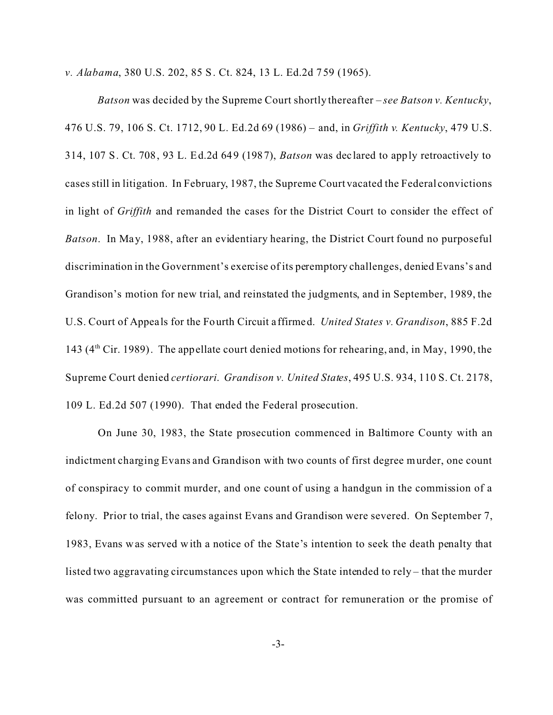*v. Alabama*, 380 U.S. 202, 85 S. Ct. 824, 13 L. Ed.2d 759 (1965).

*Batson* was decided by the Supreme Court shortly thereafter – *see Batson v. Kentucky*, 476 U.S. 79, 106 S. Ct. 1712, 90 L. Ed.2d 69 (1986) – and, in *Griffith v. Kentucky*, 479 U.S. 314, 107 S. Ct. 708, 93 L. Ed.2d 649 (1987), *Batson* was dec lared to apply retroactively to cases still in litigation. In February, 1987, the Supreme Court vacated the Federal convictions in light of *Griffith* and remanded the cases for the District Court to consider the effect of *Batson*. In May, 1988, after an evidentiary hearing, the District Court found no purposeful discrimination in the Government's exercise of its peremptory challenges, denied Evans's and Grandison's motion for new trial, and reinstated the judgments, and in September, 1989, the U.S. Court of Appeals for the Fourth Circuit a ffirmed. *United States v. Grandison*, 885 F.2d 143 (4<sup>th</sup> Cir. 1989). The appellate court denied motions for rehearing, and, in May, 1990, the Supreme Court denied *certiorari*. *Grandison v. United States*, 495 U.S. 934, 110 S. Ct. 2178, 109 L. Ed.2d 507 (1990). That ended the Federal prosecution.

On June 30, 1983, the State prosecution commenced in Baltimore County with an indictment charging Evans and Grandison with two counts of first degree murder, one count of conspiracy to commit murder, and one count of using a handgun in the commission of a felony. Prior to trial, the cases against Evans and Grandison were severed. On September 7, 1983, Evans was served with a notice of the State's intention to seek the death penalty that listed two aggravating circumstances upon which the State intended to rely – that the murder was committed pursuant to an agreement or contract for remuneration or the promise of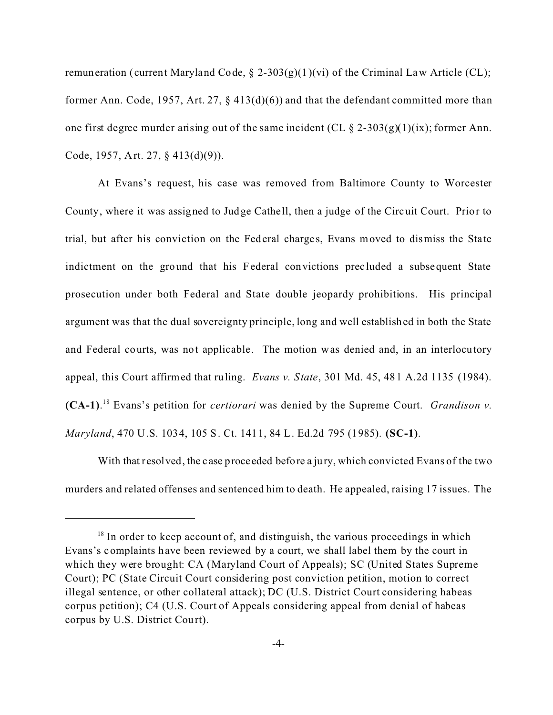remuneration (current Maryland Code,  $\S$  2-303(g)(1)(vi) of the Criminal Law Article (CL); former Ann. Code, 1957, Art. 27,  $\S$  413(d)(6)) and that the defendant committed more than one first degree murder arising out of the same incident (CL  $\S$  2-303(g)(1)(ix); former Ann. Code, 1957, Art. 27, § 413(d)(9)).

At Evans's request, his case was removed from Baltimore County to Worcester County, where it was assigned to Judge Cathe ll, then a judge of the Circuit Court. Prior to trial, but after his conviction on the Federal charges, Evans moved to dismiss the State indictment on the ground that his Federal convictions prec luded a subsequent State prosecution under both Federal and State double jeopardy prohibitions. His principal argument was that the dual sovereignty principle, long and well established in both the State and Federal courts, was not applicable. The motion was denied and, in an interlocutory appeal, this Court affirmed that ruling. *Evans v. State*, 301 Md. 45, 481 A.2d 1135 (1984). **(CA-1)**. <sup>18</sup> Evans's petition for *certiorari* was denied by the Supreme Court. *Grandison v. Maryland*, 470 U.S. 1034, 105 S. Ct. 1411, 84 L. Ed.2d 795 (1985). **(SC-1)**.

With that resolved, the case proceeded before a jury, which convicted Evans of the two murders and related offenses and sentenced him to death. He appealed, raising 17 issues. The

 $18$  In order to keep account of, and distinguish, the various proceedings in which Evans's complaints have been reviewed by a court, we shall label them by the court in which they were brought: CA (Maryland Court of Appeals); SC (United States Supreme Court); PC (State Circuit Court considering post conviction petition, motion to correct illegal sentence, or other collateral attack); DC (U.S. District Court considering habeas corpus petition); C4 (U.S. Court of Appeals considering appeal from denial of habeas corpus by U.S. District Court).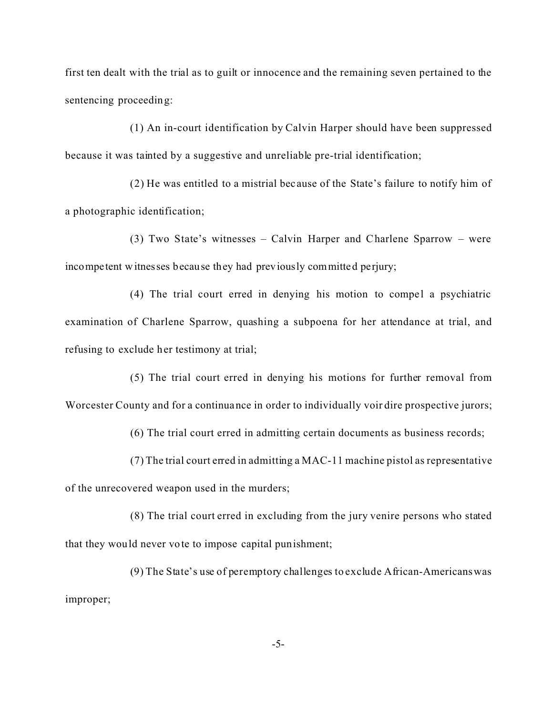first ten dealt with the trial as to guilt or innocence and the remaining seven pertained to the sentencing proceeding:

(1) An in-court identification by Calvin Harper should have been suppressed because it was tainted by a suggestive and unreliable pre-trial identification;

(2) He was entitled to a mistrial bec ause of the State's failure to notify him of a photographic identification;

(3) Two State's witnesses – Calvin Harper and Charlene Sparrow – were incompetent witnesses because they had previously committed perjury;

 $(4)$  The trial court erred in denying his motion to compel a psychiatric examination of Charlene Sparrow, quashing a subpoena for her attendance at trial, and refusing to exclude her testimony at trial;

(5) The trial court erred in denying his motions for further removal from Worcester County and for a continuance in order to individually voir dire prospective jurors;

(6) The trial court erred in admitting certain documents as business records;

(7) The trial court erred in admitting a MAC-11 machine pistol as representative

of the unrecovered weapon used in the murders;

(8) The trial court erred in excluding from the jury venire persons who stated that they would never vote to impose capital punishment;

(9) The State's use of peremptory challenges to exclude African-Americanswas improper;

-5-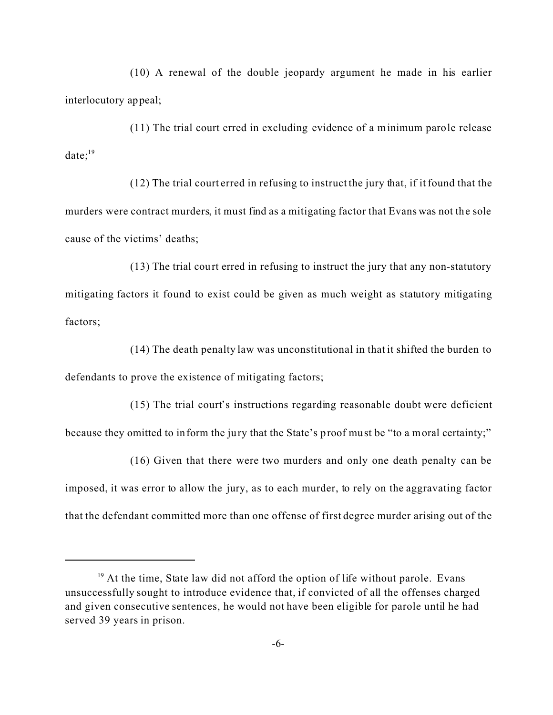(10) A renewal of the double jeopardy argument he made in his earlier interlocutory appeal;

(11) The trial court erred in excluding evidence of a minimum parole release  $date:$ <sup>19</sup>

(12) The trial court erred in refusing to instruct the jury that, if it found that the murders were contract murders, it must find as a mitigating factor that Evans was not the sole cause of the victims' deaths;

(13) The trial court erred in refusing to instruct the jury that any non-statutory mitigating factors it found to exist could be given as much weight as statutory mitigating factors;

(14) The death penalty law was unconstitutional in that it shifted the burden to defendants to prove the existence of mitigating factors;

(15) The trial court's instructions regarding reasonable doubt were deficient because they omitted to inform the jury that the State's proof must be "to a moral certainty;"

(16) Given that there were two murders and only one death penalty can be imposed, it was error to allow the jury, as to each murder, to rely on the aggravating factor that the defendant committed more than one offense of first degree murder arising out of the

 $19$  At the time, State law did not afford the option of life without parole. Evans unsuccessfully sought to introduce evidence that, if convicted of all the offenses charged and given consecutive sentences, he would not have been eligible for parole until he had served 39 years in prison.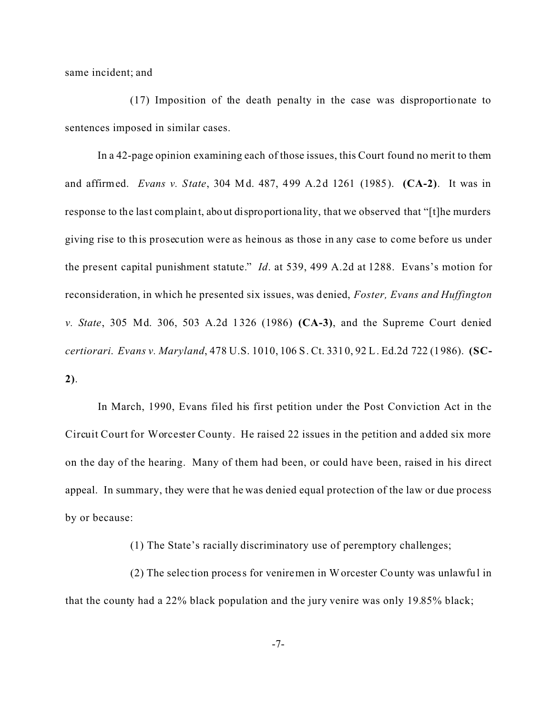same incident; and

(17) Imposition of the death penalty in the case was disproportionate to sentences imposed in similar cases.

In a 42-page opinion examining each of those issues, this Court found no merit to them and affirmed. *Evans v. State*, 304 Md. 487, 499 A.2d 1261 (1985). **(CA-2)**. It was in response to the last complaint, about disproportionality, that we observed that "[t]he murders giving rise to this prosecution were as heinous as those in any case to come before us under the present capital punishment statute." *Id*. at 539, 499 A.2d at 1288. Evans's motion for reconsideration, in which he presented six issues, was denied, *Foster, Evans and Huffington v. State*, 305 Md. 306, 503 A.2d 1326 (1986) **(CA-3)**, and the Supreme Court denied *certiorari*. *Evans v. Maryland*, 478 U.S. 1010, 106 S. Ct. 3310, 92 L. Ed.2d 722 (1986). **(SC-2)**.

In March, 1990, Evans filed his first petition under the Post Conviction Act in the Circuit Court for Worcester County. He raised 22 issues in the petition and added six more on the day of the hearing. Many of them had been, or could have been, raised in his direct appeal. In summary, they were that he was denied equal protection of the law or due process by or because:

(1) The State's racially discriminatory use of peremptory challenges;

(2) The selec tion process for veniremen in Worcester County was unlawful in that the county had a 22% black population and the jury venire was only 19.85% black;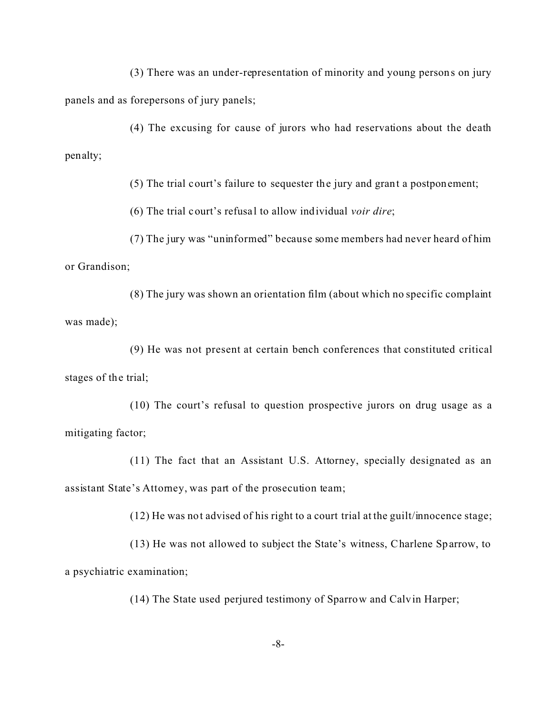(3) There was an under-representation of minority and young persons on jury panels and as forepersons of jury panels;

(4) The excusing for cause of jurors who had reservations about the death penalty;

(5) The trial court's failure to sequester the jury and grant a postponement;

(6) The trial court's refusa l to allow individual *voir dire*;

(7) The jury was "uninformed" because some members had never heard of him or Grandison;

(8) The jury was shown an orientation film (about which no specific complaint was made);

(9) He was not present at certain bench conferences that constituted critical stages of the trial;

(10) The court's refusal to question prospective jurors on drug usage as a mitigating factor;

(11) The fact that an Assistant U.S. Attorney, specially designated as an assistant State's Attorney, was part of the prosecution team;

(12) He was not advised of his right to a court trial at the guilt/innocence stage;

(13) He was not allowed to subject the State's witness, Charlene Sparrow, to a psychiatric examination;

(14) The State used perjured testimony of Sparrow and Calvin Harper;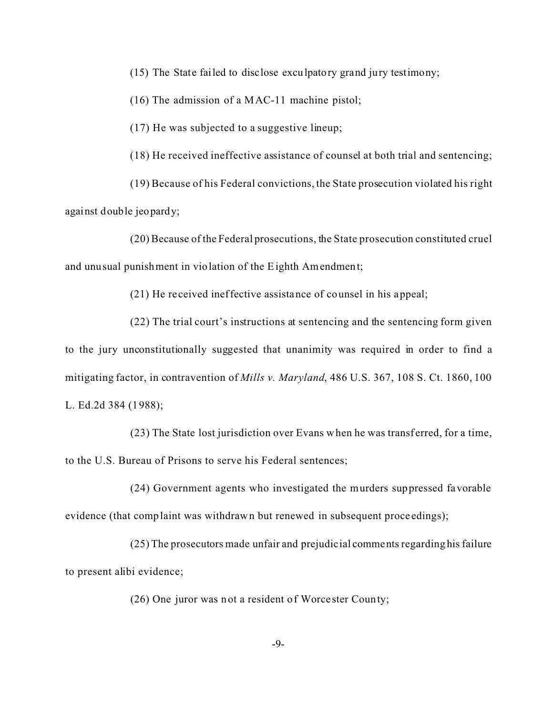(15) The State failed to disclose exculpatory grand jury testimony;

(16) The admission of a MAC-11 machine pistol;

(17) He was subjected to a suggestive lineup;

(18) He received ineffective assistance of counsel at both trial and sentencing;

(19) Because of his Federal convictions, the State prosecution violated his right against double jeopardy;

(20) Because of the Federal prosecutions, the State prosecution constituted cruel and unusual punishment in violation of the Eighth Amendment;

(21) He re ceived ineffective assistance of counsel in his appeal;

(22) The trial court's instructions at sentencing and the sentencing form given to the jury unconstitutionally suggested that unanimity was required in order to find a mitigating factor, in contravention of *Mills v. Maryland*, 486 U.S. 367, 108 S. Ct. 1860, 100 L. Ed.2d 384 (1988);

(23) The State lost jurisdiction over Evans when he was transf erred, for a time, to the U.S. Bureau of Prisons to serve his Federal sentences;

(24) Government agents who investigated the murders suppressed favorable evidence (that complaint was withdrawn but renewed in subsequent proce edings);

 $(25)$  The prosecutors made unfair and prejudicial comments regarding his failure to present alibi evidence;

(26) One juror was not a resident of Worce ster County;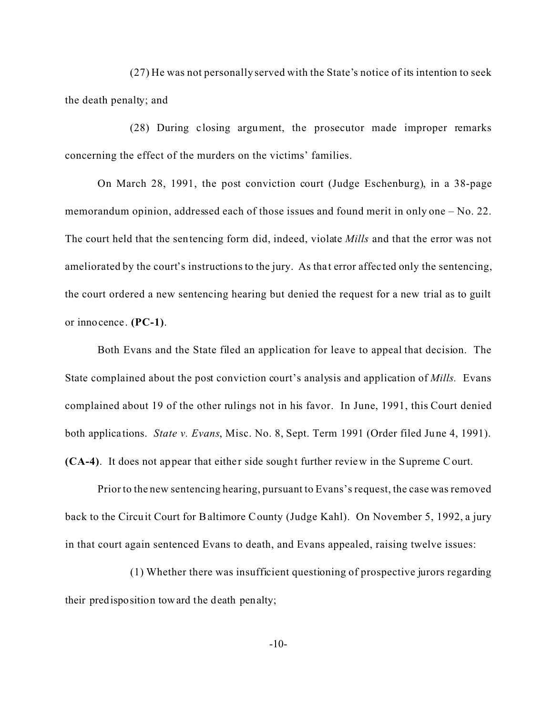(27) He was not personally served with the State's notice of its intention to seek the death penalty; and

(28) During closing argument, the prosecutor made improper remarks concerning the effect of the murders on the victims' families.

On March 28, 1991, the post conviction court (Judge Eschenburg), in a 38-page memorandum opinion, addressed each of those issues and found merit in only one – No. 22. The court held that the sentencing form did, indeed, violate *Mills* and that the error was not ameliorated by the court's instructions to the jury. As that error affected only the sentencing, the court ordered a new sentencing hearing but denied the request for a new trial as to guilt or innocence. **(PC-1)**.

Both Evans and the State filed an application for leave to appeal that decision. The State complained about the post conviction court's analysis and application of *Mills.* Evans complained about 19 of the other rulings not in his favor.In June, 1991, this Court denied both applica tions. *State v. Evans*, Misc. No. 8, Sept. Term 1991 (Order filed June 4, 1991). **(CA-4)**. It does not appear that either side sought further review in the Supreme Court.

Prior to the new sentencing hearing, pursuant to Evans's request, the case was removed back to the Circuit Court for Baltimore County (Judge Kahl). On November 5, 1992, a jury in that court again sentenced Evans to death, and Evans appealed, raising twelve issues:

(1) Whether there was insufficient questioning of prospective jurors regarding their predisposition toward the death penalty;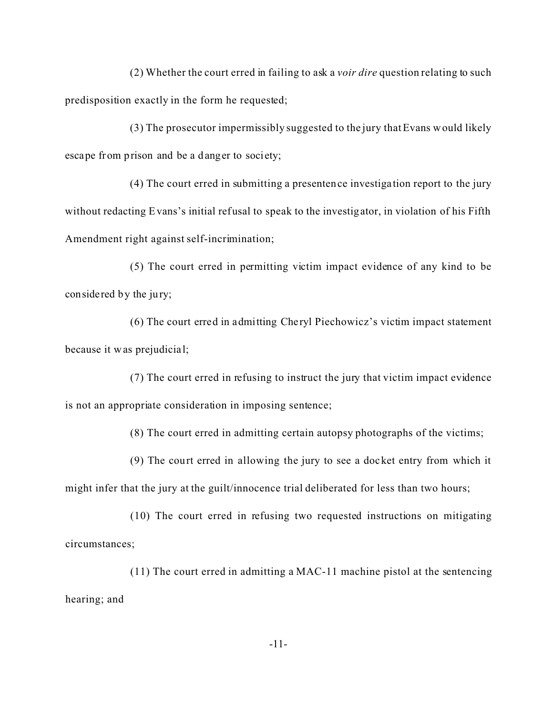(2) Whether the court erred in failing to ask a *voir dire* question relating to such predisposition exactly in the form he requested;

(3) The prosecutor impermissibly suggested to the jury that Evans would likely escape from prison and be a danger to society;

(4) The court erred in submitting a presentence investiga tion report to the jury without redacting Evans's initial refusal to speak to the investigator, in violation of his Fifth Amendment right against self-incrimination;

(5) The court erred in permitting victim impact evidence of any kind to be considered by the jury;

(6) The court erred in admitting Cheryl Piechowicz's victim impact statement because it was prejudicia l;

(7) The court erred in refusing to instruct the jury that victim impact evidence is not an appropriate consideration in imposing sentence;

(8) The court erred in admitting certain autopsy photographs of the victims;

(9) The court erred in allowing the jury to see a docket entry from which it might infer that the jury at the guilt/innocence trial deliberated for less than two hours;

(10) The court erred in refusing two requested instructions on mitigating circumstances;

(11) The court erred in admitting a MAC-11 machine pistol at the sentencing hearing; and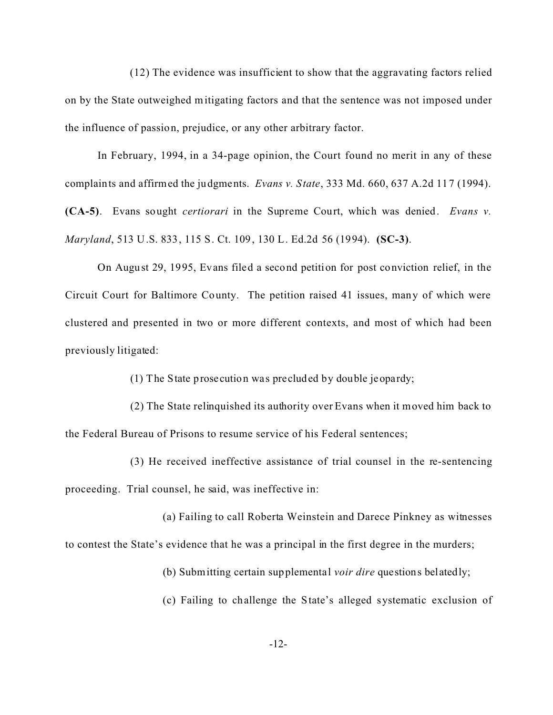(12) The evidence was insufficient to show that the aggravating factors relied on by the State outweighed mitigating factors and that the sentence was not imposed under the influence of passion, prejudice, or any other arbitrary factor.

In February, 1994, in a 34-page opinion, the Court found no merit in any of these complaints and affirmed the judgments. *Evans v. State*, 333 Md. 660, 637 A.2d 117 (1994). **(CA-5)**. Evans sought *certiorari* in the Supreme Court, which was denied. *Evans v. Maryland*, 513 U.S. 833, 115 S. Ct. 109, 130 L. Ed.2d 56 (1994). **(SC-3)**.

On August 29, 1995, Evans filed a second petition for post conviction relief, in the Circuit Court for Baltimore County. The petition raised 41 issues, many of which were clustered and presented in two or more different contexts, and most of which had been previously litigated:

(1) The State prosecution wa s precluded by double jeopardy;

(2) The State relinquished its authority over Evans when it moved him back to the Federal Bureau of Prisons to resume service of his Federal sentences;

(3) He received ineffective assistance of trial counsel in the re-sentencing proceeding. Trial counsel, he said, was ineffective in:

(a) Failing to call Roberta Weinstein and Darece Pinkney as witnesses to contest the State's evidence that he was a principal in the first degree in the murders;

(b) Submitting certain supplemental *voir dire* questions belatedly;

(c) Failing to challenge the State's alleged systematic exclusion of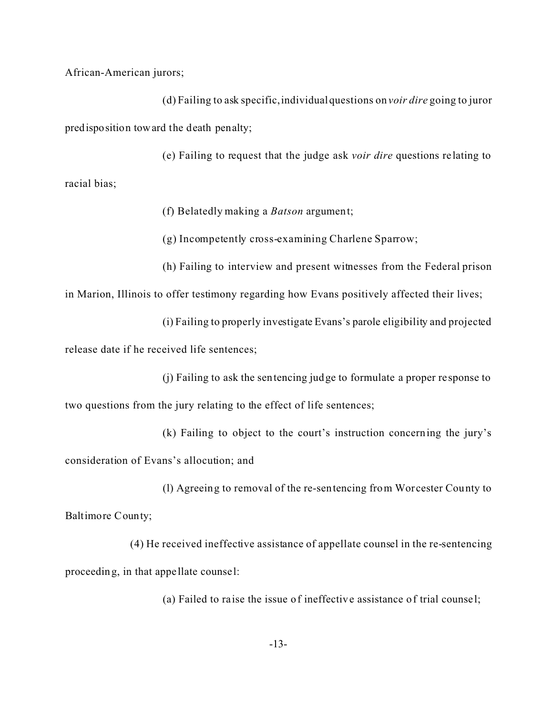African-American jurors;

(d) Failing to ask specific,individualquestions on *voir dire* going to juror predisposition toward the death penalty;

(e) Failing to request that the judge ask *voir dire* questions re lating to racial bias;

(f) Belatedly making a *Batson* argument;

(g) Incompetently cross-examining Charlene Sparrow;

(h) Failing to interview and present witnesses from the Federal prison

in Marion, Illinois to offer testimony regarding how Evans positively affected their lives;

(i) Failing to properly investigate Evans's parole eligibility and projected

release date if he received life sentences;

(j) Failing to ask the sentencing judge to formulate a proper response to

two questions from the jury relating to the effect of life sentences;

(k) Failing to object to the court's instruction concerning the jury's consideration of Evans's allocution; and

(l) Agreeing to removal of the re-sentencing from Worcester County to Baltimore County;

(4) He received ineffective assistance of appellate counsel in the re-sentencing proceeding, in that appe llate counse l:

(a) Failed to ra ise the issue of ineffective assistance of trial counse l;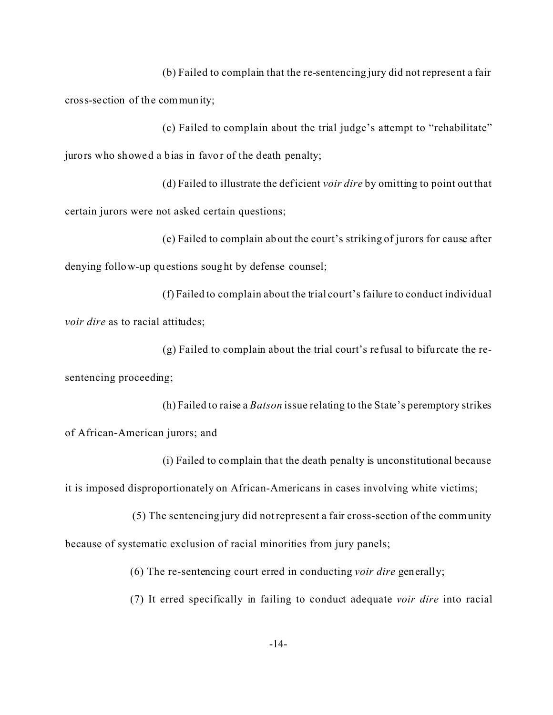(b) Failed to complain that the re-sentencing jury did not represent a fair cross-section of the community;

(c) Failed to complain about the trial judge's attempt to "rehabilitate" jurors who showed a bias in favor of the death penalty;

(d) Failed to illustrate the deficient *voir dire* by omitting to point out that certain jurors were not asked certain questions;

(e) Failed to complain about the court's striking of jurors for cause after denying follow-up questions sought by defense counsel;

(f) Failed to complain about the trial court's failure to conduct individual *voir dire* as to racial attitudes;

(g) Failed to complain about the trial court's re fusal to bifurcate the resentencing proceeding;

(h) Failed to raise a *Batson* issue relating to the State's peremptory strikes of African-American jurors; and

(i) Failed to complain that the death penalty is unconstitutional because it is imposed disproportionately on African-Americans in cases involving white victims;

 (5) The sentencing jury did not represent a fair cross-section of the community because of systematic exclusion of racial minorities from jury panels;

(6) The re-sentencing court erred in conducting *voir dire* generally;

(7) It erred specifically in failing to conduct adequate *voir dire* into racial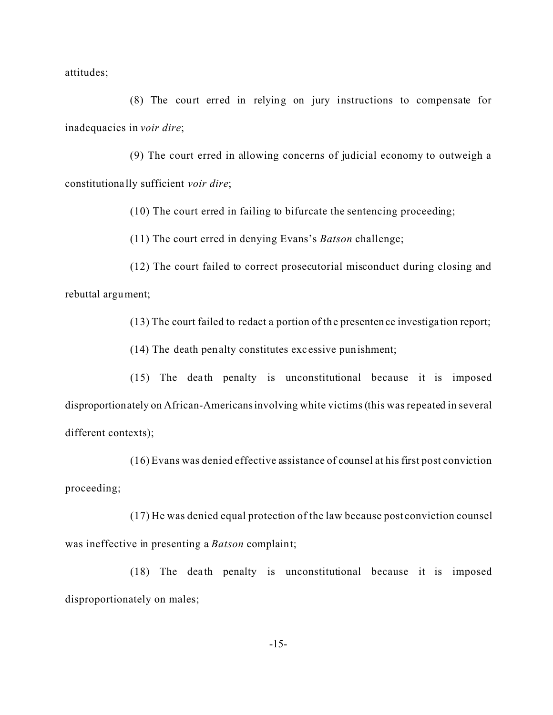attitudes;

(8) The court erred in relying on jury instructions to compensate for inadequacies in *voir dire*;

(9) The court erred in allowing concerns of judicial economy to outweigh a constitutiona lly sufficient *voir dire*;

(10) The court erred in failing to bifurcate the sentencing proceeding;

(11) The court erred in denying Evans's *Batson* challenge;

(12) The court failed to correct prosecutorial misconduct during closing and rebuttal argument;

(13) The court failed to redact a portion of the presentence investiga tion report;

(14) The death penalty constitutes exc essive punishment;

(15) The dea th penalty is unconstitutional because it is imposed disproportionately on African-Americansinvolving white victims (this was repeated in several different contexts);

(16) Evans was denied effective assistance of counsel at his first post conviction proceeding;

(17) He was denied equal protection of the law because post conviction counsel was ineffective in presenting a *Batson* complaint;

(18) The dea th penalty is unconstitutional because it is imposed disproportionately on males;

-15-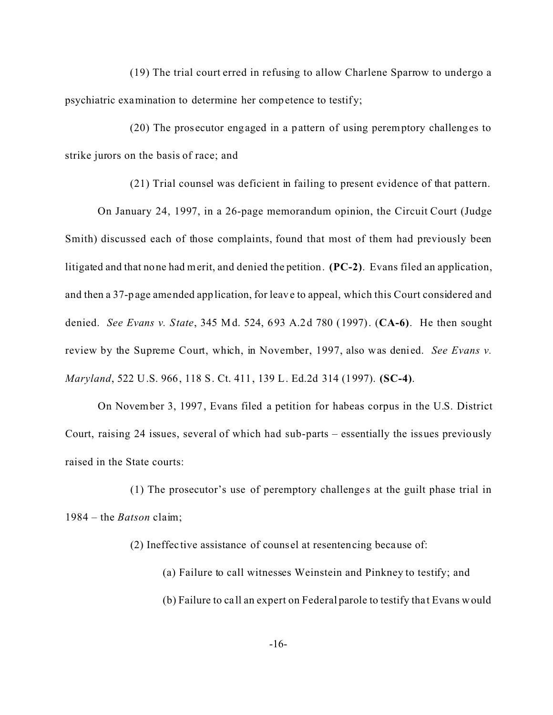(19) The trial court erred in refusing to allow Charlene Sparrow to undergo a psychiatric examination to determine her competence to testify;

(20) The pros ecutor engaged in a pattern of using peremptory challenges to strike jurors on the basis of race; and

(21) Trial counsel was deficient in failing to present evidence of that pattern.

On January 24, 1997, in a 26-page memorandum opinion, the Circuit Court (Judge Smith) discussed each of those complaints, found that most of them had previously been litigated and that none had merit, and denied the petition. **(PC-2)**. Evans filed an application, and then a 37-page amended application, for leave to appeal, which this Court considered and denied. *See Evans v. State*, 345 Md. 524, 693 A.2d 780 (1997). (**CA-6)**. He then sought review by the Supreme Court, which, in November, 1997, also was denied. *See Evans v. Maryland*, 522 U.S. 966, 118 S. Ct. 411, 139 L. Ed.2d 314 (1997). **(SC-4)**.

On November 3, 1997, Evans filed a petition for habeas corpus in the U.S. District Court, raising 24 issues, several of which had sub-parts – essentially the issues previously raised in the State courts:

(1) The prosecutor's use of peremptory challenge s at the guilt phase trial in 1984 – the *Batson* claim;

(2) Ineffec tive assistance of couns el at resentencing because of:

(a) Failure to call witnesses Weinstein and Pinkney to testify; and (b) Failure to ca ll an expert on Federal parole to testify tha t Evans would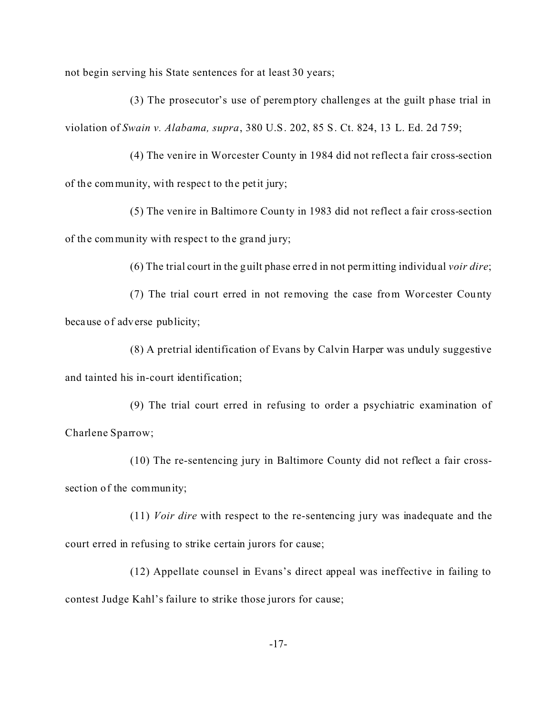not begin serving his State sentences for at least 30 years;

(3) The prosecutor's use of peremptory challenges at the guilt phase trial in violation of *Swain v. Alabama, supra*, 380 U.S. 202, 85 S. Ct. 824, 13 L. Ed. 2d 759;

(4) The venire in Worcester County in 1984 did not reflect a fair cross-section of the community, with respec t to the petit jury;

(5) The venire in Baltimore County in 1983 did not reflect a fair cross-section of the community with respec t to the grand jury;

(6) The trial court in the guilt phase erred in not permitting individual *voir dire*;

(7) The trial court erred in not removing the case from Worcester County because of adverse publicity;

(8) A pretrial identification of Evans by Calvin Harper was unduly suggestive and tainted his in-court identification;

(9) The trial court erred in refusing to order a psychiatric examination of Charlene Sparrow;

(10) The re-sentencing jury in Baltimore County did not reflect a fair crosssection of the community;

(11) *Voir dire* with respect to the re-sentencing jury was inadequate and the court erred in refusing to strike certain jurors for cause;

(12) Appellate counsel in Evans's direct appeal was ineffective in failing to contest Judge Kahl's failure to strike those jurors for cause;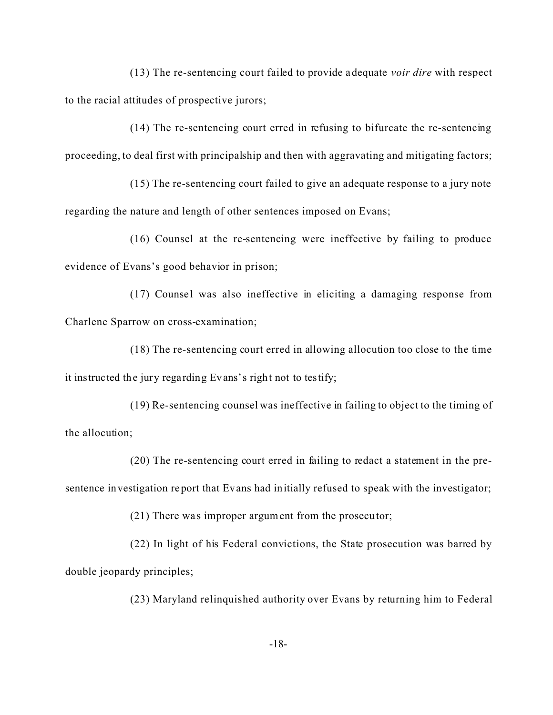(13) The re-sentencing court failed to provide adequate *voir dire* with respect to the racial attitudes of prospective jurors;

(14) The re-sentencing court erred in refusing to bifurcate the re-sentencing proceeding, to deal first with principalship and then with aggravating and mitigating factors;

(15) The re-sentencing court failed to give an adequate response to a jury note regarding the nature and length of other sentences imposed on Evans;

(16) Counsel at the re-sentencing were ineffective by failing to produce evidence of Evans's good behavior in prison;

 $(17)$  Counsel was also ineffective in eliciting a damaging response from Charlene Sparrow on cross-examination;

(18) The re-sentencing court erred in allowing allocution too close to the time it instructed the jury regarding Evans's right not to testify;

(19) Re-sentencing counsel was ineffective in failing to object to the timing of the allocution;

(20) The re-sentencing court erred in failing to redact a statement in the presentence investigation report that Evans had initially refused to speak with the investigator;

 $(21)$  There was improper argument from the prosecutor;

(22) In light of his Federal convictions, the State prosecution was barred by double jeopardy principles;

(23) Maryland relinquished authority over Evans by returning him to Federal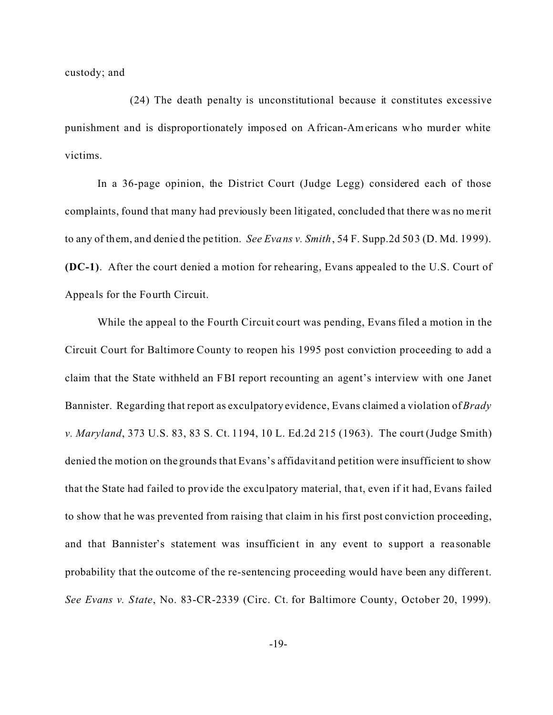custody; and

(24) The death penalty is unconstitutional because it constitutes excessive punishment and is disproportionately imposed on African-Americans who murder white victims.

In a 36-page opinion, the District Court (Judge Legg) considered each of those complaints, found that many had previously been litigated, concluded that there was no merit to any of them, and denied the pe tition. *See Evans v. Smith*, 54 F. Supp.2d 503 (D. Md. 1999). **(DC-1)**. After the court denied a motion for rehearing, Evans appealed to the U.S. Court of Appeals for the Fourth Circuit.

While the appeal to the Fourth Circuit court was pending, Evans filed a motion in the Circuit Court for Baltimore County to reopen his 1995 post conviction proceeding to add a claim that the State withheld an FBI report recounting an agent's interview with one Janet Bannister. Regarding that report as exculpatory evidence, Evans claimed a violation of *Brady v. Maryland*, 373 U.S. 83, 83 S. Ct. 1194, 10 L. Ed.2d 215 (1963). The court (Judge Smith) denied the motion on the grounds that Evans's affidavit and petition were insufficient to show that the State had failed to provide the exculpatory material, that, even if it had, Evans failed to show that he was prevented from raising that claim in his first post conviction proceeding, and that Bannister's statement was insufficient in any event to support a rea sonable probability that the outcome of the re-sentencing proceeding would have been any different. *See Evans v. State*, No. 83-CR-2339 (Circ. Ct. for Baltimore County, October 20, 1999).

-19-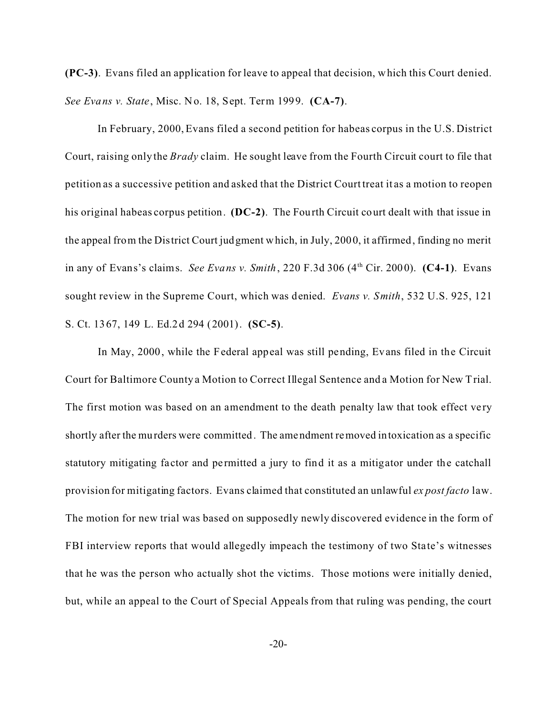**(PC-3)**. Evans filed an application for leave to appeal that decision, which this Court denied. *See Evans v. State*, Misc. No. 18, Sept. Term 1999. **(CA-7)**.

In February, 2000, Evans filed a second petition for habeas corpus in the U.S. District Court, raising only the *Brady* claim. He sought leave from the Fourth Circuit court to file that petition as a successive petition and asked that the District Court treat it as a motion to reopen his original habeas corpus petition. **(DC-2)**. The Fourth Circuit court dealt with that issue in the appeal from the District Court judgment which, in July, 2000, it affirmed, finding no merit in any of Evans's claims. *See Evans v. Smith*, 220 F.3d 306 (4th Cir. 2000). **(C4-1)**.Evans sought review in the Supreme Court, which was denied. *Evans v. Smith*, 532 U.S. 925, 121 S. Ct. 1367, 149 L. Ed.2d 294 (2001). **(SC-5)**.

In May, 2000, while the Federal appeal was still pending, Evans filed in the Circuit Court for Baltimore County a Motion to Correct Illegal Sentence and a Motion for New Trial. The first motion was based on an amendment to the death penalty law that took effect very shortly after the murders were committed. The amendment removed intoxication as a specific statutory mitigating factor and permitted a jury to find it as a mitigator under the catchall provision for mitigating factors. Evans claimed that constituted an unlawful *ex post facto* law. The motion for new trial was based on supposedly newly discovered evidence in the form of FBI interview reports that would allegedly impeach the testimony of two State's witnesses that he was the person who actually shot the victims. Those motions were initially denied, but, while an appeal to the Court of Special Appeals from that ruling was pending, the court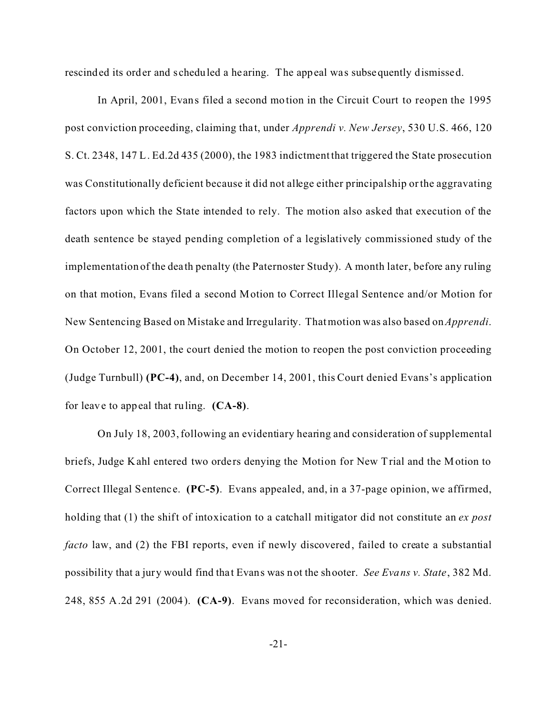rescinded its order and scheduled a hearing. The appeal was subsequently dismissed.

In April, 2001, Evans filed a second motion in the Circuit Court to reopen the 1995 post conviction proceeding, claiming that, under *Apprendi v. New Jersey*, 530 U.S. 466, 120 S. Ct. 2348, 147 L. Ed.2d 435 (2000), the 1983 indictment that triggered the State prosecution was Constitutionally deficient because it did not allege either principalship or the aggravating factors upon which the State intended to rely. The motion also asked that execution of the death sentence be stayed pending completion of a legislatively commissioned study of the implementation of the dea th penalty (the Paternoster Study). A month later, before any ruling on that motion, Evans filed a second Motion to Correct Illegal Sentence and/or Motion for New Sentencing Based on Mistake and Irregularity. That motion was also based on*Apprendi*. On October 12, 2001, the court denied the motion to reopen the post conviction proceeding (Judge Turnbull) **(PC-4)**, and, on December 14, 2001, this Court denied Evans's application for leave to appeal that ruling. **(CA-8)**.

On July 18, 2003, following an evidentiary hearing and consideration of supplemental briefs, Judge Kahl entered two orders denying the Motion for New Trial and the Motion to Correct Illegal Sentence. **(PC-5)**. Evans appealed, and, in a 37-page opinion, we affirmed, holding that (1) the shift of intoxication to a catchall mitigator did not constitute an *ex post facto* law, and (2) the FBI reports, even if newly discovered, failed to create a substantial possibility that a jury would find tha t Evans was not the shooter. *See Evans v. State*, 382 Md. 248, 855 A.2d 291 (2004). **(CA-9)**.Evans moved for reconsideration, which was denied.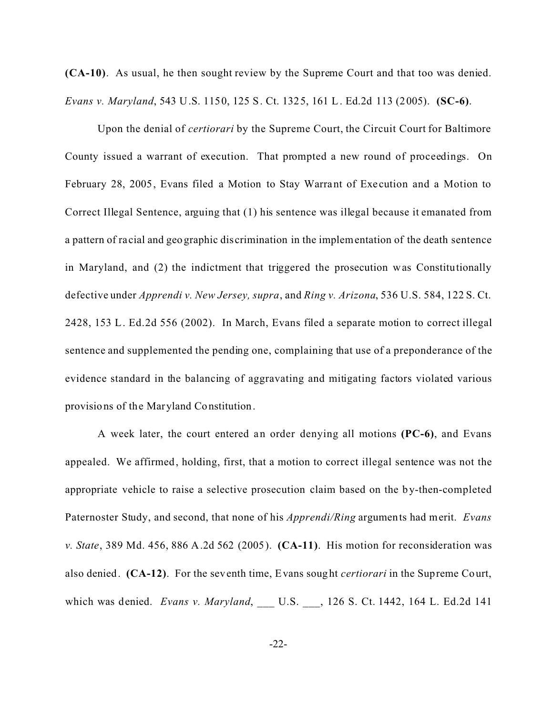**(CA-10)**.As usual, he then sought review by the Supreme Court and that too was denied. *Evans v. Maryland*, 543 U.S. 1150, 125 S. Ct. 1325, 161 L. Ed.2d 113 (2005). **(SC-6)**.

Upon the denial of *certiorari* by the Supreme Court, the Circuit Court for Baltimore County issued a warrant of execution. That prompted a new round of proceedings. On February 28, 2005, Evans filed a Motion to Stay Warrant of Execution and a Motion to Correct Illegal Sentence, arguing that (1) his sentence was illegal because it emanated from a pattern of ra cial and geographic discrimination in the implementation of the death sentence in Maryland, and (2) the indictment that triggered the prosecution was Constitutionally defective under *Apprendi v. New Jersey, supra*, and *Ring v. Arizona*, 536 U.S. 584, 122 S. Ct. 2428, 153 L. Ed.2d 556 (2002). In March, Evans filed a separate motion to correct illegal sentence and supplemented the pending one, complaining that use of a preponderance of the evidence standard in the balancing of aggravating and mitigating factors violated various provisions of the Maryland Constitution.

A week later, the court entered an order denying all motions **(PC-6)**, and Evans appealed. We affirmed, holding, first, that a motion to correct illegal sentence was not the appropriate vehicle to raise a selective prosecution claim based on the by-then-completed Paternoster Study, and second, that none of his *Apprendi/Ring* arguments had merit. *Evans v. State*, 389 Md. 456, 886 A.2d 562 (2005). **(CA-11)**. His motion for reconsideration was also denied. **(CA-12)**. For the seventh time, Evans sought *certiorari* in the Supreme Court, which was denied. *Evans v. Maryland*, \_\_\_ U.S. \_\_\_, 126 S. Ct. 1442, 164 L. Ed.2d 141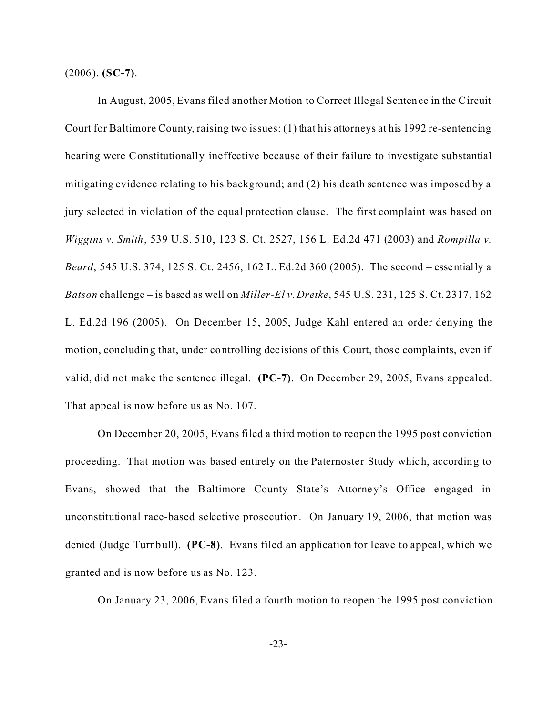(2006). **(SC-7)**.

In August, 2005, Evans filed another Motion to Correct Illegal Sentence in the Circuit Court for Baltimore County, raising two issues: (1) that his attorneys at his 1992 re-sentencing hearing were Constitutionally ineffective because of their failure to investigate substantial mitigating evidence relating to his background; and (2) his death sentence was imposed by a jury selected in violation of the equal protection clause. The first complaint was based on *Wiggins v. Smith*, 539 U.S. 510, 123 S. Ct. 2527, 156 L. Ed.2d 471 (2003) and *Rompilla v. Beard*, 545 U.S. 374, 125 S. Ct. 2456, 162 L. Ed.2d 360 (2005). The second – essentially a *Batson* challenge – is based as well on *Miller-El v. Dretke*, 545 U.S. 231, 125 S. Ct. 2317, 162 L. Ed.2d 196 (2005). On December 15, 2005, Judge Kahl entered an order denying the motion, concluding that, under controlling dec isions of this Court, those compla ints, even if valid, did not make the sentence illegal. **(PC-7)**.On December 29, 2005, Evans appealed. That appeal is now before us as No. 107.

On December 20, 2005, Evans filed a third motion to reopen the 1995 post conviction proceeding. That motion was based entirely on the Paternoster Study which, according to Evans, showed that the Baltimore County State's Attorney's Office engaged in unconstitutional race-based selective prosecution. On January 19, 2006, that motion was denied (Judge Turnbull). **(PC-8)**. Evans filed an application for leave to appeal, which we granted and is now before us as No. 123.

On January 23, 2006, Evans filed a fourth motion to reopen the 1995 post conviction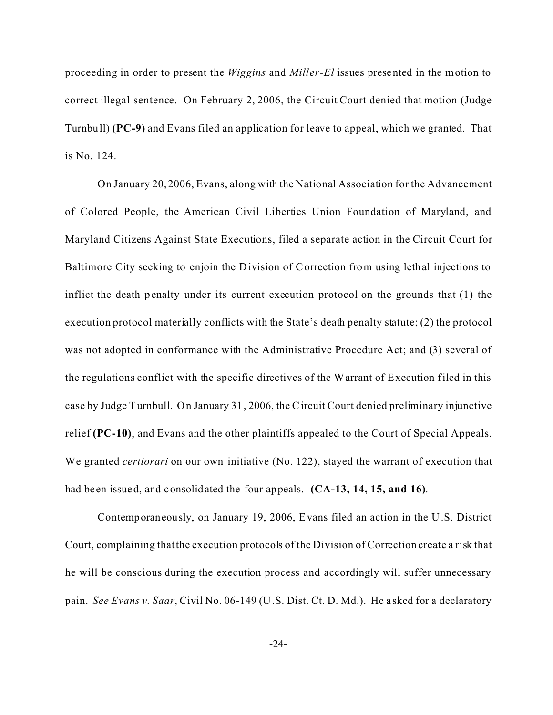proceeding in order to present the *Wiggins* and *Miller-El* issues presented in the motion to correct illegal sentence. On February 2, 2006, the Circuit Court denied that motion (Judge Turnbull) **(PC-9)** and Evans filed an application for leave to appeal, which we granted. That is No. 124.

On January 20, 2006, Evans, along with the National Association for the Advancement of Colored People, the American Civil Liberties Union Foundation of Maryland, and Maryland Citizens Against State Executions, filed a separate action in the Circuit Court for Baltimore City seeking to enjoin the Division of Correction from using lethal injections to inflict the death penalty under its current execution protocol on the grounds that (1) the execution protocol materially conflicts with the State's death penalty statute; (2) the protocol was not adopted in conformance with the Administrative Procedure Act; and (3) several of the regulations conflict with the specific directives of the Warrant of Execution filed in this case by Judge Turnbull. On January 31, 2006, the Circuit Court denied preliminary injunctive relief **(PC-10)**, and Evans and the other plaintiffs appealed to the Court of Special Appeals. We granted *certiorari* on our own initiative (No. 122), stayed the warrant of execution that had be en issued, and consolidated the four appeals. **(CA-13, 14, 15, and 16)**.

Contemporaneously, on January 19, 2006, Evans filed an action in the U.S. District Court, complaining that the execution protocols of the Division of Correction create a risk that he will be conscious during the execution process and accordingly will suffer unnecessary pain. *See Evans v. Saar*, Civil No. 06-149 (U.S. Dist. Ct. D. Md.). He asked for a declaratory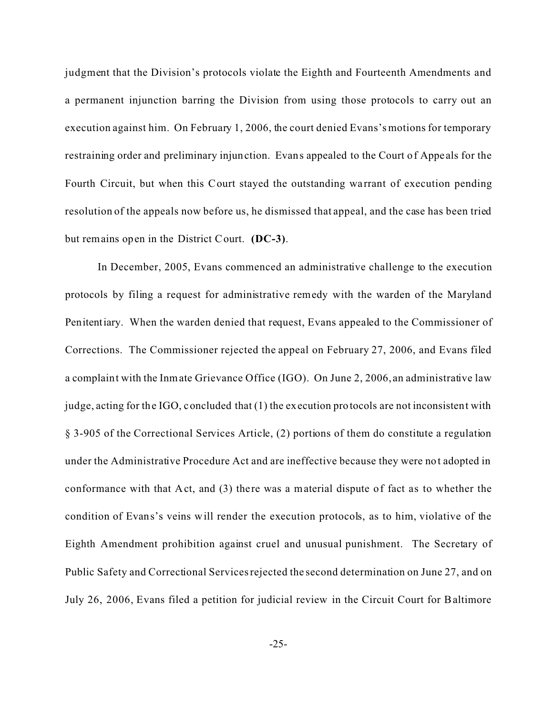judgment that the Division's protocols violate the Eighth and Fourteenth Amendments and a permanent injunction barring the Division from using those protocols to carry out an execution against him. On February 1, 2006, the court denied Evans's motions for temporary restraining order and preliminary injunction. Evans appealed to the Court of Appe als for the Fourth Circuit, but when this Court stayed the outstanding wa rrant of execution pending resolution of the appeals now before us, he dismissed that appeal, and the case has been tried but remains open in the District Court. **(DC-3)**.

In December, 2005, Evans commenced an administrative challenge to the execution protocols by filing a request for administrative remedy with the warden of the Maryland Penitentiary. When the warden denied that request, Evans appealed to the Commissioner of Corrections. The Commissioner rejected the appeal on February 27, 2006, and Evans filed a complaint with the Inmate Grievance Office (IGO). On June 2, 2006, an administrative law judge, acting for the IGO, concluded that (1) the execution protocols are not inconsistent with § 3-905 of the Correctional Services Article, (2) portions of them do constitute a regulation under the Administrative Procedure Act and are ineffective because they were not adopted in conformance with that Act, and  $(3)$  there was a material dispute of fact as to whether the condition of Evans's veins will render the execution protocols, as to him, violative of the Eighth Amendment prohibition against cruel and unusual punishment. The Secretary of Public Safety and Correctional Services rejected the second determination on June 27, and on July 26, 2006, Evans filed a petition for judicial review in the Circuit Court for Baltimore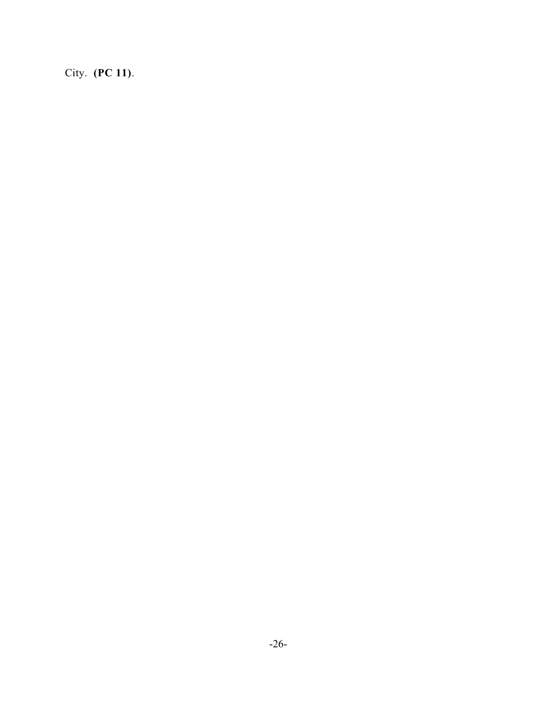City. **(PC 11)**.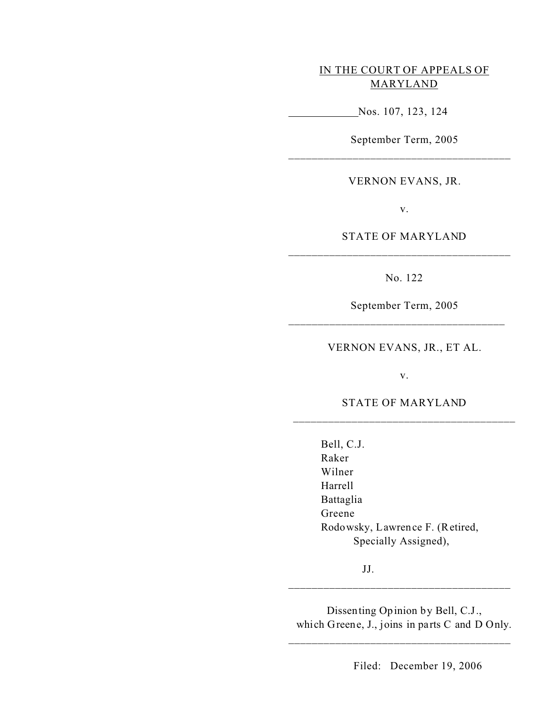## IN THE COURT OF APPEALS OF MARYLAND

Nos. 107, 123, 124

September Term, 2005

VERNON EVANS, JR.

v.

STATE OF MARYLAND \_\_\_\_\_\_\_\_\_\_\_\_\_\_\_\_\_\_\_\_\_\_\_\_\_\_\_\_\_\_\_\_\_\_\_\_\_\_

No. 122

September Term, 2005

\_\_\_\_\_\_\_\_\_\_\_\_\_\_\_\_\_\_\_\_\_\_\_\_\_\_\_\_\_\_\_\_\_\_\_\_\_

VERNON EVANS, JR., ET AL.

v.

STATE OF MARYLAND \_\_\_\_\_\_\_\_\_\_\_\_\_\_\_\_\_\_\_\_\_\_\_\_\_\_\_\_\_\_\_\_\_\_\_\_\_\_

> Bell, C.J. Raker Wilner Harrell Battaglia Greene Rodowsky, Lawrence F. (Retired, Specially Assigned),

> > JJ.

Dissenting Opinion by Bell, C.J., which Greene, J., joins in parts C and D Only.

\_\_\_\_\_\_\_\_\_\_\_\_\_\_\_\_\_\_\_\_\_\_\_\_\_\_\_\_\_\_\_\_\_\_\_\_\_\_

\_\_\_\_\_\_\_\_\_\_\_\_\_\_\_\_\_\_\_\_\_\_\_\_\_\_\_\_\_\_\_\_\_\_\_\_\_\_

Filed: December 19, 2006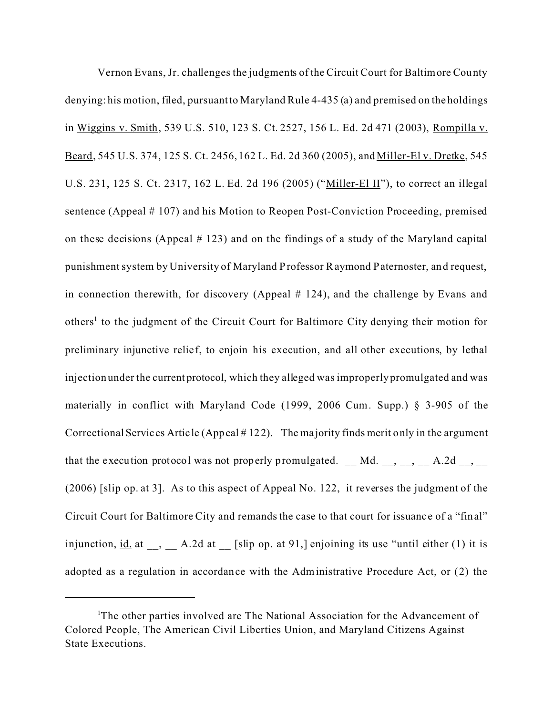Vernon Evans, Jr. challenges the judgments of the Circuit Court for Baltimore County denying: his motion, filed, pursuant to Maryland Rule 4-435 (a) and premised on the holdings in Wiggins v. Smith, 539 U.S. 510, 123 S. Ct. 2527, 156 L. Ed. 2d 471 (2003), Rompilla v. Beard, 545 U.S. 374, 125 S. Ct. 2456, 162 L. Ed. 2d 360 (2005), and Miller-El v. Dretke, 545 U.S. 231, 125 S. Ct. 2317, 162 L. Ed. 2d 196 (2005) ("Miller-El II"), to correct an illegal sentence (Appeal # 107) and his Motion to Reopen Post-Conviction Proceeding, premised on these decisions (Appeal # 123) and on the findings of a study of the Maryland capital punishment system by University of Maryland Professor Raymond Paternoster, and request, in connection therewith, for discovery (Appeal # 124), and the challenge by Evans and others<sup>1</sup> to the judgment of the Circuit Court for Baltimore City denying their motion for preliminary injunctive relie f, to enjoin his execution, and all other executions, by lethal injection under the current protocol, which they alleged was improperly promulgated and was materially in conflict with Maryland Code (1999, 2006 Cum. Supp.) § 3-905 of the Correctional Services Artic le (Appeal # 122). The ma jority finds merit only in the argument that the execution protocol was not properly promulgated. \_ Md. \_, \_, \_, \_ A.2d \_, \_ (2006) [slip op. at 3]. As to this aspect of Appeal No. 122, it reverses the judgment of the Circuit Court for Baltimore City and remands the case to that court for issuanc e of a "final" injunction,  $\underline{\text{id}}$  at \_, \_ A.2d at \_ [slip op. at 91,] enjoining its use "until either (1) it is adopted as a regulation in accordance with the Administrative Procedure Act, or (2) the

<sup>&</sup>lt;sup>1</sup>The other parties involved are The National Association for the Advancement of Colored People, The American Civil Liberties Union, and Maryland Citizens Against State Executions.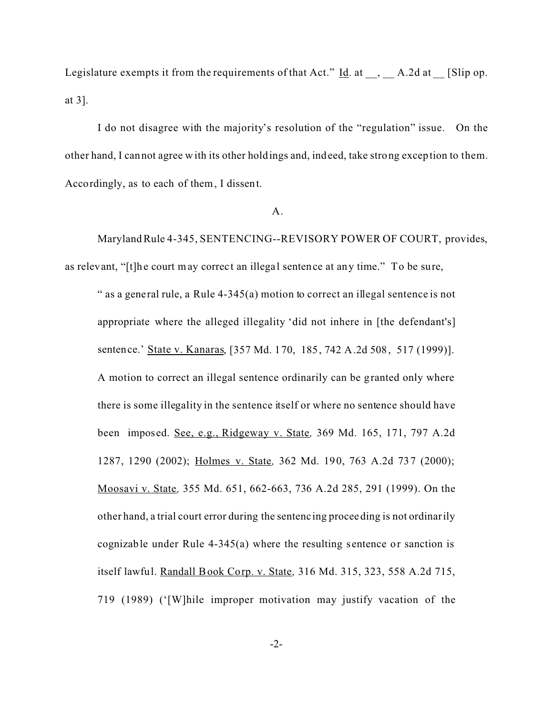Legislature exempts it from the requirements of that Act."  $\underline{Id}$ . at \_\_, \_\_ A.2d at \_\_ [Slip op. at 3].

I do not disagree with the majority's resolution of the "regulation" issue. On the other hand, I cannot agree with its other holdings and, indeed, take strong exception to them. Accordingly, as to each of them, I dissent.

## A.

Maryland Rule 4-345, SENTENCING--REVISORY POWER OF COURT, provides, as relevant, "[t]he court may correct an illegal sentence at any time." To be sure,

" as a general rule, a Rule  $4-345(a)$  motion to correct an illegal sentence is not appropriate where the alleged illegality 'did not inhere in [the defendant's] sentence.' State v. Kanaras, [357 Md. 170, 185, 742 A.2d 508, 517 (1999)]. A motion to correct an illegal sentence ordinarily can be granted only where there is some illegality in the sentence itself or where no sentence should have been imposed. See, e.g., Ridgeway v. State*,* 369 Md. 165, 171, 797 A.2d 1287, 1290 (2002); Holmes v. State*,* 362 Md. 190, 763 A.2d 737 (2000); Moosavi v. State*,* 355 Md. 651, 662-663, 736 A.2d 285, 291 (1999). On the other hand, a trial court error during the sentenc ing proceeding is not ordinarily cognizable under Rule 4-345(a) where the resulting sentence or sanction is itself lawful. Randall Book Corp. v. State*,* 316 Md. 315, 323, 558 A.2d 715, 719 (1989) ('[W]hile improper motivation may justify vacation of the

-2-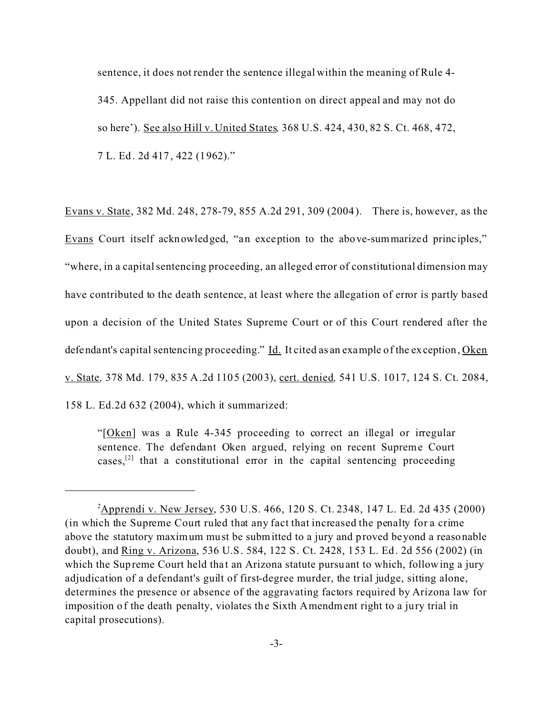sentence, it does not render the sentence illegal within the meaning of Rule 4- 345. Appellant did not raise this contention on direct appeal and may not do so here'). See also Hill v. United States*,* 368 U.S. 424, 430, 82 S. Ct. 468, 472, 7 L. Ed. 2d 417, 422 (1962)."

Evans v. State, 382 Md. 248, 278-79, 855 A.2d 291, 309 (2004). There is, however, as the Evans Court itself acknowledged, "an exception to the above-summarized principles," "where, in a capital sentencing proceeding, an alleged error of constitutional dimension may have contributed to the death sentence, at least where the allegation of error is partly based upon a decision of the United States Supreme Court or of this Court rendered after the defendant's capital sentencing proceeding." Id. It cited as an example of the exception, Oken v. State*,* 378 Md. 179, 835 A.2d 1105 (2003), cert. denied*,* 541 U.S. 1017, 124 S. Ct. 2084, 158 L. Ed.2d 632 (2004), which it summarized:

"[Oken] was a Rule 4-345 proceeding to correct an illegal or irregular sentence. The defendant Oken argued, relying on recent Supreme Court cases,<sup>[2]</sup> that a constitutional error in the capital sentencing proceeding

<sup>&</sup>lt;sup>2</sup>Apprendi v. New Jersey, 530 U.S. 466, 120 S. Ct. 2348, 147 L. Ed. 2d 435 (2000) (in which the Supreme Court ruled that any fact that increased the penalty for a crime above the statutory maximum must be submitted to a jury and proved beyond a reasonable doubt), and Ring v. Arizona, 536 U.S. 584, 122 S. Ct. 2428, 153 L. Ed. 2d 556 (2002) (in which the Supreme Court held that an Arizona statute pursuant to which, following a jury adjudication of a defendant's guilt of first-degree murder, the trial judge, sitting alone, determines the presence or absence of the aggravating factors required by Arizona law for imposition of the death penalty, violates the Sixth Amendment right to a jury trial in capital prosecutions).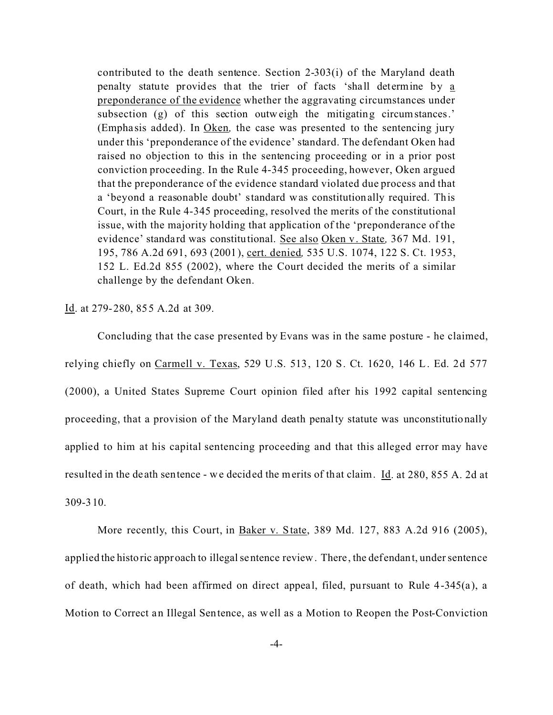contributed to the death sentence. Section 2-303(i) of the Maryland death penalty statute provides that the trier of facts 'shall determine by a preponderance of the evidence whether the aggravating circumstances under subsection (g) of this section outweigh the mitigating circumstances.' (Empha sis added). In Oken*,* the case was presented to the sentencing jury under this 'preponderance of the evidence' standard. The defendant Oken had raised no objection to this in the sentencing proceeding or in a prior post conviction proceeding. In the Rule 4-345 proceeding, however, Oken argued that the preponderance of the evidence standard violated due process and that a 'beyond a reasonable doubt' standard was constitutionally required. This Court, in the Rule 4-345 proceeding, resolved the merits of the constitutional issue, with the majority holding that application of the 'preponderance of the evidence' standard was constitutional. See also Oken v. State*,* 367 Md. 191, 195, 786 A.2d 691, 693 (2001), cert. denied*,* 535 U.S. 1074, 122 S. Ct. 1953, 152 L. Ed.2d 855 (2002), where the Court decided the merits of a similar challenge by the defendant Oken.

Id. at 279-280, 855 A.2d at 309.

Concluding that the case presented by Evans was in the same posture - he claimed, relying chiefly on Carmell v. Texas, 529 U.S. 513, 120 S. Ct. 1620, 146 L. Ed. 2d 577 (2000), a United States Supreme Court opinion filed after his 1992 capital sentencing proceeding, that a provision of the Maryland death penalty statute was unconstitutionally applied to him at his capital sentencing proceeding and that this alleged error may have resulted in the de ath sentence - we decided the merits of that claim. Id. at 280, 855 A. 2d at 309-310.

More recently, this Court, in Baker v. State, 389 Md. 127, 883 A.2d 916 (2005), applied the historic approach to illegal sentence review. There, the defendant, under sentence of death, which had been affirmed on direct appeal, filed, pursuant to Rule 4-345(a), a Motion to Correct an Illegal Sentence, as well as a Motion to Reopen the Post-Conviction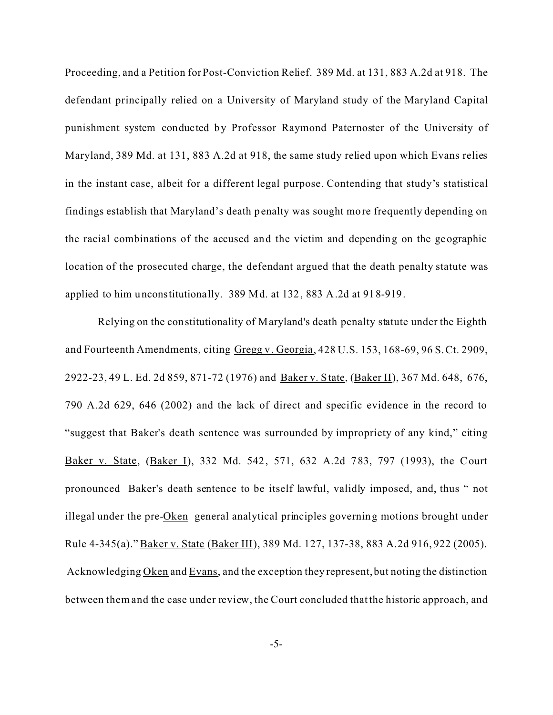Proceeding, and a Petition for Post-Conviction Relief. 389 Md. at 131, 883 A.2d at 918. The defendant principally relied on a University of Maryland study of the Maryland Capital punishment system conducted by Professor Raymond Paternoster of the University of Maryland, 389 Md. at 131, 883 A.2d at 918, the same study relied upon which Evans relies in the instant case, albeit for a different legal purpose. Contending that study's statistical findings establish that Maryland's death penalty was sought more frequently depending on the racial combinations of the accused and the victim and depending on the geographic location of the prosecuted charge, the defendant argued that the death penalty statute was applied to him unconstitutionally. 389 Md. at 132, 883 A.2d at 918-919.

Relying on the constitutionality of Maryland's death penalty statute under the Eighth and Fourteenth Amendments, citing Gregg v. Georgia, 428 U.S. 153, 168-69, 96 S. Ct. 2909, 2922-23, 49 L. Ed. 2d 859, 871-72 (1976) and Baker v. State, (Baker II), 367 Md. 648, 676, 790 A.2d 629, 646 (2002) and the lack of direct and specific evidence in the record to "suggest that Baker's death sentence was surrounded by impropriety of any kind," citing Baker v. State, (Baker I), 332 Md. 542, 571, 632 A.2d 783, 797 (1993), the Court pronounced Baker's death sentence to be itself lawful, validly imposed, and, thus " not illegal under the pre-Oken general analytical principles governing motions brought under Rule 4-345(a)." Baker v. State (Baker III), 389 Md. 127, 137-38, 883 A.2d 916, 922 (2005). Acknowledging Oken and Evans, and the exception they represent, but noting the distinction between them and the case under review, the Court concluded that the historic approach, and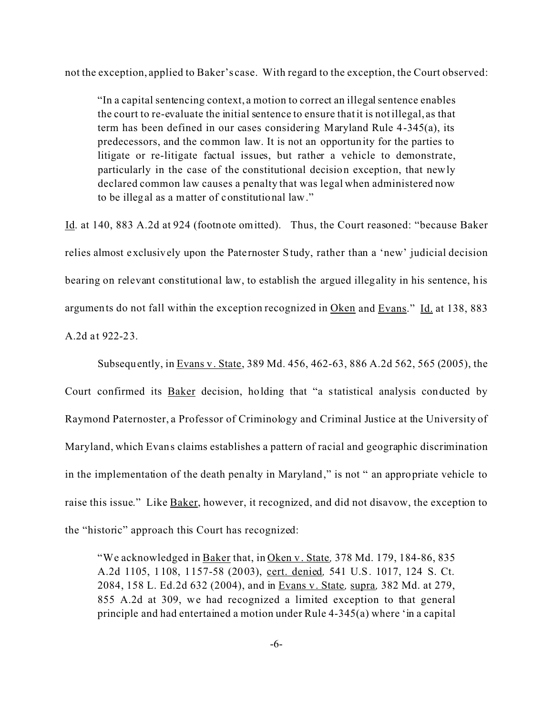not the exception, applied to Baker's case. With regard to the exception, the Court observed:

"In a capital sentencing context, a motion to correct an illegal sentence enables the court to re-evaluate the initial sentence to ensure that it is not illegal, as that term has been defined in our cases considering Maryland Rule 4-345(a), its predecessors, and the common law. It is not an opportunity for the parties to litigate or re-litigate factual issues, but rather a vehicle to demonstrate, particularly in the case of the constitutional decision exception, that newly declared common law causes a penalty that was legal when administered now to be illegal as a matter of constitutional law."

Id. at 140, 883 A.2d at 924 (footnote omitted). Thus, the Court reasoned: "because Baker relies almost exclusively upon the Pate rnoster Study, rather than a 'new' judicial decision bearing on relevant constitutional law, to establish the argued illegality in his sentence, his arguments do not fall within the exception recognized in Oken and Evans." Id. at 138, 883 A.2d at 922-23.

Subsequently, in Evans v. State, 389 Md. 456, 462-63, 886 A.2d 562, 565 (2005), the Court confirmed its Baker decision, holding that "a statistical analysis conducted by Raymond Paternoster, a Professor of Criminology and Criminal Justice at the University of Maryland, which Evans claims establishes a pattern of racial and geographic discrimination in the implementation of the death penalty in Maryland," is not " an appropriate vehicle to raise this issue." Like Baker, however, it recognized, and did not disavow, the exception to the "historic" approach this Court has recognized:

"We acknowledged in Baker that, in Oken v. State*,* 378 Md. 179, 184-86, 835 A.2d 1105, 1108, 1157-58 (2003), cert. denied*,* 541 U.S. 1017, 124 S. Ct. 2084, 158 L. Ed.2d 632 (2004), and in Evans v. State*,* supra*,* 382 Md. at 279, 855 A.2d at 309, we had recognized a limited exception to that general principle and had entertained a motion under Rule 4-345(a) where 'in a capital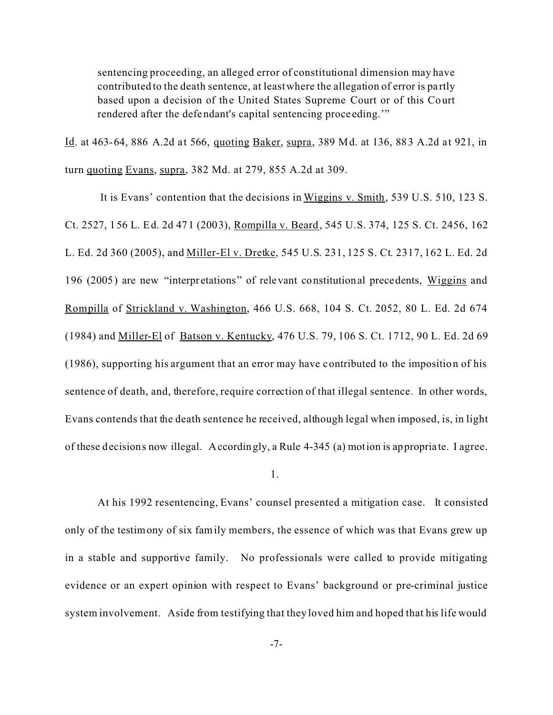sentencing proceeding, an alleged error of constitutional dimension may have contributed to the death sentence, at least where the allegation of error is pa rtly based upon a decision of the United States Supreme Court or of this Court rendered after the defendant's capital sentencing proce eding.'"

Id. at 463-64, 886 A.2d at 566, quoting Baker, supra, 389 Md. at 136, 883 A.2d at 921, in turn quoting Evans, supra, 382 Md. at 279, 855 A.2d at 309.

 It is Evans' contention that the decisions in Wiggins v. Smith, 539 U.S. 510, 123 S. Ct. 2527, 156 L. Ed. 2d 471 (2003), Rompilla v. Beard, 545 U.S. 374, 125 S. Ct. 2456, 162 L. Ed. 2d 360 (2005), and Miller-El v. Dretke, 545 U.S. 231, 125 S. Ct. 2317, 162 L. Ed. 2d 196 (2005) are new "interpretations" of relevant constitutional precedents, Wiggins and Rompilla of Strickland v. Washington, 466 U.S. 668, 104 S. Ct. 2052, 80 L. Ed. 2d 674 (1984) and Miller-El of Batson v. Kentucky, 476 U.S. 79, 106 S. Ct. 1712, 90 L. Ed. 2d 69 (1986), supporting his argument that an error may have contributed to the imposition of his sentence of death, and, therefore, require correction of that illegal sentence. In other words, Evans contends that the death sentence he received, although legal when imposed, is, in light of these decisions now illegal. Accordingly, a Rule 4-345 (a) motion is appropria te. I agree.

1.

At his 1992 resentencing, Evans' counsel presented a mitigation case. It consisted only of the testimony of six family members, the essence of which was that Evans grew up in a stable and supportive family. No professionals were called to provide mitigating evidence or an expert opinion with respect to Evans' background or pre-criminal justice system involvement. Aside from testifying that they loved him and hoped that his life would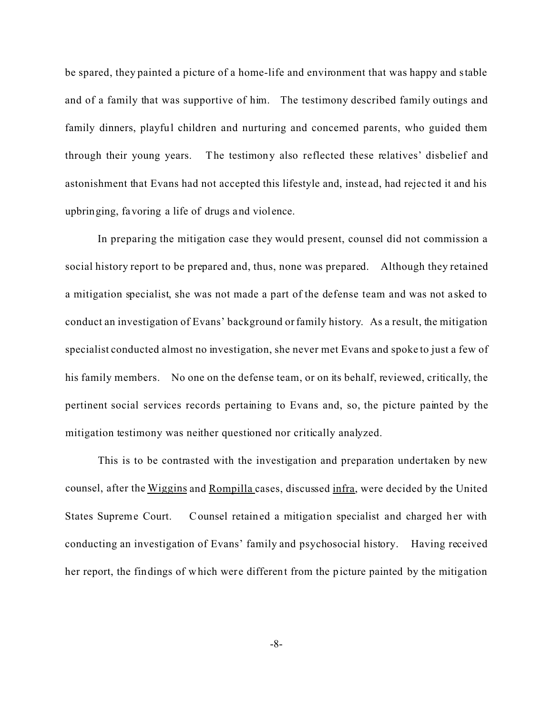be spared, they painted a picture of a home-life and environment that was happy and stable and of a family that was supportive of him. The testimony described family outings and family dinners, playful children and nurturing and concerned parents, who guided them through their young years. The testimony also reflected these relatives' disbelief and astonishment that Evans had not accepted this lifestyle and, inste ad, had rejec ted it and his upbringing, favoring a life of drugs and violence.

In preparing the mitigation case they would present, counsel did not commission a social history report to be prepared and, thus, none was prepared. Although they retained a mitigation specialist, she was not made a part of the defense team and was not a sked to conduct an investigation of Evans' background or family history. As a result, the mitigation specialist conducted almost no investigation, she never met Evans and spoke to just a few of his family members. No one on the defense team, or on its behalf, reviewed, critically, the pertinent social services records pertaining to Evans and, so, the picture painted by the mitigation testimony was neither questioned nor critically analyzed.

This is to be contrasted with the investigation and preparation undertaken by new counsel, after the Wiggins and Rompilla cases, discussed infra, were decided by the United States Supreme Court. Counsel retained a mitigation specialist and charged her with conducting an investigation of Evans' family and psychosocial history. Having received her report, the findings of which were different from the picture painted by the mitigation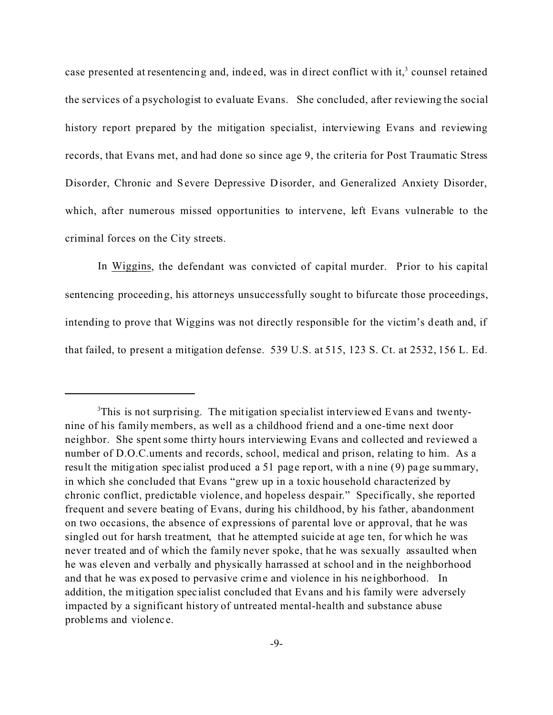case presented at resentencing and, indeed, was in direct conflict with it, $3$  counsel retained the services of a psychologist to evaluate Evans. She concluded, after reviewing the social history report prepared by the mitigation specialist, interviewing Evans and reviewing records, that Evans met, and had done so since age 9, the criteria for Post Traumatic Stress Disorder, Chronic and Severe Depressive Disorder, and Generalized Anxiety Disorder, which, after numerous missed opportunities to intervene, left Evans vulnerable to the criminal forces on the City streets.

In Wiggins, the defendant was convicted of capital murder. Prior to his capital sentencing proceeding, his attorneys unsuccessfully sought to bifurcate those proceedings, intending to prove that Wiggins was not directly responsible for the victim's death and, if that failed, to present a mitigation defense. 539 U.S. at 515, 123 S. Ct. at 2532, 156 L. Ed.

<sup>3</sup>This is not surprising. The mitigation specialist interviewed Evans and twentynine of his family members, as well as a childhood friend and a one-time next door neighbor. She spent some thirty hours interviewing Evans and collected and reviewed a number of D.O.C.uments and records, school, medical and prison, relating to him. As a result the mitigation spec ialist produced a 51 page report, with a nine (9) page summary, in which she concluded that Evans "grew up in a toxic household characterized by chronic conflict, predictable violence, and hopeless despair." Specifically, she reported frequent and severe beating of Evans, during his childhood, by his father, abandonment on two occasions, the absence of expressions of parental love or approval, that he was singled out for harsh treatment, that he attempted suicide at age ten, for which he was never treated and of which the family never spoke, that he was sexually assaulted when he was eleven and verbally and physically harrassed at school and in the neighborhood and that he was exposed to pervasive crime and violence in his ne ighborhood. In addition, the mitigation specialist concluded that Evans and his family were adversely impacted by a significant history of untreated mental-health and substance abuse problems and violenc e.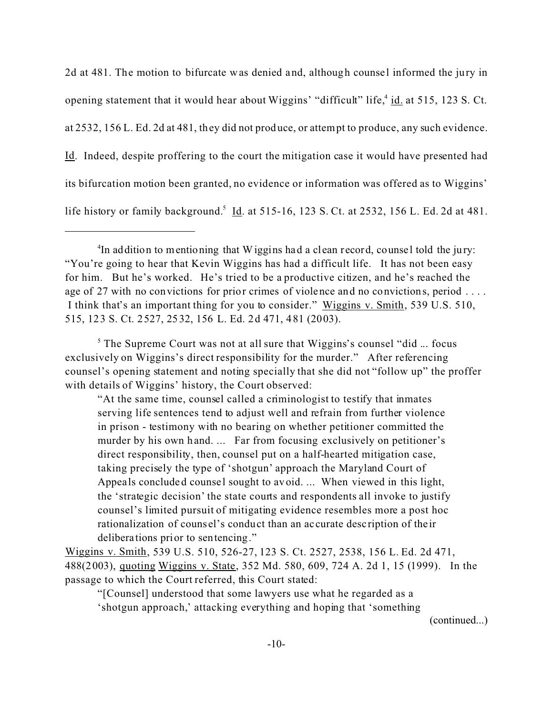2d at 481. The motion to bifurcate was denied and, although counsel informed the jury in opening statement that it would hear about Wiggins' "difficult" life,<sup>4</sup> id. at 515, 123 S. Ct. at 2532, 156 L. Ed. 2d at 481, they did not produce, or attempt to produce, any such evidence. Id. Indeed, despite proffering to the court the mitigation case it would have presented had its bifurcation motion been granted, no evidence or information was offered as to Wiggins' life history or family background.<sup>5</sup> Id. at 515-16, 123 S. Ct. at 2532, 156 L. Ed. 2d at 481.

<sup>5</sup> The Supreme Court was not at all sure that Wiggins's counsel "did ... focus exclusively on Wiggins's direct responsibility for the murder." After referencing counsel's opening statement and noting specially that she did not "follow up" the proffer with details of Wiggins' history, the Court observed:

"At the same time, counsel called a criminologist to testify that inmates serving life sentences tend to adjust well and refrain from further violence in prison - testimony with no bearing on whether petitioner committed the murder by his own hand. ... Far from focusing exclusively on petitioner's direct responsibility, then, counsel put on a half-hearted mitigation case, taking precisely the type of 'shotgun' approach the Maryland Court of Appeals concluded counsel sought to avoid. ... When viewed in this light, the 'strategic decision' the state courts and respondents all invoke to justify counsel's limited pursuit of mitigating evidence resembles more a post hoc rationalization of couns el's conduct than an ac curate desc ription of the ir delibera tions prior to sentencing."

Wiggins v. Smith, 539 U.S. 510, 526-27, 123 S. Ct. 2527, 2538, 156 L. Ed. 2d 471, 488(2003), quoting Wiggins v. State, 352 Md. 580, 609, 724 A. 2d 1, 15 (1999). In the passage to which the Court referred, this Court stated:

"[Counsel] understood that some lawyers use what he regarded as a 'shotgun approach,' attacking everything and hoping that 'something

(continued...)

<sup>&</sup>lt;sup>4</sup>In addition to mentioning that Wiggins had a clean record, counsel told the jury: "You're going to hear that Kevin Wiggins has had a difficult life. It has not been easy for him. But he's worked. He's tried to be a productive citizen, and he's reached the age of 27 with no convictions for prior crimes of violence and no convictions, period . . . . I think that's an important thing for you to consider." Wiggins v. Smith, 539 U.S. 510, 515, 123 S. Ct. 2527, 2532, 156 L. Ed. 2d 471, 481 (2003).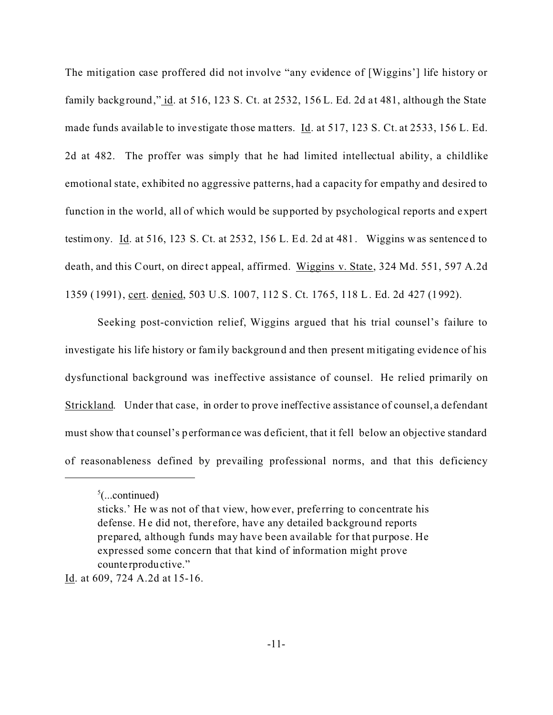The mitigation case proffered did not involve "any evidence of [Wiggins'] life history or family background," id. at 516, 123 S. Ct. at 2532, 156 L. Ed. 2d at 481, although the State made funds available to investigate those matters. **Id.** at 517, 123 S. Ct. at 2533, 156 L. Ed. 2d at 482. The proffer was simply that he had limited intellectual ability, a childlike emotional state, exhibited no aggressive patterns, had a capacity for empathy and desired to function in the world, all of which would be supported by psychological reports and expert testimony. Id. at 516, 123 S. Ct. at 2532, 156 L. Ed. 2d at 481. Wiggins was sentenced to death, and this Court, on direct appeal, affirmed. Wiggins v. State, 324 Md. 551, 597 A.2d 1359 (1991), cert. denied, 503 U.S. 1007, 112 S. Ct. 1765, 118 L. Ed. 2d 427 (1992).

Seeking post-conviction relief, Wiggins argued that his trial counsel's failure to investigate his life history or family background and then present mitigating evidence of his dysfunctional background was ineffective assistance of counsel. He relied primarily on Strickland. Under that case, in order to prove ineffective assistance of counsel, a defendant must show tha t counsel's performance was deficient, that it fell below an objective standard of reasonableness defined by prevailing professional norms, and that this deficiency

 $5$ (...continued)

sticks.' He was not of that view, however, preferring to concentrate his defense. He did not, therefore, have any detailed background reports prepared, although funds may have been available for that purpose. He expressed some concern that that kind of information might prove counte rproductive."

Id. at 609, 724 A.2d at 15-16.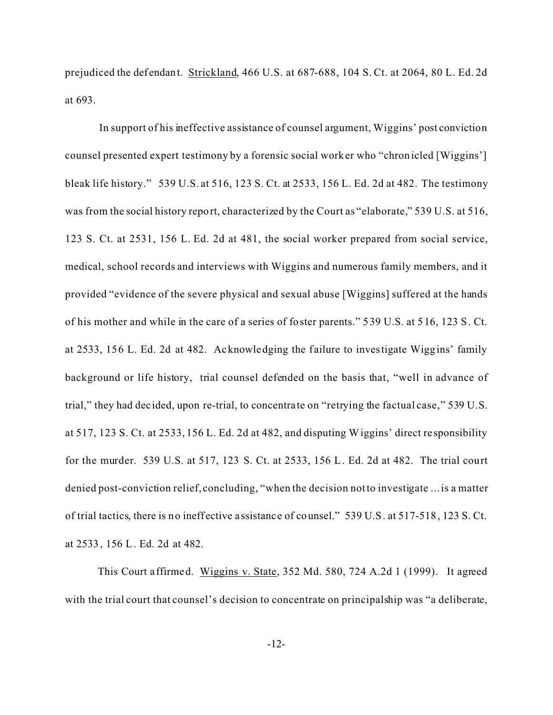prejudiced the defendant. Strickland, 466 U.S. at 687-688, 104 S. Ct. at 2064, 80 L. Ed. 2d at 693.

 In support of his ineffective assistance of counsel argument, Wiggins' post conviction counsel presented expert testimony by a forensic social worker who "chronicled [Wiggins'] bleak life history." 539 U.S. at 516, 123 S. Ct. at 2533, 156 L. Ed. 2d at 482. The testimony was from the social history report, characterized by the Court as "elaborate," 539 U.S. at 516, 123 S. Ct. at 2531, 156 L. Ed. 2d at 481, the social worker prepared from social service, medical, school records and interviews with Wiggins and numerous family members, and it provided "evidence of the severe physical and sexual abuse [Wiggins] suffered at the hands of his mother and while in the care of a series of foster parents." 539 U.S. at 516, 123 S. Ct. at 2533, 156 L. Ed. 2d at 482. Acknowledging the failure to investigate Wiggins' family background or life history, trial counsel defended on the basis that, "well in advance of trial," they had dec ided, upon re-trial, to concentra te on "retrying the factual case," 539 U.S. at 517, 123 S. Ct. at 2533, 156 L. Ed. 2d at 482, and disputing Wiggins' direct re sponsibility for the murder. 539 U.S. at 517, 123 S. Ct. at 2533, 156 L. Ed. 2d at 482. The trial court denied post-conviction relief, concluding, "when the decision not to investigate ... is a matter of trial tactics, there is no ineffective assistance of counsel." 539 U.S. at 517-518, 123 S. Ct. at 2533, 156 L. Ed. 2d at 482.

This Court a ffirmed. Wiggins v. State, 352 Md. 580, 724 A.2d 1 (1999). It agreed with the trial court that counsel's decision to concentrate on principalship was "a deliberate,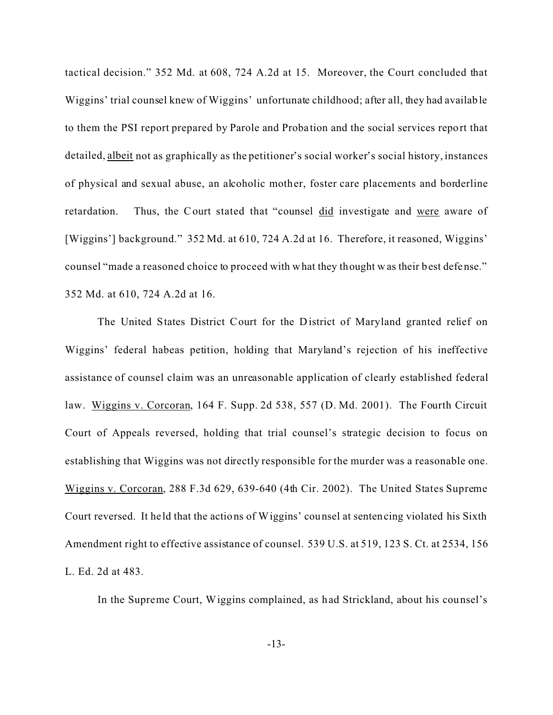tactical decision." 352 Md. at 608, 724 A.2d at 15. Moreover, the Court concluded that Wiggins' trial counsel knew of Wiggins' unfortunate childhood; after all, they had available to them the PSI report prepared by Parole and Proba tion and the social services report that detailed, albeit not as graphically as the petitioner's social worker's social history, instances of physical and sexual abuse, an alcoholic mother, foster care placements and borderline retardation. Thus, the Court stated that "counsel did investigate and were aware of [Wiggins'] background." 352 Md. at 610, 724 A.2d at 16. Therefore, it reasoned, Wiggins' counsel "made a reasoned choice to proceed with what they thought was their best defense." 352 Md. at 610, 724 A.2d at 16.

The United States District Court for the District of Maryland granted relief on Wiggins' federal habeas petition, holding that Maryland's rejection of his ineffective assistance of counsel claim was an unreasonable application of clearly established federal law. Wiggins v. Corcoran, 164 F. Supp. 2d 538, 557 (D. Md. 2001). The Fourth Circuit Court of Appeals reversed, holding that trial counsel's strategic decision to focus on establishing that Wiggins was not directly responsible for the murder was a reasonable one. Wiggins v. Corcoran, 288 F.3d 629, 639-640 (4th Cir. 2002). The United States Supreme Court reversed. It he ld that the actions of Wiggins' counsel at sentencing violated his Sixth Amendment right to effective assistance of counsel. 539 U.S. at 519, 123 S. Ct. at 2534, 156 L. Ed. 2d at 483.

In the Supreme Court, Wiggins complained, as had Strickland, about his counsel's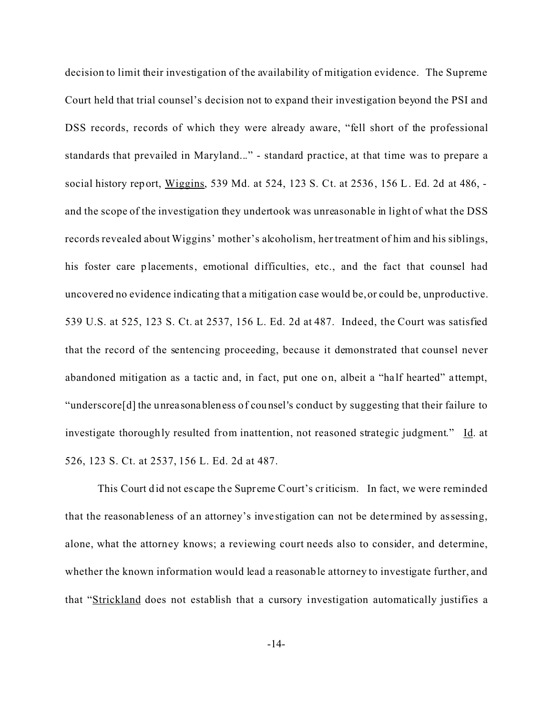decision to limit their investigation of the availability of mitigation evidence. The Supreme Court held that trial counsel's decision not to expand their investigation beyond the PSI and DSS records, records of which they were already aware, "fell short of the professional standards that prevailed in Maryland..." - standard practice, at that time was to prepare a social history report, Wiggins, 539 Md. at 524, 123 S. Ct. at 2536, 156 L. Ed. 2d at 486, and the scope of the investigation they undertook was unreasonable in light of what the DSS records revealed about Wiggins' mother's alcoholism, her treatment of him and his siblings, his foster care placements, emotional difficulties, etc., and the fact that counsel had uncovered no evidence indicating that a mitigation case would be, or could be, unproductive. 539 U.S. at 525, 123 S. Ct. at 2537, 156 L. Ed. 2d at 487. Indeed, the Court was satisfied that the record of the sentencing proceeding, because it demonstrated that counsel never abandoned mitigation as a tactic and, in fact, put one on, albeit a "half hearted" attempt, "underscore[d] the unreasonableness of counsel's conduct by suggesting that their failure to investigate thoroughly resulted from inattention, not reasoned strategic judgment." Id. at 526, 123 S. Ct. at 2537, 156 L. Ed. 2d at 487.

This Court did not escape the Supreme Court's criticism. In fact, we were reminded that the reasonableness of an attorney's inve stigation can not be dete rmined by assessing, alone, what the attorney knows; a reviewing court needs also to consider, and determine, whether the known information would lead a reasonable attorney to investigate further, and that "Strickland does not establish that a cursory investigation automatically justifies a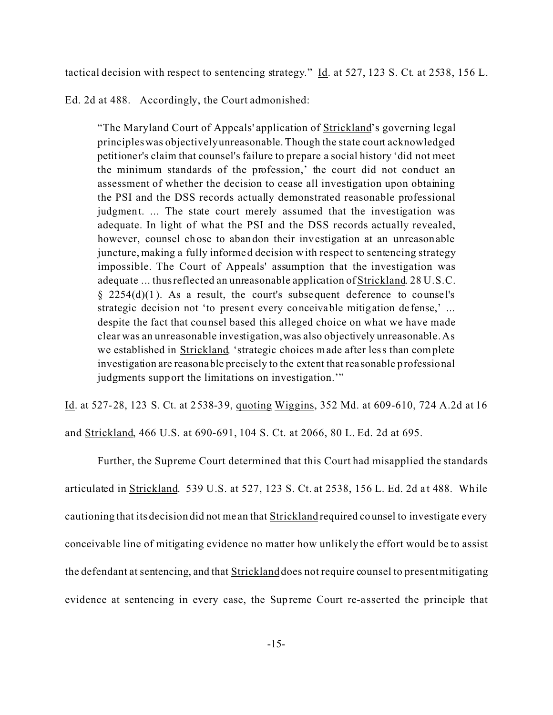tactical decision with respect to sentencing strategy." Id. at 527, 123 S. Ct. at 2538, 156 L.

Ed. 2d at 488. Accordingly, the Court admonished:

"The Maryland Court of Appeals' application of Strickland's governing legal principles was objectively unreasonable. Though the state court acknowledged petitioner's claim that counsel's failure to prepare a social history 'did not meet the minimum standards of the profession,' the court did not conduct an assessment of whether the decision to cease all investigation upon obtaining the PSI and the DSS records actually demonstrated reasonable professional judgment. ... The state court merely assumed that the investigation was adequate. In light of what the PSI and the DSS records actually revealed, however, counsel chose to abandon their investigation at an unreasonable juncture, making a fully informed decision with respect to sentencing strategy impossible. The Court of Appeals' assumption that the investigation was adequate ... thus reflected an unreasonable application of Strickland. 28 U.S.C.  $§$  2254(d)(1). As a result, the court's subsequent deference to counsel's strategic decision not 'to present every conceivable mitigation de fense,' ... despite the fact that counsel based this alleged choice on what we have made clear was an unreasonable investigation, was also objectively unreasonable. As we established in Strickland*,* 'strategic choices made after less than complete investigation are reasonable precisely to the extent that rea sonable professional judgments support the limitations on investigation.'"

Id. at 527-28, 123 S. Ct. at 2538-39, quoting Wiggins, 352 Md. at 609-610, 724 A.2d at 16

and Strickland, 466 U.S. at 690-691, 104 S. Ct. at 2066, 80 L. Ed. 2d at 695.

Further, the Supreme Court determined that this Court had misapplied the standards articulated in **Strickland.** 539 U.S. at 527, 123 S. Ct. at 2538, 156 L. Ed. 2d at 488. While cautioning that its decision did not me an that Strickland required counsel to investigate every conceivable line of mitigating evidence no matter how unlikely the effort would be to assist the defendant at sentencing, and that **Strickland** does not require counsel to present mitigating evidence at sentencing in every case, the Supreme Court re-asserted the principle that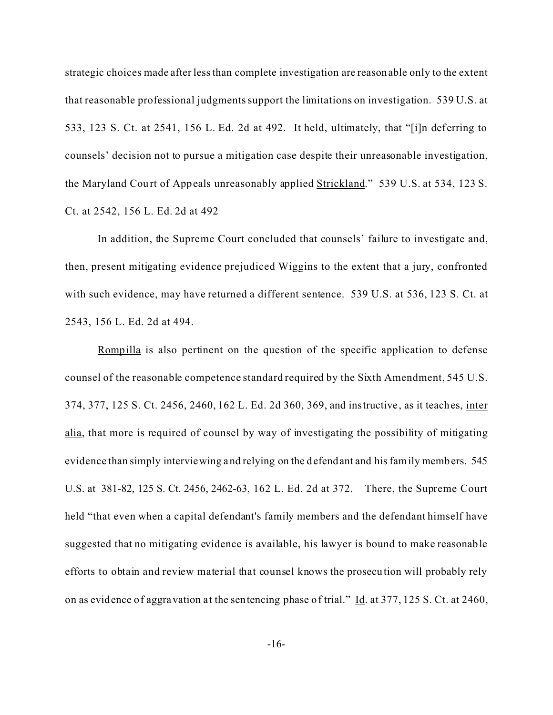strategic choices made after less than complete investigation are reasonable only to the extent that reasonable professional judgments support the limitations on investigation. 539 U.S. at 533, 123 S. Ct. at 2541, 156 L. Ed. 2d at 492. It held, ultimately, that "[i]n deferring to counsels' decision not to pursue a mitigation case despite their unreasonable investigation, the Maryland Court of Appeals unreasonably applied Strickland." 539 U.S. at 534, 123 S. Ct. at 2542, 156 L. Ed. 2d at 492

In addition, the Supreme Court concluded that counsels' failure to investigate and, then, present mitigating evidence prejudiced Wiggins to the extent that a jury, confronted with such evidence, may have returned a different sentence. 539 U.S. at 536, 123 S. Ct. at 2543, 156 L. Ed. 2d at 494.

Rompilla is also pertinent on the question of the specific application to defense counsel of the reasonable competence standard required by the Sixth Amendment, 545 U.S. 374, 377, 125 S. Ct. 2456, 2460, 162 L. Ed. 2d 360, 369, and instructive, as it teaches, inter alia, that more is required of counsel by way of investigating the possibility of mitigating evidence than simply interviewing and relying on the defendant and his family members. 545 U.S. at 381-82, 125 S. Ct. 2456, 2462-63, 162 L. Ed. 2d at 372. There, the Supreme Court held "that even when a capital defendant's family members and the defendant himself have suggested that no mitigating evidence is available, his lawyer is bound to make reasonable efforts to obtain and review material that counsel knows the prosecution will probably rely on as evidence of aggravation at the sentencing phase of trial." Id. at 377, 125 S. Ct. at 2460,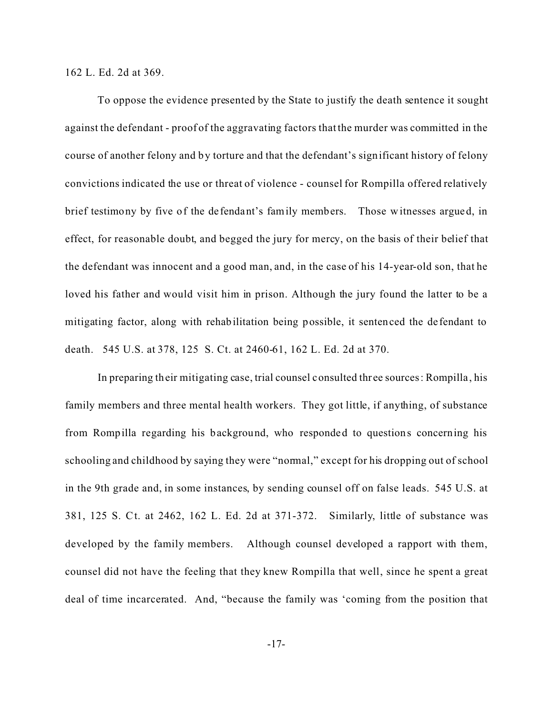162 L. Ed. 2d at 369.

To oppose the evidence presented by the State to justify the death sentence it sought against the defendant - proof of the aggravating factors that the murder was committed in the course of another felony and by torture and that the defendant's significant history of felony convictions indicated the use or threat of violence - counsel for Rompilla offered relatively brief testimony by five of the de fendant's family members. Those witnesses argued, in effect, for reasonable doubt, and begged the jury for mercy, on the basis of their belief that the defendant was innocent and a good man, and, in the case of his 14-year-old son, that he loved his father and would visit him in prison. Although the jury found the latter to be a mitigating factor, along with rehabilitation being possible, it sentenced the de fendant to death. 545 U.S. at 378, 125 S. Ct. at 2460-61, 162 L. Ed. 2d at 370.

In preparing their mitigating case, trial counsel consulted three sources: Rompilla, his family members and three mental health workers. They got little, if anything, of substance from Rompilla regarding his background, who responded to questions concerning his schooling and childhood by saying they were "normal," except for his dropping out of school in the 9th grade and, in some instances, by sending counsel off on false leads. 545 U.S. at 381, 125 S. Ct. at 2462, 162 L. Ed. 2d at 371-372. Similarly, little of substance was developed by the family members. Although counsel developed a rapport with them, counsel did not have the feeling that they knew Rompilla that well, since he spent a great deal of time incarcerated. And, "because the family was 'coming from the position that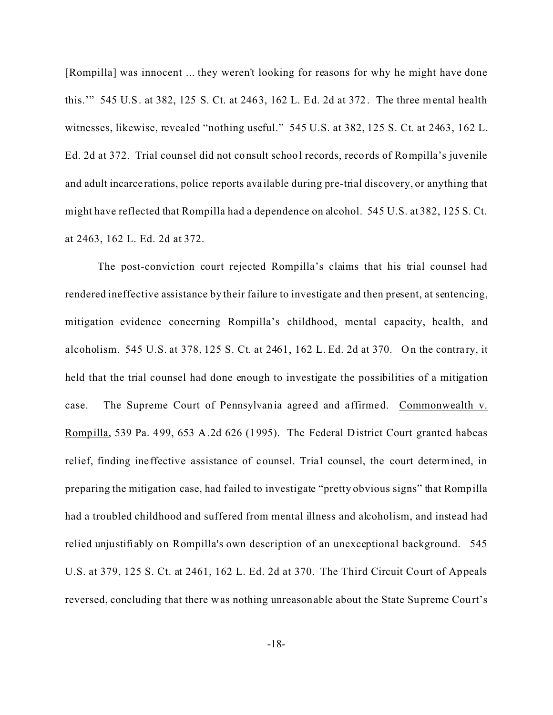[Rompilla] was innocent ... they weren't looking for reasons for why he might have done this.'" 545 U.S. at 382, 125 S. Ct. at 2463, 162 L. Ed. 2d at 372. The three mental health witnesses, likewise, revealed "nothing useful." 545 U.S. at 382, 125 S. Ct. at 2463, 162 L. Ed. 2d at 372. Trial counsel did not consult school records, records of Rompilla's juvenile and adult incarce rations, police reports available during pre-trial discovery, or anything that might have reflected that Rompilla had a dependence on alcohol. 545 U.S. at 382, 125 S. Ct. at 2463, 162 L. Ed. 2d at 372.

The post-conviction court rejected Rompilla's claims that his trial counsel had rendered ineffective assistance by their failure to investigate and then present, at sentencing, mitigation evidence concerning Rompilla's childhood, mental capacity, health, and alcoholism. 545 U.S. at 378, 125 S. Ct. at 2461, 162 L. Ed. 2d at 370. On the contra ry, it held that the trial counsel had done enough to investigate the possibilities of a mitigation case. The Supreme Court of Pennsylvania agreed and a ffirmed. Commonwealth v. Rompilla, 539 Pa. 499, 653 A.2d 626 (1995). The Federal District Court granted habeas relief, finding ine ffective assistance of counsel. Trial counsel, the court determined, in preparing the mitigation case, had f ailed to investigate "pretty obvious signs" that Rompilla had a troubled childhood and suffered from mental illness and alcoholism, and instead had relied unjustifiably on Rompilla's own description of an unexceptional background. 545 U.S. at 379, 125 S. Ct. at 2461, 162 L. Ed. 2d at 370. The Third Circuit Court of Appeals reversed, concluding that there was nothing unreasonable about the State Supreme Court's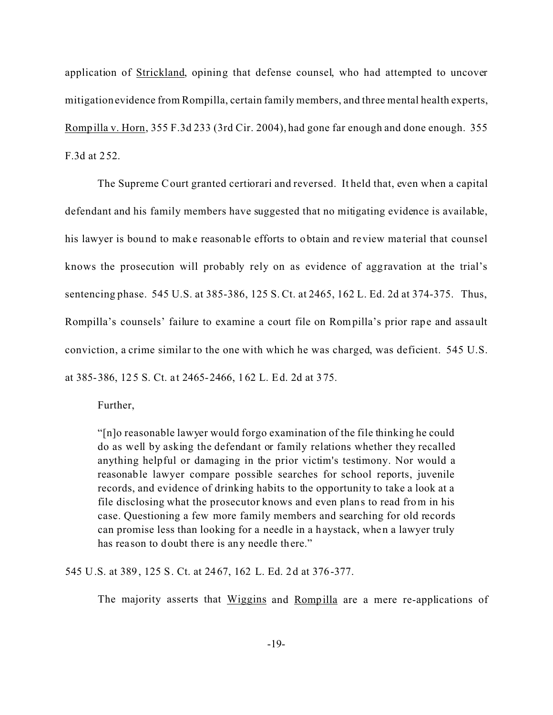application of Strickland, opining that defense counsel, who had attempted to uncover mitigationevidence from Rompilla, certain family members, and three mental health experts, Rompilla v. Horn, 355 F.3d 233 (3rd Cir. 2004), had gone far enough and done enough. 355 F.3d at 252.

The Supreme Court granted certiorari and reversed. It held that, even when a capital defendant and his family members have suggested that no mitigating evidence is available, his lawyer is bound to make reasonable efforts to obtain and review ma terial that counsel knows the prosecution will probably rely on as evidence of aggravation at the trial's sentencing phase. 545 U.S. at 385-386, 125 S. Ct. at 2465, 162 L. Ed. 2d at 374-375. Thus, Rompilla's counsels' failure to examine a court file on Rompilla's prior rape and assault conviction, a crime similar to the one with which he was charged, was deficient. 545 U.S. at 385-386, 125 S. Ct. at 2465-2466, 162 L. Ed. 2d at 375.

Further,

"[n]o reasonable lawyer would forgo examination of the file thinking he could do as well by asking the defendant or family relations whether they recalled anything helpful or damaging in the prior victim's testimony. Nor would a reasonable lawyer compare possible searches for school reports, juvenile records, and evidence of drinking habits to the opportunity to take a look at a file disclosing what the prosecutor knows and even plans to read from in his case. Questioning a few more family members and searching for old records can promise less than looking for a needle in a haystack, when a lawyer truly has reason to doubt there is any needle there."

545 U.S. at 389, 125 S. Ct. at 2467, 162 L. Ed. 2d at 376-377.

The majority asserts that Wiggins and Rompilla are a mere re-applications of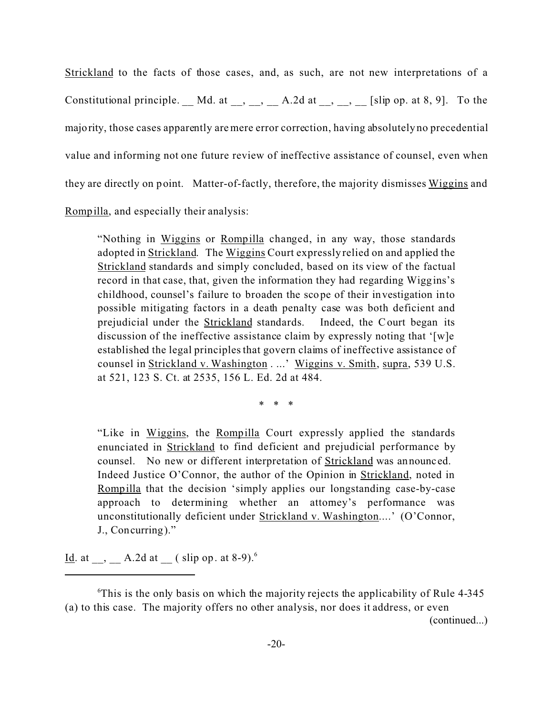Strickland to the facts of those cases, and, as such, are not new interpretations of a Constitutional principle. Md. at  $\,$ ,  $\,$ ,  $\,$  A.2d at  $\,$ ,  $\,$ ,  $\,$  [slip op. at 8, 9]. To the majority, those cases apparently are mere error correction, having absolutely no precedential value and informing not one future review of ineffective assistance of counsel, even when they are directly on point. Matter-of-factly, therefore, the majority dismisses Wiggins and Rompilla, and especially their analysis:

"Nothing in Wiggins or Rompilla changed, in any way, those standards adopted in Strickland. The Wiggins Court expressly relied on and applied the Strickland standards and simply concluded, based on its view of the factual record in that case, that, given the information they had regarding Wiggins's childhood, counsel's failure to broaden the scope of their investigation into possible mitigating factors in a death penalty case was both deficient and prejudicial under the Strickland standards. Indeed, the Court began its discussion of the ineffective assistance claim by expressly noting that '[w]e established the legal principles that govern claims of ineffective assistance of counsel in Strickland v. Washington . ...' Wiggins v. Smith, supra, 539 U.S. at 521, 123 S. Ct. at 2535, 156 L. Ed. 2d at 484.

\* \* \*

"Like in Wiggins, the Rompilla Court expressly applied the standards enunciated in Strickland to find deficient and prejudicial performance by counsel. No new or different interpretation of **Strickland** was announced. Indeed Justice O'Connor, the author of the Opinion in Strickland, noted in Rompilla that the decision 'simply applies our longstanding case-by-case approach to determining whether an attorney's performance was unconstitutionally deficient under Strickland v. Washington....' (O'Connor, J., Concurring)."

<u>Id</u>. at \_\_, \_\_ A.2d at \_\_ ( slip op. at 8-9).<sup>6</sup>

(continued...)

 $\textdegree$ This is the only basis on which the majority rejects the applicability of Rule 4-345 (a) to this case. The majority offers no other analysis, nor does it address, or even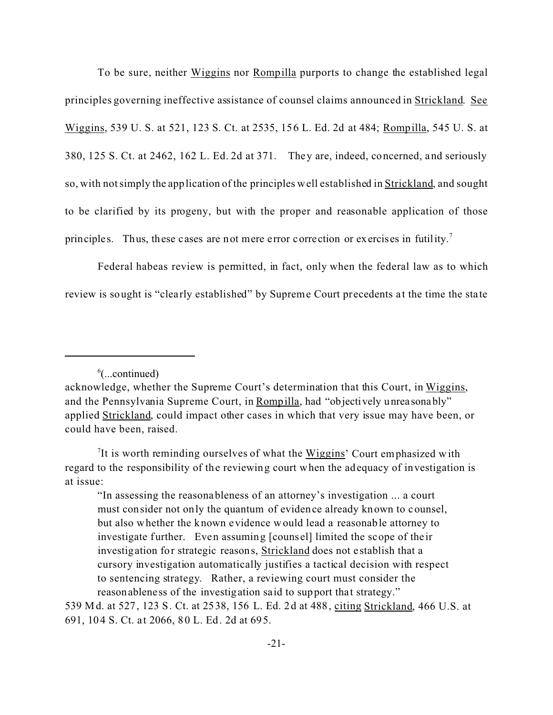To be sure, neither Wiggins nor Rompilla purports to change the established legal principles governing ineffective assistance of counsel claims announced in Strickland. See Wiggins, 539 U. S. at 521, 123 S. Ct. at 2535, 156 L. Ed. 2d at 484; Rompilla, 545 U. S. at 380, 125 S. Ct. at 2462, 162 L. Ed. 2d at 371. They are, indeed, concerned, and seriously so, with not simply the application of the principles well established in Strickland, and sought to be clarified by its progeny, but with the proper and reasonable application of those principles. Thus, these cases are not mere error correction or exercises in futility.<sup>7</sup>

Federal habeas review is permitted, in fact, only when the federal law as to which review is sought is "clearly established" by Supreme Court precedents at the time the state

"In assessing the reasonableness of an attorney's investigation ... a court must consider not only the quantum of evidence already known to counsel, but also whether the known evidence would lead a reasonable attorney to investigate further. Even assuming [counsel] limited the scope of the ir investigation for strategic reasons, Strickland does not establish that a cursory investigation automatically justifies a tactical decision with respect to sentencing strategy. Rather, a reviewing court must consider the reasonableness of the investigation said to support that strategy."

539 Md. at 527, 123 S. Ct. at 2538, 156 L. Ed. 2d at 488, citing Strickland, 466 U.S. at 691, 104 S. Ct. a t 2066, 80 L. Ed. 2d at 695.

<sup>6</sup> (...continued)

acknowledge, whether the Supreme Court's determination that this Court, in Wiggins, and the Pennsylvania Supreme Court, in Rompilla, had "objectively unreasonably" applied Strickland, could impact other cases in which that very issue may have been, or could have been, raised.

<sup>&</sup>lt;sup>7</sup>It is worth reminding ourselves of what the  $Wiggsins$  Court emphasized with regard to the responsibility of the reviewing court when the adequacy of investigation is at issue: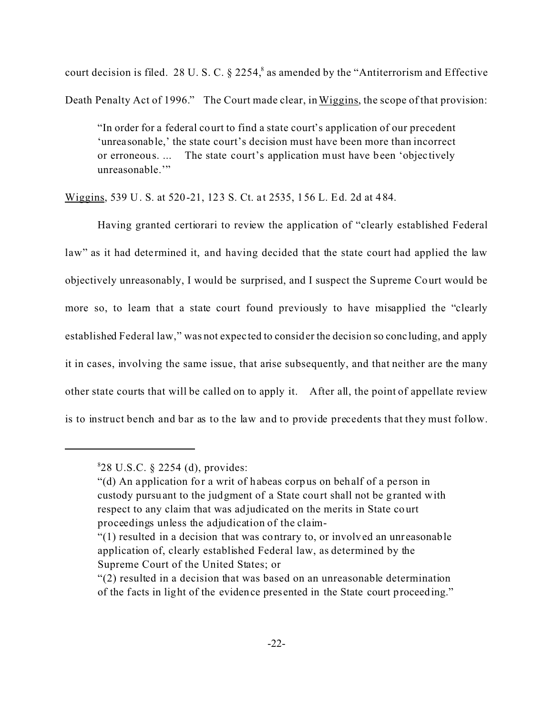court decision is filed. 28 U.S.C.  $\S$  2254,  $\delta$  as amended by the "Antiterrorism and Effective Death Penalty Act of 1996." The Court made clear, in Wiggins, the scope of that provision:

"In order for a federal court to find a state court's application of our precedent 'unreasonable,' the state court's decision must have been more than incorrect or erroneous. ... The state court's application must have been 'objec tively unreasonable."

Wiggins, 539 U. S. at 520-21, 123 S. Ct. at 2535, 156 L. Ed. 2d at 484.

Having granted certiorari to review the application of "clearly established Federal law" as it had determined it, and having decided that the state court had applied the law objectively unreasonably, I would be surprised, and I suspect the Supreme Court would be more so, to learn that a state court found previously to have misapplied the "clearly established Federal law," was not expec ted to consider the decision so conc luding, and apply it in cases, involving the same issue, that arise subsequently, and that neither are the many other state courts that will be called on to apply it. After all, the point of appellate review is to instruct bench and bar as to the law and to provide precedents that they must follow.

<sup>8</sup> 28 U.S.C. § 2254 (d), provides:

<sup>&</sup>quot;(d) An application for a writ of habeas corpus on behalf of a person in custody pursuant to the judgment of a State court shall not be granted with respect to any claim that was adjudicated on the merits in State court proceedings unless the adjudication of the claim-

<sup>&</sup>quot;(1) resulted in a decision that was contrary to, or involved an unreasonable application of, clearly established Federal law, as determined by the Supreme Court of the United States; or

<sup>&</sup>quot;(2) resulted in a decision that was based on an unreasonable determination of the f acts in light of the evidence presented in the State court proceeding."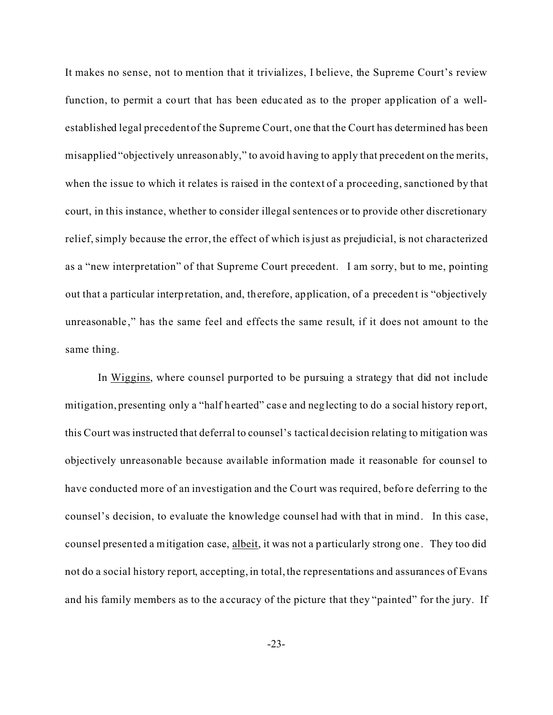It makes no sense, not to mention that it trivializes, I believe, the Supreme Court's review function, to permit a court that has been educ ated as to the proper application of a wellestablished legal precedent of the Supreme Court, one that the Court has determined has been misapplied "objectively unreasonably," to avoid having to apply that precedent on the merits, when the issue to which it relates is raised in the context of a proceeding, sanctioned by that court, in this instance, whether to consider illegal sentences or to provide other discretionary relief, simply because the error, the effect of which is just as prejudicial, is not characterized as a "new interpretation" of that Supreme Court precedent. I am sorry, but to me, pointing out that a particular interpretation, and, therefore, application, of a precedent is "objectively unreasonable," has the same feel and effects the same result, if it does not amount to the same thing.

In Wiggins, where counsel purported to be pursuing a strategy that did not include mitigation, presenting only a "half hearted" case and neglecting to do a social history report, this Court was instructed that deferral to counsel's tactical decision relating to mitigation was objectively unreasonable because available information made it reasonable for counsel to have conducted more of an investigation and the Court was required, before deferring to the counsel's decision, to evaluate the knowledge counsel had with that in mind. In this case, counsel presented a mitigation case, albeit, it was not a particularly strong one . They too did not do a social history report, accepting, in total, the representations and assurances of Evans and his family members as to the a ccuracy of the picture that they "painted" for the jury. If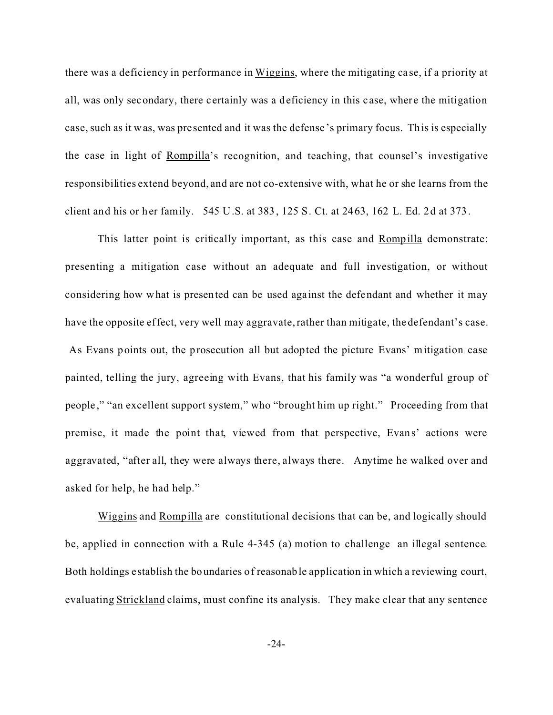there was a deficiency in performance in Wiggins, where the mitigating ca se, if a priority at all, was only secondary, there certainly was a deficiency in this c ase, where the mitigation case, such as it was, was pre sented and it was the defense 's primary focus. This is especially the case in light of Rompilla's recognition, and teaching, that counsel's investigative responsibilities extend beyond, and are not co-extensive with, what he or she learns from the client and his or her family. 545 U.S. at 383, 125 S. Ct. at 2463, 162 L. Ed. 2d at 373.

This latter point is critically important, as this case and Rompilla demonstrate: presenting a mitigation case without an adequate and full investigation, or without considering how what is presented can be used against the defendant and whether it may have the opposite effect, very well may aggravate, rather than mitigate, the defendant's case. As Evans points out, the prosecution all but adopted the picture Evans' mitigation case painted, telling the jury, agreeing with Evans, that his family was "a wonderful group of people ," "an excellent support system," who "brought him up right." Proceeding from that premise, it made the point that, viewed from that perspective, Evans' actions were aggravated, "after all, they were always there, always there. Anytime he walked over and asked for help, he had help."

Wiggins and Rompilla are constitutional decisions that can be, and logically should be, applied in connection with a Rule 4-345 (a) motion to challenge an illegal sentence. Both holdings e stablish the boundaries of reasonable application in which a reviewing court, evaluating Strickland claims, must confine its analysis. They make clear that any sentence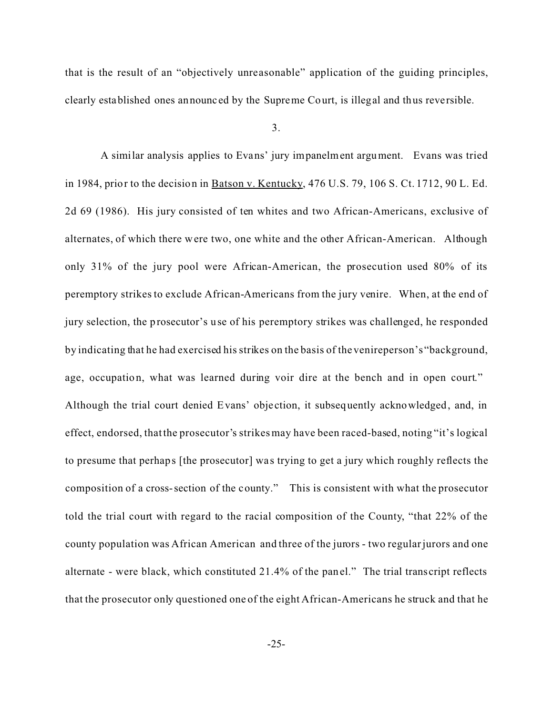that is the result of an "objectively unreasonable" application of the guiding principles, clearly established ones announc ed by the Supreme Court, is illegal and thus reversible.

3.

 A similar analysis applies to Evans' jury impanelment argument. Evans was tried in 1984, prior to the decision in Batson v. Kentucky, 476 U.S. 79, 106 S. Ct. 1712, 90 L. Ed. 2d 69 (1986). His jury consisted of ten whites and two African-Americans, exclusive of alternates, of which there were two, one white and the other African-American. Although only 31% of the jury pool were African-American, the prosecution used 80% of its peremptory strikes to exclude African-Americans from the jury venire. When, at the end of jury selection, the prosecutor's use of his peremptory strikes was challenged, he responded by indicating that he had exercised his strikes on the basis of the venireperson's "background, age, occupation, what was learned during voir dire at the bench and in open court." Although the trial court denied Evans' objection, it subsequently acknowledged, and, in effect, endorsed, that the prosecutor's strikes may have been raced-based, noting "it's logical to presume that perhaps [the prosecutor] wa s trying to get a jury which roughly reflects the composition of a cross-section of the county." This is consistent with what the prosecutor told the trial court with regard to the racial composition of the County, "that 22% of the county population was African American and three of the jurors - two regular jurors and one alternate - were black, which constituted 21.4% of the panel." The trial transcript reflects that the prosecutor only questioned one of the eight African-Americans he struck and that he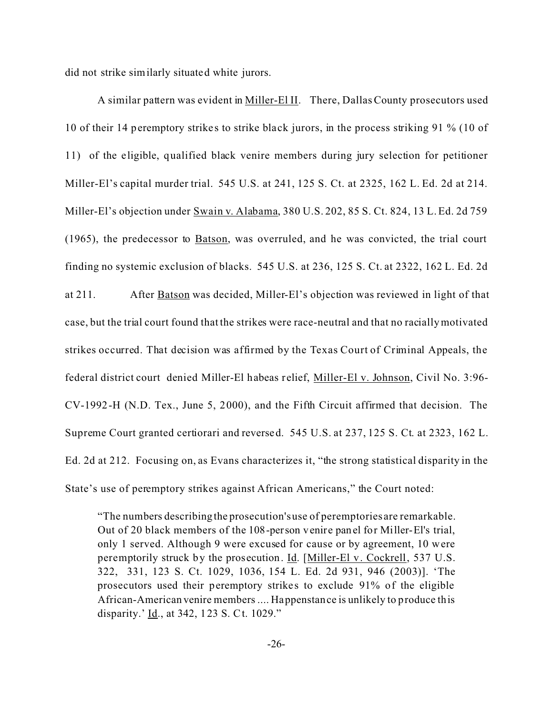did not strike similarly situated white jurors.

A similar pattern was evident in Miller-El II. There, Dallas County prosecutors used 10 of their 14 peremptory strike s to strike black jurors, in the process striking 91 % (10 of 11) of the eligible, qualified black venire members during jury selection for petitioner Miller-El's capital murder trial. 545 U.S. at 241, 125 S. Ct. at 2325, 162 L. Ed. 2d at 214. Miller-El's objection under Swain v. Alabama, 380 U.S. 202, 85 S. Ct. 824, 13 L. Ed. 2d 759 (1965), the predecessor to Batson, was overruled, and he was convicted, the trial court finding no systemic exclusion of blacks. 545 U.S. at 236, 125 S. Ct. at 2322, 162 L. Ed. 2d at 211. After Batson was decided, Miller-El's objection was reviewed in light of that case, but the trial court found that the strikes were race-neutral and that no racially motivated strikes occurred. That decision was affirmed by the Texas Court of Criminal Appeals, the federal district court denied Miller-El habeas relief, Miller-El v. Johnson, Civil No. 3:96- CV-1992-H (N.D. Tex., June 5, 2000), and the Fifth Circuit affirmed that decision. The Supreme Court granted certiorari and reversed. 545 U.S. at 237, 125 S. Ct. at 2323, 162 L. Ed. 2d at 212. Focusing on, as Evans characterizes it, "the strong statistical disparity in the State's use of peremptory strikes against African Americans," the Court noted:

"The numbers describingthe prosecution's use of peremptories are remarkable. Out of 20 black members of the 108-person venire panel for Miller-El's trial, only 1 served. Although 9 were excused for cause or by agreement, 10 were peremptorily struck by the prosecution. Id. [Miller-El v. Cockrell, 537 U.S.] 322, 331, 123 S. Ct. 1029, 1036, 154 L. Ed. 2d 931, 946 (2003)]. 'The prosecutors used their peremptory strikes to exclude 91% of the eligible African-American venire members .... Happenstance is unlikely to produce this disparity.' <u>Id.,</u> at 342, 123 S. Ct. 1029."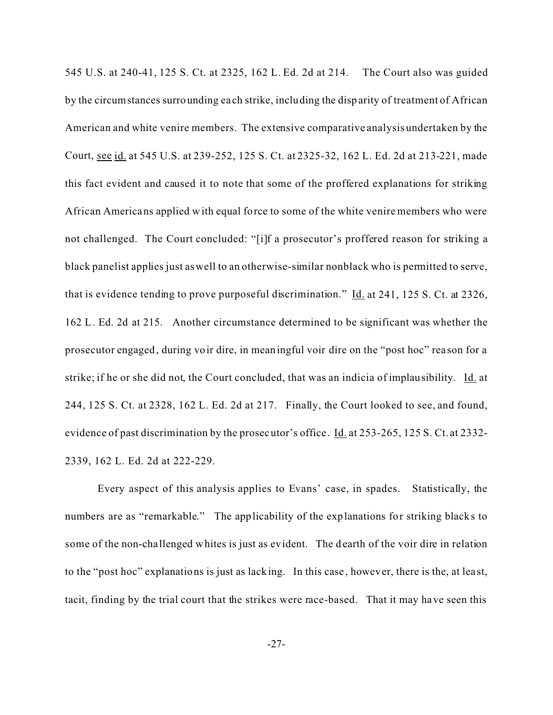545 U.S. at 240-41, 125 S. Ct. at 2325, 162 L. Ed. 2d at 214. The Court also was guided by the circumstances surrounding ea ch strike, including the disparity of treatment of African American and white venire members. The extensive comparative analysis undertaken by the Court, see id. at 545 U.S. at 239-252, 125 S. Ct. at 2325-32, 162 L. Ed. 2d at 213-221, made this fact evident and caused it to note that some of the proffered explanations for striking African Americans applied with equal force to some of the white venire members who were not challenged. The Court concluded: "[i]f a prosecutor's proffered reason for striking a black panelist applies just as well to an otherwise-similar nonblack who is permitted to serve, that is evidence tending to prove purposeful discrimination." Id. at 241, 125 S. Ct. at 2326, 162 L. Ed. 2d at 215. Another circumstance determined to be significant was whether the prosecutor engaged, during voir dire, in meaningful voir dire on the "post hoc" rea son for a strike; if he or she did not, the Court concluded, that was an indicia of implausibility. Id. at 244, 125 S. Ct. at 2328, 162 L. Ed. 2d at 217. Finally, the Court looked to see, and found, evidence of past discrimination by the prosecutor's office. Id. at 253-265, 125 S. Ct. at 2332-2339, 162 L. Ed. 2d at 222-229.

Every aspect of this analysis applies to Evans' case, in spades. Statistically, the numbers are as "remarkable." The applicability of the explanations for striking blacks to some of the non-challenged whites is just as evident. The dearth of the voir dire in relation to the "post hoc" explanations is just as lacking. In this case , however, there is the, at lea st, tacit, finding by the trial court that the strikes were race-based. That it may have seen this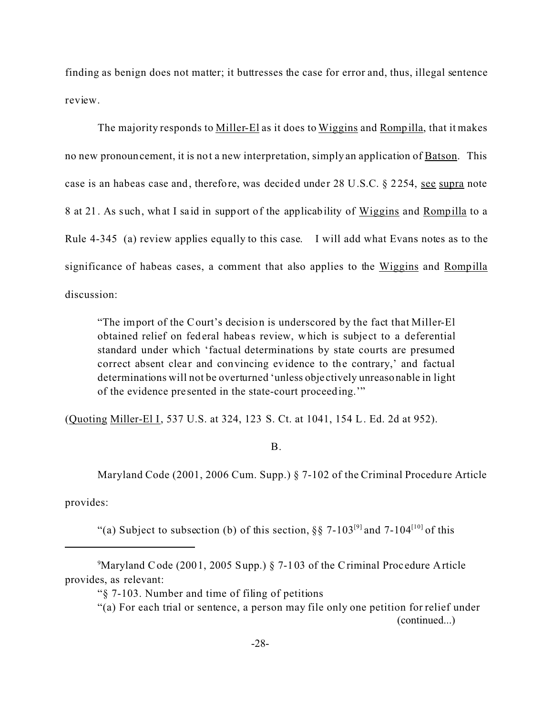finding as benign does not matter; it buttresses the case for error and, thus, illegal sentence review.

The majority responds to Miller-El as it does to Wiggins and Rompilla, that it makes no new pronouncement, it is not a new interpretation, simply an application of **Batson**. This case is an habeas case and, therefore, was decided under 28 U.S.C. § 2254, see supra note 8 at 21. As such, what I said in support of the applicability of Wiggins and Rompilla to a Rule 4-345 (a) review applies equally to this case. I will add what Evans notes as to the significance of habeas cases, a comment that also applies to the Wiggins and Rompilla discussion:

"The import of the Court's decision is underscored by the fact that Miller-El obtained relief on federal habeas review, which is subject to a deferential standard under which 'factual determinations by state courts are presumed correct absent clear and convincing evidence to the contrary,' and factual determinations will not be overturned 'unless obje ctively unreasonable in light of the evidence pre sented in the state-court proceeding.'"

(Quoting Miller-El I, 537 U.S. at 324, 123 S. Ct. at 1041, 154 L. Ed. 2d at 952).

## B.

Maryland Code (2001, 2006 Cum. Supp.) § 7-102 of the Criminal Procedure Article

provides:

"(a) Subject to subsection (b) of this section,  $\S$  7-103<sup>[9]</sup> and 7-104<sup>[10]</sup> of this

<sup>&</sup>lt;sup>9</sup>Maryland Code (2001, 2005 Supp.) § 7-103 of the Criminal Procedure Article provides, as relevant:

<sup>&</sup>quot;§ 7-103. Number and time of filing of petitions

<sup>&</sup>quot;(a) For each trial or sentence, a person may file only one petition for relief under (continued...)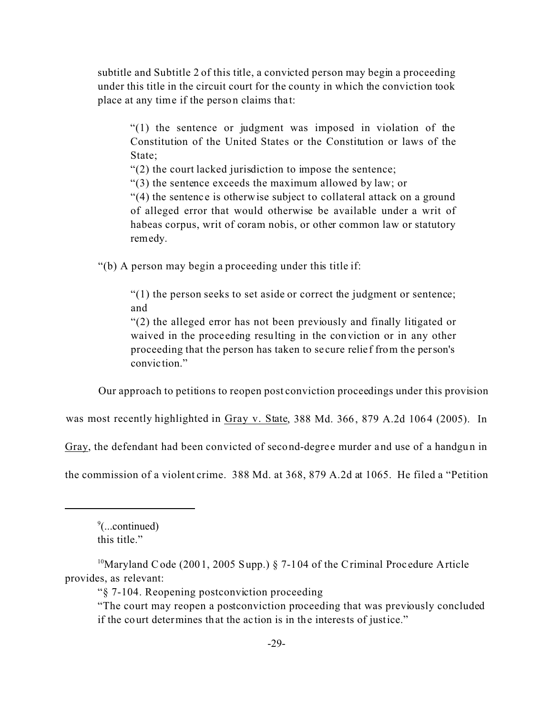subtitle and Subtitle 2 of this title, a convicted person may begin a proceeding under this title in the circuit court for the county in which the conviction took place at any time if the person claims that:

"(1) the sentence or judgment was imposed in violation of the Constitution of the United States or the Constitution or laws of the State;

"(2) the court lacked jurisdiction to impose the sentence;

"(3) the sentence exceeds the maximum allowed by law; or

 $(4)$  the sentence is otherwise subject to collateral attack on a ground of alleged error that would otherwise be available under a writ of habeas corpus, writ of coram nobis, or other common law or statutory remedy.

"(b) A person may begin a proceeding under this title if:

"(1) the person seeks to set aside or correct the judgment or sentence; and

"(2) the alleged error has not been previously and finally litigated or waived in the proce eding resulting in the conviction or in any other proceeding that the person has taken to se cure relief from the person's convic tion."

Our approach to petitions to reopen post conviction proceedings under this provision

was most recently highlighted in Gray v. State, 388 Md. 366, 879 A.2d 1064 (2005). In

Gray, the defendant had been convicted of second-degree murder and use of a handgun in

the commission of a violent crime. 388 Md. at 368, 879 A.2d at 1065. He filed a "Petition

9 (...continued) this title."

"§ 7-104. Reopening postconviction proceeding

<sup>&</sup>lt;sup>10</sup>Maryland Code (2001, 2005 Supp.) § 7-104 of the Criminal Procedure Article provides, as relevant:

<sup>&</sup>quot;The court may reopen a postconviction proceeding that was previously concluded if the court determines that the action is in the interests of justice."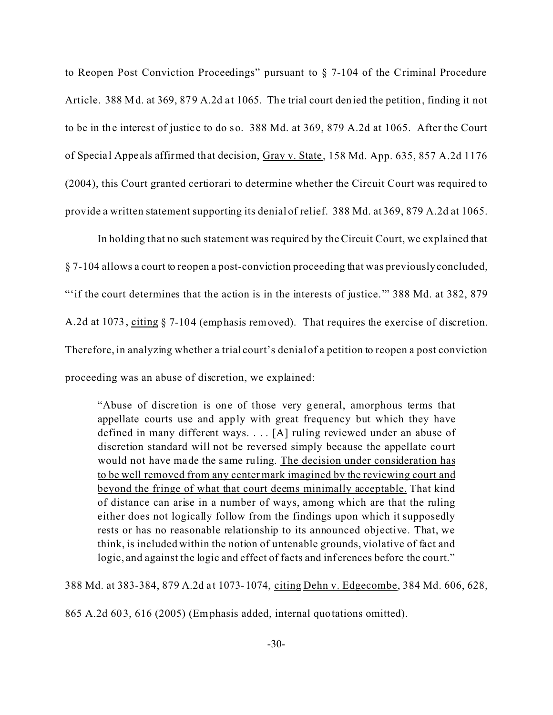to Reopen Post Conviction Proceedings" pursuant to § 7-104 of the Criminal Procedure Article. 388 Md. at 369, 879 A.2d at 1065. The trial court denied the petition, finding it not to be in the interest of justic e to do so. 388 Md. at 369, 879 A.2d at 1065. After the Court of Specia l Appe als affirmed that decision, Gray v. State, 158 Md. App. 635, 857 A.2d 1176 (2004), this Court granted certiorari to determine whether the Circuit Court was required to provide a written statement supporting its denial of relief. 388 Md. at 369, 879 A.2d at 1065.

In holding that no such statement was required by the Circuit Court, we explained that § 7-104 allows a court to reopen a post-conviction proceeding that was previously concluded, ""if the court determines that the action is in the interests of justice."" 388 Md. at 382, 879 A.2d at 1073, citing § 7-104 (emphasis removed). That requires the exercise of discretion. Therefore, in analyzing whether a trial court's denial of a petition to reopen a post conviction proceeding was an abuse of discretion, we explained:

"Abuse of discre tion is one of those very general, amorphous terms that appellate courts use and apply with great frequency but which they have defined in many different ways. . . . [A] ruling reviewed under an abuse of discretion standard will not be reversed simply because the appellate court would not have made the same ruling. The decision under consideration has to be well removed from any center mark imagined by the reviewing court and beyond the fringe of what that court deems minimally acceptable. That kind of distance can arise in a number of ways, among which are that the ruling either does not logically follow from the findings upon which it supposedly rests or has no reasonable relationship to its announced objective. That, we think, is included within the notion of untenable grounds, violative of fact and logic, and against the logic and effect of facts and inferences before the court."

388 Md. at 383-384, 879 A.2d a t 1073-1074, citing Dehn v. Edgecombe, 384 Md. 606, 628,

865 A.2d 603, 616 (2005) (Emphasis added, internal quotations omitted).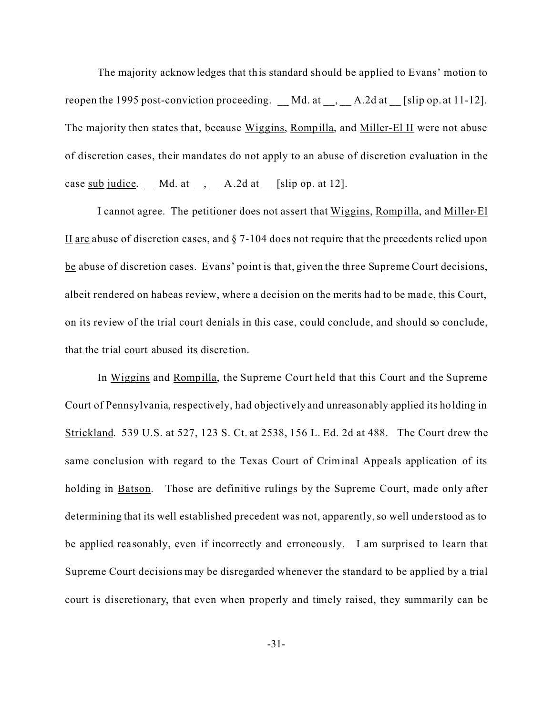The majority acknowledges that this standard should be applied to Evans' motion to reopen the 1995 post-conviction proceeding. Md. at , A.2d at [slip op. at 11-12]. The majority then states that, because Wiggins, Rompilla, and Miller-El II were not abuse of discretion cases, their mandates do not apply to an abuse of discretion evaluation in the case sub judice.  $\qquad$  Md. at  $\qquad$ ,  $\qquad$  A.2d at  $\qquad$  [slip op. at 12].

I cannot agree. The petitioner does not assert that Wiggins, Rompilla, and Miller-El II are abuse of discretion cases, and  $\S$  7-104 does not require that the precedents relied upon be abuse of discretion cases. Evans' point is that, given the three Supreme Court decisions, albeit rendered on habeas review, where a decision on the merits had to be made, this Court, on its review of the trial court denials in this case, could conclude, and should so conclude, that the trial court abused its discretion.

In Wiggins and Rompilla, the Supreme Court held that this Court and the Supreme Court of Pennsylvania, respectively, had objectively and unreasonably applied its holding in Strickland. 539 U.S. at 527, 123 S. Ct. at 2538, 156 L. Ed. 2d at 488. The Court drew the same conclusion with regard to the Texas Court of Criminal Appeals application of its holding in **Batson.** Those are definitive rulings by the Supreme Court, made only after determining that its well established precedent was not, apparently, so well unde rstood as to be applied reasonably, even if incorrectly and erroneously. I am surprised to learn that Supreme Court decisions may be disregarded whenever the standard to be applied by a trial court is discretionary, that even when properly and timely raised, they summarily can be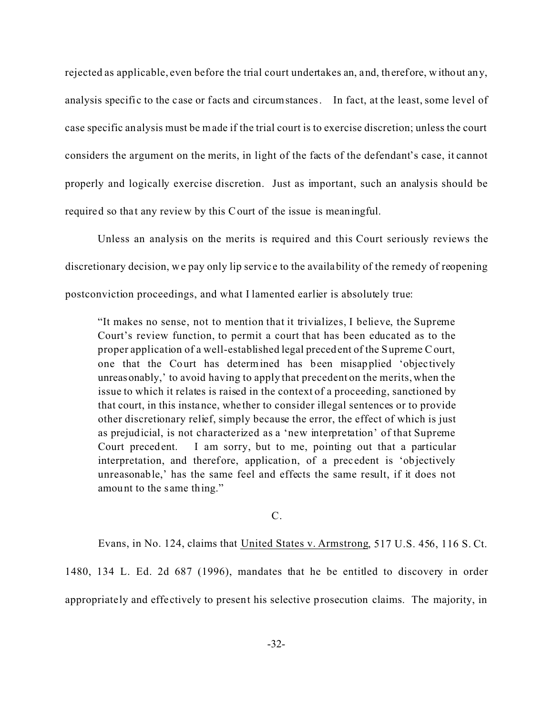rejected as applicable, even before the trial court undertakes an, and, therefore, without any, analysis specific to the case or facts and circumstances. In fact, at the least, some level of case specific analysis must be made if the trial court is to exercise discretion; unless the court considers the argument on the merits, in light of the facts of the defendant's case, it cannot properly and logically exercise discretion. Just as important, such an analysis should be required so that any review by this Court of the issue is meaningful.

Unless an analysis on the merits is required and this Court seriously reviews the discretionary decision, we pay only lip service to the availability of the remedy of reopening postconviction proceedings, and what I lamented earlier is absolutely true:

"It makes no sense, not to mention that it trivializes, I believe, the Supreme Court's review function, to permit a court that has been educated as to the proper application of a well-established legal precedent of the Supreme Court, one that the Court has determined has been misapplied 'objec tively unreasonably,' to avoid having to apply that precedent on the merits, when the issue to which it relates is raised in the context of a proceeding, sanctioned by that court, in this instance, whe ther to consider illegal sentences or to provide other discretionary relief, simply because the error, the effect of which is just as prejudicial, is not characterized as a 'new interpretation' of that Supreme Court precedent. I am sorry, but to me, pointing out that a particular interpretation, and therefore, application, of a prec edent is 'objectively unreasonable,' has the same feel and effects the same result, if it does not amount to the same thing."

C.

Evans, in No. 124, claims that United States v. Armstrong, 517 U.S. 456, 116 S. Ct.

1480, 134 L. Ed. 2d 687 (1996), mandates that he be entitled to discovery in order appropriately and effe ctively to present his selective prosecution claims. The majority, in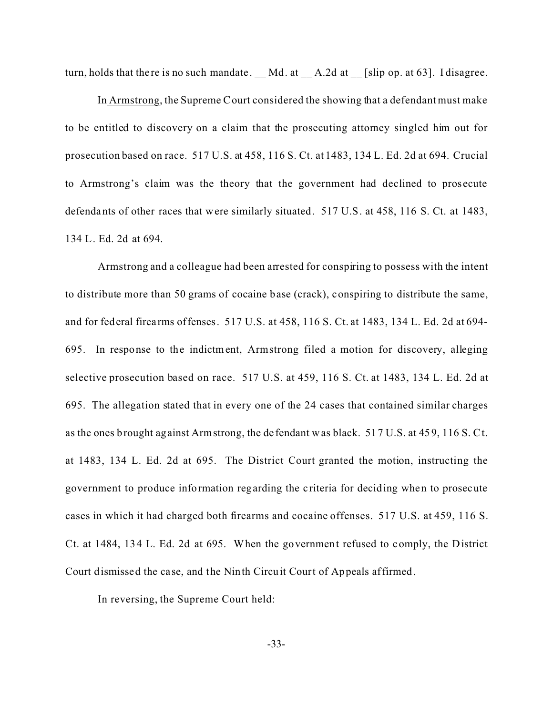turn, holds that there is no such mandate. Md. at  $A.2d$  at [slip op. at 63]. I disagree.

In Armstrong, the Supreme Court considered the showing that a defendant must make to be entitled to discovery on a claim that the prosecuting attorney singled him out for prosecution based on race. 517 U.S. at 458, 116 S. Ct. at 1483, 134 L. Ed. 2d at 694. Crucial to Armstrong's claim was the theory that the government had declined to pros ecute defendants of other races that were similarly situated. 517 U.S. at 458, 116 S. Ct. at 1483, 134 L. Ed. 2d at 694.

Armstrong and a colleague had been arrested for conspiring to possess with the intent to distribute more than 50 grams of cocaine base (crack), conspiring to distribute the same, and for federal firea rms offenses. 517 U.S. at 458, 116 S. Ct. at 1483, 134 L. Ed. 2d at 694- 695. In response to the indictment, Armstrong filed a motion for discovery, alleging selective prosecution based on race. 517 U.S. at 459, 116 S. Ct. at 1483, 134 L. Ed. 2d at 695. The allegation stated that in every one of the 24 cases that contained similar charges as the ones brought against Armstrong, the de fendant was black. 517 U.S. at 459, 116 S. Ct. at 1483, 134 L. Ed. 2d at 695. The District Court granted the motion, instructing the government to produce information regarding the c riteria for deciding when to prosecute cases in which it had charged both firearms and cocaine offenses. 517 U.S. at 459, 116 S. Ct. at 1484, 134 L. Ed. 2d at 695. When the government refused to comply, the District Court dismissed the case, and the Ninth Circuit Court of Appeals affirmed.

In reversing, the Supreme Court held: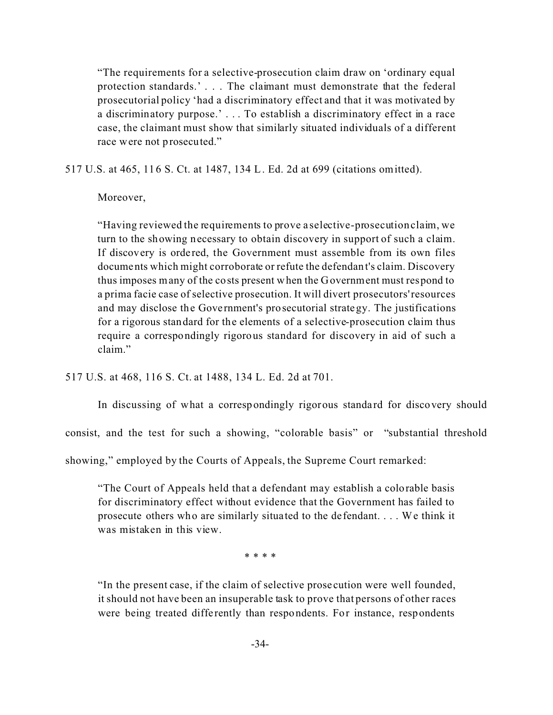"The requirements for a selective-prosecution claim draw on 'ordinary equal protection standards.' . . . The claimant must demonstrate that the federal prosecutorial policy 'had a discriminatory effect and that it was motivated by a discriminatory purpose.' . . . To establish a discriminatory effect in a race case, the claimant must show that similarly situated individuals of a different race were not prosecuted."

517 U.S. at 465, 116 S. Ct. at 1487, 134 L. Ed. 2d at 699 (citations omitted).

Moreover,

"Having reviewed the requirements to prove a selective-prosecution claim, we turn to the showing necessary to obtain discovery in support of such a claim. If discovery is ordered, the Government must assemble from its own files documents which might corroborate or refute the defendant's claim. Discovery thus imposes many of the costs present when the Government must respond to a prima facie case of selective prosecution. It will divert prosecutors' resources and may disclose the Government's prosecutorial strategy. The justifications for a rigorous standard for the elements of a selective-prosecution claim thus require a correspondingly rigorous standard for discovery in aid of such a claim."

517 U.S. at 468, 116 S. Ct. at 1488, 134 L. Ed. 2d at 701.

In discussing of what a correspondingly rigorous standard for discovery should

consist, and the test for such a showing, "colorable basis" or "substantial threshold

showing," employed by the Courts of Appeals, the Supreme Court remarked:

"The Court of Appeals held that a defendant may establish a colorable basis for discriminatory effect without evidence that the Government has failed to prosecute others who are similarly situated to the defendant. . . . We think it was mistaken in this view.

\* \* \* \*

"In the present case, if the claim of selective prose cution were well founded, it should not have been an insuperable task to prove that persons of other races were being treated differently than respondents. For instance, respondents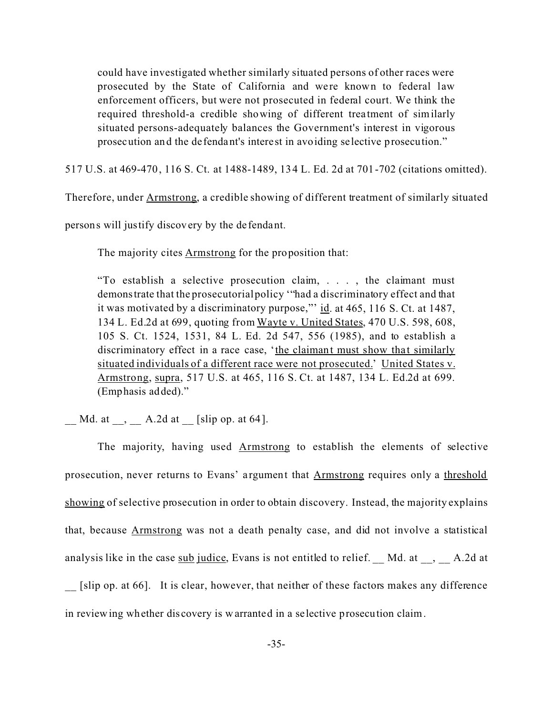could have investigated whether similarly situated persons of other races were prosecuted by the State of California and were known to federal law enforcement officers, but were not prosecuted in federal court. We think the required threshold-a credible showing of different trea tment of similarly situated persons-adequately balances the Government's interest in vigorous prosecution and the de fendant's interest in avoiding selective prosecution."

517 U.S. at 469-470, 116 S. Ct. at 1488-1489, 134 L. Ed. 2d at 701-702 (citations omitted).

Therefore, under Armstrong, a credible showing of different treatment of similarly situated

persons will justify discovery by the de fendant.

The majority cites **Armstrong** for the proposition that:

"To establish a selective prosecution claim, . . . , the claimant must demonstrate that the prosecutorial policy '"had a discriminatory effect and that it was motivated by a discriminatory purpose,"' id. at 465, 116 S. Ct. at 1487, 134 L. Ed.2d at 699, quoting from Wayte v. United States, 470 U.S. 598, 608, 105 S. Ct. 1524, 1531, 84 L. Ed. 2d 547, 556 (1985), and to establish a discriminatory effect in a race case, 'the claimant must show that similarly situated individuals of a different race were not prosecuted.' United States v. Armstrong, supra, 517 U.S. at 465, 116 S. Ct. at 1487, 134 L. Ed.2d at 699. (Emphasis added)."

 $Md.$  at  $\ldots$ ,  $\ldots$  A.2d at  $\ldots$  [slip op. at 64].

The majority, having used Armstrong to establish the elements of selective prosecution, never returns to Evans' argument that Armstrong requires only a threshold showing of selective prosecution in order to obtain discovery. Instead, the majority explains that, because Armstrong was not a death penalty case, and did not involve a statistical analysis like in the case sub judice, Evans is not entitled to relief.  $\_\text{Md}$  Md. at  $\_\text{d}$ ,  $\_\text{d}$  A.2d at [slip op. at 66]. It is clear, however, that neither of these factors makes any difference in reviewing whether dis covery is warranted in a selective prosecution claim.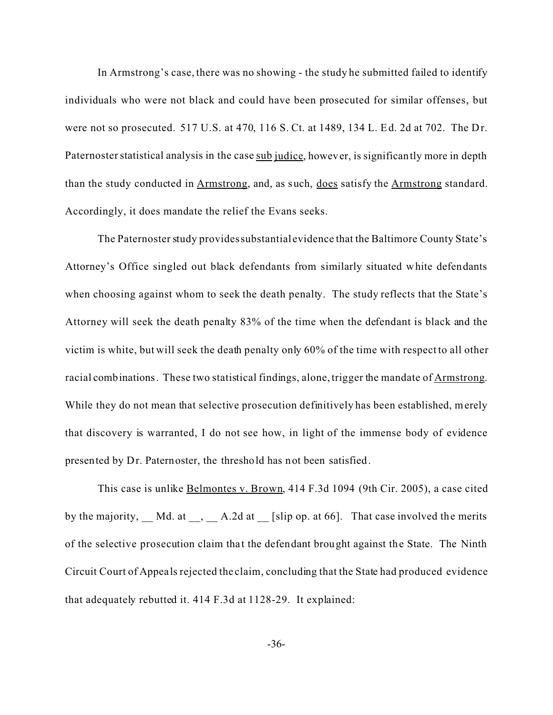In Armstrong's case, there was no showing - the study he submitted failed to identify individuals who were not black and could have been prosecuted for similar offenses, but were not so prosecuted. 517 U.S. at 470, 116 S. Ct. at 1489, 134 L. Ed. 2d at 702. The Dr. Paternoster statistical analysis in the case sub judice, however, is significantly more in depth than the study conducted in Armstrong, and, as such, does satisfy the Armstrong standard. Accordingly, it does mandate the relief the Evans seeks.

The Paternoster study provides substantial evidence that the Baltimore County State's Attorney's Office singled out black defendants from similarly situated white defendants when choosing against whom to seek the death penalty. The study reflects that the State's Attorney will seek the death penalty 83% of the time when the defendant is black and the victim is white, but will seek the death penalty only 60% of the time with respect to all other racial combinations. These two statistical findings, alone, trigger the mandate of Armstrong. While they do not mean that selective prosecution definitively has been established, merely that discovery is warranted, I do not see how, in light of the immense body of evidence presented by Dr. Paternoster, the threshold has not been satisfied.

This case is unlike Belmontes v. Brown, 414 F.3d 1094 (9th Cir. 2005), a case cited by the majority,  $\underline{\hspace{1cm}}$  Md. at  $\underline{\hspace{1cm}}$ ,  $\underline{\hspace{1cm}}$  A.2d at  $\underline{\hspace{1cm}}$  [slip op. at 66]. That case involved the merits of the selective prosecution claim that the defendant brought against the State. The Ninth Circuit Court of Appeals rejected the claim, concluding that the State had produced evidence that adequately rebutted it. 414 F.3d at 1128-29. It explained: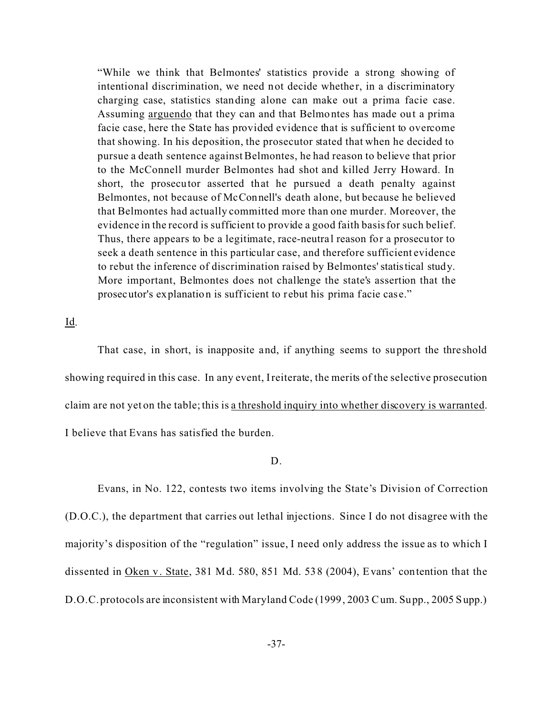"While we think that Belmontes' statistics provide a strong showing of intentional discrimination, we need not decide whether, in a discriminatory charging case, statistics standing alone can make out a prima facie case. Assuming arguendo that they can and that Belmontes has made out a prima facie case, here the State has provided evidence that is sufficient to overcome that showing. In his deposition, the prosecutor stated that when he decided to pursue a death sentence against Belmontes, he had reason to believe that prior to the McConnell murder Belmontes had shot and killed Jerry Howard. In short, the prosecutor asserted that he pursued a death penalty against Belmontes, not because of McConnell's death alone, but because he believed that Belmontes had actually committed more than one murder. Moreover, the evidence in the record is sufficient to provide a good faith basis for such belief. Thus, there appears to be a legitimate, race-neutral reason for a prosecutor to seek a death sentence in this particular case, and therefore sufficient evidence to rebut the inference of discrimination raised by Belmontes' statistical study. More important, Belmontes does not challenge the state's assertion that the prosecutor's explanation is sufficient to rebut his prima facie case."

Id.

That case, in short, is inapposite and, if anything seems to support the thre shold showing required in this case. In any event, I reiterate, the merits of the selective prosecution claim are not yet on the table; this is a threshold inquiry into whether discovery is warranted. I believe that Evans has satisfied the burden.

## D.

Evans, in No. 122, contests two items involving the State's Division of Correction (D.O.C.), the department that carries out lethal injections. Since I do not disagree with the majority's disposition of the "regulation" issue, I need only address the issue as to which I dissented in Oken v. State, 381 Md. 580, 851 Md. 538 (2004), Evans' contention that the D.O.C. protocols are inconsistent with Maryland Code (1999, 2003 Cum. Supp., 2005 Supp.)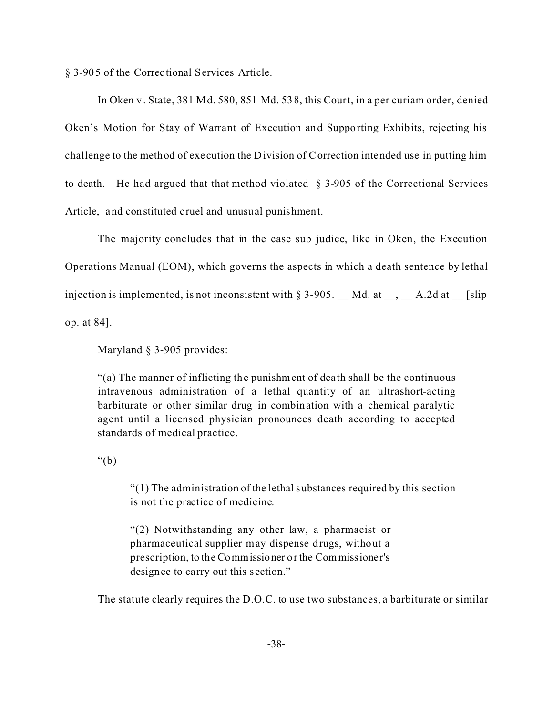§ 3-905 of the Correc tional Services Article.

In Oken v. State, 381 Md. 580, 851 Md. 538, this Court, in a per curiam order, denied Oken's Motion for Stay of Warrant of Execution and Supporting Exhibits, rejecting his challenge to the method of exe cution the Division of Correction intended use in putting him to death. He had argued that that method violated § 3-905 of the Correctional Services Article, and constituted cruel and unusual punishment.

The majority concludes that in the case sub judice, like in Oken, the Execution Operations Manual (EOM), which governs the aspects in which a death sentence by lethal injection is implemented, is not inconsistent with  $\S 3-905$ . Md. at \_\_, \_\_ A.2d at \_\_ [slip op. at 84].

Maryland § 3-905 provides:

"(a) The manner of inflicting the punishment of dea th shall be the continuous intravenous administration of a lethal quantity of an ultrashort-acting barbiturate or other similar drug in combination with a chemical paralytic agent until a licensed physician pronounces death according to accepted standards of medical practice.

" $(b)$ 

"(1) The administration of the lethal substances required by this section is not the practice of medicine.

"(2) Notwithstanding any other law, a pharmacist or pharmaceutical supplier may dispense drugs, without a prescription, to the Commissioner or the Commissioner's designee to carry out this section."

The statute clearly requires the D.O.C. to use two substances, a barbiturate or similar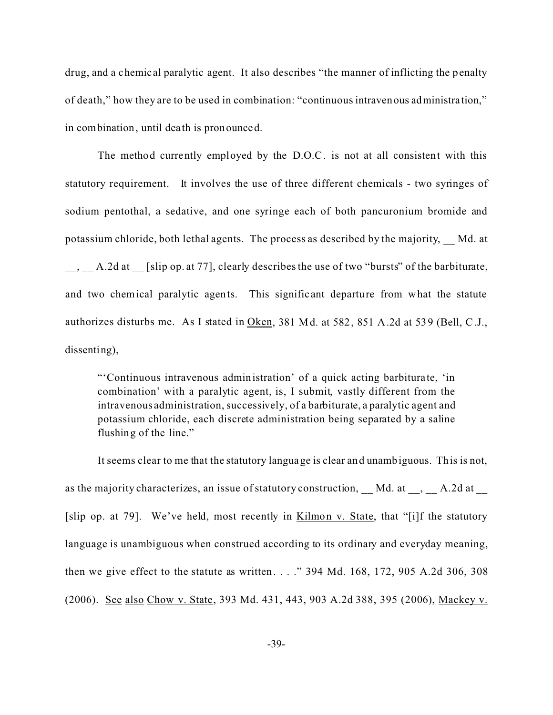drug, and a chemical paralytic agent. It also describes "the manner of inflicting the penalty of death," how they are to be used in combination: "continuous intravenous administra tion," in combination, until dea th is pronounced.

The method currently employed by the D.O.C. is not at all consistent with this statutory requirement. It involves the use of three different chemicals - two syringes of sodium pentothal, a sedative, and one syringe each of both pancuronium bromide and potassium chloride, both lethal agents. The process as described by the majority, \_\_ Md. at  $\_\_\_\_\_\_$ A.2d at [slip op. at 77], clearly describes the use of two "bursts" of the barbiturate, and two chemical paralytic agents. This signific ant departure from what the statute authorizes disturbs me. As I stated in Oken, 381 Md. at 582, 851 A.2d at 539 (Bell, C.J., dissenting),

"'Continuous intravenous administration' of a quick acting barbiturate, 'in combination' with a paralytic agent, is, I submit, vastly different from the intravenous administration, successively, of a barbiturate, a paralytic agent and potassium chloride, each discrete administration being separated by a saline flushing of the line."

It seems clear to me that the statutory language is clear and unambiguous. This is not, as the majority characterizes, an issue of statutory construction, Md. at , A.2d at [slip op. at 79]. We've held, most recently in Kilmon v. State, that "[i]f the statutory language is unambiguous when construed according to its ordinary and everyday meaning, then we give effect to the statute as written . . . ." 394 Md. 168, 172, 905 A.2d 306, 308 (2006). See also Chow v. State, 393 Md. 431, 443, 903 A.2d 388, 395 (2006), Mackey v.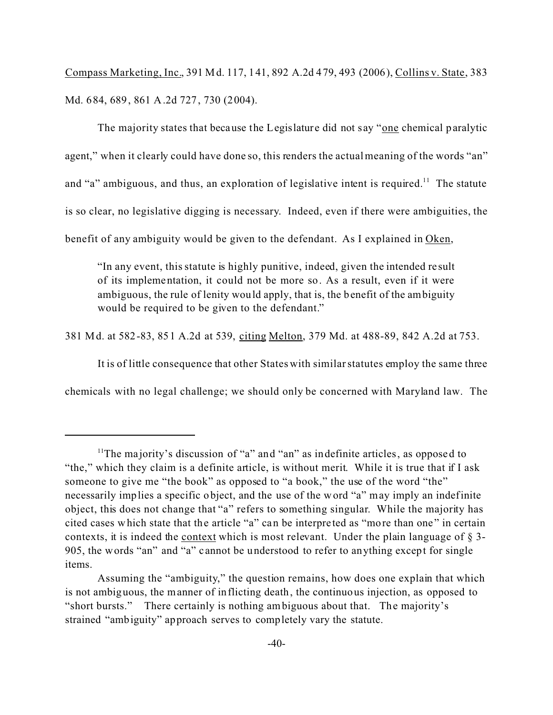Compass Marketing, Inc., 391 Md. 117, 141, 892 A.2d 479, 493 (2006), Collins v. State, 383 Md. 684, 689, 861 A.2d 727, 730 (2004).

The majority states that because the Legislature did not say "one chemical paralytic agent," when it clearly could have done so, this renders the actual meaning of the words "an" and "a" ambiguous, and thus, an exploration of legislative intent is required.<sup>11</sup> The statute is so clear, no legislative digging is necessary. Indeed, even if there were ambiguities, the benefit of any ambiguity would be given to the defendant. As I explained in Oken,

"In any event, this statute is highly punitive, indeed, given the intended re sult of its implementation, it could not be more so. As a result, even if it were ambiguous, the rule of lenity would apply, that is, the benefit of the ambiguity would be required to be given to the defendant."

381 Md. at 582-83, 851 A.2d at 539, citing Melton, 379 Md. at 488-89, 842 A.2d at 753.

It is of little consequence that other States with similar statutes employ the same three

chemicals with no legal challenge; we should only be concerned with Maryland law. The

<sup>&</sup>lt;sup>11</sup>The majority's discussion of "a" and "an" as indefinite articles, as opposed to "the," which they claim is a definite article, is without merit. While it is true that if I ask someone to give me "the book" as opposed to "a book," the use of the word "the" necessarily implies a specific object, and the use of the word "a" may imply an indefinite object, this does not change that "a" refers to something singular. While the majority has cited cases which state that the article "a" can be interpre ted as "more than one " in certain contexts, it is indeed the context which is most relevant. Under the plain language of § 3- 905, the words "an" and "a" cannot be understood to refer to anything except for single items.

Assuming the "ambiguity," the question remains, how does one explain that which is not ambiguous, the manner of inflicting death, the continuous injection, as opposed to "short bursts." There certainly is nothing ambiguous about that. The majority's strained "ambiguity" approach serves to completely vary the statute.